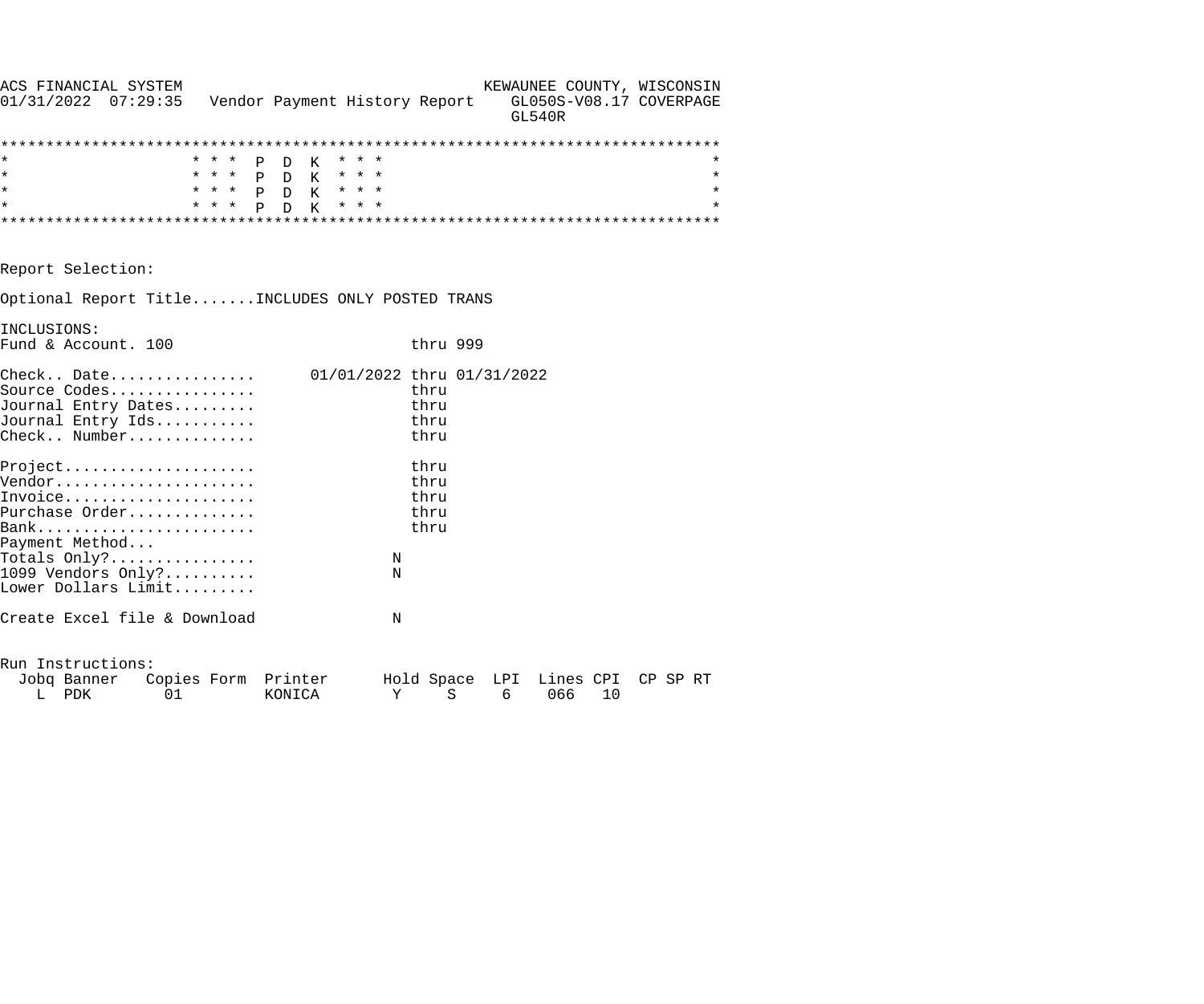| ACS FINANCIAL SYSTEM<br>$01/31/2022$ $07:29:35$                                                   |       | Vendor Payment History Report |                            |                              | KEWAUNEE COUNTY, WISCONSIN<br>GL050S-V08.17 COVERPAGE<br><b>GL540R</b> |    |         |
|---------------------------------------------------------------------------------------------------|-------|-------------------------------|----------------------------|------------------------------|------------------------------------------------------------------------|----|---------|
|                                                                                                   |       |                               |                            |                              |                                                                        |    |         |
| $\star$                                                                                           | * * * | P D K                         | * * *                      |                              |                                                                        |    | *       |
| $\star$                                                                                           |       | * * * P D K * * *             |                            |                              |                                                                        |    | $\star$ |
| $\star$                                                                                           |       | * * * P D K * * *             |                            |                              |                                                                        |    | $\star$ |
| $\star$                                                                                           | * * * | P<br>$D$ K                    | * * *                      |                              |                                                                        |    | $\star$ |
|                                                                                                   |       |                               |                            |                              |                                                                        |    |         |
| Report Selection:                                                                                 |       |                               |                            |                              |                                                                        |    |         |
| Optional Report TitleINCLUDES ONLY POSTED TRANS                                                   |       |                               |                            |                              |                                                                        |    |         |
| INCLUSIONS:                                                                                       |       |                               |                            |                              |                                                                        |    |         |
| Fund & Account. 100                                                                               |       |                               |                            | thru 999                     |                                                                        |    |         |
| $\text{Check.}.$ Date<br>Source Codes<br>Journal Entry Dates<br>Journal Entry Ids<br>Check Number |       |                               | 01/01/2022 thru 01/31/2022 | thru<br>thru<br>thru<br>thru |                                                                        |    |         |
| Project                                                                                           |       |                               |                            | thru                         |                                                                        |    |         |
| Vendor                                                                                            |       |                               |                            | thru                         |                                                                        |    |         |
| Invoice                                                                                           |       |                               |                            | thru                         |                                                                        |    |         |
| Purchase Order                                                                                    |       |                               |                            | thru                         |                                                                        |    |         |
|                                                                                                   |       |                               |                            | thru                         |                                                                        |    |         |
| Payment Method                                                                                    |       |                               |                            |                              |                                                                        |    |         |
| Totals $Only?$                                                                                    |       |                               | N                          |                              |                                                                        |    |         |
| 1099 Vendors Only?                                                                                |       |                               | N                          |                              |                                                                        |    |         |
| Lower Dollars Limit                                                                               |       |                               |                            |                              |                                                                        |    |         |
| Create Excel file & Download                                                                      |       |                               | N                          |                              |                                                                        |    |         |
| Run Instructions:                                                                                 |       |                               |                            |                              |                                                                        |    |         |
| Jobq Banner Copies Form Printer                                                                   |       |                               |                            |                              | Hold Space LPI Lines CPI CP SP RT                                      |    |         |
| PDK<br>L                                                                                          | 01    | KONICA                        | Υ                          | $\rm S$                      | 6<br>066                                                               | 10 |         |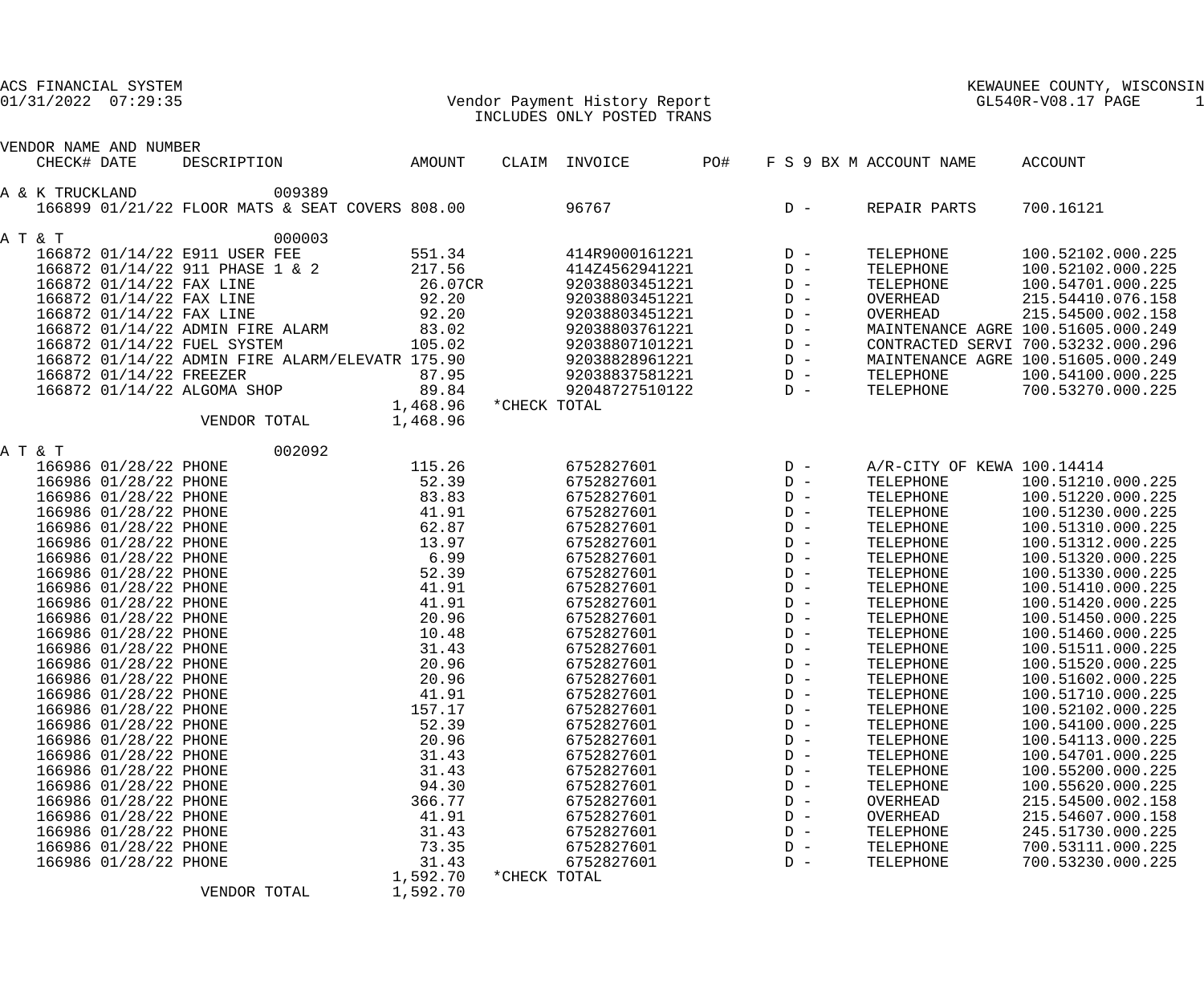| ACS FINANCIAL SYSTEM |  |
|----------------------|--|
|                      |  |

### 01/31/2022 07:29:35 Vendor Payment History Report GL540R-V08.17 PAGE 1 INCLUDES ONLY POSTED TRANS

|                 | VENDOR NAME AND NUMBER                         |                                                 |        |                |              |                          |     |                |                                    |                   |  |
|-----------------|------------------------------------------------|-------------------------------------------------|--------|----------------|--------------|--------------------------|-----|----------------|------------------------------------|-------------------|--|
| CHECK# DATE     |                                                | DESCRIPTION                                     |        | AMOUNT         |              | CLAIM INVOICE            | PO# |                | F S 9 BX M ACCOUNT NAME            | ACCOUNT           |  |
|                 |                                                |                                                 |        |                |              |                          |     |                |                                    |                   |  |
| A & K TRUCKLAND |                                                |                                                 | 009389 |                |              |                          |     |                |                                    |                   |  |
|                 |                                                | 166899 01/21/22 FLOOR MATS & SEAT COVERS 808.00 |        |                |              | 96767                    |     | $D -$          | REPAIR PARTS                       | 700.16121         |  |
|                 |                                                |                                                 |        |                |              |                          |     |                |                                    |                   |  |
| A T & T         |                                                |                                                 | 000003 |                |              |                          |     |                |                                    |                   |  |
|                 |                                                | 166872 01/14/22 E911 USER FEE                   |        | 551.34         |              | 414R9000161221           |     | $D -$          | TELEPHONE                          | 100.52102.000.225 |  |
|                 |                                                | 166872 01/14/22 911 PHASE 1 & 2                 |        | 217.56         |              | 414Z4562941221           |     | $D -$          | TELEPHONE                          | 100.52102.000.225 |  |
|                 | 166872 01/14/22 FAX LINE                       |                                                 |        | 26.07CR        |              | 92038803451221           |     | $D -$          | TELEPHONE                          | 100.54701.000.225 |  |
|                 |                                                | 166872 01/14/22 FAX LINE                        |        | 92.20          |              | 92038803451221           |     | $D -$          | OVERHEAD                           | 215.54410.076.158 |  |
|                 |                                                | 166872 01/14/22 FAX LINE                        |        | 92.20          |              | 92038803451221           |     | $\mathbb{D}$ – | OVERHEAD                           | 215.54500.002.158 |  |
|                 |                                                | 166872 01/14/22 ADMIN FIRE ALARM                |        | 83.02          |              | 92038803761221           |     | $\mathbb{D}$ – | MAINTENANCE AGRE 100.51605.000.249 |                   |  |
|                 |                                                | 166872 01/14/22 FUEL SYSTEM                     |        | 105.02         |              | 92038807101221           |     | $D -$          | CONTRACTED SERVI 700.53232.000.296 |                   |  |
|                 |                                                | 166872 01/14/22 ADMIN FIRE ALARM/ELEVATR 175.90 |        |                |              | 92038828961221           |     | $D -$          | MAINTENANCE AGRE 100.51605.000.249 |                   |  |
|                 | 166872 01/14/22 FREEZER                        |                                                 |        | 87.95          |              | 92038837581221           |     | $D -$          | TELEPHONE                          | 100.54100.000.225 |  |
|                 |                                                | 166872 01/14/22 ALGOMA SHOP                     |        | 89.84          |              | 92048727510122           |     | $D -$          | TELEPHONE                          | 700.53270.000.225 |  |
|                 |                                                |                                                 |        | 1,468.96       | *CHECK TOTAL |                          |     |                |                                    |                   |  |
|                 |                                                | VENDOR TOTAL                                    |        | 1,468.96       |              |                          |     |                |                                    |                   |  |
| A T & T         |                                                |                                                 | 002092 |                |              |                          |     |                |                                    |                   |  |
|                 | 166986 01/28/22 PHONE                          |                                                 |        | 115.26         |              | 6752827601               |     | $D -$          | A/R-CITY OF KEWA 100.14414         |                   |  |
|                 | 166986 01/28/22 PHONE                          |                                                 |        | 52.39          |              | 6752827601               |     | $D -$          | TELEPHONE                          | 100.51210.000.225 |  |
|                 | 166986 01/28/22 PHONE                          |                                                 |        | 83.83          |              | 6752827601               |     | $D -$          | TELEPHONE                          | 100.51220.000.225 |  |
|                 | 166986 01/28/22 PHONE                          |                                                 |        | 41.91          |              | 6752827601               |     | $D -$          | TELEPHONE                          | 100.51230.000.225 |  |
|                 | 166986 01/28/22 PHONE                          |                                                 |        | 62.87          |              | 6752827601               |     | $D -$          | TELEPHONE                          | 100.51310.000.225 |  |
|                 | 166986 01/28/22 PHONE                          |                                                 |        | 13.97          |              | 6752827601               |     | $D -$          | TELEPHONE                          | 100.51312.000.225 |  |
|                 | 166986 01/28/22 PHONE                          |                                                 |        | 6.99           |              | 6752827601               |     | $\mathbb{D}$ – | TELEPHONE                          | 100.51320.000.225 |  |
|                 | 166986 01/28/22 PHONE                          |                                                 |        | 52.39          |              | 6752827601               |     | $D -$          | TELEPHONE                          | 100.51330.000.225 |  |
|                 | 166986 01/28/22 PHONE                          |                                                 |        | 41.91          |              | 6752827601               |     | $D -$          | TELEPHONE                          | 100.51410.000.225 |  |
|                 | 166986 01/28/22 PHONE                          |                                                 |        | 41.91          |              | 6752827601               |     | $D -$          | TELEPHONE                          | 100.51420.000.225 |  |
|                 | 166986 01/28/22 PHONE                          |                                                 |        | 20.96          |              | 6752827601               |     | $D -$          | TELEPHONE                          | 100.51450.000.225 |  |
|                 | 166986 01/28/22 PHONE                          |                                                 |        | 10.48          |              | 6752827601               |     | $D -$          | TELEPHONE                          | 100.51460.000.225 |  |
|                 | 166986 01/28/22 PHONE                          |                                                 |        | 31.43          |              | 6752827601               |     | $D -$          | TELEPHONE                          | 100.51511.000.225 |  |
|                 | 166986 01/28/22 PHONE                          |                                                 |        | 20.96          |              | 6752827601               |     | $D -$          | TELEPHONE                          | 100.51520.000.225 |  |
|                 | 166986 01/28/22 PHONE                          |                                                 |        | 20.96          |              | 6752827601               |     | $D -$          | TELEPHONE                          | 100.51602.000.225 |  |
|                 | 166986 01/28/22 PHONE                          |                                                 |        | 41.91          |              | 6752827601               |     | $D -$          | TELEPHONE                          | 100.51710.000.225 |  |
|                 | 166986 01/28/22 PHONE                          |                                                 |        | 157.17         |              | 6752827601               |     | D –            | TELEPHONE                          | 100.52102.000.225 |  |
|                 | 166986 01/28/22 PHONE                          |                                                 |        | 52.39          |              | 6752827601               |     | $D -$          | TELEPHONE                          | 100.54100.000.225 |  |
|                 | 166986 01/28/22 PHONE                          |                                                 |        | 20.96          |              | 6752827601               |     | $D -$          | TELEPHONE                          | 100.54113.000.225 |  |
|                 | 166986 01/28/22 PHONE                          |                                                 |        | 31.43          |              | 6752827601               |     | $D -$          | TELEPHONE                          | 100.54701.000.225 |  |
|                 | 166986 01/28/22 PHONE                          |                                                 |        | 31.43          |              | 6752827601               |     | $D -$          | TELEPHONE                          | 100.55200.000.225 |  |
|                 | 166986 01/28/22 PHONE                          |                                                 |        | 94.30          |              | 6752827601               |     | $D -$          | TELEPHONE                          | 100.55620.000.225 |  |
|                 |                                                |                                                 |        |                |              |                          |     | $D -$          |                                    | 215.54500.002.158 |  |
|                 | 166986 01/28/22 PHONE<br>166986 01/28/22 PHONE |                                                 |        | 366.77         |              | 6752827601<br>6752827601 |     | $D -$          | OVERHEAD<br>OVERHEAD               | 215.54607.000.158 |  |
|                 | 166986 01/28/22 PHONE                          |                                                 |        | 41.91<br>31.43 |              | 6752827601               |     | $D -$          |                                    | 245.51730.000.225 |  |
|                 | 166986 01/28/22 PHONE                          |                                                 |        |                |              | 6752827601               |     | $D -$          | TELEPHONE<br>TELEPHONE             | 700.53111.000.225 |  |
|                 | 166986 01/28/22 PHONE                          |                                                 |        | 73.35<br>31.43 |              | 6752827601               |     | $D -$          | TELEPHONE                          | 700.53230.000.225 |  |
|                 |                                                |                                                 |        | 1,592.70       | *CHECK TOTAL |                          |     |                |                                    |                   |  |
|                 |                                                | VENDOR TOTAL                                    |        | 1,592.70       |              |                          |     |                |                                    |                   |  |
|                 |                                                |                                                 |        |                |              |                          |     |                |                                    |                   |  |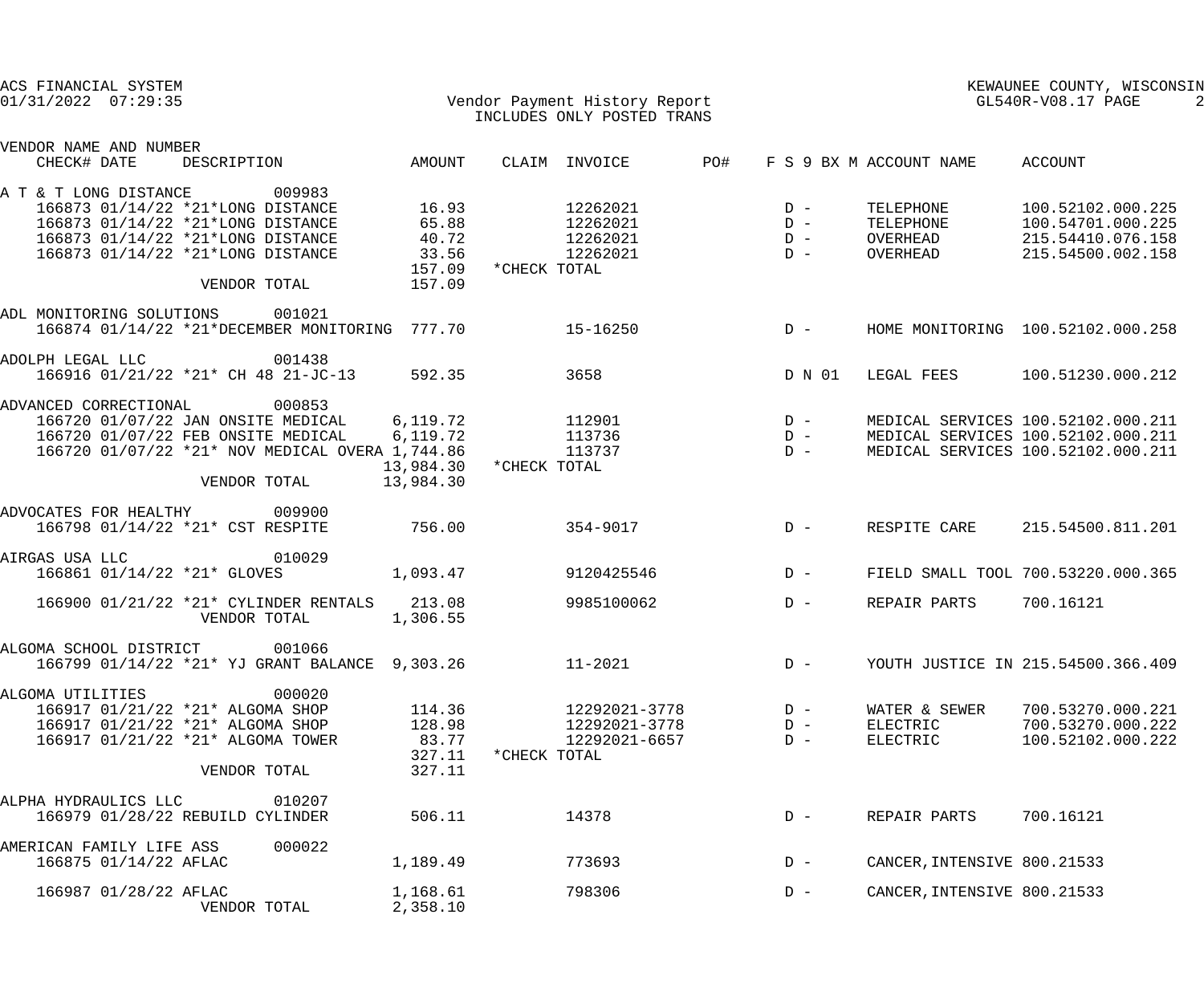| ACS FINANCIAL SYSTEM<br>$01/31/2022$ $07:29:35$ |                             |                                                 |           | Vendor Payment History Report<br>That Uppe ONLY Postup Thans<br>INCLUDES ONLY POSTED TRANS |               |            |        |                             | KEWAUNEE COUNTY, WISCONSIN<br>GL540R-V08.17 PAGE |  |  |
|-------------------------------------------------|-----------------------------|-------------------------------------------------|-----------|--------------------------------------------------------------------------------------------|---------------|------------|--------|-----------------------------|--------------------------------------------------|--|--|
| VENDOR NAME AND NUMBER<br>CHECK# DATE           |                             | DESCRIPTION AMOUNT                              |           |                                                                                            | CLAIM INVOICE | <b>PO#</b> |        | F S 9 BX M ACCOUNT NAME     | ACCOUNT                                          |  |  |
|                                                 |                             |                                                 |           |                                                                                            |               |            |        |                             |                                                  |  |  |
| A T & T LONG DISTANCE                           |                             | 009983<br>166873 01/14/22 *21*LONG DISTANCE     | 16.93     |                                                                                            | 12262021      |            | $D -$  | TELEPHONE                   | 100.52102.000.225                                |  |  |
|                                                 |                             | 166873 01/14/22 *21*LONG DISTANCE               | 65.88     |                                                                                            | 12262021      |            | $D -$  | TELEPHONE                   | 100.54701.000.225                                |  |  |
|                                                 |                             | 166873 01/14/22 *21*LONG DISTANCE               | 40.72     |                                                                                            | 12262021      |            | $D -$  | OVERHEAD                    | 215.54410.076.158                                |  |  |
|                                                 |                             | 166873 01/14/22 *21*LONG DISTANCE               | 33.56     |                                                                                            | 12262021      |            | $D -$  | OVERHEAD                    | 215.54500.002.158                                |  |  |
|                                                 |                             |                                                 | 157.09    | *CHECK TOTAL                                                                               |               |            |        |                             |                                                  |  |  |
|                                                 |                             | VENDOR TOTAL                                    | 157.09    |                                                                                            |               |            |        |                             |                                                  |  |  |
| ADL MONITORING SOLUTIONS                        |                             | 001021                                          |           |                                                                                            |               |            |        |                             |                                                  |  |  |
|                                                 |                             | 166874 01/14/22 *21*DECEMBER MONITORING 777.70  |           |                                                                                            | $15 - 16250$  |            | $D -$  |                             | HOME MONITORING 100.52102.000.258                |  |  |
| ADOLPH LEGAL LLC                                |                             | 001438<br>166916 01/21/22 *21* CH 48 21-JC-13   | 592.35    |                                                                                            | 3658          |            | D N 01 | LEGAL FEES                  | 100.51230.000.212                                |  |  |
|                                                 |                             |                                                 |           |                                                                                            |               |            |        |                             |                                                  |  |  |
| ADVANCED CORRECTIONAL                           |                             | 000853                                          |           |                                                                                            |               |            |        |                             |                                                  |  |  |
|                                                 |                             | 166720 01/07/22 JAN ONSITE MEDICAL              | 6,119.72  |                                                                                            | 112901        |            | $D -$  |                             | MEDICAL SERVICES 100.52102.000.211               |  |  |
|                                                 |                             | 166720 01/07/22 FEB ONSITE MEDICAL              | 6, 119.72 |                                                                                            | 113736        |            | $D -$  |                             | MEDICAL SERVICES 100.52102.000.211               |  |  |
|                                                 |                             | 166720 01/07/22 *21* NOV MEDICAL OVERA 1,744.86 |           |                                                                                            | 113737        |            | $D -$  |                             | MEDICAL SERVICES 100.52102.000.211               |  |  |
|                                                 |                             |                                                 | 13,984.30 | *CHECK TOTAL                                                                               |               |            |        |                             |                                                  |  |  |
|                                                 |                             | VENDOR TOTAL                                    | 13,984.30 |                                                                                            |               |            |        |                             |                                                  |  |  |
| ADVOCATES FOR HEALTHY                           |                             | 009900                                          |           |                                                                                            |               |            |        |                             |                                                  |  |  |
|                                                 |                             | 166798 01/14/22 *21* CST RESPITE                | 756.00    |                                                                                            | 354-9017      |            | $D -$  | RESPITE CARE                | 215.54500.811.201                                |  |  |
|                                                 |                             |                                                 |           |                                                                                            |               |            |        |                             |                                                  |  |  |
| AIRGAS USA LLC                                  |                             | 010029                                          |           |                                                                                            |               |            |        |                             |                                                  |  |  |
|                                                 | 166861 01/14/22 *21* GLOVES |                                                 | 1,093.47  |                                                                                            | 9120425546    |            | $D -$  |                             | FIELD SMALL TOOL 700.53220.000.365               |  |  |
|                                                 |                             | 166900 01/21/22 *21* CYLINDER RENTALS 213.08    |           |                                                                                            | 9985100062    |            | $D -$  | REPAIR PARTS                | 700.16121                                        |  |  |
|                                                 |                             | VENDOR TOTAL                                    | 1,306.55  |                                                                                            |               |            |        |                             |                                                  |  |  |
|                                                 |                             |                                                 |           |                                                                                            |               |            |        |                             |                                                  |  |  |
| ALGOMA SCHOOL DISTRICT                          |                             | 001066                                          |           |                                                                                            |               |            |        |                             |                                                  |  |  |
|                                                 |                             | 166799 01/14/22 *21* YJ GRANT BALANCE 9,303.26  |           |                                                                                            | $11 - 2021$   |            | $D -$  |                             | YOUTH JUSTICE IN 215.54500.366.409               |  |  |
| ALGOMA UTILITIES                                |                             | 000020                                          |           |                                                                                            |               |            |        |                             |                                                  |  |  |
|                                                 |                             | 166917 01/21/22 *21* ALGOMA SHOP                | 114.36    |                                                                                            | 12292021-3778 |            | $D -$  | WATER & SEWER               | 700.53270.000.221                                |  |  |
|                                                 |                             | 166917 01/21/22 *21* ALGOMA SHOP                | 128.98    |                                                                                            | 12292021-3778 |            | $D -$  | ELECTRIC                    | 700.53270.000.222                                |  |  |
|                                                 |                             | 166917 01/21/22 *21* ALGOMA TOWER               | 83.77     |                                                                                            | 12292021-6657 |            | $D -$  | ELECTRIC                    | 100.52102.000.222                                |  |  |
|                                                 |                             |                                                 | 327.11    | *CHECK TOTAL                                                                               |               |            |        |                             |                                                  |  |  |
|                                                 |                             | VENDOR TOTAL                                    | 327.11    |                                                                                            |               |            |        |                             |                                                  |  |  |
|                                                 |                             |                                                 |           |                                                                                            |               |            |        |                             |                                                  |  |  |
| ALPHA HYDRAULICS LLC                            |                             | 010207                                          |           |                                                                                            |               |            |        |                             |                                                  |  |  |
|                                                 |                             | 166979 01/28/22 REBUILD CYLINDER                | 506.11    |                                                                                            | 14378         |            | $D -$  | REPAIR PARTS                | 700.16121                                        |  |  |
| AMERICAN FAMILY LIFE ASS                        |                             | 000022                                          |           |                                                                                            |               |            |        |                             |                                                  |  |  |
|                                                 | 166875 01/14/22 AFLAC       |                                                 | 1,189.49  |                                                                                            | 773693        |            | $D -$  | CANCER, INTENSIVE 800.21533 |                                                  |  |  |
|                                                 |                             |                                                 |           |                                                                                            |               |            |        |                             |                                                  |  |  |
|                                                 | 166987 01/28/22 AFLAC       |                                                 | 1,168.61  |                                                                                            | 798306        |            | $D -$  | CANCER, INTENSIVE 800.21533 |                                                  |  |  |
|                                                 |                             | VENDOR TOTAL                                    | 2,358.10  |                                                                                            |               |            |        |                             |                                                  |  |  |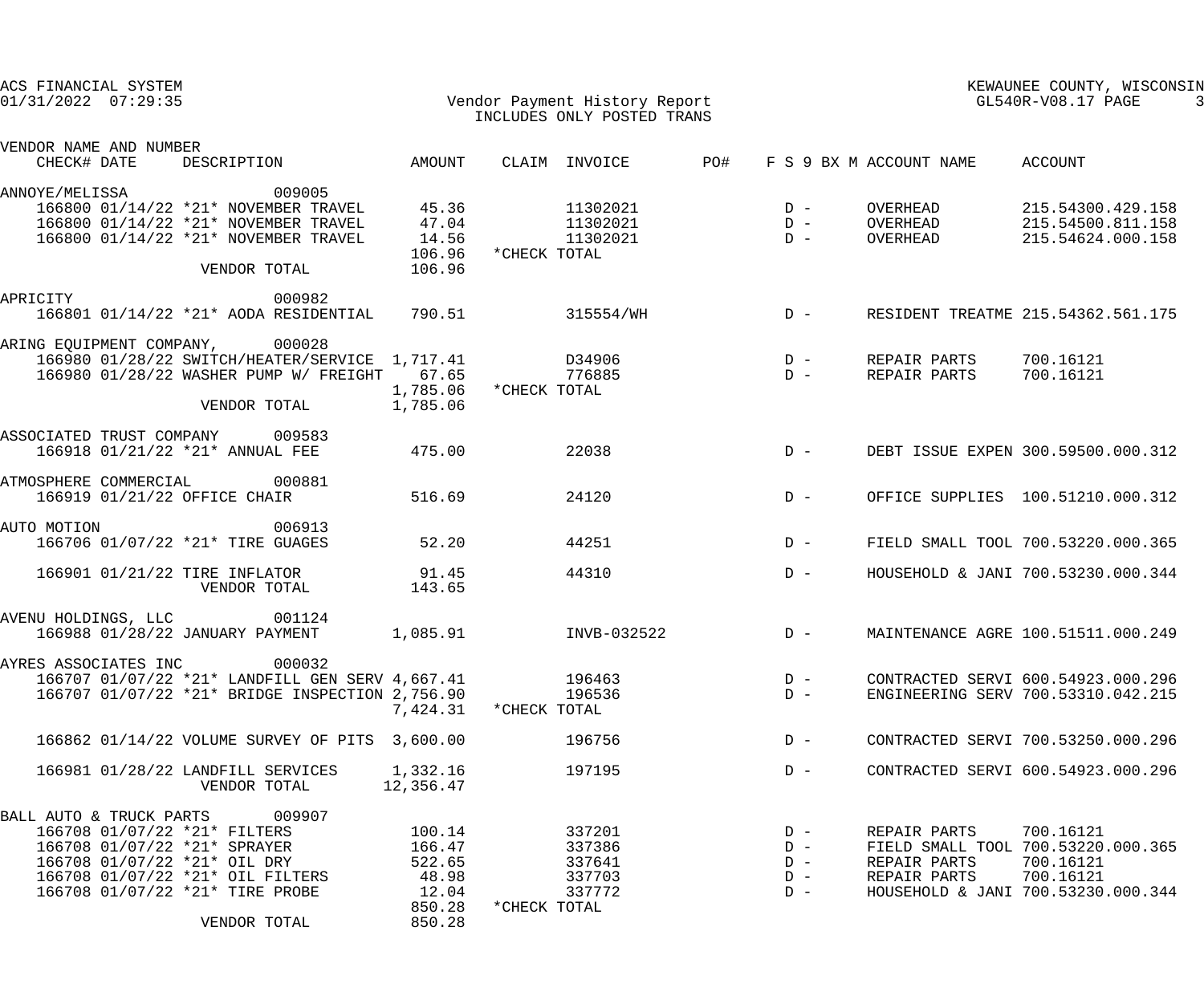| ACS FINANCIAL SYSTEM<br>$01/31/2022$ $07:29:35$                                                                                             |                                     | Vendor Payment History Report<br>INCLUDES ONLY POSTED TRANS |                                  | KEWAUNEE COUNTY, WISCONSIN<br>GL540R-V08.17 PAGE |                                                                           |  |
|---------------------------------------------------------------------------------------------------------------------------------------------|-------------------------------------|-------------------------------------------------------------|----------------------------------|--------------------------------------------------|---------------------------------------------------------------------------|--|
| VENDOR NAME AND NUMBER                                                                                                                      |                                     |                                                             |                                  |                                                  |                                                                           |  |
| CHECK# DATE<br>DESCRIPTION                                                                                                                  | AMOUNT                              | CLAIM INVOICE                                               | PO#                              | F S 9 BX M ACCOUNT NAME                          | ACCOUNT                                                                   |  |
| 009005<br>ANNOYE/MELISSA<br>166800 01/14/22 *21* NOVEMBER TRAVEL                                                                            | 45.36                               | 11302021                                                    | $D -$                            | OVERHEAD                                         | 215.54300.429.158                                                         |  |
| 166800 01/14/22 *21* NOVEMBER TRAVEL<br>166800 01/14/22 *21* NOVEMBER TRAVEL<br>VENDOR TOTAL                                                | 47.04<br>14.56<br>106.96<br>106.96  | 11302021<br>11302021<br>*CHECK TOTAL                        | $D -$<br>$D -$                   | OVERHEAD<br>OVERHEAD                             | 215.54500.811.158<br>215.54624.000.158                                    |  |
| APRICITY<br>000982<br>166801 01/14/22 *21* AODA RESIDENTIAL 790.51                                                                          |                                     | 315554/WH                                                   | $D -$                            |                                                  | RESIDENT TREATME 215.54362.561.175                                        |  |
|                                                                                                                                             |                                     |                                                             |                                  |                                                  |                                                                           |  |
| ARING EQUIPMENT COMPANY, 000028<br>166980 01/28/22 SWITCH/HEATER/SERVICE 1,717.41<br>166980 01/28/22 WASHER PUMP W/ FREIGHT<br>VENDOR TOTAL | 67.65<br>1,785.06<br>1,785.06       | D34906<br>776885<br>*CHECK TOTAL                            | $D -$<br>$D -$                   | REPAIR PARTS<br>REPAIR PARTS                     | 700.16121<br>700.16121                                                    |  |
| ASSOCIATED TRUST COMPANY 009583<br>166918 01/21/22 *21* ANNUAL FEE                                                                          | 475.00                              | 22038                                                       | $D -$                            |                                                  | DEBT ISSUE EXPEN 300.59500.000.312                                        |  |
| 000881<br>ATMOSPHERE COMMERCIAL<br>166919 01/21/22 OFFICE CHAIR                                                                             | 516.69                              | 24120                                                       | $D -$                            |                                                  | OFFICE SUPPLIES 100.51210.000.312                                         |  |
| AUTO MOTION<br>006913<br>166706 01/07/22 *21* TIRE GUAGES                                                                                   | 52.20                               | 44251                                                       | $D -$                            |                                                  | FIELD SMALL TOOL 700.53220.000.365                                        |  |
| 166901 01/21/22 TIRE INFLATOR<br>VENDOR TOTAL                                                                                               | 91.45<br>143.65                     | 44310                                                       | $D -$                            |                                                  | HOUSEHOLD & JANI 700.53230.000.344                                        |  |
| 001124<br>AVENU HOLDINGS, LLC<br>166988 01/28/22 JANUARY PAYMENT                                                                            | 1,085.91                            | INVB-032522                                                 | $D -$                            |                                                  | MAINTENANCE AGRE 100.51511.000.249                                        |  |
| 000032<br>AYRES ASSOCIATES INC<br>166707 01/07/22 *21* LANDFILL GEN SERV 4,667.41<br>166707 01/07/22 *21* BRIDGE INSPECTION 2,756.90        | 7,424.31                            | 196463<br>196536<br>*CHECK TOTAL                            | $D -$<br>$D -$                   |                                                  | CONTRACTED SERVI 600.54923.000.296<br>ENGINEERING SERV 700.53310.042.215  |  |
| 166862 01/14/22 VOLUME SURVEY OF PITS 3,600.00                                                                                              |                                     | 196756                                                      | $D -$                            |                                                  | CONTRACTED SERVI 700.53250.000.296                                        |  |
| 166981 01/28/22 LANDFILL SERVICES<br>VENDOR TOTAL                                                                                           | 1,332.16<br>12,356.47               | 197195                                                      | $D -$                            |                                                  | CONTRACTED SERVI 600.54923.000.296                                        |  |
| 009907<br>BALL AUTO & TRUCK PARTS                                                                                                           |                                     |                                                             |                                  |                                                  |                                                                           |  |
| 166708 01/07/22 *21* FILTERS<br>166708 01/07/22 *21* SPRAYER<br>166708 01/07/22 *21* OIL DRY<br>166708 01/07/22 *21* OIL FILTERS            | 100.14<br>166.47<br>522.65<br>48.98 | 337201<br>337386<br>337641<br>337703                        | $D -$<br>$D -$<br>$D -$<br>$D -$ | REPAIR PARTS<br>REPAIR PARTS<br>REPAIR PARTS     | 700.16121<br>FIELD SMALL TOOL 700.53220.000.365<br>700.16121<br>700.16121 |  |
| 166708 01/07/22 *21* TIRE PROBE<br>VENDOR TOTAL                                                                                             | 12.04<br>850.28<br>850.28           | 337772<br>*CHECK TOTAL                                      | $D -$                            |                                                  | HOUSEHOLD & JANI 700.53230.000.344                                        |  |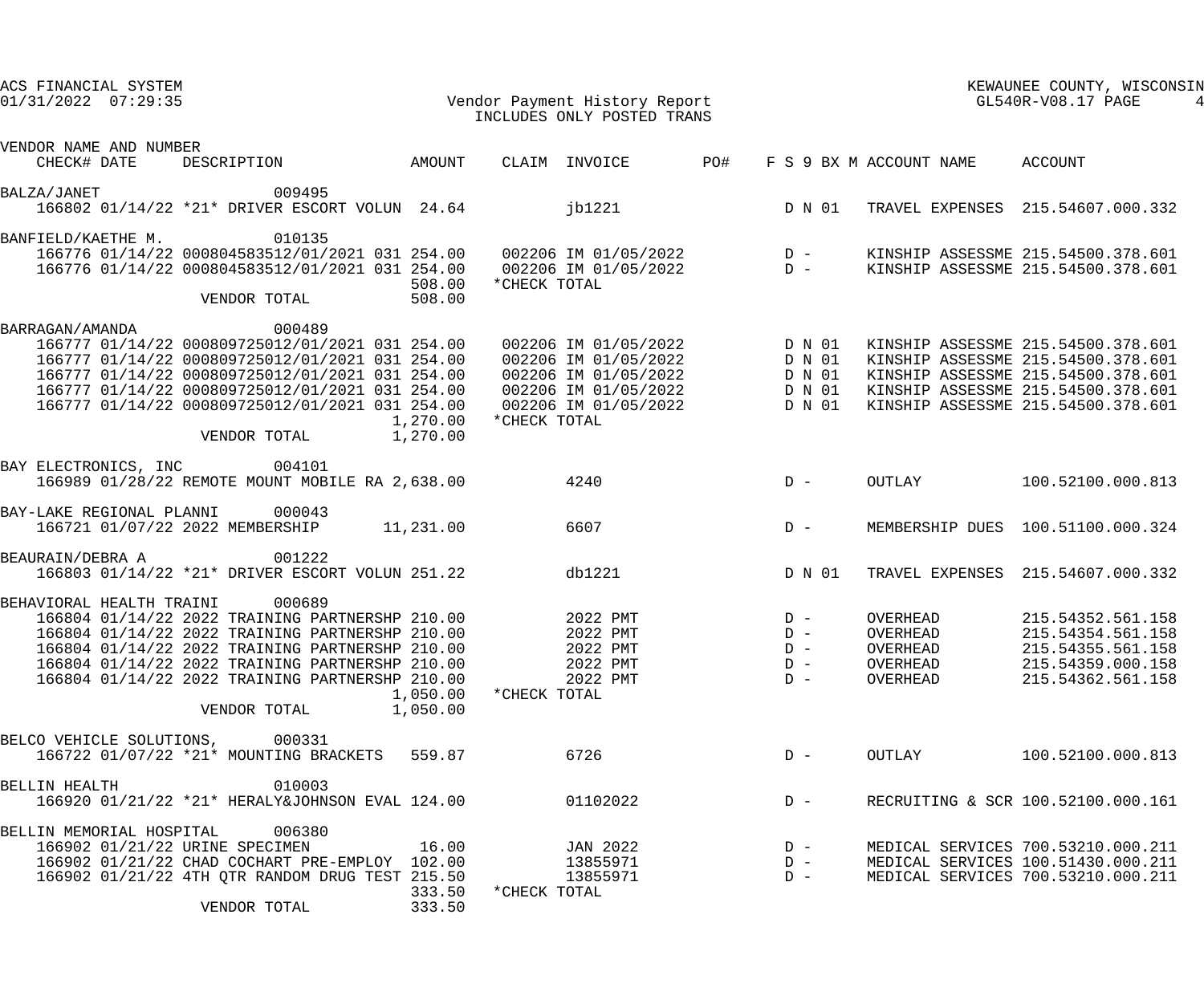| ACS FINANCIAL SYSTEM<br>Vendor Payment History Report<br>TNGTIIDES ONLY POSTED TRANS<br>$01/31/2022$ $07:29:35$                                                                                                                                                                                                                           | INCLUDES ONLY POSTED TRANS                                                                                                                                              |                                                                                                       | KEWAUNEE COUNTI, MINT<br>KEWAUNEE COUNTY, WISCONSIN                                                                                                                                        |  |  |
|-------------------------------------------------------------------------------------------------------------------------------------------------------------------------------------------------------------------------------------------------------------------------------------------------------------------------------------------|-------------------------------------------------------------------------------------------------------------------------------------------------------------------------|-------------------------------------------------------------------------------------------------------|--------------------------------------------------------------------------------------------------------------------------------------------------------------------------------------------|--|--|
| VENDOR NAME AND NUMBER<br>DESCRIPTION AMOUNT<br>CHECK# DATE                                                                                                                                                                                                                                                                               | <b>PO#</b><br>CLAIM INVOICE                                                                                                                                             |                                                                                                       | F S 9 BX M ACCOUNT NAME ACCOUNT                                                                                                                                                            |  |  |
| 009495<br>BALZA/JANET<br>166802 01/14/22 *21* DRIVER ESCORT VOLUN 24.64                                                                                                                                                                                                                                                                   | jb1221 D N 01                                                                                                                                                           |                                                                                                       | TRAVEL EXPENSES 215.54607.000.332                                                                                                                                                          |  |  |
| 010135<br>BANFIELD/KAETHE M.<br>166776 01/14/22 000804583512/01/2021 031 254.00 002206 IM 01/05/2022 D - KINSHIP ASSESSME 215.54500.378.601<br>166776 01/14/22 000804583512/01/2021 031 254.00 002206 IM 01/05/2022 D - KINSHIP ASSESSME 215.54500.378.601<br>508.00<br>508.00<br>VENDOR TOTAL                                            | *CHECK TOTAL                                                                                                                                                            |                                                                                                       |                                                                                                                                                                                            |  |  |
| 000489<br>BARRAGAN/AMANDA<br>166777 01/14/22 000809725012/01/2021 031 254.00<br>166777 01/14/22 000809725012/01/2021 031 254.00<br>166777 01/14/22 000809725012/01/2021 031 254.00<br>166777 01/14/22 000809725012/01/2021 031 254.00<br>166777 01/14/22 000809725012/01/2021 031 254.00<br>1,270.00<br>VENDOR TOTAL 1,270.00             | 002206 IM 01/05/2022 D N 01<br>002206 IM 01/05/2022 D N 01<br>002206 IM 01/05/2022 D N 01<br>002206 IM 01/05/2022 D N 01<br>002206 IM 01/05/2022 D N 01<br>*CHECK TOTAL |                                                                                                       | KINSHIP ASSESSME 215.54500.378.601<br>KINSHIP ASSESSME 215.54500.378.601<br>KINSHIP ASSESSME 215.54500.378.601<br>KINSHIP ASSESSME 215.54500.378.601<br>KINSHIP ASSESSME 215.54500.378.601 |  |  |
| BAY ELECTRONICS, INC 004101<br>166989 01/28/22 REMOTE MOUNT MOBILE RA 2,638.00                                                                                                                                                                                                                                                            | 4240<br>$D -$                                                                                                                                                           | OUTLAY                                                                                                | 100.52100.000.813                                                                                                                                                                          |  |  |
| BAY-LAKE REGIONAL PLANNI<br>000043<br>166721 01/07/22 2022 MEMBERSHIP 11,231.00                                                                                                                                                                                                                                                           | $D -$<br>6607                                                                                                                                                           |                                                                                                       | MEMBERSHIP DUES 100.51100.000.324                                                                                                                                                          |  |  |
| 001222<br>BEAURAIN/DEBRA A<br>166803 01/14/22 *21* DRIVER ESCORT VOLUN 251.22                                                                                                                                                                                                                                                             | db1221                                                                                                                                                                  | D N 01                                                                                                | TRAVEL EXPENSES 215.54607.000.332                                                                                                                                                          |  |  |
| BEHAVIORAL HEALTH TRAINI<br>000689<br>166804 01/14/22 2022 TRAINING PARTNERSHP 210.00<br>166804 01/14/22 2022 TRAINING PARTNERSHP 210.00<br>166804 01/14/22 2022 TRAINING PARTNERSHP 210.00<br>166804 01/14/22 2022 TRAINING PARTNERSHP 210.00<br>166804 01/14/22 2022 TRAINING PARTNERSHP 210.00<br>1,050.00<br>1,050.00<br>VENDOR TOTAL | 2022 PMT<br>2022 PMT<br>2022 PMT<br>2022 PMT<br>2022 PMT<br>*CHECK TOTAL                                                                                                | $D -$<br>OVERHEAD<br>$D -$<br>OVERHEAD<br>OVERHEAD<br>$D -$<br>OVERHEAD<br>$D -$<br>$D -$<br>OVERHEAD | 215.54352.561.158<br>215.54354.561.158<br>215.54355.561.158<br>215.54359.000.158<br>215.54362.561.158                                                                                      |  |  |
| BELCO VEHICLE SOLUTIONS,<br>000331<br>166722 01/07/22 *21* MOUNTING BRACKETS<br>559.87                                                                                                                                                                                                                                                    | 6726                                                                                                                                                                    | OUTLAY<br>$D -$                                                                                       | 100.52100.000.813                                                                                                                                                                          |  |  |
| 010003<br><b>BELLIN HEALTH</b><br>166920 01/21/22 *21* HERALY&JOHNSON EVAL 124.00                                                                                                                                                                                                                                                         | 01102022                                                                                                                                                                | $D -$                                                                                                 | RECRUITING & SCR 100.52100.000.161                                                                                                                                                         |  |  |
| 006380<br>BELLIN MEMORIAL HOSPITAL<br>166902 01/21/22 URINE SPECIMEN<br>16.00<br>166902 01/21/22 CHAD COCHART PRE-EMPLOY 102.00<br>166902 01/21/22 4TH QTR RANDOM DRUG TEST 215.50<br>333.50<br>333.50<br>VENDOR TOTAL                                                                                                                    | JAN 2022<br>13855971<br>13855971<br>*CHECK TOTAL                                                                                                                        | $D -$<br>$D -$<br>$D -$                                                                               | MEDICAL SERVICES 700.53210.000.211<br>MEDICAL SERVICES 100.51430.000.211<br>MEDICAL SERVICES 700.53210.000.211                                                                             |  |  |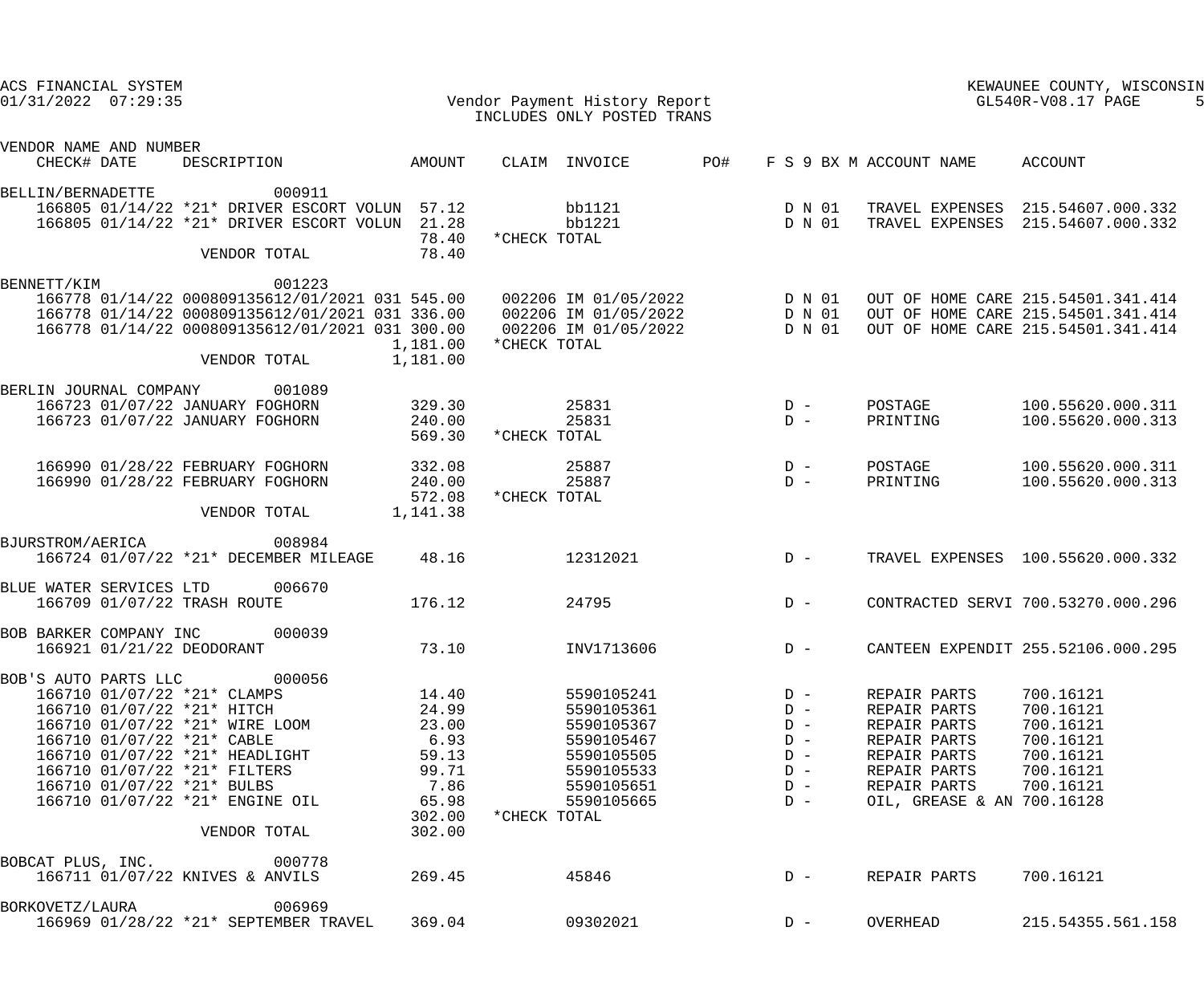| ACS FINANCIAL SYSTEM<br>$01/31/2022$ $07:29:35$ |                                                                                                                                                                                                                                                                                                             |                                                                                        | Vendor Payment History Report<br>INCLUDES ONLY POSTED TRANS                                                                                                                             |     | KEWAUNEE COUNTY, WISCONSIN<br>GL540R-V08.17 PAGE                     |                                                                                                                                            |                                                                                                                |
|-------------------------------------------------|-------------------------------------------------------------------------------------------------------------------------------------------------------------------------------------------------------------------------------------------------------------------------------------------------------------|----------------------------------------------------------------------------------------|-----------------------------------------------------------------------------------------------------------------------------------------------------------------------------------------|-----|----------------------------------------------------------------------|--------------------------------------------------------------------------------------------------------------------------------------------|----------------------------------------------------------------------------------------------------------------|
| VENDOR NAME AND NUMBER<br>CHECK# DATE           | DESCRIPTION                                                                                                                                                                                                                                                                                                 | AMOUNT                                                                                 | CLAIM INVOICE                                                                                                                                                                           | PO# |                                                                      | F S 9 BX M ACCOUNT NAME                                                                                                                    | ACCOUNT                                                                                                        |
| BELLIN/BERNADETTE                               | 000911<br>166805 01/14/22 *21* DRIVER ESCORT VOLUN 57.12<br>166805 01/14/22 *21* DRIVER ESCORT VOLUN<br>VENDOR TOTAL                                                                                                                                                                                        | 21.28<br>78.40<br>78.40                                                                | bb1121<br>bb1221<br>*CHECK TOTAL                                                                                                                                                        |     | D N 01<br>D N 01                                                     |                                                                                                                                            | TRAVEL EXPENSES 215.54607.000.332<br>TRAVEL EXPENSES 215.54607.000.332                                         |
| BENNETT/KIM                                     | 001223<br>166778 01/14/22 000809135612/01/2021 031 300.00<br>VENDOR TOTAL                                                                                                                                                                                                                                   | 1,181.00<br>1,181.00                                                                   | 166778 01/14/22 000809135612/01/2021 031 545.00   002206 IM 01/05/2022<br>166778 01/14/22 000809135612/01/2021 031 336.00  002206 IM 01/05/2022<br>002206 IM 01/05/2022<br>*CHECK TOTAL |     | D N 01<br>D N 01<br>D N 01                                           |                                                                                                                                            | OUT OF HOME CARE 215.54501.341.414<br>OUT OF HOME CARE 215.54501.341.414<br>OUT OF HOME CARE 215.54501.341.414 |
| BERLIN JOURNAL COMPANY                          | 001089<br>166723 01/07/22 JANUARY FOGHORN<br>166723 01/07/22 JANUARY FOGHORN                                                                                                                                                                                                                                | 329.30<br>240.00<br>569.30                                                             | 25831<br>25831<br>*CHECK TOTAL                                                                                                                                                          |     | $D -$<br>$D -$                                                       | POSTAGE<br>PRINTING                                                                                                                        | 100.55620.000.311<br>100.55620.000.313                                                                         |
|                                                 | 166990 01/28/22 FEBRUARY FOGHORN<br>166990 01/28/22 FEBRUARY FOGHORN<br>VENDOR TOTAL                                                                                                                                                                                                                        | 332.08<br>240.00<br>572.08<br>1,141.38                                                 | 25887<br>25887<br>*CHECK TOTAL                                                                                                                                                          |     | $D -$<br>$D -$                                                       | POSTAGE<br>PRINTING                                                                                                                        | 100.55620.000.311<br>100.55620.000.313                                                                         |
| BJURSTROM/AERICA                                | 008984<br>166724 01/07/22 *21* DECEMBER MILEAGE                                                                                                                                                                                                                                                             | 48.16                                                                                  | 12312021                                                                                                                                                                                |     | $D -$                                                                |                                                                                                                                            | TRAVEL EXPENSES 100.55620.000.332                                                                              |
| BLUE WATER SERVICES LTD                         | 006670<br>166709 01/07/22 TRASH ROUTE                                                                                                                                                                                                                                                                       | 176.12                                                                                 | 24795                                                                                                                                                                                   |     | $D -$                                                                |                                                                                                                                            | CONTRACTED SERVI 700.53270.000.296                                                                             |
| BOB BARKER COMPANY INC                          | 000039<br>166921 01/21/22 DEODORANT                                                                                                                                                                                                                                                                         | 73.10                                                                                  | INV1713606                                                                                                                                                                              |     | $D -$                                                                |                                                                                                                                            | CANTEEN EXPENDIT 255.52106.000.295                                                                             |
|                                                 | BOB'S AUTO PARTS LLC 000056<br>166710 01/07/22 *21* CLAMPS<br>166710 01/07/22 *21* HITCH<br>166710 01/07/22 *21* WIRE LOOM<br>166710 01/07/22 *21* CABLE<br>166710 01/07/22 *21* HEADLIGHT<br>166710 01/07/22 *21* FILTERS<br>166710 01/07/22 *21* BULBS<br>166710 01/07/22 *21* ENGINE OIL<br>VENDOR TOTAL | 14.40<br>24.99<br>23.00<br>6.93<br>59.13<br>99.71<br>7.86<br>65.98<br>302.00<br>302.00 | 5590105241<br>5590105361<br>5590105367<br>5590105467<br>5590105505<br>5590105533<br>5590105651<br>5590105665<br>*CHECK TOTAL                                                            |     | $D -$<br>$D -$<br>$D -$<br>$D -$<br>$D -$<br>$D -$<br>$D -$<br>$D -$ | REPAIR PARTS<br>REPAIR PARTS<br>REPAIR PARTS<br>REPAIR PARTS<br>REPAIR PARTS<br>REPAIR PARTS<br>REPAIR PARTS<br>OIL, GREASE & AN 700.16128 | 700.16121<br>700.16121<br>700.16121<br>700.16121<br>700.16121<br>700.16121<br>700.16121                        |
|                                                 | BOBCAT PLUS, INC. 000778<br>166711 01/07/22 KNIVES & ANVILS                                                                                                                                                                                                                                                 | 269.45                                                                                 | 45846                                                                                                                                                                                   |     | $D -$                                                                | REPAIR PARTS                                                                                                                               | 700.16121                                                                                                      |
| BORKOVETZ/LAURA                                 | 006969<br>166969 01/28/22 *21* SEPTEMBER TRAVEL                                                                                                                                                                                                                                                             | 369.04                                                                                 | 09302021                                                                                                                                                                                |     | $D -$                                                                | OVERHEAD                                                                                                                                   | 215.54355.561.158                                                                                              |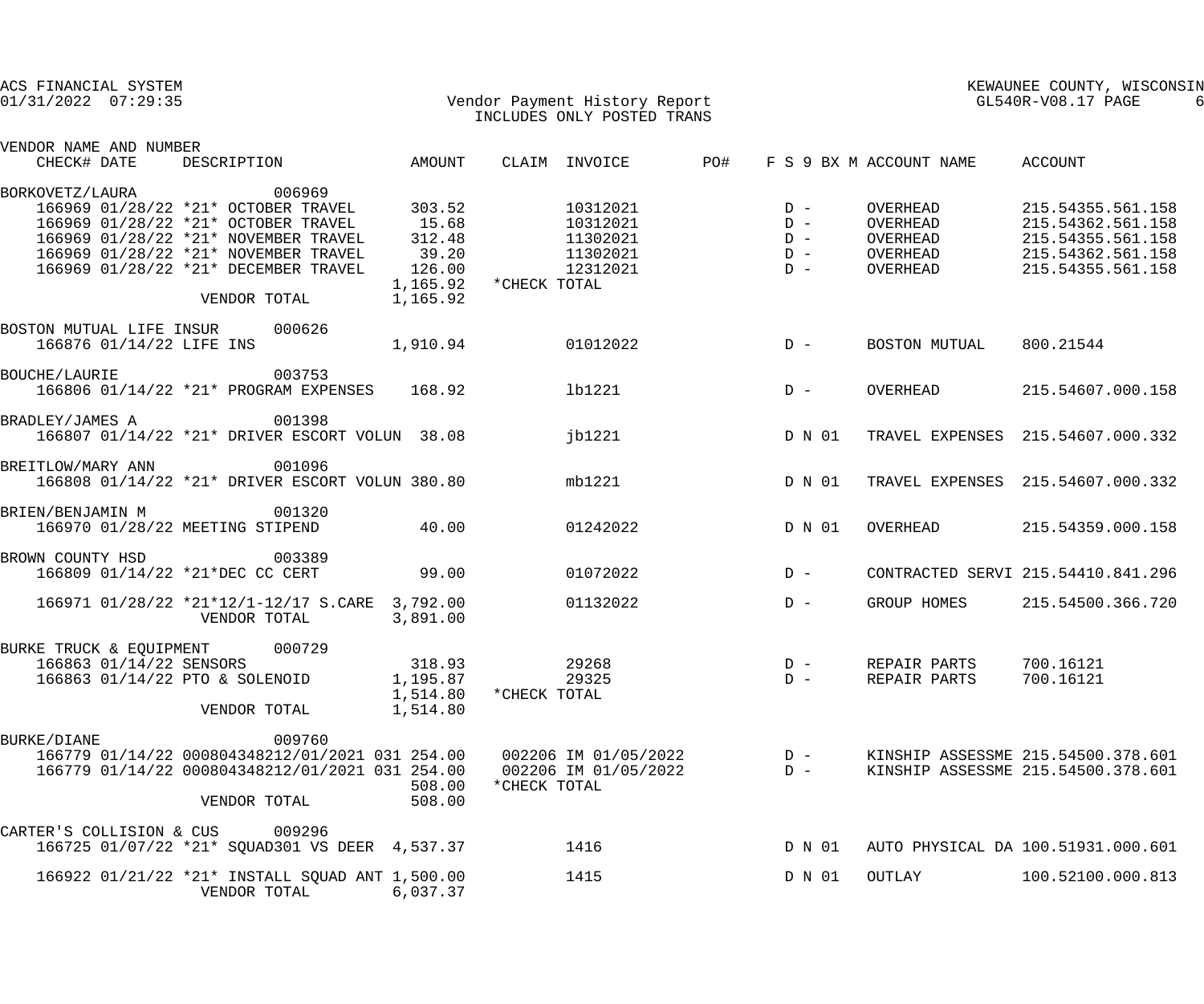| ACS FINANCIAL SYSTEM<br>$01/31/2022$ $07:29:35$                                                                                                                                                                                                                                | Vendor Payment History Report<br>INCLUDES ONLY POSTED TRANS                                                                     | KEWAUNEE COUNTY, WISCONSIN<br>GL540R-V08.17 PAGE                                                                                                                  |
|--------------------------------------------------------------------------------------------------------------------------------------------------------------------------------------------------------------------------------------------------------------------------------|---------------------------------------------------------------------------------------------------------------------------------|-------------------------------------------------------------------------------------------------------------------------------------------------------------------|
| VENDOR NAME AND NUMBER<br>AMOUNT<br>CHECK# DATE<br>DESCRIPTION                                                                                                                                                                                                                 | PO#<br>CLAIM INVOICE                                                                                                            | F S 9 BX M ACCOUNT NAME<br>ACCOUNT                                                                                                                                |
| 006969<br>BORKOVETZ/LAURA                                                                                                                                                                                                                                                      |                                                                                                                                 |                                                                                                                                                                   |
| 166969 01/28/22 *21* OCTOBER TRAVEL<br>303.52<br>166969 01/28/22 *21* OCTOBER TRAVEL<br>15.68<br>166969 01/28/22 *21* NOVEMBER TRAVEL<br>312.48<br>166969 01/28/22 *21* NOVEMBER TRAVEL<br>39.20<br>166969 01/28/22 *21* DECEMBER TRAVEL<br>126.00<br>1,165.92<br>VENDOR TOTAL | 10312021<br>$D -$<br>10312021<br>$D -$<br>11302021<br>$D -$<br>11302021<br>$D -$<br>12312021<br>$D -$<br>1,165.92 * CHECK TOTAL | OVERHEAD<br>215.54355.561.158<br>OVERHEAD<br>215.54362.561.158<br>215.54355.561.158<br>OVERHEAD<br>OVERHEAD<br>215.54362.561.158<br>OVERHEAD<br>215.54355.561.158 |
| BOSTON MUTUAL LIFE INSUR 000626<br>166876 01/14/22 LIFE INS<br>1,910.94                                                                                                                                                                                                        | 01012022<br>D - BOSTON MUTUAL                                                                                                   | 800.21544                                                                                                                                                         |
| 003753<br>BOUCHE/LAURIE<br>166806 01/14/22 *21* PROGRAM EXPENSES 168.92                                                                                                                                                                                                        | 1b1221<br>$D -$                                                                                                                 | 215.54607.000.158<br>OVERHEAD                                                                                                                                     |
| 001398<br>BRADLEY/JAMES A<br>166807 01/14/22 *21* DRIVER ESCORT VOLUN 38.08                                                                                                                                                                                                    | D N 01<br>jb1221                                                                                                                | TRAVEL EXPENSES 215.54607.000.332                                                                                                                                 |
| 001096<br>BREITLOW/MARY ANN<br>166808 01/14/22 *21* DRIVER ESCORT VOLUN 380.80                                                                                                                                                                                                 | D N 01<br>mb1221                                                                                                                | TRAVEL EXPENSES 215.54607.000.332                                                                                                                                 |
| 001320<br>BRIEN/BENJAMIN M<br>166970 01/28/22 MEETING STIPEND<br>40.00                                                                                                                                                                                                         | D N 01<br>01242022                                                                                                              | OVERHEAD<br>215.54359.000.158                                                                                                                                     |
| BROWN COUNTY HSD<br>003389<br>166809 01/14/22 *21*DEC CC CERT<br>99.00                                                                                                                                                                                                         | $D -$<br>01072022                                                                                                               | CONTRACTED SERVI 215.54410.841.296                                                                                                                                |
| 166971 01/28/22 *21*12/1-12/17 S.CARE 3,792.00<br>VENDOR TOTAL<br>3,891.00                                                                                                                                                                                                     | 01132022<br>$D -$                                                                                                               | GROUP HOMES<br>215.54500.366.720                                                                                                                                  |
| 000729<br>BURKE TRUCK & EQUIPMENT<br>166863 01/14/22 SENSORS<br>318.93<br>166863 01/14/22 PTO & SOLENOID<br>1,195.87<br>1,514.80<br>1,514.80<br>VENDOR TOTAL                                                                                                                   | 29268<br>$D -$<br>29325<br>$D -$<br>*CHECK TOTAL                                                                                | 700.16121<br>REPAIR PARTS<br>700.16121<br>REPAIR PARTS                                                                                                            |
| 009760<br><b>BURKE/DIANE</b><br>166779 01/14/22 000804348212/01/2021 031 254.00<br>166779 01/14/22 000804348212/01/2021 031 254.00<br>508.00<br>508.00<br>VENDOR TOTAL                                                                                                         | 002206 IM 01/05/2022<br>$D -$<br>002206 IM 01/05/2022<br>$D -$<br>*CHECK TOTAL                                                  | KINSHIP ASSESSME 215.54500.378.601<br>KINSHIP ASSESSME 215.54500.378.601                                                                                          |
| 009296<br>CARTER'S COLLISION & CUS<br>166725 01/07/22 *21* SQUAD301 VS DEER 4,537.37                                                                                                                                                                                           | 1416<br>D N 01                                                                                                                  | AUTO PHYSICAL DA 100.51931.000.601                                                                                                                                |
| 166922 01/21/22 *21* INSTALL SQUAD ANT 1,500.00<br>VENDOR TOTAL<br>6,037.37                                                                                                                                                                                                    | 1415<br>D N 01                                                                                                                  | OUTLAY<br>100.52100.000.813                                                                                                                                       |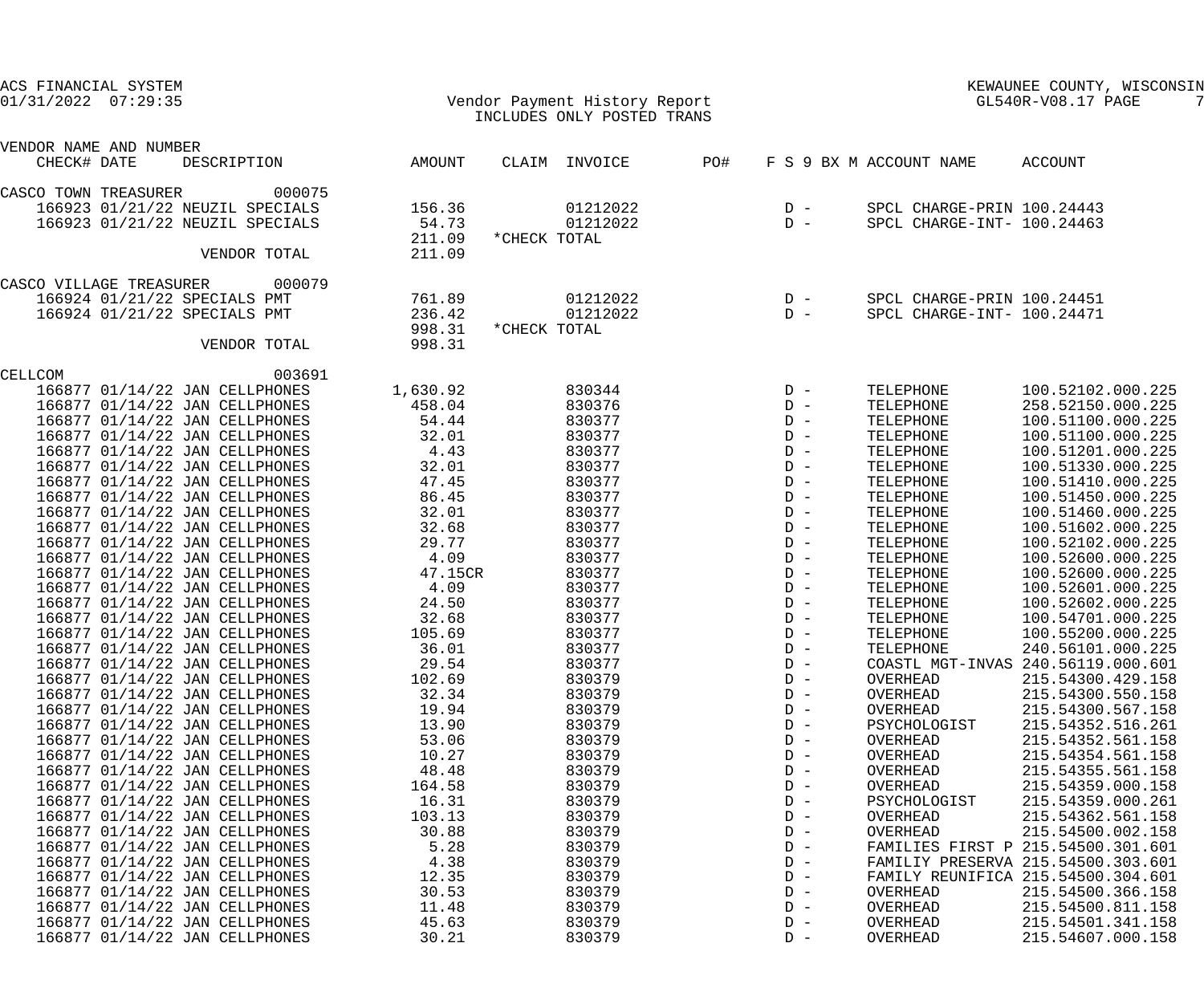| ACS FINANCIAL SYSTEM<br>$01/31/2022$ $07:29:35$                  |                | Vendor Payment History Report<br>INCLUDES ONLY POSTED TRANS |     | KEWAUNEE COUNTY, WISCONSIN<br>GL540R-V08.17 PAGE |                            |                                        |
|------------------------------------------------------------------|----------------|-------------------------------------------------------------|-----|--------------------------------------------------|----------------------------|----------------------------------------|
| VENDOR NAME AND NUMBER                                           |                |                                                             |     |                                                  |                            |                                        |
| CHECK# DATE<br>DESCRIPTION                                       | AMOUNT         | CLAIM INVOICE                                               | PO# |                                                  | F S 9 BX M ACCOUNT NAME    | ACCOUNT                                |
| 000075<br>CASCO TOWN TREASURER                                   |                |                                                             |     |                                                  |                            |                                        |
| 166923 01/21/22 NEUZIL SPECIALS                                  | 156.36         | 01212022                                                    |     | $D -$                                            | SPCL CHARGE-PRIN 100.24443 |                                        |
| 166923 01/21/22 NEUZIL SPECIALS                                  | 54.73          | 01212022                                                    |     | $D -$                                            | SPCL CHARGE-INT- 100.24463 |                                        |
|                                                                  | 211.09         | *CHECK TOTAL                                                |     |                                                  |                            |                                        |
| VENDOR TOTAL                                                     | 211.09         |                                                             |     |                                                  |                            |                                        |
| 000079<br>CASCO VILLAGE TREASURER                                |                |                                                             |     |                                                  |                            |                                        |
| 166924 01/21/22 SPECIALS PMT                                     | 761.89         | 01212022                                                    |     | $D -$                                            | SPCL CHARGE-PRIN 100.24451 |                                        |
| 166924 01/21/22 SPECIALS PMT                                     | 236.42         | 01212022                                                    |     | $D -$                                            | SPCL CHARGE-INT- 100.24471 |                                        |
|                                                                  | 998.31         | *CHECK TOTAL                                                |     |                                                  |                            |                                        |
| VENDOR TOTAL                                                     | 998.31         |                                                             |     |                                                  |                            |                                        |
| CELLCOM<br>003691                                                |                |                                                             |     |                                                  |                            |                                        |
| 166877 01/14/22 JAN CELLPHONES                                   | 1,630.92       | 830344                                                      |     | $D -$                                            | TELEPHONE                  | 100.52102.000.225                      |
| 166877 01/14/22 JAN CELLPHONES                                   | 458.04         | 830376                                                      |     | $D -$                                            | TELEPHONE                  | 258.52150.000.225                      |
| 166877 01/14/22 JAN CELLPHONES                                   | 54.44          | 830377                                                      |     | $D -$                                            | TELEPHONE                  | 100.51100.000.225                      |
| 166877 01/14/22 JAN CELLPHONES                                   | 32.01          | 830377                                                      |     | $D -$                                            | TELEPHONE                  | 100.51100.000.225                      |
| 166877 01/14/22 JAN CELLPHONES                                   | 4.43           | 830377                                                      |     | $D -$                                            | TELEPHONE                  | 100.51201.000.225                      |
| 166877 01/14/22 JAN CELLPHONES                                   | 32.01          | 830377                                                      |     | $D -$                                            | TELEPHONE                  | 100.51330.000.225                      |
| 166877 01/14/22 JAN CELLPHONES                                   | 47.45          | 830377                                                      |     | $D -$                                            | TELEPHONE                  | 100.51410.000.225                      |
| 166877 01/14/22 JAN CELLPHONES<br>166877 01/14/22 JAN CELLPHONES | 86.45<br>32.01 | 830377<br>830377                                            |     | $D -$<br>$D -$                                   | TELEPHONE<br>TELEPHONE     | 100.51450.000.225                      |
| 166877 01/14/22 JAN CELLPHONES                                   | 32.68          | 830377                                                      |     | $D -$                                            | TELEPHONE                  | 100.51460.000.225<br>100.51602.000.225 |
| 166877 01/14/22 JAN CELLPHONES                                   | 29.77          | 830377                                                      |     | $D -$                                            | TELEPHONE                  | 100.52102.000.225                      |
| 166877 01/14/22 JAN CELLPHONES                                   | 4.09           | 830377                                                      |     | $D -$                                            | TELEPHONE                  | 100.52600.000.225                      |
| 166877 01/14/22 JAN CELLPHONES                                   | 47.15CR        | 830377                                                      |     | $D -$                                            | TELEPHONE                  | 100.52600.000.225                      |
| 166877 01/14/22 JAN CELLPHONES                                   | 4.09           | 830377                                                      |     | $D -$                                            | TELEPHONE                  | 100.52601.000.225                      |
| 166877 01/14/22 JAN CELLPHONES                                   | 24.50          | 830377                                                      |     | $D -$                                            | TELEPHONE                  | 100.52602.000.225                      |
| 166877 01/14/22 JAN CELLPHONES                                   | 32.68          | 830377                                                      |     | $D -$                                            | TELEPHONE                  | 100.54701.000.225                      |
| 166877 01/14/22 JAN CELLPHONES                                   | 105.69         | 830377                                                      |     | $D -$                                            | TELEPHONE                  | 100.55200.000.225                      |
| 166877 01/14/22 JAN CELLPHONES                                   | 36.01          | 830377                                                      |     | $D -$                                            | TELEPHONE                  | 240.56101.000.225                      |
| 166877 01/14/22 JAN CELLPHONES                                   | 29.54          | 830377                                                      |     | $D -$                                            |                            | COASTL MGT-INVAS 240.56119.000.601     |
| 166877 01/14/22 JAN CELLPHONES                                   | 102.69         | 830379                                                      |     | $D -$                                            | OVERHEAD                   | 215.54300.429.158                      |
| 166877 01/14/22 JAN CELLPHONES                                   | 32.34          | 830379                                                      |     | $D -$                                            | OVERHEAD                   | 215.54300.550.158                      |
| 166877 01/14/22 JAN CELLPHONES                                   | 19.94          | 830379                                                      |     | $D -$<br>$D -$                                   | OVERHEAD                   | 215.54300.567.158                      |
| 166877 01/14/22 JAN CELLPHONES<br>166877 01/14/22 JAN CELLPHONES | 13.90<br>53.06 | 830379<br>830379                                            |     | $D -$                                            | PSYCHOLOGIST<br>OVERHEAD   | 215.54352.516.261<br>215.54352.561.158 |
| 166877 01/14/22 JAN CELLPHONES                                   | 10.27          | 830379                                                      |     | $D -$                                            | OVERHEAD                   | 215.54354.561.158                      |
| 166877 01/14/22 JAN CELLPHONES                                   | 48.48          | 830379                                                      |     | $D -$                                            | OVERHEAD                   | 215.54355.561.158                      |
| 166877 01/14/22 JAN CELLPHONES                                   | 164.58         | 830379                                                      |     | $D -$                                            | OVERHEAD                   | 215.54359.000.158                      |
| 166877 01/14/22 JAN CELLPHONES                                   | 16.31          | 830379                                                      |     | $D -$                                            | PSYCHOLOGIST               | 215.54359.000.261                      |
| 166877 01/14/22 JAN CELLPHONES                                   | 103.13         | 830379                                                      |     | $D -$                                            | OVERHEAD                   | 215.54362.561.158                      |
| 166877 01/14/22 JAN CELLPHONES                                   | 30.88          | 830379                                                      |     | $D -$                                            | OVERHEAD                   | 215.54500.002.158                      |
| 166877 01/14/22 JAN CELLPHONES                                   | 5.28           | 830379                                                      |     | $D -$                                            |                            | FAMILIES FIRST P 215.54500.301.601     |
| 166877 01/14/22 JAN CELLPHONES                                   | 4.38           | 830379                                                      |     | $D -$                                            |                            | FAMILIY PRESERVA 215.54500.303.601     |
| 166877 01/14/22 JAN CELLPHONES                                   | 12.35          | 830379                                                      |     | $D -$                                            |                            | FAMILY REUNIFICA 215.54500.304.601     |
| 166877 01/14/22 JAN CELLPHONES                                   | 30.53          | 830379                                                      |     | $D -$                                            | OVERHEAD                   | 215.54500.366.158                      |
| 166877 01/14/22 JAN CELLPHONES                                   | 11.48          | 830379                                                      |     | $D -$                                            | OVERHEAD                   | 215.54500.811.158                      |
| 166877 01/14/22 JAN CELLPHONES                                   | 45.63          | 830379                                                      |     | $D -$                                            | OVERHEAD                   | 215.54501.341.158                      |
| 166877 01/14/22 JAN CELLPHONES                                   | 30.21          | 830379                                                      |     | $D -$                                            | OVERHEAD                   | 215.54607.000.158                      |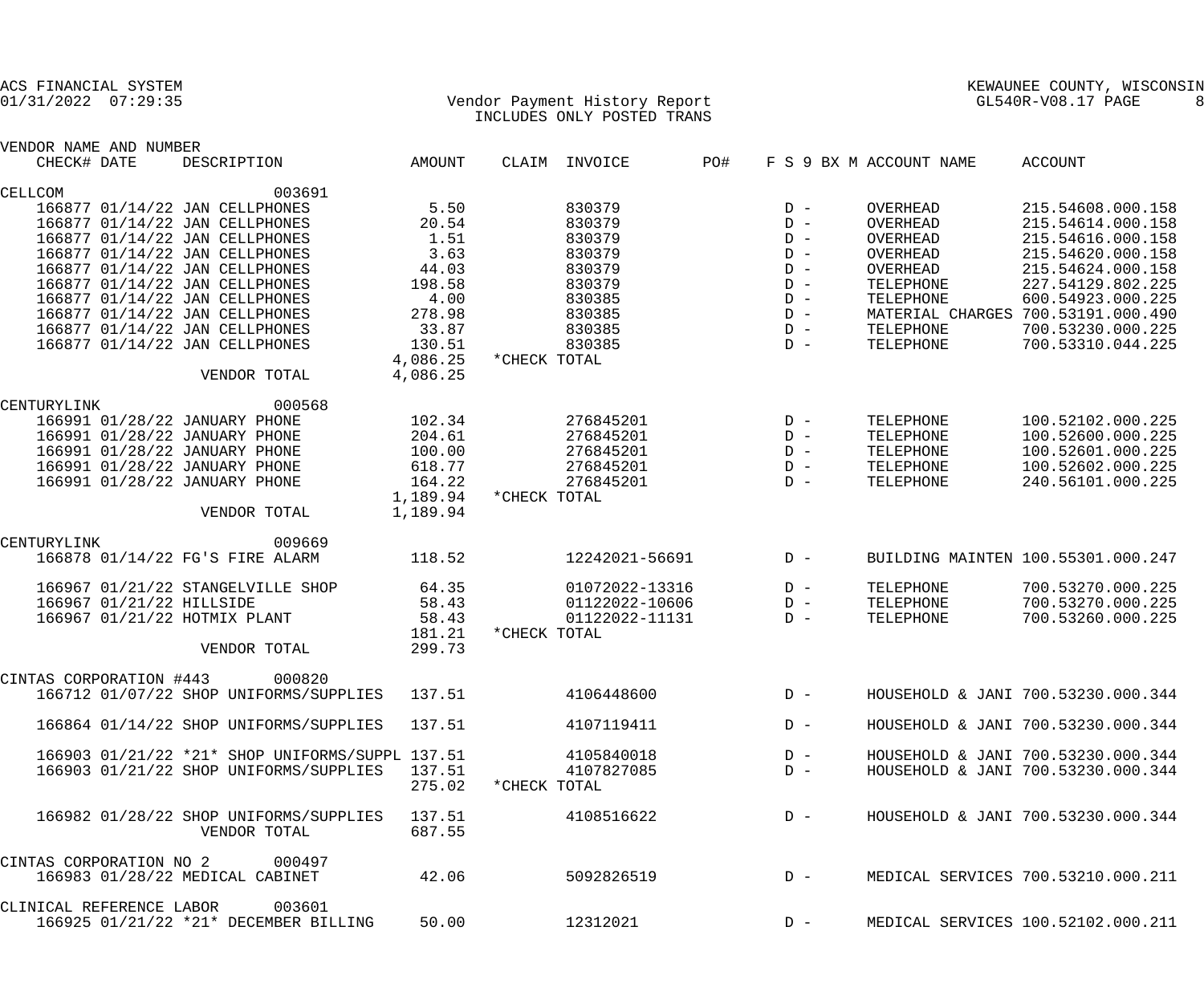| ACS FINANCIAL SYSTEM                            |                      |              |                                                             |     |       |                         | KEWAUNEE COUNTY, WISCONSIN<br>GL540R-V08.17 PAGE |
|-------------------------------------------------|----------------------|--------------|-------------------------------------------------------------|-----|-------|-------------------------|--------------------------------------------------|
| $01/31/2022$ $07:29:35$                         |                      |              | Vendor Payment History Report<br>INCLUDES ONLY POSTED TRANS |     |       |                         | 8                                                |
| VENDOR NAME AND NUMBER                          |                      |              |                                                             |     |       |                         |                                                  |
| CHECK# DATE<br>DESCRIPTION                      | AMOUNT               |              | CLAIM INVOICE                                               | PO# |       | F S 9 BX M ACCOUNT NAME | ACCOUNT                                          |
| 003691<br>CELLCOM                               |                      |              |                                                             |     |       |                         |                                                  |
| 166877 01/14/22 JAN CELLPHONES                  | 5.50                 |              | 830379                                                      |     | $D -$ | OVERHEAD                | 215.54608.000.158                                |
| 166877 01/14/22 JAN CELLPHONES                  | 20.54                |              | 830379                                                      |     | $D -$ | OVERHEAD                | 215.54614.000.158                                |
| 166877 01/14/22 JAN CELLPHONES                  | 1.51                 |              | 830379                                                      |     | $D -$ | OVERHEAD                | 215.54616.000.158                                |
| 166877 01/14/22 JAN CELLPHONES                  | 3.63                 |              | 830379                                                      |     | $D -$ | OVERHEAD                | 215.54620.000.158                                |
| 166877 01/14/22 JAN CELLPHONES                  | 44.03                |              | 830379                                                      |     | $D -$ | OVERHEAD                | 215.54624.000.158                                |
| 166877 01/14/22 JAN CELLPHONES                  | 198.58               |              | 830379                                                      |     | $D -$ | TELEPHONE               | 227.54129.802.225                                |
| 166877 01/14/22 JAN CELLPHONES                  | 4.00                 |              | 830385                                                      |     | $D -$ | TELEPHONE               | 600.54923.000.225                                |
| 166877 01/14/22 JAN CELLPHONES                  | 278.98               |              | 830385                                                      |     | $D -$ |                         | MATERIAL CHARGES 700.53191.000.490               |
| 166877 01/14/22 JAN CELLPHONES                  | 33.87                |              | 830385                                                      |     | $D -$ | TELEPHONE               | 700.53230.000.225                                |
| 166877 01/14/22 JAN CELLPHONES                  | 130.51               |              | 830385                                                      |     | $D -$ | TELEPHONE               | 700.53310.044.225                                |
|                                                 | 4,086.25             | *CHECK TOTAL |                                                             |     |       |                         |                                                  |
| VENDOR TOTAL                                    | 4,086.25             |              |                                                             |     |       |                         |                                                  |
|                                                 |                      |              |                                                             |     |       |                         |                                                  |
| 000568<br>CENTURYLINK                           |                      |              |                                                             |     |       |                         |                                                  |
| 166991 01/28/22 JANUARY PHONE                   | 102.34               |              | 276845201                                                   |     | $D -$ | TELEPHONE               | 100.52102.000.225                                |
| 166991 01/28/22 JANUARY PHONE                   | 204.61               |              | 276845201                                                   |     | $D -$ | TELEPHONE               | 100.52600.000.225                                |
| 166991 01/28/22 JANUARY PHONE                   | 100.00               |              | 276845201                                                   |     | $D -$ | TELEPHONE               | 100.52601.000.225                                |
| 166991 01/28/22 JANUARY PHONE                   | 618.77               |              | 276845201                                                   |     | $D -$ | TELEPHONE               | 100.52602.000.225                                |
| 166991 01/28/22 JANUARY PHONE                   | 164.22               |              | 276845201                                                   |     | $D -$ | TELEPHONE               | 240.56101.000.225                                |
| VENDOR TOTAL                                    | 1,189.94<br>1,189.94 | *CHECK TOTAL |                                                             |     |       |                         |                                                  |
| 009669<br>CENTURYLINK                           |                      |              |                                                             |     |       |                         |                                                  |
| 166878 01/14/22 FG'S FIRE ALARM                 | 118.52               |              | 12242021-56691                                              |     | $D -$ |                         | BUILDING MAINTEN 100.55301.000.247               |
| 166967 01/21/22 STANGELVILLE SHOP               | 64.35                |              | 01072022-13316                                              |     | $D -$ | TELEPHONE               | 700.53270.000.225                                |
| 166967 01/21/22 HILLSIDE                        | 58.43                |              | 01122022-10606                                              |     | $D -$ | TELEPHONE               | 700.53270.000.225                                |
| 166967 01/21/22 HOTMIX PLANT                    | 58.43                |              | 01122022-11131                                              |     | $D -$ | TELEPHONE               | 700.53260.000.225                                |
|                                                 | 181.21               | *CHECK TOTAL |                                                             |     |       |                         |                                                  |
| VENDOR TOTAL                                    | 299.73               |              |                                                             |     |       |                         |                                                  |
| CINTAS CORPORATION #443<br>000820               |                      |              |                                                             |     |       |                         |                                                  |
| 166712 01/07/22 SHOP UNIFORMS/SUPPLIES          | 137.51               |              | 4106448600                                                  |     | $D -$ |                         | HOUSEHOLD & JANI 700.53230.000.344               |
| 166864 01/14/22 SHOP UNIFORMS/SUPPLIES          | 137.51               |              | 4107119411                                                  |     | $D -$ |                         | HOUSEHOLD & JANI 700.53230.000.344               |
| 166903 01/21/22 *21* SHOP UNIFORMS/SUPPL 137.51 |                      |              | 4105840018                                                  |     | $D -$ |                         | HOUSEHOLD & JANI 700.53230.000.344               |
| 166903 01/21/22 SHOP UNIFORMS/SUPPLIES          | 137.51               |              | 4107827085                                                  |     | $D -$ |                         | HOUSEHOLD & JANI 700.53230.000.344               |
|                                                 | 275.02               | *CHECK TOTAL |                                                             |     |       |                         |                                                  |
| 166982 01/28/22 SHOP UNIFORMS/SUPPLIES          | 137.51               |              | 4108516622                                                  |     | $D -$ |                         | HOUSEHOLD & JANI 700.53230.000.344               |
| VENDOR TOTAL                                    | 687.55               |              |                                                             |     |       |                         |                                                  |
| CINTAS CORPORATION NO 2<br>000497               |                      |              |                                                             |     |       |                         |                                                  |
| 166983 01/28/22 MEDICAL CABINET                 | 42.06                |              | 5092826519                                                  |     | $D -$ |                         | MEDICAL SERVICES 700.53210.000.211               |
| CLINICAL REFERENCE LABOR<br>003601              |                      |              |                                                             |     |       |                         |                                                  |
| 166925 01/21/22 *21* DECEMBER BILLING           | 50.00                |              | 12312021                                                    |     | $D -$ |                         | MEDICAL SERVICES 100.52102.000.211               |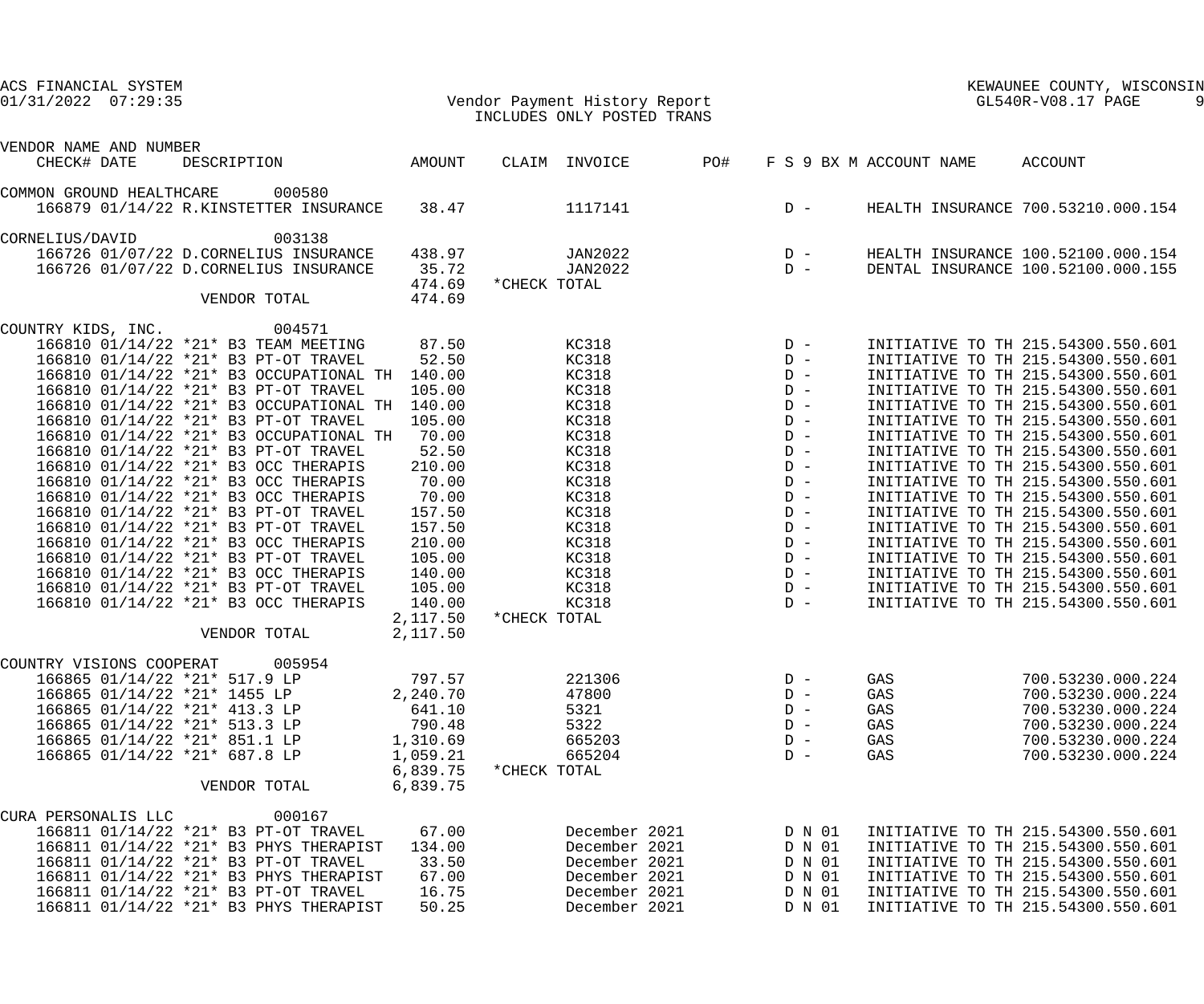| ACS FINANCIAL SYSTEM<br>$01/31/2022$ $07:29:35$                                                                                                                                                                                                                                                                                                                                                                                                                                                                                                                                                                                                                                                                                                                                                                     |                                                                                                                                                                                | Vendor Payment History Report<br>INCLUDES ONLY POSTED TRANS                                                                                                                    | KEWAUNEE COUNTY, WISCONSIN<br>GL540R-V08.17 PAGE         |                                        |                                                                                                                                                                                                                                                                                                                                                                                                                                                                                                                                                                                                                                                                                                          |  |
|---------------------------------------------------------------------------------------------------------------------------------------------------------------------------------------------------------------------------------------------------------------------------------------------------------------------------------------------------------------------------------------------------------------------------------------------------------------------------------------------------------------------------------------------------------------------------------------------------------------------------------------------------------------------------------------------------------------------------------------------------------------------------------------------------------------------|--------------------------------------------------------------------------------------------------------------------------------------------------------------------------------|--------------------------------------------------------------------------------------------------------------------------------------------------------------------------------|----------------------------------------------------------|----------------------------------------|----------------------------------------------------------------------------------------------------------------------------------------------------------------------------------------------------------------------------------------------------------------------------------------------------------------------------------------------------------------------------------------------------------------------------------------------------------------------------------------------------------------------------------------------------------------------------------------------------------------------------------------------------------------------------------------------------------|--|
| VENDOR NAME AND NUMBER<br><b>AMOUNT</b><br>CHECK# DATE<br>DESCRIPTION                                                                                                                                                                                                                                                                                                                                                                                                                                                                                                                                                                                                                                                                                                                                               |                                                                                                                                                                                | PO#<br>CLAIM INVOICE                                                                                                                                                           |                                                          | F S 9 BX M ACCOUNT NAME                | ACCOUNT                                                                                                                                                                                                                                                                                                                                                                                                                                                                                                                                                                                                                                                                                                  |  |
| COMMON GROUND HEALTHCARE<br>000580<br>166879 01/14/22 R.KINSTETTER INSURANCE                                                                                                                                                                                                                                                                                                                                                                                                                                                                                                                                                                                                                                                                                                                                        | 38.47                                                                                                                                                                          | 1117141                                                                                                                                                                        | $D -$                                                    |                                        | HEALTH INSURANCE 700.53210.000.154                                                                                                                                                                                                                                                                                                                                                                                                                                                                                                                                                                                                                                                                       |  |
| 003138<br>CORNELIUS/DAVID<br>166726 01/07/22 D.CORNELIUS INSURANCE<br>166726 01/07/22 D.CORNELIUS INSURANCE<br>VENDOR TOTAL                                                                                                                                                                                                                                                                                                                                                                                                                                                                                                                                                                                                                                                                                         | 438.97<br>35.72<br>474.69<br>474.69                                                                                                                                            | JAN2022<br>JAN2022<br>*CHECK TOTAL                                                                                                                                             | $\begin{array}{c}\nD \\ D\n\end{array}$                  |                                        | HEALTH INSURANCE 100.52100.000.154<br>DENTAL INSURANCE 100.52100.000.155                                                                                                                                                                                                                                                                                                                                                                                                                                                                                                                                                                                                                                 |  |
| 004571<br>COUNTRY KIDS, INC.<br>166810 01/14/22 *21* B3 TEAM MEETING<br>166810 01/14/22 *21* B3 PT-OT TRAVEL<br>166810 01/14/22 *21* B3 OCCUPATIONAL TH 140.00<br>166810 01/14/22 *21* B3 PT-OT TRAVEL<br>166810 01/14/22 *21* B3 OCCUPATIONAL TH 140.00<br>166810 01/14/22 *21* B3 PT-OT TRAVEL<br>166810 01/14/22 *21* B3 OCCUPATIONAL TH<br>166810 01/14/22 *21* B3 PT-OT TRAVEL<br>166810 01/14/22 *21* B3 OCC THERAPIS<br>166810 01/14/22 *21* B3 OCC THERAPIS<br>166810 01/14/22 *21* B3 OCC THERAPIS<br>166810 01/14/22 *21* B3 PT-OT TRAVEL<br>166810 01/14/22 *21* B3 PT-OT TRAVEL<br>166810 01/14/22 *21* B3 OCC THERAPIS<br>166810 01/14/22 *21* B3 PT-OT TRAVEL<br>166810 01/14/22 *21* B3 OCC THERAPIS<br>166810 01/14/22 *21* B3 PT-OT TRAVEL<br>166810 01/14/22 *21* B3 OCC THERAPIS<br>VENDOR TOTAL | 87.50<br>52.50<br>105.00<br>105.00<br>70.00<br>52.50<br>210.00<br>70.00<br>70.00<br>157.50<br>157.50<br>210.00<br>105.00<br>140.00<br>105.00<br>140.00<br>2,117.50<br>2,117.50 | KC318<br>KC318<br>KC318<br>KC318<br>KC318<br>KC318<br>KC318<br>KC318<br>KC318<br>KC318<br>KC318<br>KC318<br>KC318<br>KC318<br>KC318<br>KC318<br>KC318<br>KC318<br>*CHECK TOTAL |                                                          |                                        | INITIATIVE TO TH 215.54300.550.601<br>INITIATIVE TO TH 215.54300.550.601<br>INITIATIVE TO TH 215.54300.550.601<br>INITIATIVE TO TH 215.54300.550.601<br>INITIATIVE TO TH 215.54300.550.601<br>INITIATIVE TO TH 215.54300.550.601<br>INITIATIVE TO TH 215.54300.550.601<br>INITIATIVE TO TH 215.54300.550.601<br>INITIATIVE TO TH 215.54300.550.601<br>INITIATIVE TO TH 215.54300.550.601<br>INITIATIVE TO TH 215.54300.550.601<br>INITIATIVE TO TH 215.54300.550.601<br>INITIATIVE TO TH 215.54300.550.601<br>INITIATIVE TO TH 215.54300.550.601<br>INITIATIVE TO TH 215.54300.550.601<br>INITIATIVE TO TH 215.54300.550.601<br>INITIATIVE TO TH 215.54300.550.601<br>INITIATIVE TO TH 215.54300.550.601 |  |
| 005954<br>COUNTRY VISIONS COOPERAT<br>166865 01/14/22 *21* 517.9 LP<br>166865 01/14/22 *21* 1455 LP<br>166865 01/14/22 *21* 413.3 LP<br>166865 01/14/22 *21* 513.3 LP<br>166865 01/14/22 *21* 851.1 LP<br>166865 01/14/22 *21* 687.8 LP<br>VENDOR TOTAL                                                                                                                                                                                                                                                                                                                                                                                                                                                                                                                                                             | 797.57<br>2,240.70<br>641.10<br>790.48<br>1,310.69<br>1,059.21<br>6,839.75<br>6,839.75                                                                                         | 221306<br>47800<br>5321<br>5322<br>665203<br>665204<br>*CHECK TOTAL                                                                                                            | $D -$<br>$D -$<br>$D -$<br>$D -$<br>$D -$<br>$D -$       | GAS<br>GAS<br>GAS<br>GAS<br>GAS<br>GAS | 700.53230.000.224<br>700.53230.000.224<br>700.53230.000.224<br>700.53230.000.224<br>700.53230.000.224<br>700.53230.000.224                                                                                                                                                                                                                                                                                                                                                                                                                                                                                                                                                                               |  |
| 000167<br>CURA PERSONALIS LLC<br>166811 01/14/22 *21* B3 PT-OT TRAVEL<br>166811 01/14/22 *21* B3 PHYS THERAPIST<br>166811 01/14/22 *21* B3 PT-OT TRAVEL<br>166811 01/14/22 *21* B3 PHYS THERAPIST<br>166811 01/14/22 *21* B3 PT-OT TRAVEL<br>166811 01/14/22 *21* B3 PHYS THERAPIST                                                                                                                                                                                                                                                                                                                                                                                                                                                                                                                                 | 67.00<br>134.00<br>33.50<br>67.00<br>16.75<br>50.25                                                                                                                            | December 2021<br>December 2021<br>December 2021<br>December 2021<br>December 2021<br>December 2021                                                                             | D N 01<br>D N 01<br>D N 01<br>D N 01<br>D N 01<br>D N 01 |                                        | INITIATIVE TO TH 215.54300.550.601<br>INITIATIVE TO TH 215.54300.550.601<br>INITIATIVE TO TH 215.54300.550.601<br>INITIATIVE TO TH 215.54300.550.601<br>INITIATIVE TO TH 215.54300.550.601<br>INITIATIVE TO TH 215.54300.550.601                                                                                                                                                                                                                                                                                                                                                                                                                                                                         |  |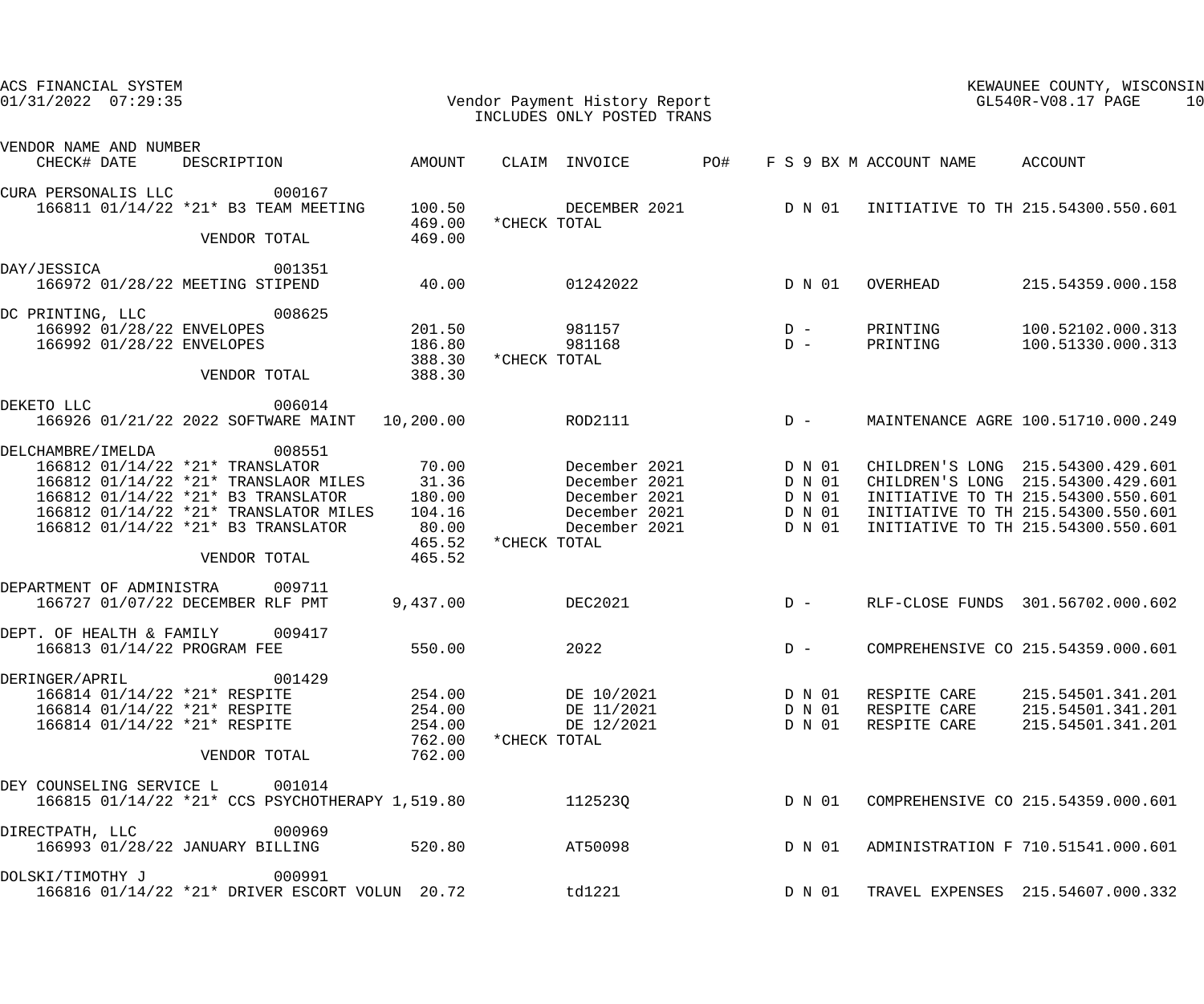| ACS FINANCIAL SYSTEM<br>$01/31/2022$ $07:29:35$         |                                                                                                                           |                            | Vendor Payment History Report<br>INCLUDES ONLY POSTED TRANS             |                                         | KEWAUNEE COUNTY, WISCONSIN<br>GL540R-V08.17 PAGE<br>10 |                                              |                                                                                                               |  |
|---------------------------------------------------------|---------------------------------------------------------------------------------------------------------------------------|----------------------------|-------------------------------------------------------------------------|-----------------------------------------|--------------------------------------------------------|----------------------------------------------|---------------------------------------------------------------------------------------------------------------|--|
| VENDOR NAME AND NUMBER<br>CHECK# DATE                   | DESCRIPTION AMOUNT                                                                                                        |                            | CLAIM INVOICE                                                           | PO#                                     |                                                        | F S 9 BX M ACCOUNT NAME ACCOUNT              |                                                                                                               |  |
| CURA PERSONALIS LLC                                     | 000167<br>166811 01/14/22 *21* B3 TEAM MEETING                                                                            | 100.50<br>469.00           | *CHECK TOTAL                                                            |                                         |                                                        |                                              | DECEMBER 2021 D N 01 INITIATIVE TO TH 215.54300.550.601                                                       |  |
|                                                         | VENDOR TOTAL                                                                                                              | 469.00                     |                                                                         |                                         |                                                        |                                              |                                                                                                               |  |
| DAY/JESSICA                                             | 001351<br>166972 01/28/22 MEETING STIPEND                                                                                 | 40.00                      | 01242022                                                                |                                         | D N 01                                                 | OVERHEAD                                     | 215.54359.000.158                                                                                             |  |
| DC PRINTING, LLC<br>166992 01/28/22 ENVELOPES           | 008625<br>166992 01/28/22 ENVELOPES                                                                                       | 201.50<br>186.80           | 981157<br>981168                                                        | $\begin{array}{c}\nD \\ D\n\end{array}$ |                                                        | PRINTING<br>PRINTING                         | 100.52102.000.313<br>100.51330.000.313                                                                        |  |
|                                                         | VENDOR TOTAL                                                                                                              | 388.30<br>388.30           | *CHECK TOTAL                                                            |                                         |                                                        |                                              |                                                                                                               |  |
| DEKETO LLC                                              | 006014<br>166926 01/21/22 2022 SOFTWARE MAINT                                                                             | 10,200.00                  | ROD2111                                                                 | $D -$                                   |                                                        |                                              | MAINTENANCE AGRE 100.51710.000.249                                                                            |  |
| DELCHAMBRE / IMELDA                                     | 008551<br>166812 01/14/22 *21* TRANSLATOR                                                                                 | 70.00                      | December 2021                                                           |                                         | D N 01                                                 |                                              | CHILDREN'S LONG 215.54300.429.601                                                                             |  |
|                                                         | 166812 01/14/22 *21* TRANSLAOR MILES 31.36<br>166812 01/14/22 *21* B3 TRANSLATOR<br>166812 01/14/22 *21* TRANSLATOR MILES | 180.00<br>104.16           | December 2021<br>December 2021 D N 01<br>December 2021 D N 01<br>D N 01 |                                         |                                                        |                                              | CHILDREN'S LONG 215.54300.429.601<br>INITIATIVE TO TH 215.54300.550.601<br>INITIATIVE TO TH 215.54300.550.601 |  |
|                                                         | 166812 01/14/22 *21* B3 TRANSLATOR                                                                                        | 80.00<br>465.52            | December 2021<br>*CHECK TOTAL                                           |                                         | D N 01                                                 |                                              | INITIATIVE TO TH 215.54300.550.601                                                                            |  |
|                                                         | VENDOR TOTAL                                                                                                              | 465.52                     |                                                                         |                                         |                                                        |                                              |                                                                                                               |  |
|                                                         | DEPARTMENT OF ADMINISTRA 009711<br>166727 01/07/22 DECEMBER RLF PMT                                                       | 9,437.00                   | <b>DEC2021</b>                                                          |                                         |                                                        |                                              | D - RLF-CLOSE FUNDS 301.56702.000.602                                                                         |  |
| DEPT. OF HEALTH & FAMILY<br>166813 01/14/22 PROGRAM FEE | 009417                                                                                                                    | 550.00                     | 2022                                                                    |                                         | $D -$                                                  |                                              | COMPREHENSIVE CO 215.54359.000.601                                                                            |  |
| DERINGER/APRIL                                          | 001429<br>166814 01/14/22 *21* RESPITE<br>166814 01/14/22 *21* RESPITE<br>166814 01/14/22 *21* RESPITE                    | 254.00<br>254.00<br>254.00 | DE 10/2021<br>DE 11/2021<br>DE 12/2021                                  |                                         | D N 01<br>D N 01<br>D N 01                             | RESPITE CARE<br>RESPITE CARE<br>RESPITE CARE | 215.54501.341.201<br>215.54501.341.201<br>215.54501.341.201                                                   |  |
|                                                         | VENDOR TOTAL                                                                                                              | 762.00<br>762.00           | *CHECK TOTAL                                                            |                                         |                                                        |                                              |                                                                                                               |  |
|                                                         | DEY COUNSELING SERVICE L 001014<br>166815 01/14/22 *21* CCS PSYCHOTHERAPY 1,519.80                                        |                            | 112523Q                                                                 |                                         | D N 01                                                 |                                              | COMPREHENSIVE CO 215.54359.000.601                                                                            |  |
| DIRECTPATH, LLC                                         | 000969<br>166993 01/28/22 JANUARY BILLING 520.80                                                                          |                            | AT50098                                                                 |                                         | D N 01                                                 |                                              | ADMINISTRATION F 710.51541.000.601                                                                            |  |
| DOLSKI/TIMOTHY J                                        | 000991<br>166816 01/14/22 *21* DRIVER ESCORT VOLUN 20.72                                                                  |                            | td1221                                                                  |                                         | D N 01                                                 |                                              | TRAVEL EXPENSES 215.54607.000.332                                                                             |  |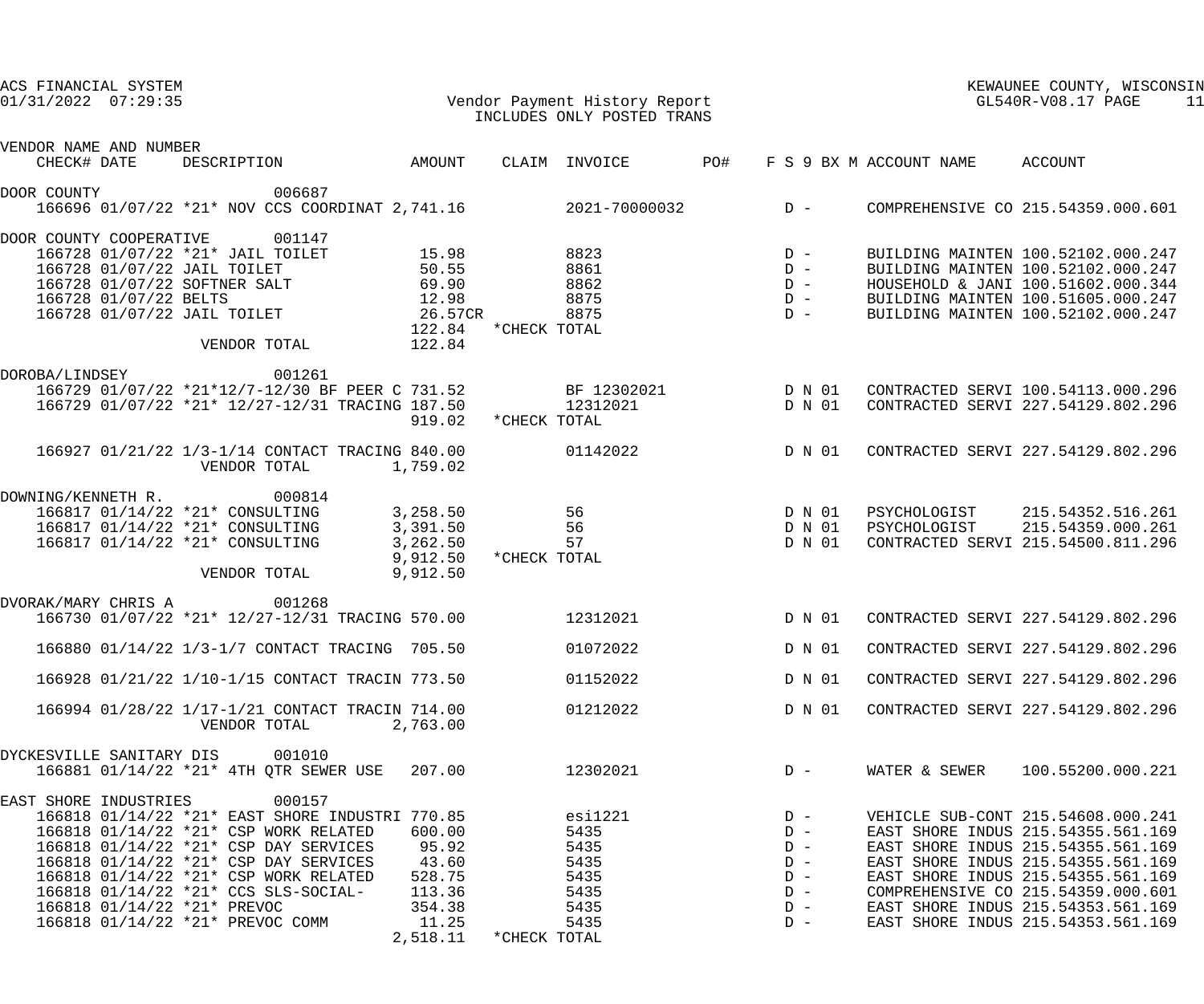| ACS FINANCIAL SYSTEM<br>Vendor Payment History Report<br>INCLUDES ONLY POSTED TRANS<br>$01/31/2022$ 07:29:35 |                      |              |                           |        | KEWAUNEE COUNTY, WISCONSIN<br>KEWAUNEE COUNTY, WISCONNEE COUNTY, WISCONNEE COUNTY, WISCONNEE COUNTY, WISCONNEE<br>11 |                                    |  |  |
|--------------------------------------------------------------------------------------------------------------|----------------------|--------------|---------------------------|--------|----------------------------------------------------------------------------------------------------------------------|------------------------------------|--|--|
| VENDOR NAME AND NUMBER<br>DESCRIPTION AMOUNT<br>CHECK# DATE                                                  |                      |              | CLAIM INVOICE PO#         |        | F S 9 BX M ACCOUNT NAME ACCOUNT                                                                                      |                                    |  |  |
|                                                                                                              |                      |              |                           |        |                                                                                                                      |                                    |  |  |
| 006687<br>DOOR COUNTY<br>166696 01/07/22 *21* NOV CCS COORDINAT 2,741.16 2021-70000032 D -                   |                      |              |                           |        |                                                                                                                      | COMPREHENSIVE CO 215.54359.000.601 |  |  |
| 001147<br>DOOR COUNTY COOPERATIVE                                                                            |                      |              |                           |        |                                                                                                                      |                                    |  |  |
| 166728 01/07/22 *21* JAIL TOILET                                                                             | 15.98                | 8823         | $8823$ D – $5 - 8861$ D – |        |                                                                                                                      | BUILDING MAINTEN 100.52102.000.247 |  |  |
| 166728 01/07/22 JAIL TOILET                                                                                  | 50.55                |              |                           |        |                                                                                                                      | BUILDING MAINTEN 100.52102.000.247 |  |  |
|                                                                                                              |                      |              | $8862$ D –                |        |                                                                                                                      | HOUSEHOLD & JANI 100.51602.000.344 |  |  |
| 166728 01/07/22 SOFTNER SALT 69.90<br>166728 01/07/22 BELTS 12.98<br>166728 01/07/22 JAIL TOILET 26.57CR     |                      |              | $8875$ D – $D -$          |        |                                                                                                                      | BUILDING MAINTEN 100.51605.000.247 |  |  |
|                                                                                                              | 122.84 * CHECK TOTAL |              |                           |        |                                                                                                                      | BUILDING MAINTEN 100.52102.000.247 |  |  |
| VENDOR TOTAL 122.84                                                                                          |                      |              |                           |        |                                                                                                                      |                                    |  |  |
| DOROBA/LINDSEY<br>001261                                                                                     |                      |              |                           |        |                                                                                                                      |                                    |  |  |
| 166729 01/07/22 *21*12/7-12/30 BF PEER C 731.52 BF 12302021 D N 01                                           |                      |              |                           |        |                                                                                                                      | CONTRACTED SERVI 100.54113.000.296 |  |  |
| 166729 01/07/22 *21* 12/27-12/31 TRACING 187.50 12312021                                                     |                      |              |                           | D N 01 |                                                                                                                      | CONTRACTED SERVI 227.54129.802.296 |  |  |
|                                                                                                              | 919.02               | *CHECK TOTAL |                           |        |                                                                                                                      |                                    |  |  |
| 166927 01/21/22 1/3-1/14 CONTACT TRACING 840.00<br>VENDOR TOTAL                                              | 1,759.02             |              | 01142022 D N 01           |        |                                                                                                                      | CONTRACTED SERVI 227.54129.802.296 |  |  |
| DOWNING/KENNETH R. 000814                                                                                    |                      |              |                           |        |                                                                                                                      |                                    |  |  |
| 166817 01/14/22 *21* CONSULTING 3,258.50                                                                     |                      | 56           |                           | D N 01 |                                                                                                                      | PSYCHOLOGIST 215.54352.516.261     |  |  |
| 166817 01/14/22 *21* CONSULTING                                                                              | 3,391.50             |              | 56                        | D N 01 |                                                                                                                      | PSYCHOLOGIST 215.54359.000.261     |  |  |
| 166817 01/14/22 *21* CONSULTING                                                                              | 3,262.50             |              | 57                        | D N 01 |                                                                                                                      | CONTRACTED SERVI 215.54500.811.296 |  |  |
|                                                                                                              | 9,912.50             | *CHECK TOTAL |                           |        |                                                                                                                      |                                    |  |  |
| VENDOR TOTAL                                                                                                 | 9,912.50             |              |                           |        |                                                                                                                      |                                    |  |  |
| DVORAK/MARY CHRIS A 001268                                                                                   |                      |              |                           |        |                                                                                                                      |                                    |  |  |
| 166730 01/07/22 *21* 12/27-12/31 TRACING 570.00 12312021 D N 01                                              |                      |              |                           |        |                                                                                                                      | CONTRACTED SERVI 227.54129.802.296 |  |  |
|                                                                                                              |                      |              |                           |        |                                                                                                                      |                                    |  |  |
| 166880 01/14/22 1/3-1/7 CONTACT TRACING 705.50                                                               |                      |              | 01072022                  | D N 01 |                                                                                                                      | CONTRACTED SERVI 227.54129.802.296 |  |  |
| 166928 01/21/22 1/10-1/15 CONTACT TRACIN 773.50                                                              |                      |              | 01152022                  | D N 01 |                                                                                                                      | CONTRACTED SERVI 227.54129.802.296 |  |  |
| 166994 01/28/22 1/17-1/21 CONTACT TRACIN 714.00                                                              |                      |              | 01212022                  | D N 01 |                                                                                                                      | CONTRACTED SERVI 227.54129.802.296 |  |  |
| VENDOR TOTAL                                                                                                 | 2,763.00             |              |                           |        |                                                                                                                      |                                    |  |  |
| 001010<br>DYCKESVILLE SANITARY DIS                                                                           |                      |              |                           |        |                                                                                                                      |                                    |  |  |
| 166881 01/14/22 *21* 4TH QTR SEWER USE 207.00                                                                |                      |              | 12302021                  | $D -$  | WATER & SEWER                                                                                                        | 100.55200.000.221                  |  |  |
| 000157<br>EAST SHORE INDUSTRIES                                                                              |                      |              |                           |        |                                                                                                                      |                                    |  |  |
|                                                                                                              |                      |              | esi1221                   | $D -$  |                                                                                                                      | VEHICLE SUB-CONT 215.54608.000.241 |  |  |
| 166818 01/14/22 *21* CSP WORK RELATED                                                                        | 600.00               |              | 5435                      | $D -$  |                                                                                                                      | EAST SHORE INDUS 215.54355.561.169 |  |  |
| 166818 01/14/22 *21* CSP DAY SERVICES                                                                        | 95.92                |              | 5435                      | $D -$  |                                                                                                                      | EAST SHORE INDUS 215.54355.561.169 |  |  |
| 166818 01/14/22 *21* CSP DAY SERVICES                                                                        | 43.60                |              | 5435                      | $D -$  |                                                                                                                      | EAST SHORE INDUS 215.54355.561.169 |  |  |
| 166818 01/14/22 *21* CSP WORK RELATED                                                                        | 528.75               |              | 5435                      | $D -$  |                                                                                                                      | EAST SHORE INDUS 215.54355.561.169 |  |  |
| 166818 01/14/22 *21* CCS SLS-SOCIAL-                                                                         | 113.36               |              | 5435                      | $D -$  |                                                                                                                      | COMPREHENSIVE CO 215.54359.000.601 |  |  |
| 166818 01/14/22 *21* PREVOC                                                                                  | 354.38               |              | 5435                      | $D -$  |                                                                                                                      | EAST SHORE INDUS 215.54353.561.169 |  |  |
| 166818 01/14/22 *21* PREVOC COMM                                                                             | 11.25                |              | 5435                      | $D -$  |                                                                                                                      | EAST SHORE INDUS 215.54353.561.169 |  |  |
|                                                                                                              | 2,518.11             | *CHECK TOTAL |                           |        |                                                                                                                      |                                    |  |  |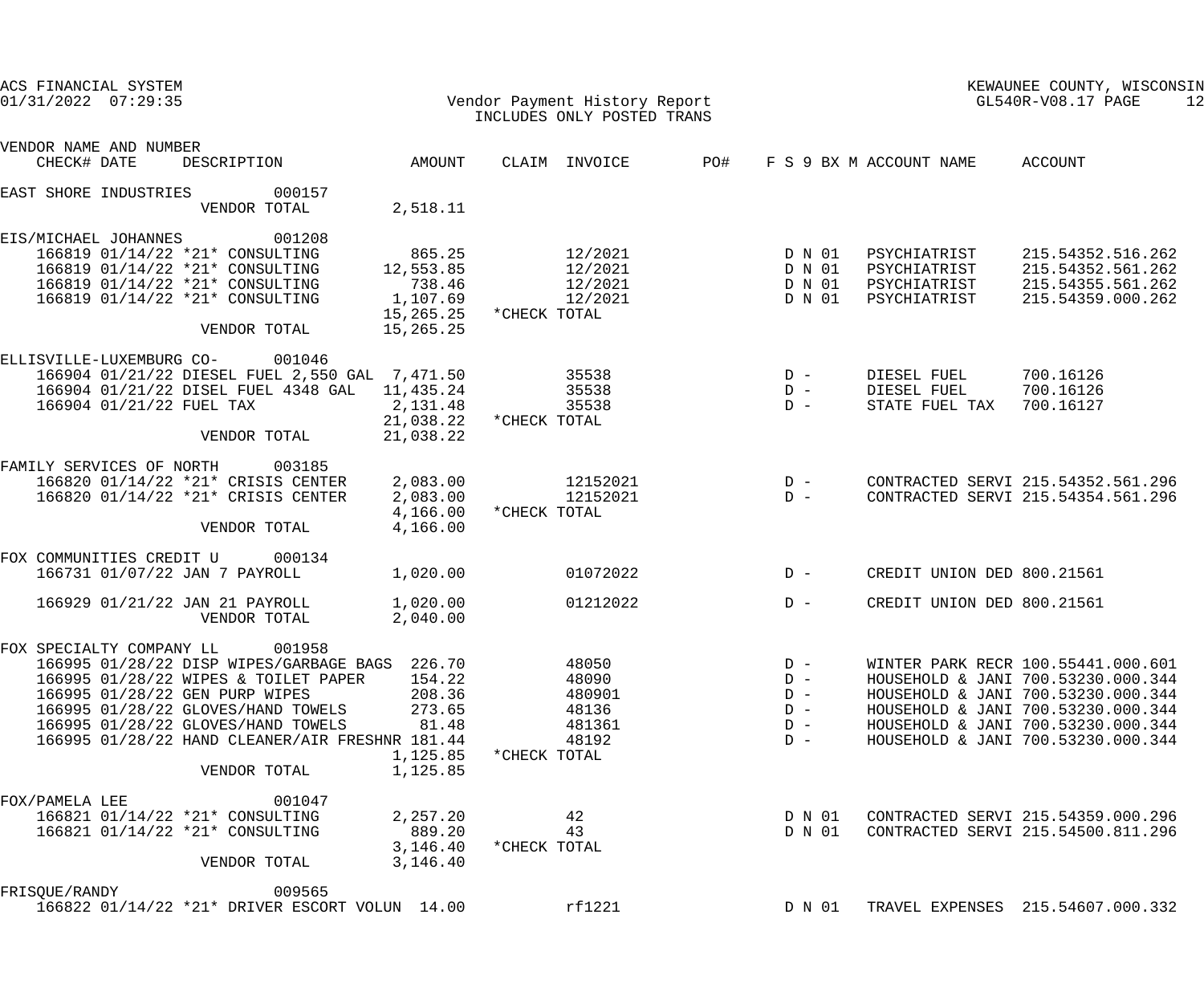| ACS FINANCIAL SYSTEM<br>$01/31/2022$ 07:29:35                                                                                                                                                                                                                                                                 |                                                                     | Vendor Payment History Report<br>INCLUDES ONLY POSTED TRANS          |                                                    |                                                              | KEWAUNEE COUNTY, WISCONSIN<br>GL540R-V08.17 PAGE<br>12                                                                                                                                                                           |  |
|---------------------------------------------------------------------------------------------------------------------------------------------------------------------------------------------------------------------------------------------------------------------------------------------------------------|---------------------------------------------------------------------|----------------------------------------------------------------------|----------------------------------------------------|--------------------------------------------------------------|----------------------------------------------------------------------------------------------------------------------------------------------------------------------------------------------------------------------------------|--|
| VENDOR NAME AND NUMBER<br>CHECK# DATE<br>DESCRIPTION                                                                                                                                                                                                                                                          | AMOUNT                                                              | CLAIM INVOICE                                                        |                                                    | PO#FF S 9 BX M ACCOUNT NAME                                  | ACCOUNT                                                                                                                                                                                                                          |  |
|                                                                                                                                                                                                                                                                                                               |                                                                     |                                                                      |                                                    |                                                              |                                                                                                                                                                                                                                  |  |
| EAST SHORE INDUSTRIES<br>000157<br>VENDOR TOTAL                                                                                                                                                                                                                                                               | 2,518.11                                                            |                                                                      |                                                    |                                                              |                                                                                                                                                                                                                                  |  |
| 001208<br>EIS/MICHAEL JOHANNES<br>166819 01/14/22 *21* CONSULTING<br>166819 01/14/22 *21* CONSULTING<br>166819 01/14/22 *21* CONSULTING<br>166819 01/14/22 *21* CONSULTING<br>VENDOR TOTAL                                                                                                                    | 865.25<br>12,553.85<br>738.46<br>1,107.69<br>15,265.25<br>15,265.25 | 12/2021<br>12/2021<br>12/2021<br>12/2021<br>*CHECK TOTAL             | D N 01<br>D N 01<br>D N 01<br>D N 01               | PSYCHIATRIST<br>PSYCHIATRIST<br>PSYCHIATRIST<br>PSYCHIATRIST | 215.54352.516.262<br>215.54352.561.262<br>215.54355.561.262<br>215.54359.000.262                                                                                                                                                 |  |
| ELLISVILLE-LUXEMBURG CO- 001046<br>166904 01/21/22 DIESEL FUEL 2,550 GAL 7,471.50<br>166904 01/21/22 DISEL FUEL 4348 GAL 11,435.24<br>166904 01/21/22 FUEL TAX<br>VENDOR TOTAL                                                                                                                                | 2,131.48<br>21,038.22<br>21,038.22                                  | 35538<br>35538<br>35538<br>*CHECK TOTAL                              | $D -$<br>$D -$<br>$D -$                            | DIESEL FUEL<br>DIESEL FUEL<br>STATE FUEL TAX                 | 700.16126<br>700.16126<br>700.16127                                                                                                                                                                                              |  |
|                                                                                                                                                                                                                                                                                                               |                                                                     |                                                                      |                                                    |                                                              |                                                                                                                                                                                                                                  |  |
| FAMILY SERVICES OF NORTH<br>003185<br>166820 01/14/22 *21* CRISIS CENTER<br>166820 01/14/22 *21* CRISIS CENTER<br>VENDOR TOTAL                                                                                                                                                                                | 2,083.00<br>2,083.00<br>4,166.00<br>4,166.00                        | 12152021<br>12152021<br>*CHECK TOTAL                                 | $D -$<br>$D -$                                     |                                                              | CONTRACTED SERVI 215.54352.561.296<br>CONTRACTED SERVI 215.54354.561.296                                                                                                                                                         |  |
| FOX COMMUNITIES CREDIT U<br>000134                                                                                                                                                                                                                                                                            |                                                                     |                                                                      |                                                    |                                                              |                                                                                                                                                                                                                                  |  |
| 166731 01/07/22 JAN 7 PAYROLL                                                                                                                                                                                                                                                                                 | 1,020.00                                                            | 01072022                                                             | $D -$                                              | CREDIT UNION DED 800.21561                                   |                                                                                                                                                                                                                                  |  |
| 166929 01/21/22 JAN 21 PAYROLL<br>VENDOR TOTAL                                                                                                                                                                                                                                                                | 1,020.00<br>2,040.00                                                | 01212022                                                             | $D -$                                              | CREDIT UNION DED 800.21561                                   |                                                                                                                                                                                                                                  |  |
| 001958<br>FOX SPECIALTY COMPANY LL<br>166995 01/28/22 DISP WIPES/GARBAGE BAGS 226.70<br>166995 01/28/22 WIPES & TOILET PAPER<br>166995 01/28/22 GEN PURP WIPES<br>166995 01/28/22 GLOVES/HAND TOWELS<br>166995 01/28/22 GLOVES/HAND TOWELS<br>166995 01/28/22 HAND CLEANER/AIR FRESHNR 181.44<br>VENDOR TOTAL | 154.22<br>208.36<br>273.65<br>81.48<br>1,125.85<br>1,125.85         | 48050<br>48090<br>480901<br>48136<br>481361<br>48192<br>*CHECK TOTAL | $D -$<br>$D -$<br>$D -$<br>$D -$<br>$D -$<br>$D -$ |                                                              | WINTER PARK RECR 100.55441.000.601<br>HOUSEHOLD & JANI 700.53230.000.344<br>HOUSEHOLD & JANI 700.53230.000.344<br>HOUSEHOLD & JANI 700.53230.000.344<br>HOUSEHOLD & JANI 700.53230.000.344<br>HOUSEHOLD & JANI 700.53230.000.344 |  |
| 001047<br>FOX/PAMELA LEE<br>166821 01/14/22 *21* CONSULTING<br>166821 01/14/22 *21* CONSULTING<br>VENDOR TOTAL                                                                                                                                                                                                | 2,257.20<br>889.20<br>3,146.40<br>3,146.40                          | 42<br>43<br>*CHECK TOTAL                                             | D N 01<br>D N 01                                   |                                                              | CONTRACTED SERVI 215.54359.000.296<br>CONTRACTED SERVI 215.54500.811.296                                                                                                                                                         |  |
| 009565<br>FRISQUE/RANDY<br>166822 01/14/22 *21* DRIVER ESCORT VOLUN 14.00                                                                                                                                                                                                                                     |                                                                     | rf1221                                                               | D N 01                                             |                                                              | TRAVEL EXPENSES 215.54607.000.332                                                                                                                                                                                                |  |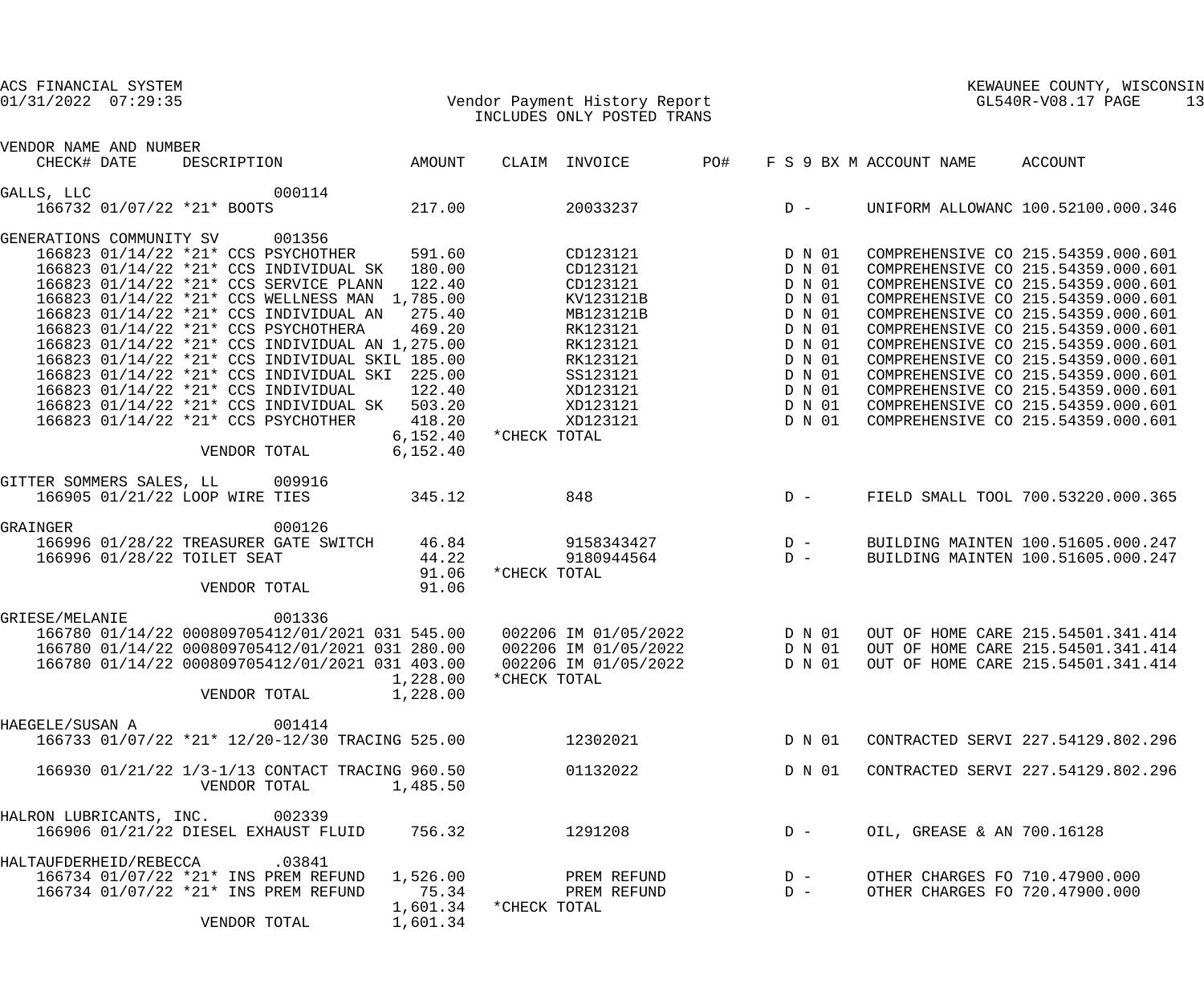### 01/31/2022 07:29:35 Vendor Payment History Report GL540R-V08.17 PAGE 13 INCLUDES ONLY POSTED TRANS

| VENDOR NAME AND NUMBER          |                                |              |                                                                                                                                                                                                                                                                                                                                                                                                                                                                                                                                      |                                                                                        |              |                                                                                                                                                |       |                |                                                                                                                      |                                                                  |                                                                                                                                                                                                                                                                                                                                                                                                                                                                      |
|---------------------------------|--------------------------------|--------------|--------------------------------------------------------------------------------------------------------------------------------------------------------------------------------------------------------------------------------------------------------------------------------------------------------------------------------------------------------------------------------------------------------------------------------------------------------------------------------------------------------------------------------------|----------------------------------------------------------------------------------------|--------------|------------------------------------------------------------------------------------------------------------------------------------------------|-------|----------------|----------------------------------------------------------------------------------------------------------------------|------------------------------------------------------------------|----------------------------------------------------------------------------------------------------------------------------------------------------------------------------------------------------------------------------------------------------------------------------------------------------------------------------------------------------------------------------------------------------------------------------------------------------------------------|
| CHECK# DATE                     |                                |              | DESCRIPTION AMOUNT                                                                                                                                                                                                                                                                                                                                                                                                                                                                                                                   |                                                                                        |              | CLAIM INVOICE PO#                                                                                                                              |       |                |                                                                                                                      | F S 9 BX M ACCOUNT NAME                                          | ACCOUNT                                                                                                                                                                                                                                                                                                                                                                                                                                                              |
| GALLS, LLC                      | 166732 01/07/22 *21* BOOTS     |              | 000114                                                                                                                                                                                                                                                                                                                                                                                                                                                                                                                               | 217.00                                                                                 |              | 20033237                                                                                                                                       | $D -$ |                |                                                                                                                      |                                                                  | UNIFORM ALLOWANC 100.52100.000.346                                                                                                                                                                                                                                                                                                                                                                                                                                   |
| GENERATIONS COMMUNITY SV 001356 |                                |              | 166823 01/14/22 *21* CCS PSYCHOTHER<br>166823 01/14/22 *21* CCS INDIVIDUAL SK<br>166823 01/14/22 *21* CCS SERVICE PLANN<br>166823 01/14/22 *21* CCS WELLNESS MAN 1,785.00<br>166823 01/14/22 *21* CCS INDIVIDUAL AN<br>166823 01/14/22 *21* CCS PSYCHOTHERA<br>166823 01/14/22 *21* CCS INDIVIDUAL AN 1,275.00<br>166823 01/14/22 *21* CCS INDIVIDUAL SKIL 185.00<br>166823 01/14/22 *21* CCS INDIVIDUAL SKI<br>166823 01/14/22 *21* CCS INDIVIDUAL<br>166823 01/14/22 *21* CCS INDIVIDUAL SK<br>166823 01/14/22 *21* CCS PSYCHOTHER | 591.60<br>180.00<br>122.40<br>275.40<br>469.20<br>225.00<br>122.40<br>503.20<br>418.20 |              | CD123121<br>CD123121<br>CD123121<br>KV123121B<br>MB123121B<br>RK123121<br>RK123121<br>RK123121<br>SS123121<br>XD123121<br>XD123121<br>XD123121 |       |                | D N 01<br>D N 01<br>D N 01<br>D N 01<br>D N 01<br>D N 01<br>D N 01<br>D N 01<br>D N 01<br>D N 01<br>D N 01<br>D N 01 |                                                                  | COMPREHENSIVE CO 215.54359.000.601<br>COMPREHENSIVE CO 215.54359.000.601<br>COMPREHENSIVE CO 215.54359.000.601<br>COMPREHENSIVE CO 215.54359.000.601<br>COMPREHENSIVE CO 215.54359.000.601<br>COMPREHENSIVE CO 215.54359.000.601<br>COMPREHENSIVE CO 215.54359.000.601<br>COMPREHENSIVE CO 215.54359.000.601<br>COMPREHENSIVE CO 215.54359.000.601<br>COMPREHENSIVE CO 215.54359.000.601<br>COMPREHENSIVE CO 215.54359.000.601<br>COMPREHENSIVE CO 215.54359.000.601 |
|                                 |                                | VENDOR TOTAL |                                                                                                                                                                                                                                                                                                                                                                                                                                                                                                                                      | 6, 152.40<br>6,152.40                                                                  | *CHECK TOTAL |                                                                                                                                                |       |                |                                                                                                                      |                                                                  |                                                                                                                                                                                                                                                                                                                                                                                                                                                                      |
| GITTER SOMMERS SALES, LL 009916 | 166905 01/21/22 LOOP WIRE TIES |              |                                                                                                                                                                                                                                                                                                                                                                                                                                                                                                                                      | 345.12                                                                                 |              | $848$ D –                                                                                                                                      |       |                |                                                                                                                      |                                                                  | FIELD SMALL TOOL 700.53220.000.365                                                                                                                                                                                                                                                                                                                                                                                                                                   |
| <b>GRAINGER</b>                 | 166996 01/28/22 TOILET SEAT    | VENDOR TOTAL | 000126<br>166996 01/28/22 TREASURER GATE SWITCH                                                                                                                                                                                                                                                                                                                                                                                                                                                                                      | 46.84<br>44.22<br>91.06<br>91.06                                                       | *CHECK TOTAL | 9158343427 D –<br>9180944564 D –                                                                                                               |       |                |                                                                                                                      |                                                                  | BUILDING MAINTEN 100.51605.000.247<br>BUILDING MAINTEN 100.51605.000.247                                                                                                                                                                                                                                                                                                                                                                                             |
| GRIESE/MELANIE                  |                                | VENDOR TOTAL | 001336<br>166780 01/14/22 000809705412/01/2021 031 545.00<br>166780 01/14/22 000809705412/01/2021 031 280.00<br>166780 01/14/22 000809705412/01/2021 031 403.00                                                                                                                                                                                                                                                                                                                                                                      | 1,228.00<br>1,228.00                                                                   | *CHECK TOTAL | 002206 IM 01/05/2022 D N 01<br>002206 IM 01/05/2022<br>002206 IM 01/05/2022                                                                    |       |                | D N 01<br>D N 01                                                                                                     |                                                                  | OUT OF HOME CARE 215.54501.341.414<br>OUT OF HOME CARE 215.54501.341.414<br>OUT OF HOME CARE 215.54501.341.414                                                                                                                                                                                                                                                                                                                                                       |
| HAEGELE/SUSAN A                 |                                |              | 001414<br>166733 01/07/22 *21* 12/20-12/30 TRACING 525.00                                                                                                                                                                                                                                                                                                                                                                                                                                                                            |                                                                                        |              | 12302021                                                                                                                                       |       |                | D N 01                                                                                                               |                                                                  | CONTRACTED SERVI 227.54129.802.296                                                                                                                                                                                                                                                                                                                                                                                                                                   |
|                                 |                                | VENDOR TOTAL | 166930 01/21/22 1/3-1/13 CONTACT TRACING 960.50                                                                                                                                                                                                                                                                                                                                                                                                                                                                                      | 1,485.50                                                                               |              | 01132022                                                                                                                                       |       |                | D N 01                                                                                                               |                                                                  | CONTRACTED SERVI 227.54129.802.296                                                                                                                                                                                                                                                                                                                                                                                                                                   |
| HALRON LUBRICANTS, INC.         |                                |              | 002339<br>166906 01/21/22 DIESEL EXHAUST FLUID                                                                                                                                                                                                                                                                                                                                                                                                                                                                                       | 756.32                                                                                 |              | 1291208                                                                                                                                        |       | $D -$          |                                                                                                                      | OIL, GREASE & AN 700.16128                                       |                                                                                                                                                                                                                                                                                                                                                                                                                                                                      |
| HALTAUFDERHEID/REBECCA          |                                | VENDOR TOTAL | .03841<br>166734 01/07/22 *21* INS PREM REFUND<br>166734 01/07/22 *21* INS PREM REFUND                                                                                                                                                                                                                                                                                                                                                                                                                                               | 1,526.00<br>75.34<br>1,601.34<br>1,601.34                                              | *CHECK TOTAL | PREM REFUND<br>PREM REFUND                                                                                                                     |       | $D -$<br>$D -$ |                                                                                                                      | OTHER CHARGES FO 710.47900.000<br>OTHER CHARGES FO 720.47900.000 |                                                                                                                                                                                                                                                                                                                                                                                                                                                                      |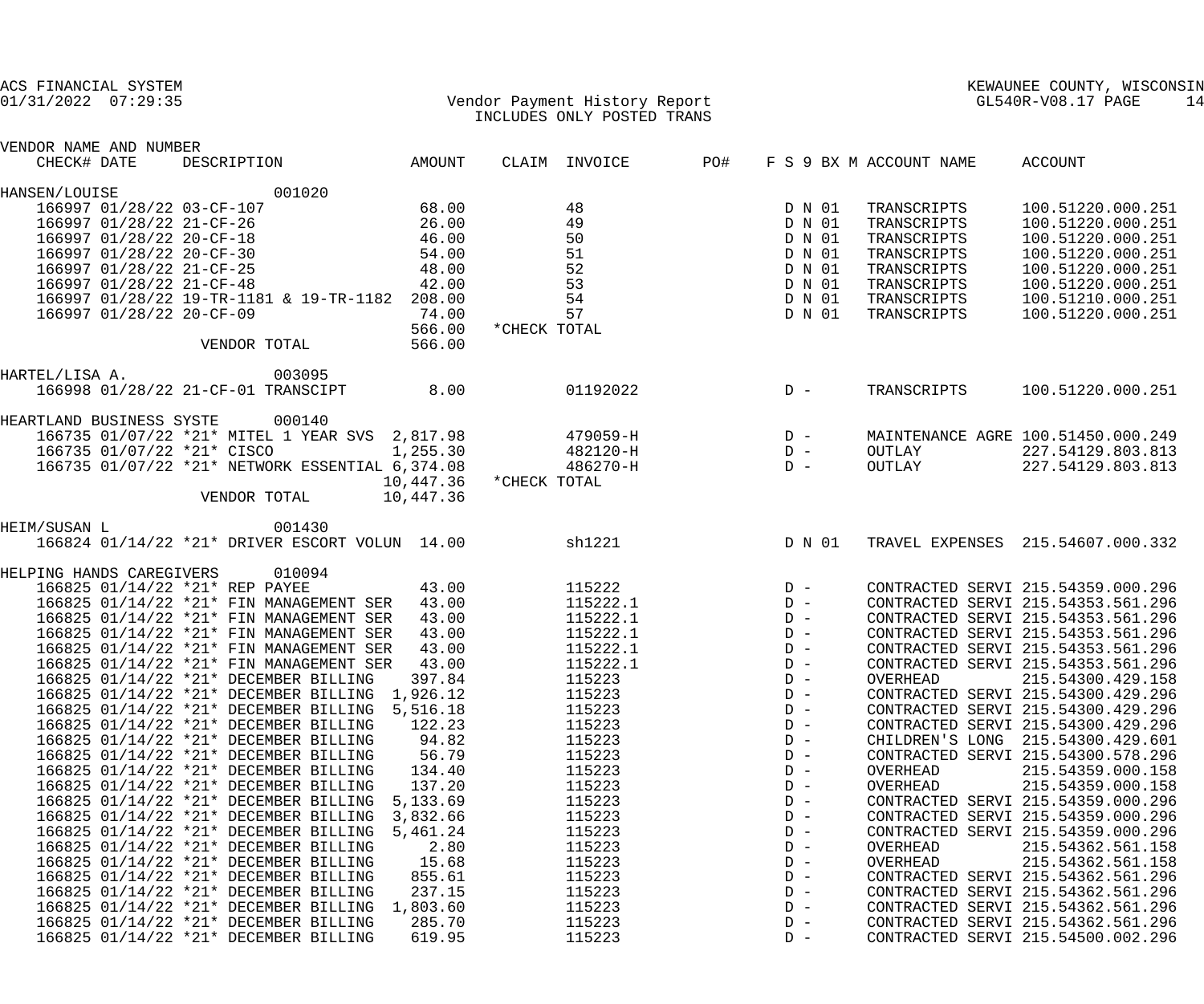| ACS FINANCIAL SYSTEM<br>Vendor Payment History Report<br>TNGLIDES ONLY POSTED TRANS<br>$01/31/2022$ $07:29:35$ | INCLUDES ONLY POSTED TRANS   |                                                   | KEWAUNEE COUNTY, WISCONS<br>GL540R-V08.17 PAGE<br>KEWAUNEE COUNTY, WISCONSIN<br>14 |
|----------------------------------------------------------------------------------------------------------------|------------------------------|---------------------------------------------------|------------------------------------------------------------------------------------|
| VENDOR NAME AND NUMBER                                                                                         |                              |                                                   |                                                                                    |
| DESCRIPTION AMOUNT<br>CHECK# DATE                                                                              | <b>PO#</b><br>CLAIM INVOICE  | F S 9 BX M ACCOUNT NAME                           | <b>ACCOUNT</b>                                                                     |
| 001020<br>HANSEN/LOUISE                                                                                        |                              |                                                   |                                                                                    |
| 68.00<br>166997 01/28/22 03-CF-107                                                                             | 48                           | D N 01<br>TRANSCRIPTS                             | 100.51220.000.251                                                                  |
| 26.00<br>166997 01/28/22 21-CF-26                                                                              | 49                           | D N 01<br>TRANSCRIPTS                             | 100.51220.000.251                                                                  |
| 46.00<br>166997 01/28/22 20-CF-18                                                                              | 50                           | D N 01<br>TRANSCRIPTS                             | 100.51220.000.251                                                                  |
| 166997 01/28/22 20-CF-30 54.00                                                                                 | 51                           | D N 01<br>TRANSCRIPTS                             | 100.51220.000.251                                                                  |
| 48.00<br>166997 01/28/22 21-CF-25                                                                              | 52                           | D N 01<br>TRANSCRIPTS                             | 100.51220.000.251                                                                  |
| 42.00<br>166997 01/28/22 21-CF-48                                                                              | 53<br>D N 01                 | TRANSCRIPTS                                       | 100.51220.000.251                                                                  |
| 166997 01/28/22 19-TR-1181 & 19-TR-1182 208.00                                                                 | 54<br>D N 01<br>D N 01       | TRANSCRIPTS<br>TRANSCRIPTS                        | 100.51210.000.251                                                                  |
| 74.00<br>166997 01/28/22 20-CF-09                                                                              | 57                           |                                                   | 100.51220.000.251                                                                  |
| 566.00                                                                                                         | *CHECK TOTAL                 |                                                   |                                                                                    |
| 566.00<br>VENDOR TOTAL                                                                                         |                              |                                                   |                                                                                    |
| 003095<br>HARTEL/LISA A.                                                                                       |                              |                                                   |                                                                                    |
| 166998 01/28/22 21-CF-01 TRANSCIPT<br>8.00                                                                     | 01192022                     | $D -$<br>TRANSCRIPTS                              | 100.51220.000.251                                                                  |
| HEARTLAND BUSINESS SYSTE 000140                                                                                |                              |                                                   |                                                                                    |
| 166735 01/07/22 *21* MITEL 1 YEAR SVS 2,817.98 479059-H D -                                                    |                              |                                                   | MAINTENANCE AGRE 100.51450.000.249                                                 |
| 166735 01/07/22 *21* CISCO<br>1, 255.30                                                                        | $482120-H$ D -               | OUTLAY                                            | 227.54129.803.813                                                                  |
| 166735 01/07/22 *21* NETWORK ESSENTIAL 6,374.08                                                                | $D -$<br>486270-H            |                                                   | OUTLAY 227.54129.803.813                                                           |
| 10,447.36                                                                                                      | *CHECK TOTAL                 |                                                   |                                                                                    |
| VENDOR TOTAL<br>10,447.36                                                                                      |                              |                                                   |                                                                                    |
| 001430<br>HEIM/SUSAN L                                                                                         |                              |                                                   |                                                                                    |
| 166824 01/14/22 *21* DRIVER ESCORT VOLUN 14.00                                                                 | sh1221                       | D N 01                                            | TRAVEL EXPENSES 215.54607.000.332                                                  |
| HELPING HANDS CAREGIVERS 010094                                                                                |                              |                                                   |                                                                                    |
| 43.00<br>166825 01/14/22 *21* REP PAYEE                                                                        |                              |                                                   | CONTRACTED SERVI 215.54359.000.296                                                 |
| 166825 01/14/22 *21* FIN MANAGEMENT SER 43.00                                                                  | $115222$ D -<br>115222.1 D - |                                                   | CONTRACTED SERVI 215.54353.561.296                                                 |
| 43.00<br>166825 01/14/22 *21* FIN MANAGEMENT SER                                                               | 115222.1                     | $\begin{array}{c}\nD & - \\ D & - \\ \end{array}$ | CONTRACTED SERVI 215.54353.561.296                                                 |
| 43.00<br>166825 01/14/22 *21* FIN MANAGEMENT SER                                                               | 115222.1                     |                                                   | CONTRACTED SERVI 215.54353.561.296                                                 |
| 166825 01/14/22 *21* FIN MANAGEMENT SER 43.00                                                                  | 115222.1                     | $D -$                                             | CONTRACTED SERVI 215.54353.561.296                                                 |
| 43.00<br>166825 01/14/22 *21* FIN MANAGEMENT SER                                                               | 115222.1                     | $D -$                                             | CONTRACTED SERVI 215.54353.561.296                                                 |
| 397.84<br>166825 01/14/22 *21* DECEMBER BILLING                                                                | 115223                       | $D -$<br>OVERHEAD                                 | 215.54300.429.158                                                                  |
| 166825 01/14/22 *21* DECEMBER BILLING 1,926.12                                                                 | 115223                       | $D -$                                             | CONTRACTED SERVI 215.54300.429.296                                                 |
| 166825 01/14/22 *21* DECEMBER BILLING 5,516.18                                                                 | 115223                       | $D -$                                             | CONTRACTED SERVI 215.54300.429.296                                                 |
| 166825 01/14/22 *21* DECEMBER BILLING<br>122.23                                                                | 115223                       | $D -$                                             | CONTRACTED SERVI 215.54300.429.296                                                 |
| 94.82<br>166825 01/14/22 *21* DECEMBER BILLING                                                                 | 115223                       | $D -$                                             | CHILDREN'S LONG 215.54300.429.601                                                  |
| 56.79<br>166825 01/14/22 *21* DECEMBER BILLING                                                                 | 115223                       | $D -$                                             | CONTRACTED SERVI 215.54300.578.296                                                 |
| 134.40<br>166825 01/14/22 *21* DECEMBER BILLING                                                                | 115223                       | $D -$<br>OVERHEAD                                 | 215.54359.000.158                                                                  |
| 137.20<br>166825 01/14/22 *21* DECEMBER BILLING                                                                | 115223                       | OVERHEAD<br>$D -$                                 | 215.54359.000.158                                                                  |
| 5,133.69<br>166825 01/14/22 *21* DECEMBER BILLING                                                              | 115223                       | $D -$<br>$D -$                                    | CONTRACTED SERVI 215.54359.000.296                                                 |
| 166825 01/14/22 *21* DECEMBER BILLING<br>3,832.66<br>166825 01/14/22 *21* DECEMBER BILLING<br>5,461.24         | 115223<br>115223             | $D -$                                             | CONTRACTED SERVI 215.54359.000.296<br>CONTRACTED SERVI 215.54359.000.296           |
| 166825 01/14/22 *21* DECEMBER BILLING<br>2.80                                                                  | 115223                       | $D -$<br>OVERHEAD                                 | 215.54362.561.158                                                                  |
| 15.68<br>166825 01/14/22 *21* DECEMBER BILLING                                                                 | 115223                       | $D -$<br>OVERHEAD                                 | 215.54362.561.158                                                                  |
| 166825 01/14/22 *21* DECEMBER BILLING<br>855.61                                                                | 115223                       | $D -$                                             | CONTRACTED SERVI 215.54362.561.296                                                 |
| 237.15<br>166825 01/14/22 *21* DECEMBER BILLING                                                                | 115223                       | $D -$                                             | CONTRACTED SERVI 215.54362.561.296                                                 |
| 166825 01/14/22 *21* DECEMBER BILLING<br>1,803.60                                                              | 115223                       | $D -$                                             | CONTRACTED SERVI 215.54362.561.296                                                 |
| 166825 01/14/22 *21* DECEMBER BILLING<br>285.70                                                                | 115223                       | $D -$                                             | CONTRACTED SERVI 215.54362.561.296                                                 |
| 166825 01/14/22 *21* DECEMBER BILLING<br>619.95                                                                | 115223                       | $D -$                                             | CONTRACTED SERVI 215.54500.002.296                                                 |
|                                                                                                                |                              |                                                   |                                                                                    |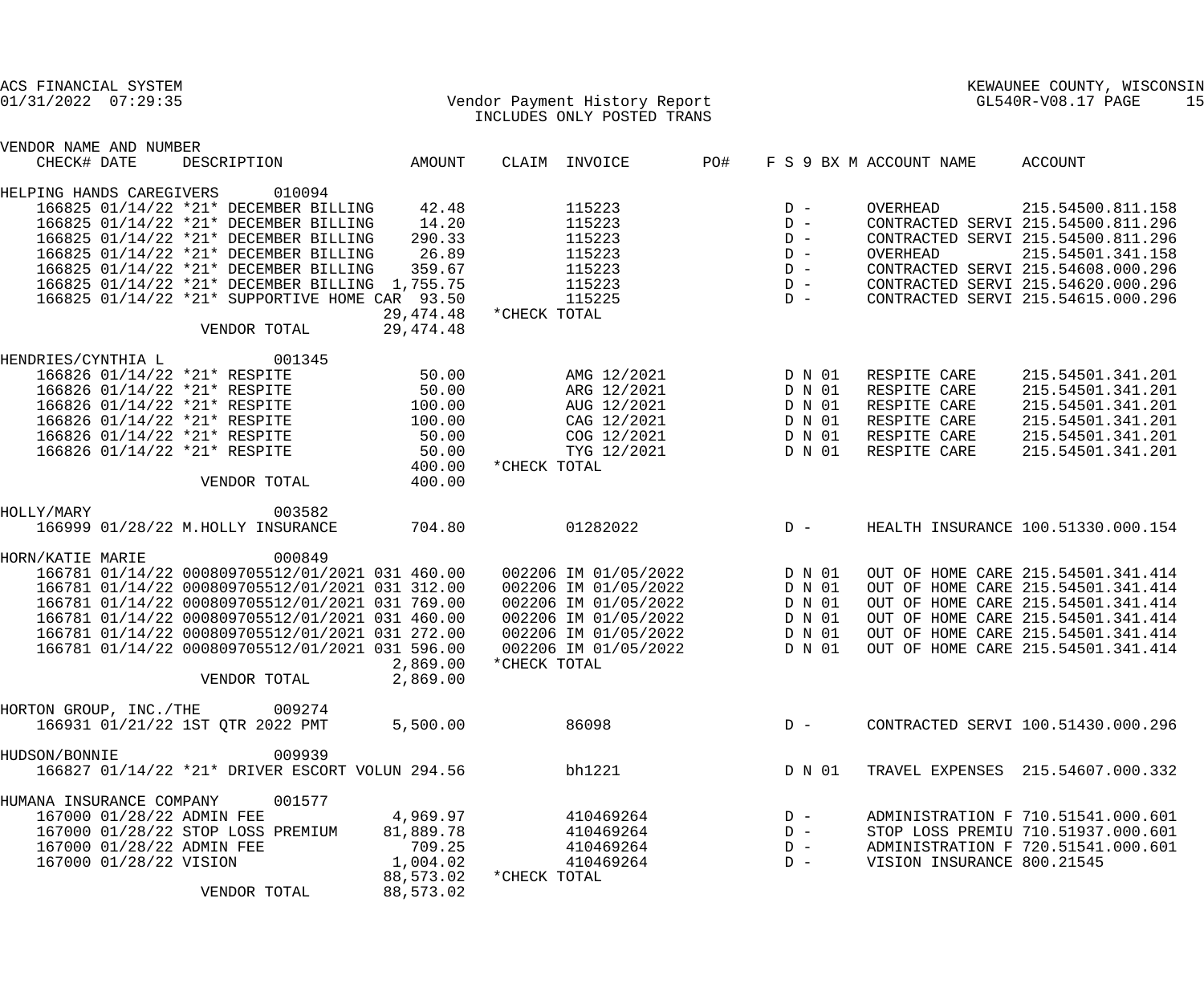| ACS FINANCIAL SYSTEM<br>$01/31/2022$ $07:29:35$ |                        | Vendor Payment History Report<br>TNCLUDES ONLY POSTED TRANS                                        |                     |              |                                              |     |                  |                            | KEWAUNEE COUNTY, WISCONSIN<br>GL540R-V08.17 PAGE                         | 15 |
|-------------------------------------------------|------------------------|----------------------------------------------------------------------------------------------------|---------------------|--------------|----------------------------------------------|-----|------------------|----------------------------|--------------------------------------------------------------------------|----|
| VENDOR NAME AND NUMBER<br>CHECK# DATE           |                        | DESCRIPTION                                                                                        | AMOUNT              |              | CLAIM INVOICE                                | PO# |                  | F S 9 BX M ACCOUNT NAME    | ACCOUNT                                                                  |    |
| HELPING HANDS CAREGIVERS                        |                        | 010094                                                                                             |                     |              |                                              |     |                  |                            |                                                                          |    |
|                                                 |                        | 166825 01/14/22 *21* DECEMBER BILLING                                                              | 42.48               |              | 115223                                       |     | $D -$            | OVERHEAD                   | 215.54500.811.158                                                        |    |
|                                                 |                        | 166825 01/14/22 *21* DECEMBER BILLING                                                              | 14.20               |              | 115223                                       |     | $D -$            |                            | CONTRACTED SERVI 215.54500.811.296                                       |    |
|                                                 |                        | 166825 01/14/22 *21* DECEMBER BILLING                                                              | 290.33              |              | 115223                                       |     | $D -$            |                            | CONTRACTED SERVI 215.54500.811.296                                       |    |
|                                                 |                        | 166825 01/14/22 *21* DECEMBER BILLING                                                              | 26.89               |              | 115223                                       |     | $D -$            | OVERHEAD                   | 215.54501.341.158                                                        |    |
|                                                 |                        | 166825 01/14/22 *21* DECEMBER BILLING                                                              | 359.67              |              | 115223                                       |     | $D -$            |                            | CONTRACTED SERVI 215.54608.000.296                                       |    |
|                                                 |                        | 166825 01/14/22 *21* DECEMBER BILLING 1,755.75<br>166825 01/14/22 *21* SUPPORTIVE HOME CAR 93.50   |                     |              | 115223<br>115225                             |     | $D -$<br>$D -$   |                            | CONTRACTED SERVI 215.54620.000.296<br>CONTRACTED SERVI 215.54615.000.296 |    |
|                                                 |                        |                                                                                                    | 29, 474.48          | *CHECK TOTAL |                                              |     |                  |                            |                                                                          |    |
|                                                 |                        | VENDOR TOTAL                                                                                       | 29, 474. 48         |              |                                              |     |                  |                            |                                                                          |    |
| HENDRIES/CYNTHIA L                              |                        | 001345                                                                                             |                     |              |                                              |     |                  |                            |                                                                          |    |
|                                                 |                        | 166826 01/14/22 *21* RESPITE                                                                       | 50.00               |              | AMG 12/2021                                  |     | D N 01           | RESPITE CARE               | 215.54501.341.201                                                        |    |
|                                                 |                        | 166826 01/14/22 *21* RESPITE                                                                       | 50.00               |              | ARG 12/2021                                  |     | D N 01           | RESPITE CARE               | 215.54501.341.201                                                        |    |
|                                                 |                        | 166826 01/14/22 *21* RESPITE                                                                       | 100.00              |              | AUG 12/2021                                  |     | D N 01           | RESPITE CARE               | 215.54501.341.201                                                        |    |
|                                                 |                        | 166826 01/14/22 *21* RESPITE                                                                       | 100.00              |              | CAG 12/2021                                  |     | D N 01           | RESPITE CARE               | 215.54501.341.201                                                        |    |
|                                                 |                        | 166826 01/14/22 *21* RESPITE                                                                       | 50.00               |              | COG 12/2021                                  |     | D N 01           | RESPITE CARE               | 215.54501.341.201                                                        |    |
|                                                 |                        | 166826 01/14/22 *21* RESPITE                                                                       | 50.00               |              | TYG 12/2021                                  |     | D N 01           | RESPITE CARE               | 215.54501.341.201                                                        |    |
|                                                 |                        | VENDOR TOTAL                                                                                       | 400.00<br>400.00    | *CHECK TOTAL |                                              |     |                  |                            |                                                                          |    |
| HOLLY/MARY                                      |                        | 003582                                                                                             |                     |              |                                              |     |                  |                            |                                                                          |    |
|                                                 |                        | 166999 01/28/22 M.HOLLY INSURANCE                                                                  | 704.80              |              | 01282022                                     |     | $D -$            |                            | HEALTH INSURANCE 100.51330.000.154                                       |    |
| HORN/KATIE MARIE                                |                        | 000849                                                                                             |                     |              |                                              |     |                  |                            |                                                                          |    |
|                                                 |                        | 166781 01/14/22 000809705512/01/2021 031 460.00  002206 IM 01/05/2022                              |                     |              |                                              |     | D N 01           |                            | OUT OF HOME CARE 215.54501.341.414                                       |    |
|                                                 |                        | 166781 01/14/22 000809705512/01/2021 031 312.00                                                    |                     |              | 002206 IM 01/05/2022                         |     | D N 01           |                            | OUT OF HOME CARE 215.54501.341.414                                       |    |
|                                                 |                        | 166781 01/14/22 000809705512/01/2021 031 769.00                                                    |                     |              | 002206 IM 01/05/2022                         |     | D N 01           |                            | OUT OF HOME CARE 215.54501.341.414                                       |    |
|                                                 |                        | 166781 01/14/22 000809705512/01/2021 031 460.00                                                    |                     |              | 002206 IM 01/05/2022                         |     | D N 01           |                            | OUT OF HOME CARE 215.54501.341.414                                       |    |
|                                                 |                        | 166781 01/14/22 000809705512/01/2021 031 272.00<br>166781 01/14/22 000809705512/01/2021 031 596.00 |                     |              | 002206 IM 01/05/2022<br>002206 IM 01/05/2022 |     | D N 01<br>D N 01 |                            | OUT OF HOME CARE 215.54501.341.414<br>OUT OF HOME CARE 215.54501.341.414 |    |
|                                                 |                        |                                                                                                    | 2,869.00            | *CHECK TOTAL |                                              |     |                  |                            |                                                                          |    |
|                                                 |                        | VENDOR TOTAL                                                                                       | 2,869.00            |              |                                              |     |                  |                            |                                                                          |    |
| HORTON GROUP, INC./THE                          |                        | 009274                                                                                             |                     |              |                                              |     |                  |                            |                                                                          |    |
|                                                 |                        | 166931 01/21/22 1ST QTR 2022 PMT                                                                   | 5,500.00            |              | 86098                                        |     | $D -$            |                            | CONTRACTED SERVI 100.51430.000.296                                       |    |
| HUDSON/BONNIE                                   |                        | 009939                                                                                             |                     |              |                                              |     |                  |                            |                                                                          |    |
|                                                 |                        | 166827 01/14/22 *21* DRIVER ESCORT VOLUN 294.56                                                    |                     |              | bh1221                                       |     | D N 01           |                            | TRAVEL EXPENSES 215.54607.000.332                                        |    |
|                                                 |                        |                                                                                                    |                     |              |                                              |     |                  |                            |                                                                          |    |
| HUMANA INSURANCE COMPANY                        |                        | 001577                                                                                             |                     |              |                                              |     |                  |                            |                                                                          |    |
|                                                 |                        | 167000 01/28/22 ADMIN FEE                                                                          | 4,969.97            |              | 410469264                                    |     | $D -$            |                            | ADMINISTRATION F 710.51541.000.601                                       |    |
|                                                 |                        | 167000 01/28/22 STOP LOSS PREMIUM<br>167000 01/28/22 ADMIN FEE                                     | 81,889.78<br>709.25 |              | 410469264<br>410469264                       |     | $D -$<br>$D -$   |                            | STOP LOSS PREMIU 710.51937.000.601<br>ADMINISTRATION F 720.51541.000.601 |    |
|                                                 | 167000 01/28/22 VISION |                                                                                                    | 1,004.02            |              | 410469264                                    |     | $D -$            | VISION INSURANCE 800.21545 |                                                                          |    |
|                                                 |                        |                                                                                                    | 88,573.02           | *CHECK TOTAL |                                              |     |                  |                            |                                                                          |    |
|                                                 |                        | VENDOR TOTAL                                                                                       | 88,573.02           |              |                                              |     |                  |                            |                                                                          |    |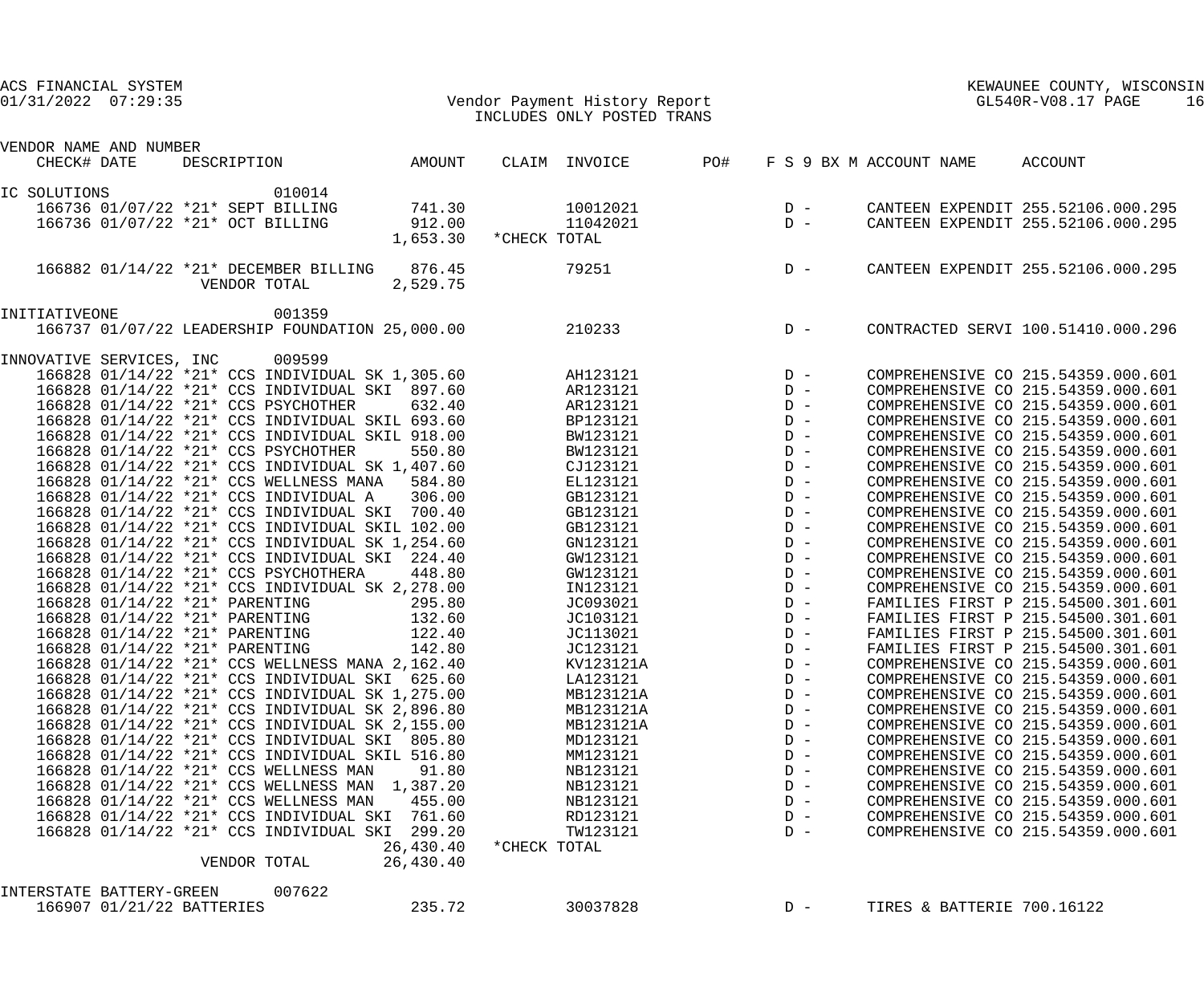| ACS FINANCIAL SYSTEM<br>$01/31/2022$ $07:29:35$ |                                  | Vendor Payment History Report<br>INCLUDES ONLY POSTED TRANS                                        |                        |              |                      |       |                                         |  | KEWAUNEE COUNTY, WISCONNER COUNTY, WISCONNER COUNTY, WISCONNER COUNTY, WISCONNER SUPPOSE OF THE SUPPOSE OF THE SUPPOSE OF THE SUPPOSE OF THE SUPPOSE OF THE SUPPOSE OF THE SUPPOSE OF THE SUPPOSE OF THE SUPPOSE OF THE SUPPOS<br>KEWAUNEE COUNTY, WISCONSIN | 16 |
|-------------------------------------------------|----------------------------------|----------------------------------------------------------------------------------------------------|------------------------|--------------|----------------------|-------|-----------------------------------------|--|--------------------------------------------------------------------------------------------------------------------------------------------------------------------------------------------------------------------------------------------------------------|----|
| VENDOR NAME AND NUMBER                          |                                  |                                                                                                    |                        |              |                      |       |                                         |  |                                                                                                                                                                                                                                                              |    |
| CHECK# DATE                                     |                                  | DESCRIPTION AMOUNT                                                                                 |                        |              | CLAIM INVOICE PO#    |       | F S 9 BX M ACCOUNT NAME                 |  | ACCOUNT                                                                                                                                                                                                                                                      |    |
|                                                 |                                  |                                                                                                    |                        |              |                      |       |                                         |  |                                                                                                                                                                                                                                                              |    |
| IC SOLUTIONS                                    |                                  | 010014                                                                                             |                        |              |                      |       |                                         |  |                                                                                                                                                                                                                                                              |    |
|                                                 |                                  | 166736 01/07/22 *21* SEPT BILLING                                                                  | 741.30                 |              | 10012021             |       | $\begin{array}{c}\nD \\ D\n\end{array}$ |  | CANTEEN EXPENDIT 255.52106.000.295                                                                                                                                                                                                                           |    |
|                                                 | 166736 01/07/22 *21* OCT BILLING |                                                                                                    | 912.00<br>1,653.30     | *CHECK TOTAL | 11042021             |       |                                         |  | CANTEEN EXPENDIT 255.52106.000.295                                                                                                                                                                                                                           |    |
|                                                 |                                  |                                                                                                    |                        |              |                      |       |                                         |  |                                                                                                                                                                                                                                                              |    |
|                                                 | VENDOR TOTAL                     | 166882 01/14/22 *21* DECEMBER BILLING 876.45                                                       | 2,529.75               |              | $79251$ D –          |       |                                         |  | CANTEEN EXPENDIT 255.52106.000.295                                                                                                                                                                                                                           |    |
| INITIATIVEONE                                   |                                  | 001359                                                                                             |                        |              |                      |       |                                         |  |                                                                                                                                                                                                                                                              |    |
|                                                 |                                  | 166737 01/07/22 LEADERSHIP FOUNDATION 25,000.00                                                    |                        |              | $210233$ D –         |       |                                         |  | CONTRACTED SERVI 100.51410.000.296                                                                                                                                                                                                                           |    |
|                                                 |                                  |                                                                                                    |                        |              |                      |       |                                         |  |                                                                                                                                                                                                                                                              |    |
| INNOVATIVE SERVICES, INC                        |                                  | 009599                                                                                             |                        |              |                      |       |                                         |  |                                                                                                                                                                                                                                                              |    |
|                                                 |                                  | 166828 01/14/22 *21* CCS INDIVIDUAL SK 1,305.60                                                    |                        |              | AH123121             |       |                                         |  | COMPREHENSIVE CO 215.54359.000.601                                                                                                                                                                                                                           |    |
|                                                 |                                  | 166828 01/14/22 *21* CCS INDIVIDUAL SKI 897.60                                                     |                        |              | AR123121             |       |                                         |  | COMPREHENSIVE CO 215.54359.000.601                                                                                                                                                                                                                           |    |
|                                                 |                                  | 166828 01/14/22 *21* CCS PSYCHOTHER                                                                | 632.40                 |              | AR123121             |       |                                         |  | COMPREHENSIVE CO 215.54359.000.601                                                                                                                                                                                                                           |    |
|                                                 |                                  | 166828 01/14/22 *21* CCS INDIVIDUAL SKIL 693.60                                                    |                        |              | BP123121             |       |                                         |  | COMPREHENSIVE CO 215.54359.000.601                                                                                                                                                                                                                           |    |
|                                                 |                                  | 166828 01/14/22 *21* CCS INDIVIDUAL SKIL 918.00                                                    |                        |              | BW123121             |       |                                         |  | COMPREHENSIVE CO 215.54359.000.601                                                                                                                                                                                                                           |    |
|                                                 |                                  | 166828 01/14/22 *21* CCS PSYCHOTHER                                                                | 550.80                 |              | BW123121             |       |                                         |  | COMPREHENSIVE CO 215.54359.000.601                                                                                                                                                                                                                           |    |
|                                                 |                                  | 166828 01/14/22 *21* CCS INDIVIDUAL SK 1,407.60                                                    |                        |              | CJ123121             |       |                                         |  | COMPREHENSIVE CO 215.54359.000.601                                                                                                                                                                                                                           |    |
|                                                 |                                  | 166828 01/14/22 *21* CCS WELLNESS MANA 584.80                                                      |                        |              | EL123121             |       |                                         |  | COMPREHENSIVE CO 215.54359.000.601                                                                                                                                                                                                                           |    |
|                                                 |                                  | 166828 01/14/22 *21* CCS INDIVIDUAL A 306.00                                                       |                        |              | GB123121             |       |                                         |  | COMPREHENSIVE CO 215.54359.000.601                                                                                                                                                                                                                           |    |
|                                                 |                                  | 166828 01/14/22 *21* CCS INDIVIDUAL SKI 700.40                                                     |                        |              | GB123121             |       |                                         |  | COMPREHENSIVE CO 215.54359.000.601                                                                                                                                                                                                                           |    |
|                                                 |                                  | 166828 01/14/22 *21* CCS INDIVIDUAL SKIL 102.00<br>166828 01/14/22 *21* CCS INDIVIDUAL SK 1,254.60 |                        |              | GB123121<br>GN123121 |       |                                         |  | COMPREHENSIVE CO 215.54359.000.601<br>COMPREHENSIVE CO 215.54359.000.601                                                                                                                                                                                     |    |
|                                                 |                                  | 166828 01/14/22 *21* CCS INDIVIDUAL SKI 224.40                                                     |                        |              | GW123121             | $D -$ |                                         |  | COMPREHENSIVE CO 215.54359.000.601                                                                                                                                                                                                                           |    |
|                                                 |                                  | 166828 01/14/22 *21* CCS PSYCHOTHERA                                                               | 448.80                 |              | GW123121             | $D -$ |                                         |  | COMPREHENSIVE CO 215.54359.000.601                                                                                                                                                                                                                           |    |
|                                                 |                                  | 166828 01/14/22 *21* CCS INDIVIDUAL SK 2,278.00                                                    |                        |              | IN123121             | $D -$ |                                         |  | COMPREHENSIVE CO 215.54359.000.601                                                                                                                                                                                                                           |    |
|                                                 | 166828 01/14/22 *21* PARENTING   |                                                                                                    | 295.80                 |              | JC093021             |       | $D -$                                   |  | FAMILIES FIRST P 215.54500.301.601                                                                                                                                                                                                                           |    |
|                                                 |                                  | 166828 01/14/22 *21* PARENTING 132.60                                                              |                        |              | JC103121             |       | $D -$                                   |  | FAMILIES FIRST P 215.54500.301.601                                                                                                                                                                                                                           |    |
|                                                 | 166828 01/14/22 *21* PARENTING   |                                                                                                    | 122.40                 |              | JC113021             |       | $D -$                                   |  | FAMILIES FIRST P 215.54500.301.601                                                                                                                                                                                                                           |    |
|                                                 | 166828 01/14/22 *21* PARENTING   |                                                                                                    | 142.80                 |              | JC123121             |       | $D -$                                   |  | FAMILIES FIRST P 215.54500.301.601                                                                                                                                                                                                                           |    |
|                                                 |                                  | 166828 01/14/22 *21* CCS WELLNESS MANA 2,162.40                                                    |                        |              | KV123121A            |       | $D -$                                   |  | COMPREHENSIVE CO 215.54359.000.601                                                                                                                                                                                                                           |    |
|                                                 |                                  | 166828 01/14/22 *21* CCS INDIVIDUAL SKI 625.60                                                     |                        |              | LA123121             |       | $D -$                                   |  | COMPREHENSIVE CO 215.54359.000.601                                                                                                                                                                                                                           |    |
|                                                 |                                  | 166828 01/14/22 *21* CCS INDIVIDUAL SK 1,275.00                                                    |                        |              | MB123121A            |       | $D -$                                   |  | COMPREHENSIVE CO 215.54359.000.601                                                                                                                                                                                                                           |    |
|                                                 |                                  | 166828 01/14/22 *21* CCS INDIVIDUAL SK 2,896.80                                                    |                        |              | MB123121A            |       | $D -$                                   |  | COMPREHENSIVE CO 215.54359.000.601                                                                                                                                                                                                                           |    |
|                                                 |                                  | 166828 01/14/22 *21* CCS INDIVIDUAL SK 2,155.00                                                    |                        |              | MB123121A            |       | $D -$                                   |  | COMPREHENSIVE CO 215.54359.000.601                                                                                                                                                                                                                           |    |
|                                                 |                                  | 166828 01/14/22 *21* CCS INDIVIDUAL SKI 805.80                                                     |                        |              | MD123121             |       | $D -$                                   |  | COMPREHENSIVE CO 215.54359.000.601                                                                                                                                                                                                                           |    |
|                                                 |                                  | 166828 01/14/22 *21* CCS INDIVIDUAL SKIL 516.80                                                    |                        |              | MM123121             |       | $D -$                                   |  | COMPREHENSIVE CO 215.54359.000.601                                                                                                                                                                                                                           |    |
|                                                 |                                  | 166828 01/14/22 *21* CCS WELLNESS MAN                                                              | 91.80                  |              | NB123121             |       | $D -$                                   |  | COMPREHENSIVE CO 215.54359.000.601                                                                                                                                                                                                                           |    |
|                                                 |                                  | 166828 01/14/22 *21* CCS WELLNESS MAN 1,387.20                                                     |                        |              | NB123121             |       | $D -$                                   |  | COMPREHENSIVE CO 215.54359.000.601                                                                                                                                                                                                                           |    |
|                                                 |                                  | 166828 01/14/22 *21* CCS WELLNESS MAN 455.00                                                       |                        |              | NB123121             |       | $D -$                                   |  | COMPREHENSIVE CO 215.54359.000.601                                                                                                                                                                                                                           |    |
|                                                 |                                  | 166828 01/14/22 *21* CCS INDIVIDUAL SKI 761.60                                                     |                        |              | RD123121             |       | $D -$                                   |  | COMPREHENSIVE CO 215.54359.000.601                                                                                                                                                                                                                           |    |
|                                                 |                                  | 166828 01/14/22 *21* CCS INDIVIDUAL SKI 299.20                                                     |                        |              | TW123121             |       | $D -$                                   |  | COMPREHENSIVE CO 215.54359.000.601                                                                                                                                                                                                                           |    |
|                                                 | VENDOR TOTAL                     |                                                                                                    | 26,430.40<br>26,430.40 | *CHECK TOTAL |                      |       |                                         |  |                                                                                                                                                                                                                                                              |    |
| INTERSTATE BATTERY-GREEN                        |                                  | 007622                                                                                             |                        |              |                      |       |                                         |  |                                                                                                                                                                                                                                                              |    |
|                                                 | 166907 01/21/22 BATTERIES        |                                                                                                    | 235.72                 |              | 30037828             |       | $D -$                                   |  | TIRES & BATTERIE 700.16122                                                                                                                                                                                                                                   |    |
|                                                 |                                  |                                                                                                    |                        |              |                      |       |                                         |  |                                                                                                                                                                                                                                                              |    |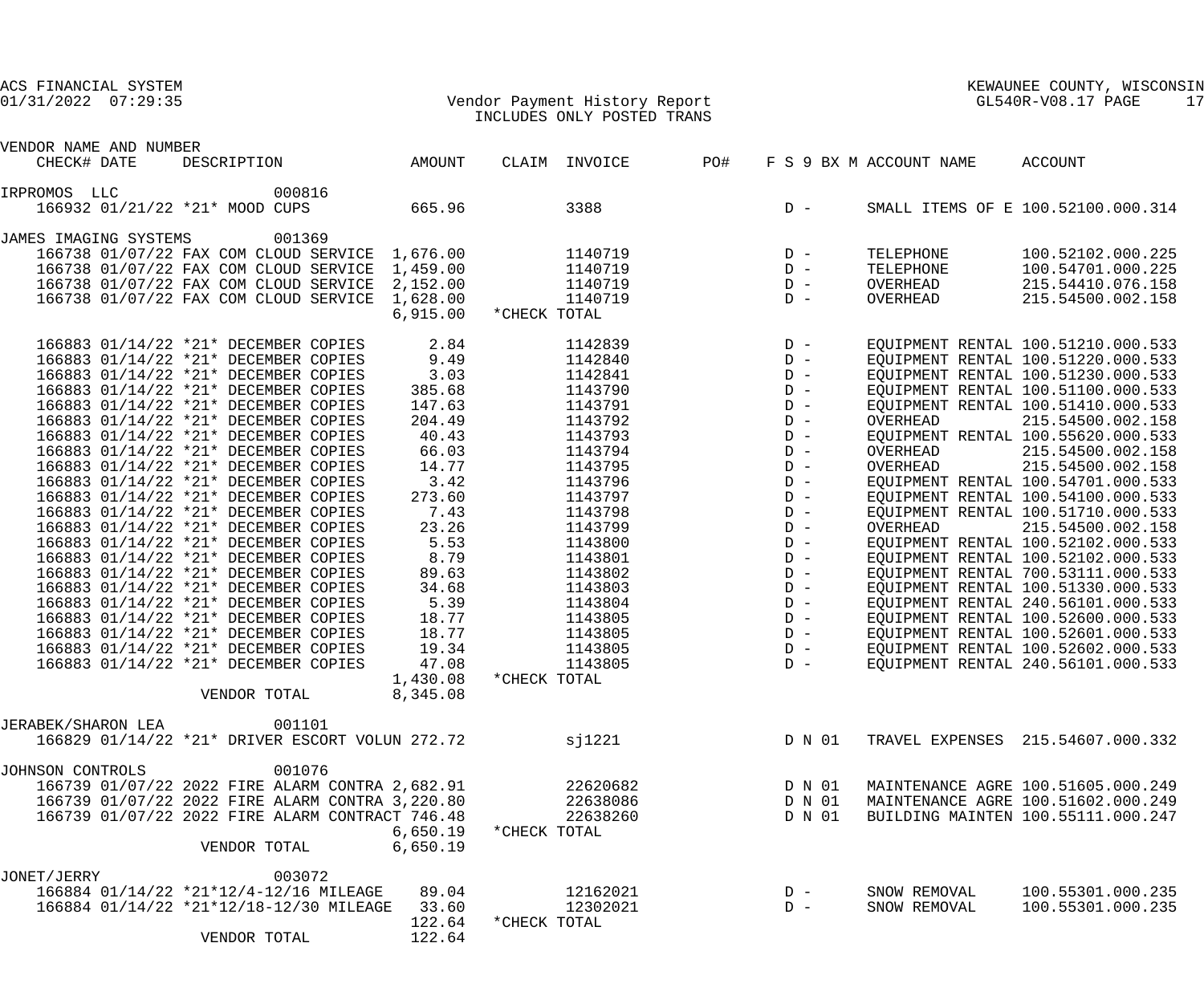### 01/31/2022 07:29:35 Vendor Payment History Report GL540R-V08.17 PAGE 17 INCLUDES ONLY POSTED TRANS

| VENDOR NAME AND NUMBER         |                                                                                   |                 |              |               |     |                |        |                         |                                        |
|--------------------------------|-----------------------------------------------------------------------------------|-----------------|--------------|---------------|-----|----------------|--------|-------------------------|----------------------------------------|
| CHECK# DATE                    | DESCRIPTION                                                                       | AMOUNT          |              | CLAIM INVOICE | PO# |                |        | F S 9 BX M ACCOUNT NAME | <b>ACCOUNT</b>                         |
| IRPROMOS LLC                   | 000816                                                                            |                 |              |               |     |                |        |                         |                                        |
| 166932 01/21/22 *21* MOOD CUPS |                                                                                   | 665.96          |              | 3388          |     | $D -$          |        |                         | SMALL ITEMS OF E 100.52100.000.314     |
|                                |                                                                                   |                 |              |               |     |                |        |                         |                                        |
| JAMES IMAGING SYSTEMS          | 001369                                                                            |                 |              |               |     |                |        |                         |                                        |
|                                | 166738 01/07/22 FAX COM CLOUD SERVICE                                             | 1,676.00        |              | 1140719       |     | $D -$          |        | TELEPHONE               | 100.52102.000.225                      |
|                                | 166738 01/07/22 FAX COM CLOUD SERVICE                                             | 1,459.00        |              | 1140719       |     | $D -$          |        | TELEPHONE               | 100.54701.000.225                      |
|                                | 166738 01/07/22 FAX COM CLOUD SERVICE                                             | 2,152.00        |              | 1140719       |     | $D -$          |        | OVERHEAD                | 215.54410.076.158                      |
|                                | 166738 01/07/22 FAX COM CLOUD SERVICE                                             | 1,628.00        |              | 1140719       |     | $D -$          |        | OVERHEAD                | 215.54500.002.158                      |
|                                |                                                                                   | 6,915.00        | *CHECK TOTAL |               |     |                |        |                         |                                        |
|                                | 166883 01/14/22 *21* DECEMBER COPIES                                              | 2.84            |              | 1142839       |     | $D -$          |        |                         | EQUIPMENT RENTAL 100.51210.000.533     |
|                                | 166883 01/14/22 *21* DECEMBER COPIES                                              | 9.49            |              | 1142840       |     | $D -$          |        |                         | EQUIPMENT RENTAL 100.51220.000.533     |
|                                | 166883 01/14/22 *21* DECEMBER COPIES                                              | 3.03            |              | 1142841       |     | $D -$          |        |                         | EQUIPMENT RENTAL 100.51230.000.533     |
|                                | 166883 01/14/22 *21* DECEMBER COPIES                                              | 385.68          |              | 1143790       |     | $D -$          |        |                         | EQUIPMENT RENTAL 100.51100.000.533     |
|                                | 166883 01/14/22 *21* DECEMBER COPIES                                              | 147.63          |              | 1143791       |     | $D -$          |        |                         | EQUIPMENT RENTAL 100.51410.000.533     |
|                                | 166883 01/14/22 *21* DECEMBER COPIES                                              | 204.49          |              | 1143792       |     | $D -$          |        | OVERHEAD                | 215.54500.002.158                      |
|                                | 166883 01/14/22 *21* DECEMBER COPIES                                              | 40.43           |              | 1143793       |     | $D -$          |        |                         | EQUIPMENT RENTAL 100.55620.000.533     |
|                                | 166883 01/14/22 *21* DECEMBER COPIES                                              | 66.03           |              | 1143794       |     | $D -$          |        | OVERHEAD                | 215.54500.002.158                      |
|                                | 166883 01/14/22 *21* DECEMBER COPIES                                              | 14.77           |              | 1143795       |     | $D -$          |        | OVERHEAD                | 215.54500.002.158                      |
|                                | 166883 01/14/22 *21* DECEMBER COPIES                                              | 3.42            |              | 1143796       |     | $D -$          |        |                         | EQUIPMENT RENTAL 100.54701.000.533     |
|                                | 166883 01/14/22 *21* DECEMBER COPIES                                              | 273.60          |              | 1143797       |     | $D -$          |        |                         | EQUIPMENT RENTAL 100.54100.000.533     |
|                                | 166883 01/14/22 *21* DECEMBER COPIES                                              | 7.43            |              | 1143798       |     | $D -$          |        |                         | EQUIPMENT RENTAL 100.51710.000.533     |
|                                | 166883 01/14/22 *21* DECEMBER COPIES                                              | 23.26           |              | 1143799       |     | $D -$          |        | OVERHEAD                | 215.54500.002.158                      |
|                                | 166883 01/14/22 *21* DECEMBER COPIES                                              | 5.53            |              | 1143800       |     | $D -$          |        |                         | EQUIPMENT RENTAL 100.52102.000.533     |
|                                | 166883 01/14/22 *21* DECEMBER COPIES                                              | 8.79            |              | 1143801       |     | $D -$          |        |                         | EQUIPMENT RENTAL 100.52102.000.533     |
|                                | 166883 01/14/22 *21* DECEMBER COPIES                                              | 89.63           |              | 1143802       |     | $D -$          |        |                         | EQUIPMENT RENTAL 700.53111.000.533     |
|                                | 166883 01/14/22 *21* DECEMBER COPIES                                              | 34.68           |              | 1143803       |     | $D -$          |        |                         | EQUIPMENT RENTAL 100.51330.000.533     |
|                                | 166883 01/14/22 *21* DECEMBER COPIES                                              | 5.39            |              | 1143804       |     | $D -$          |        |                         | EQUIPMENT RENTAL 240.56101.000.533     |
|                                | 166883 01/14/22 *21* DECEMBER COPIES                                              | 18.77           |              | 1143805       |     | $D -$          |        |                         | EQUIPMENT RENTAL 100.52600.000.533     |
|                                | 166883 01/14/22 *21* DECEMBER COPIES                                              | 18.77           |              | 1143805       |     | $D -$          |        |                         | EQUIPMENT RENTAL 100.52601.000.533     |
|                                | 166883 01/14/22 *21* DECEMBER COPIES                                              | 19.34           |              | 1143805       |     | $D -$          |        |                         | EQUIPMENT RENTAL 100.52602.000.533     |
|                                | 166883 01/14/22 *21* DECEMBER COPIES                                              | 47.08           |              | 1143805       |     | $D -$          |        |                         | EQUIPMENT RENTAL 240.56101.000.533     |
|                                |                                                                                   | 1,430.08        | *CHECK TOTAL |               |     |                |        |                         |                                        |
|                                | VENDOR TOTAL                                                                      | 8,345.08        |              |               |     |                |        |                         |                                        |
|                                |                                                                                   |                 |              |               |     |                |        |                         |                                        |
| JERABEK/SHARON LEA             | 001101                                                                            |                 |              |               |     |                |        |                         |                                        |
|                                | 166829 01/14/22 *21* DRIVER ESCORT VOLUN 272.72                                   |                 |              | s1221         |     |                | D N 01 |                         | TRAVEL EXPENSES 215.54607.000.332      |
| JOHNSON CONTROLS               | 001076                                                                            |                 |              |               |     |                |        |                         |                                        |
|                                | 166739 01/07/22 2022 FIRE ALARM CONTRA 2,682.91                                   |                 |              | 22620682      |     |                | D N 01 |                         | MAINTENANCE AGRE 100.51605.000.249     |
|                                | 166739 01/07/22 2022 FIRE ALARM CONTRA 3,220.80                                   |                 |              | 22638086      |     |                | D N 01 |                         | MAINTENANCE AGRE 100.51602.000.249     |
|                                | 166739 01/07/22 2022 FIRE ALARM CONTRACT 746.48                                   |                 |              | 22638260      |     |                | D N 01 |                         | BUILDING MAINTEN 100.55111.000.247     |
|                                |                                                                                   | 6,650.19        | *CHECK TOTAL |               |     |                |        |                         |                                        |
|                                | VENDOR TOTAL                                                                      | 6,650.19        |              |               |     |                |        |                         |                                        |
|                                |                                                                                   |                 |              |               |     |                |        |                         |                                        |
| JONET/JERRY                    | 003072                                                                            |                 |              | 12162021      |     |                |        |                         |                                        |
|                                | 166884 01/14/22 *21*12/4-12/16 MILEAGE<br>166884 01/14/22 *21*12/18-12/30 MILEAGE | 89.04           |              | 12302021      |     | $D -$<br>$D -$ |        | SNOW REMOVAL            | 100.55301.000.235<br>100.55301.000.235 |
|                                |                                                                                   | 33.60<br>122.64 | *CHECK TOTAL |               |     |                |        | SNOW REMOVAL            |                                        |
|                                | VENDOR TOTAL                                                                      | 122.64          |              |               |     |                |        |                         |                                        |
|                                |                                                                                   |                 |              |               |     |                |        |                         |                                        |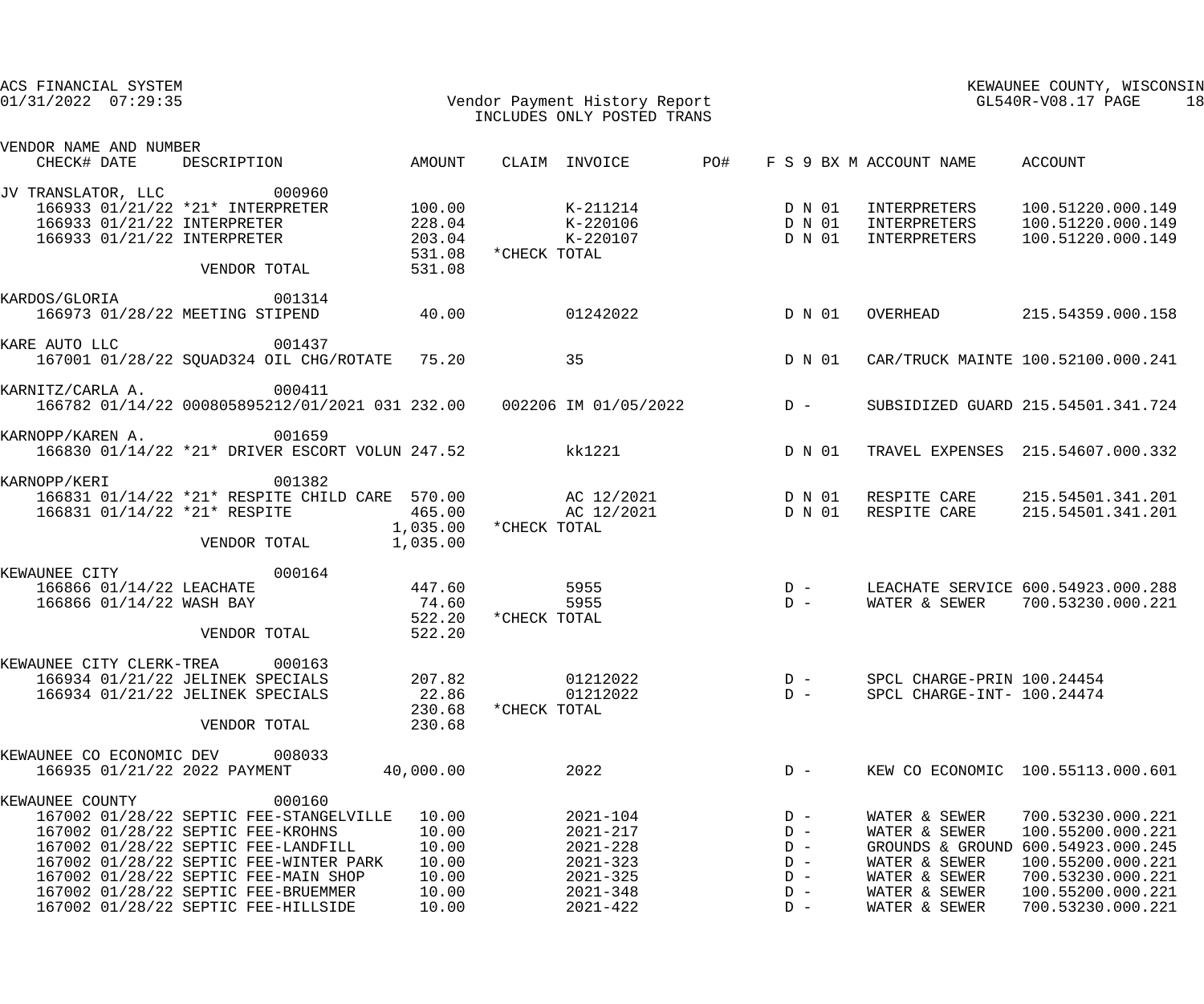| ACS FINANCIAL SYSTEM<br>Vendor Payment History Report<br>$01/31/2022$ $07:29:35$ |  |                                                                                           |                       |              | INCLUDES ONLY POSTED TRANS |     | KEWAUNEE COUNTY, WISCONSIN<br>KEWAUNEE COUNTY, WIS<br>GL540R-V08.17 PAGE<br>18 |                                 |                                                     |  |  |
|----------------------------------------------------------------------------------|--|-------------------------------------------------------------------------------------------|-----------------------|--------------|----------------------------|-----|--------------------------------------------------------------------------------|---------------------------------|-----------------------------------------------------|--|--|
| VENDOR NAME AND NUMBER<br>CHECK# DATE                                            |  | DESCRIPTION AMOUNT                                                                        |                       |              | CLAIM INVOICE              | PO# |                                                                                | F S 9 BX M ACCOUNT NAME ACCOUNT |                                                     |  |  |
|                                                                                  |  | JV TRANSLATOR, LLC 000960                                                                 |                       |              |                            |     |                                                                                |                                 |                                                     |  |  |
|                                                                                  |  | 166933 01/21/22 *21* INTERPRETER                                                          | 100.00                |              | $K-211214$                 |     | D N 01                                                                         | INTERPRETERS                    | 100.51220.000.149                                   |  |  |
|                                                                                  |  | 166933 01/21/22 INTERPRETER 228.04<br>166933 01/21/22 INTERPRETER 228.04<br>203.04 203.04 |                       |              | K-220106 D N 01            |     |                                                                                |                                 | INTERPRETERS 100.51220.000.149                      |  |  |
|                                                                                  |  |                                                                                           |                       |              | K-220107 D N 01            |     |                                                                                | INTERPRETERS                    | 100.51220.000.149                                   |  |  |
|                                                                                  |  | VENDOR TOTAL                                                                              | 531.08<br>531.08      | *CHECK TOTAL |                            |     |                                                                                |                                 |                                                     |  |  |
| KARDOS/GLORIA                                                                    |  | 001314                                                                                    |                       |              |                            |     |                                                                                |                                 |                                                     |  |  |
|                                                                                  |  | 166973 01/28/22 MEETING STIPEND                                                           | 40.00                 |              | 01242022                   |     | D N 01                                                                         | OVERHEAD                        | 215.54359.000.158                                   |  |  |
| KARE AUTO LLC                                                                    |  | 001437                                                                                    |                       |              |                            |     |                                                                                |                                 |                                                     |  |  |
|                                                                                  |  | 167001 01/28/22 SQUAD324 OIL CHG/ROTATE 75.20                                             |                       | 35           |                            |     | D N 01                                                                         |                                 | CAR/TRUCK MAINTE 100.52100.000.241                  |  |  |
| KARNITZ/CARLA A.                                                                 |  | 000411                                                                                    |                       |              |                            |     |                                                                                |                                 |                                                     |  |  |
|                                                                                  |  | 166782 01/14/22 000805895212/01/2021 031 232.00  002206 IM 01/05/2022  D -                |                       |              |                            |     |                                                                                |                                 | SUBSIDIZED GUARD 215.54501.341.724                  |  |  |
| KARNOPP/KAREN A.                                                                 |  | 001659<br>166830 01/14/22 *21* DRIVER ESCORT VOLUN 247.52                                 |                       |              | kk1221                     |     | D N 01                                                                         |                                 | TRAVEL EXPENSES 215.54607.000.332                   |  |  |
| KARNOPP/KERI                                                                     |  | 001382                                                                                    |                       |              |                            |     |                                                                                |                                 |                                                     |  |  |
|                                                                                  |  | 166831 01/14/22 *21* RESPITE CHILD CARE 570.00                                            |                       |              |                            |     |                                                                                |                                 | AC 12/2021  D N 01  RESPITE CARE  215.54501.341.201 |  |  |
|                                                                                  |  | 166831 01/14/22 *21* RESPITE                                                              | 465.00                |              | AC 12/2021 D N 01          |     |                                                                                | RESPITE CARE                    | 215.54501.341.201                                   |  |  |
|                                                                                  |  |                                                                                           | 1,035.00 *CHECK TOTAL |              |                            |     |                                                                                |                                 |                                                     |  |  |
|                                                                                  |  | VENDOR TOTAL                                                                              | 1,035.00              |              |                            |     |                                                                                |                                 |                                                     |  |  |
| KEWAUNEE CITY                                                                    |  | 000164                                                                                    |                       |              |                            |     |                                                                                |                                 |                                                     |  |  |
|                                                                                  |  | 166866 01/14/22 LEACHATE                                                                  | 447.60                |              | 5955                       |     | $\begin{array}{c}\nD \\ D\n\end{array}$                                        |                                 | LEACHATE SERVICE 600.54923.000.288                  |  |  |
|                                                                                  |  | 166866 01/14/22 WASH BAY                                                                  | 74.60                 | *CHECK TOTAL | 5955                       |     |                                                                                |                                 | WATER & SEWER 700.53230.000.221                     |  |  |
|                                                                                  |  | VENDOR TOTAL                                                                              | 522.20<br>522.20      |              |                            |     |                                                                                |                                 |                                                     |  |  |
| KEWAUNEE CITY CLERK-TREA                                                         |  | 000163                                                                                    |                       |              |                            |     |                                                                                |                                 |                                                     |  |  |
|                                                                                  |  | 166934 01/21/22 JELINEK SPECIALS                                                          | 207.82                |              | 01212022                   |     | $D -$                                                                          | SPCL CHARGE-PRIN 100.24454      |                                                     |  |  |
|                                                                                  |  | 166934 01/21/22 JELINEK SPECIALS                                                          | 22.86                 |              | 01212022                   |     | $D -$                                                                          | SPCL CHARGE-INT- 100.24474      |                                                     |  |  |
|                                                                                  |  |                                                                                           | 230.68                | *CHECK TOTAL |                            |     |                                                                                |                                 |                                                     |  |  |
|                                                                                  |  | VENDOR TOTAL                                                                              | 230.68                |              |                            |     |                                                                                |                                 |                                                     |  |  |
|                                                                                  |  | KEWAUNEE CO ECONOMIC DEV 008033                                                           |                       |              |                            |     |                                                                                |                                 |                                                     |  |  |
|                                                                                  |  | 166935 01/21/22 2022 PAYMENT                                                              | 40,000.00             |              | 2022                       |     | $D -$                                                                          |                                 | KEW CO ECONOMIC 100.55113.000.601                   |  |  |
| KEWAUNEE COUNTY                                                                  |  | 000160<br>167002 01/28/22 SEPTIC FEE-STANGELVILLE                                         | 10.00                 |              | $2021 - 104$               |     | $D -$                                                                          |                                 | 700.53230.000.221                                   |  |  |
|                                                                                  |  | 167002 01/28/22 SEPTIC FEE-KROHNS                                                         | 10.00                 |              | $2021 - 217$               |     | $D -$                                                                          | WATER & SEWER<br>WATER & SEWER  | 100.55200.000.221                                   |  |  |
|                                                                                  |  | 167002 01/28/22 SEPTIC FEE-LANDFILL                                                       | 10.00                 |              | $2021 - 228$               |     | $D -$                                                                          |                                 | GROUNDS & GROUND 600.54923.000.245                  |  |  |
|                                                                                  |  | 167002 01/28/22 SEPTIC FEE-WINTER PARK                                                    | 10.00                 |              | $2021 - 323$               |     | $D -$                                                                          | WATER & SEWER                   | 100.55200.000.221                                   |  |  |
|                                                                                  |  | 167002 01/28/22 SEPTIC FEE-MAIN SHOP                                                      | 10.00                 |              | $2021 - 325$               |     | $D -$                                                                          | WATER & SEWER                   | 700.53230.000.221                                   |  |  |
|                                                                                  |  | 167002 01/28/22 SEPTIC FEE-BRUEMMER                                                       | 10.00                 |              | $2021 - 348$               |     | $D -$                                                                          | WATER & SEWER                   | 100.55200.000.221                                   |  |  |
|                                                                                  |  | 167002 01/28/22 SEPTIC FEE-HILLSIDE                                                       | 10.00                 |              | $2021 - 422$               |     | $D -$                                                                          | WATER & SEWER                   | 700.53230.000.221                                   |  |  |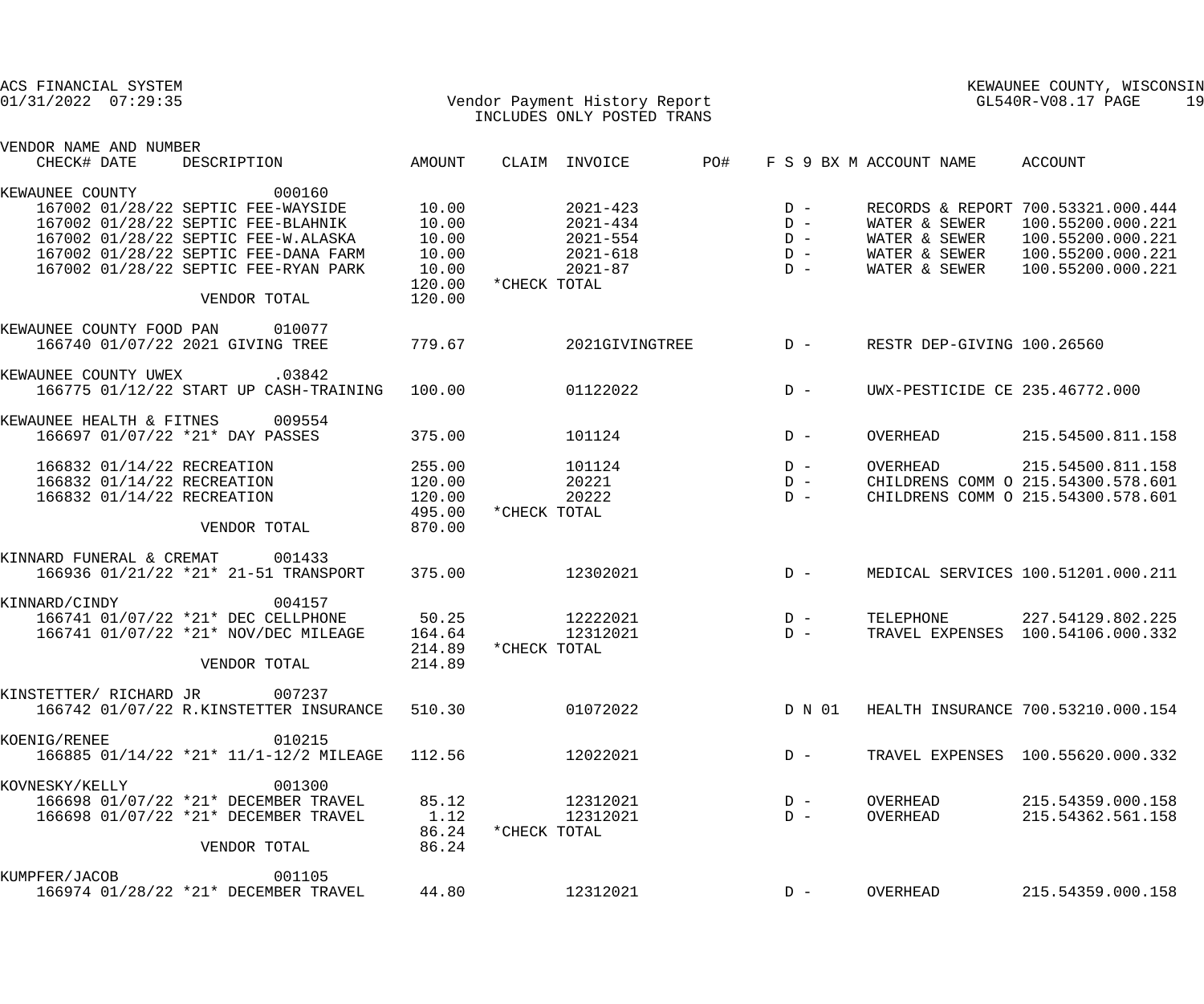| ACS FINANCIAL SYSTEM<br>01/31/2022 07:29:35                                                                                                                                          |                                      |              | Vendor Payment History Report<br>INCLUDES ONLY POSTED TRANS  |     | KEWAUNEE COUNTY, WISCONSIN<br>GL540R-V08.17 PAGE |                                                 |                                                                                                   |  |  |
|--------------------------------------------------------------------------------------------------------------------------------------------------------------------------------------|--------------------------------------|--------------|--------------------------------------------------------------|-----|--------------------------------------------------|-------------------------------------------------|---------------------------------------------------------------------------------------------------|--|--|
| VENDOR NAME AND NUMBER<br>CHECK# DATE<br>DESCRIPTION                                                                                                                                 | AMOUNT                               |              | CLAIM INVOICE                                                | PO# |                                                  | F S 9 BX M ACCOUNT NAME                         | ACCOUNT                                                                                           |  |  |
| KEWAUNEE COUNTY<br>000160<br>167002 01/28/22 SEPTIC FEE-WAYSIDE<br>167002 01/28/22 SEPTIC FEE-BLAHNIK<br>167002 01/28/22 SEPTIC FEE-W.ALASKA<br>167002 01/28/22 SEPTIC FEE-DANA FARM | 10.00<br>10.00<br>10.00<br>10.00     |              | $2021 - 423$<br>$2021 - 434$<br>$2021 - 554$<br>$2021 - 618$ |     | $D -$<br>$D -$<br>$D -$<br>$D -$                 | WATER & SEWER<br>WATER & SEWER<br>WATER & SEWER | RECORDS & REPORT 700.53321.000.444<br>100.55200.000.221<br>100.55200.000.221<br>100.55200.000.221 |  |  |
| 167002 01/28/22 SEPTIC FEE-RYAN PARK<br>VENDOR TOTAL                                                                                                                                 | 10.00<br>120.00<br>120.00            | *CHECK TOTAL | $2021 - 87$                                                  |     | $D -$                                            | WATER & SEWER                                   | 100.55200.000.221                                                                                 |  |  |
| KEWAUNEE COUNTY FOOD PAN<br>010077<br>166740 01/07/22 2021 GIVING TREE                                                                                                               | 779.67                               |              | 2021GIVINGTREE                                               |     | $D -$                                            | RESTR DEP-GIVING 100.26560                      |                                                                                                   |  |  |
| KEWAUNEE COUNTY UWEX<br>.03842<br>166775 01/12/22 START UP CASH-TRAINING                                                                                                             | 100.00                               |              | 01122022                                                     |     | $D -$                                            | UWX-PESTICIDE CE 235.46772.000                  |                                                                                                   |  |  |
| KEWAUNEE HEALTH & FITNES<br>009554<br>166697 01/07/22 *21* DAY PASSES                                                                                                                | 375.00                               |              | 101124                                                       |     | $D -$                                            | OVERHEAD                                        | 215.54500.811.158                                                                                 |  |  |
| 166832 01/14/22 RECREATION<br>166832 01/14/22 RECREATION<br>166832 01/14/22 RECREATION                                                                                               | 255.00<br>120.00<br>120.00<br>495.00 | *CHECK TOTAL | 101124<br>20221<br>20222                                     |     | $D -$<br>$D -$<br>$D -$                          | OVERHEAD                                        | 215.54500.811.158<br>CHILDRENS COMM O 215.54300.578.601<br>CHILDRENS COMM O 215.54300.578.601     |  |  |
| VENDOR TOTAL<br>KINNARD FUNERAL & CREMAT<br>001433<br>166936 01/21/22 *21* 21-51 TRANSPORT                                                                                           | 870.00<br>375.00                     |              | 12302021                                                     |     | $D -$                                            |                                                 | MEDICAL SERVICES 100.51201.000.211                                                                |  |  |
| KINNARD/CINDY<br>004157<br>166741 01/07/22 *21* DEC CELLPHONE<br>166741 01/07/22 *21* NOV/DEC MILEAGE                                                                                | 50.25<br>164.64<br>214.89            | *CHECK TOTAL | 12222021<br>12312021                                         |     | $D -$<br>$D -$                                   | TELEPHONE                                       | 227.54129.802.225<br>TRAVEL EXPENSES 100.54106.000.332                                            |  |  |
| VENDOR TOTAL<br>KINSTETTER/ RICHARD JR 007237                                                                                                                                        | 214.89                               |              |                                                              |     |                                                  |                                                 |                                                                                                   |  |  |
| 166742 01/07/22 R.KINSTETTER INSURANCE                                                                                                                                               | 510.30                               |              | 01072022                                                     |     | D N 01                                           |                                                 | HEALTH INSURANCE 700.53210.000.154                                                                |  |  |
| KOENIG/RENEE<br>010215<br>166885 01/14/22 *21* 11/1-12/2 MILEAGE                                                                                                                     | 112.56                               |              | 12022021                                                     |     | $D -$                                            |                                                 | TRAVEL EXPENSES 100.55620.000.332                                                                 |  |  |
| 001300<br>KOVNESKY/KELLY<br>166698 01/07/22 *21* DECEMBER TRAVEL<br>166698 01/07/22 *21* DECEMBER TRAVEL<br>VENDOR TOTAL                                                             | 85.12<br>1.12<br>86.24<br>86.24      | *CHECK TOTAL | 12312021<br>12312021                                         |     | $D -$<br>$D -$                                   | OVERHEAD<br>OVERHEAD                            | 215.54359.000.158<br>215.54362.561.158                                                            |  |  |
| 001105<br>KUMPFER/JACOB<br>166974 01/28/22 *21* DECEMBER TRAVEL                                                                                                                      | 44.80                                |              | 12312021                                                     |     | $D -$                                            | OVERHEAD                                        | 215.54359.000.158                                                                                 |  |  |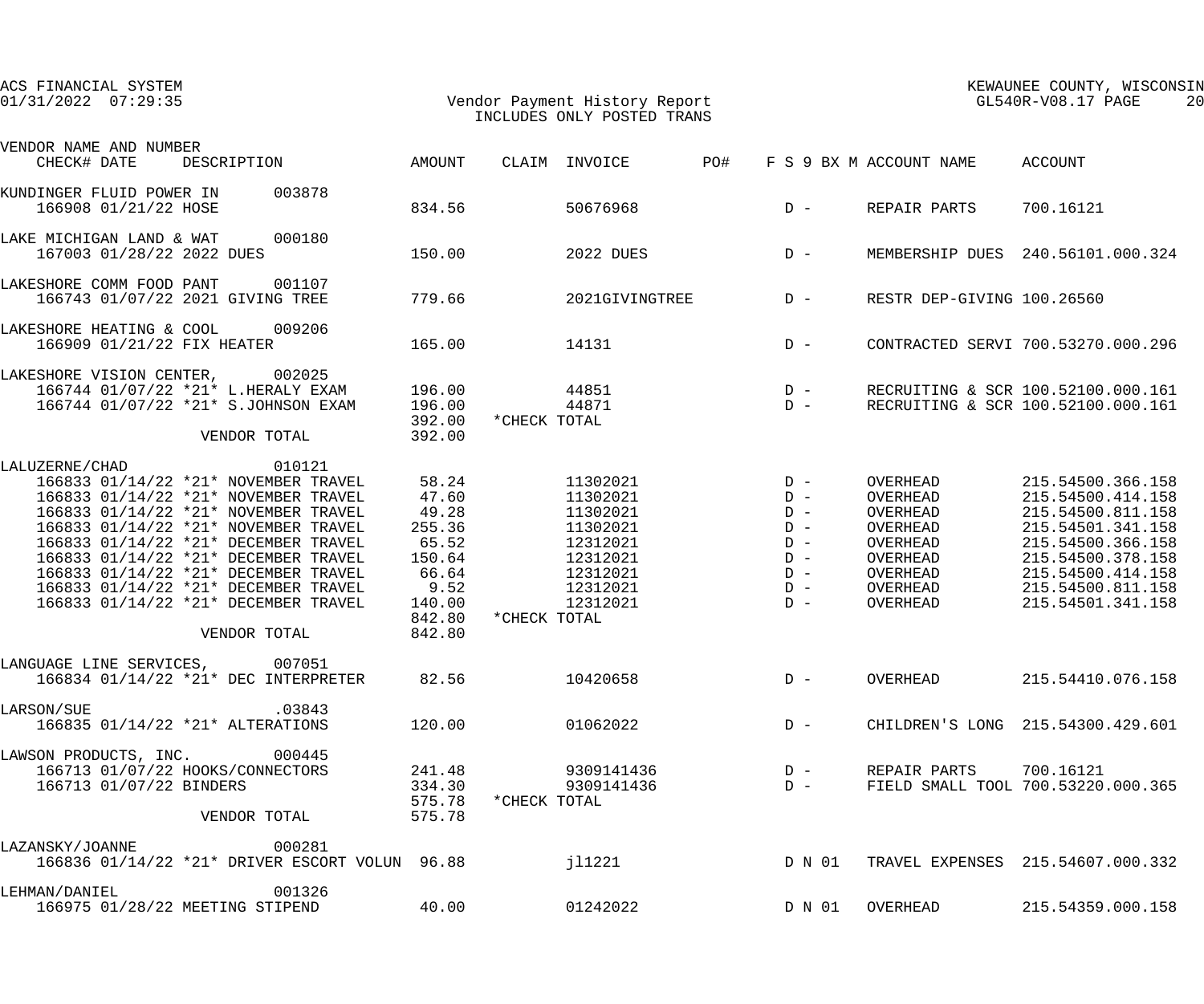| ACS FINANCIAL SYSTEM<br>$01/31/2022$ $07:29:35$                                                                                                                                                                                                                                                                                                                                                                  |                                                                                                     | Vendor Payment History Report<br>INCLUDES ONLY POSTED TRANS                                                              |                                                                               | KEWAUNEE COUNTY, WISCONSIN<br>GL540R-V08.17 PAGE<br>20                                                   |                                                                                                                                                                                           |  |
|------------------------------------------------------------------------------------------------------------------------------------------------------------------------------------------------------------------------------------------------------------------------------------------------------------------------------------------------------------------------------------------------------------------|-----------------------------------------------------------------------------------------------------|--------------------------------------------------------------------------------------------------------------------------|-------------------------------------------------------------------------------|----------------------------------------------------------------------------------------------------------|-------------------------------------------------------------------------------------------------------------------------------------------------------------------------------------------|--|
| VENDOR NAME AND NUMBER                                                                                                                                                                                                                                                                                                                                                                                           |                                                                                                     |                                                                                                                          |                                                                               |                                                                                                          |                                                                                                                                                                                           |  |
| AMOUNT<br>CHECK# DATE<br>DESCRIPTION                                                                                                                                                                                                                                                                                                                                                                             |                                                                                                     | CLAIM INVOICE                                                                                                            | PO#                                                                           | F S 9 BX M ACCOUNT NAME                                                                                  | ACCOUNT                                                                                                                                                                                   |  |
| 003878<br>KUNDINGER FLUID POWER IN<br>166908 01/21/22 HOSE                                                                                                                                                                                                                                                                                                                                                       | 834.56                                                                                              | 50676968                                                                                                                 | $D -$                                                                         | REPAIR PARTS                                                                                             | 700.16121                                                                                                                                                                                 |  |
| 000180<br>LAKE MICHIGAN LAND & WAT<br>167003 01/28/22 2022 DUES                                                                                                                                                                                                                                                                                                                                                  | 150.00                                                                                              | 2022 DUES                                                                                                                | $D -$                                                                         |                                                                                                          | MEMBERSHIP DUES 240.56101.000.324                                                                                                                                                         |  |
| LAKESHORE COMM FOOD PANT 001107<br>166743 01/07/22 2021 GIVING TREE                                                                                                                                                                                                                                                                                                                                              | 779.66                                                                                              | 2021GIVINGTREE                                                                                                           | $D -$                                                                         | RESTR DEP-GIVING 100.26560                                                                               |                                                                                                                                                                                           |  |
| 009206<br>LAKESHORE HEATING & COOL<br>166909 01/21/22 FIX HEATER                                                                                                                                                                                                                                                                                                                                                 | 165.00                                                                                              | 14131                                                                                                                    | $D -$                                                                         |                                                                                                          | CONTRACTED SERVI 700.53270.000.296                                                                                                                                                        |  |
| 002025<br>LAKESHORE VISION CENTER,<br>166744 01/07/22 *21* L.HERALY EXAM<br>166744 01/07/22 *21* S.JOHNSON EXAM<br>VENDOR TOTAL                                                                                                                                                                                                                                                                                  | 196.00<br>196.00<br>392.00<br>392.00                                                                | 44851<br>44871<br>*CHECK TOTAL                                                                                           | $\begin{array}{cc}\nD & - \\ D & -\n\end{array}$                              |                                                                                                          | RECRUITING & SCR 100.52100.000.161<br>RECRUITING & SCR 100.52100.000.161                                                                                                                  |  |
| 010121<br>LALUZERNE/CHAD<br>166833 01/14/22 *21* NOVEMBER TRAVEL<br>166833 01/14/22 *21* NOVEMBER TRAVEL<br>166833 01/14/22 *21* NOVEMBER TRAVEL<br>166833 01/14/22 *21* NOVEMBER TRAVEL<br>166833 01/14/22 *21* DECEMBER TRAVEL<br>166833 01/14/22 *21* DECEMBER TRAVEL<br>166833 01/14/22 *21* DECEMBER TRAVEL<br>166833 01/14/22 *21* DECEMBER TRAVEL<br>166833 01/14/22 *21* DECEMBER TRAVEL<br>VENDOR TOTAL | 58.24<br>47.60<br>49.28<br>255.36<br>65.52<br>150.64<br>66.64<br>9.52<br>140.00<br>842.80<br>842.80 | 11302021<br>11302021<br>11302021<br>11302021<br>12312021<br>12312021<br>12312021<br>12312021<br>12312021<br>*CHECK TOTAL | $D -$<br>$D -$<br>$D -$<br>$D -$<br>$D -$<br>$D -$<br>$D -$<br>$D -$<br>$D -$ | OVERHEAD<br>OVERHEAD<br>OVERHEAD<br>OVERHEAD<br>OVERHEAD<br>OVERHEAD<br>OVERHEAD<br>OVERHEAD<br>OVERHEAD | 215.54500.366.158<br>215.54500.414.158<br>215.54500.811.158<br>215.54501.341.158<br>215.54500.366.158<br>215.54500.378.158<br>215.54500.414.158<br>215.54500.811.158<br>215.54501.341.158 |  |
| LANGUAGE LINE SERVICES, 007051<br>166834 01/14/22 *21* DEC INTERPRETER                                                                                                                                                                                                                                                                                                                                           | 82.56                                                                                               | 10420658                                                                                                                 | $D -$                                                                         | OVERHEAD                                                                                                 | 215.54410.076.158                                                                                                                                                                         |  |
| .03843<br>LARSON/SUE<br>166835 01/14/22 *21* ALTERATIONS                                                                                                                                                                                                                                                                                                                                                         | 120.00                                                                                              | 01062022                                                                                                                 | $D -$                                                                         |                                                                                                          | CHILDREN'S LONG 215.54300.429.601                                                                                                                                                         |  |
| LAWSON PRODUCTS, INC. 000445<br>166713 01/07/22 HOOKS/CONNECTORS<br>166713 01/07/22 BINDERS<br>VENDOR TOTAL                                                                                                                                                                                                                                                                                                      | 241.48<br>334.30<br>575.78                                                                          | 9309141436<br>9309141436<br>575.78 * CHECK TOTAL                                                                         | $D -$<br>$D -$                                                                | REPAIR PARTS 700.16121                                                                                   | FIELD SMALL TOOL 700.53220.000.365                                                                                                                                                        |  |
| 000281<br>LAZANSKY/JOANNE<br>166836 01/14/22 *21* DRIVER ESCORT VOLUN 96.88                                                                                                                                                                                                                                                                                                                                      |                                                                                                     | j11221                                                                                                                   |                                                                               |                                                                                                          | D N 01 TRAVEL EXPENSES 215.54607.000.332                                                                                                                                                  |  |
| 001326<br>LEHMAN/DANIEL<br>166975 01/28/22 MEETING STIPEND                                                                                                                                                                                                                                                                                                                                                       | 40.00                                                                                               | 01242022                                                                                                                 | D N 01                                                                        | OVERHEAD                                                                                                 | 215.54359.000.158                                                                                                                                                                         |  |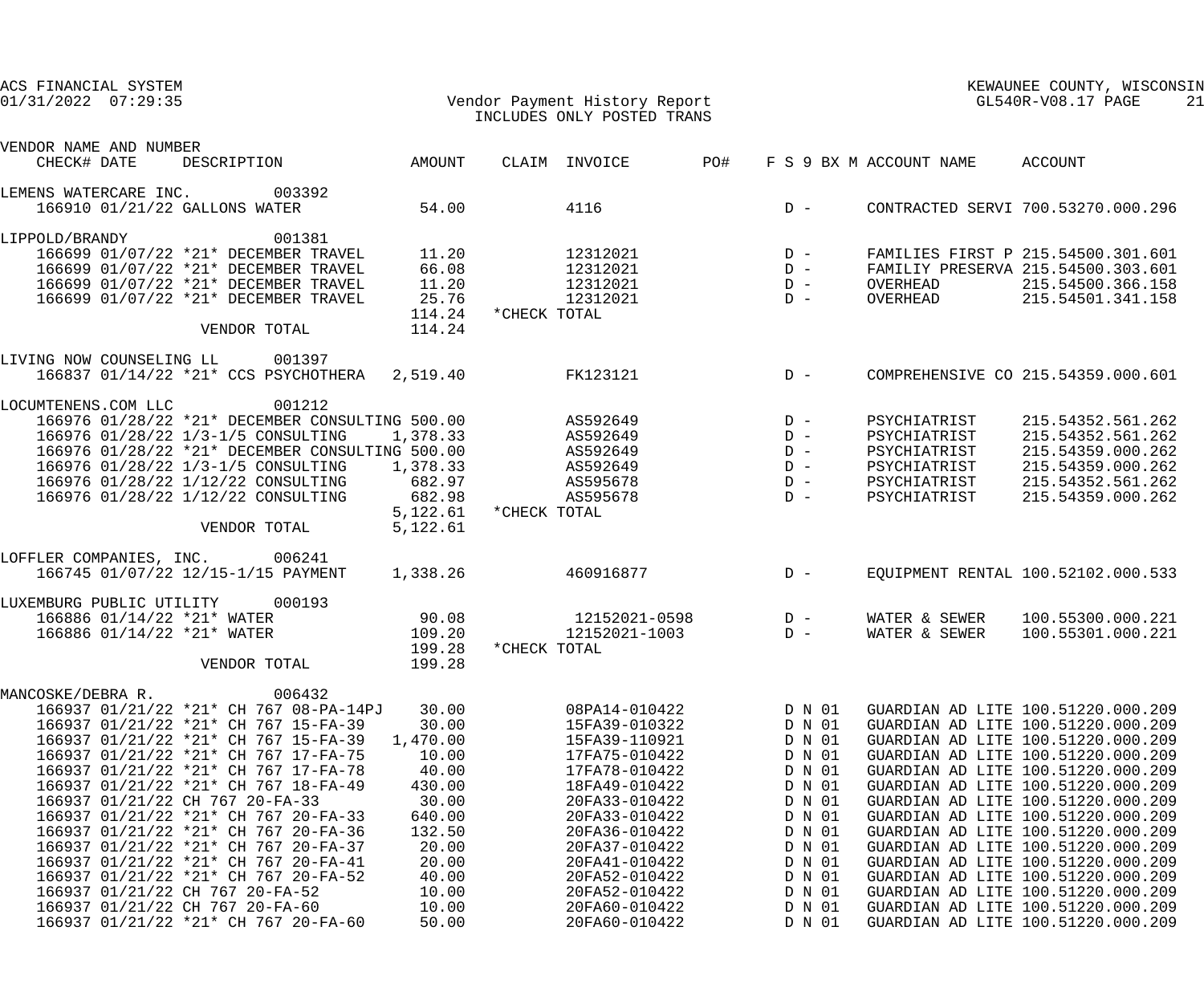| ACS FINANCIAL SYSTEM<br>$01/31/2022$ $07:29:35$ |                                                                              |                      | Vendor Payment History Report<br>INCLUDES ONLY POSTED TRANS |       |                  | GL540R-V08.17 PAGE              | KEWAUNEE COUNTY, WISCONSIN                                               | 21 |
|-------------------------------------------------|------------------------------------------------------------------------------|----------------------|-------------------------------------------------------------|-------|------------------|---------------------------------|--------------------------------------------------------------------------|----|
| VENDOR NAME AND NUMBER<br>CHECK# DATE           | DESCRIPTION AMOUNT                                                           |                      | CLAIM INVOICE                                               | PO#   |                  | F S 9 BX M ACCOUNT NAME ACCOUNT |                                                                          |    |
| LEMENS WATERCARE INC.                           | 003392                                                                       |                      |                                                             |       |                  |                                 |                                                                          |    |
| 166910 01/21/22 GALLONS WATER                   |                                                                              | 54.00                | 4116                                                        |       | $D -$            |                                 | CONTRACTED SERVI 700.53270.000.296                                       |    |
| LIPPOLD/BRANDY                                  | 001381                                                                       |                      |                                                             |       |                  |                                 |                                                                          |    |
|                                                 | 166699 01/07/22 *21* DECEMBER TRAVEL                                         | 11.20                | 12312021                                                    | $D -$ |                  |                                 | FAMILIES FIRST P 215.54500.301.601                                       |    |
|                                                 | 166699 01/07/22 *21* DECEMBER TRAVEL                                         | 66.08                | 12312021                                                    |       | $D -$            |                                 | FAMILIY PRESERVA 215.54500.303.601                                       |    |
|                                                 | 166699 01/07/22 *21* DECEMBER TRAVEL                                         | 11.20                | 12312021                                                    |       | $D -$            | OVERHEAD                        | 215.54500.366.158                                                        |    |
|                                                 | 166699 01/07/22 *21* DECEMBER TRAVEL                                         | 25.76                | 12312021                                                    |       | $D -$            | OVERHEAD                        | 215.54501.341.158                                                        |    |
|                                                 | VENDOR TOTAL                                                                 | 114.24<br>114.24     | *CHECK TOTAL                                                |       |                  |                                 |                                                                          |    |
| LIVING NOW COUNSELING LL 001397                 |                                                                              |                      |                                                             |       |                  |                                 |                                                                          |    |
|                                                 | 166837 01/14/22 *21* CCS PSYCHOTHERA 2,519.40                                |                      | FK123121                                                    |       | $D -$            |                                 | COMPREHENSIVE CO 215.54359.000.601                                       |    |
| LOCUMTENENS.COM LLC                             | 001212                                                                       |                      |                                                             |       |                  |                                 |                                                                          |    |
|                                                 | 166976 01/28/22 *21* DECEMBER CONSULTING 500.00                              |                      | AS592649                                                    |       | $D -$            | PSYCHIATRIST                    | 215.54352.561.262                                                        |    |
|                                                 | 166976 01/28/22 1/3-1/5 CONSULTING                                           | 1,378.33             | AS592649                                                    |       | $D -$            | PSYCHIATRIST                    | 215.54352.561.262                                                        |    |
|                                                 | 166976 01/28/22 *21* DECEMBER CONSULTING 500.00                              |                      | AS592649                                                    |       | $D -$            | PSYCHIATRIST                    | 215.54359.000.262                                                        |    |
|                                                 | 166976 01/28/22 1/3-1/5 CONSULTING                                           | 1,378.33             | AS592649                                                    |       | $D -$            | PSYCHIATRIST                    | 215.54359.000.262                                                        |    |
|                                                 | 166976 01/28/22 1/12/22 CONSULTING                                           | 682.97               | AS595678                                                    |       | $D -$            | PSYCHIATRIST                    | 215.54352.561.262                                                        |    |
|                                                 | 166976 01/28/22 1/12/22 CONSULTING                                           | 682.98               | AS595678                                                    |       | $D -$            | PSYCHIATRIST                    | 215.54359.000.262                                                        |    |
|                                                 | VENDOR TOTAL                                                                 | 5,122.61<br>5,122.61 | *CHECK TOTAL                                                |       |                  |                                 |                                                                          |    |
| LOFFLER COMPANIES, INC. 006241                  |                                                                              |                      |                                                             |       |                  |                                 |                                                                          |    |
|                                                 | 166745 01/07/22 12/15-1/15 PAYMENT                                           | 1,338.26             | 460916877                                                   |       | $D -$            |                                 | EQUIPMENT RENTAL 100.52102.000.533                                       |    |
| LUXEMBURG PUBLIC UTILITY                        | 000193                                                                       |                      |                                                             |       |                  |                                 |                                                                          |    |
| 166886 01/14/22 *21* WATER                      |                                                                              | 90.08                | $12152021 - 0598$ D -                                       |       |                  | WATER & SEWER                   | 100.55300.000.221                                                        |    |
| 166886 01/14/22 *21* WATER                      |                                                                              | 109.20               | 12152021-1003                                               |       | $D -$            | WATER & SEWER                   | 100.55301.000.221                                                        |    |
|                                                 |                                                                              | 199.28               | *CHECK TOTAL                                                |       |                  |                                 |                                                                          |    |
|                                                 | VENDOR TOTAL                                                                 | 199.28               |                                                             |       |                  |                                 |                                                                          |    |
| MANCOSKE/DEBRA R.                               | 006432                                                                       |                      |                                                             |       |                  |                                 |                                                                          |    |
|                                                 | 166937 01/21/22 *21* CH 767 08-PA-14PJ                                       | 30.00                | 08PA14-010422                                               |       | D N 01           |                                 | GUARDIAN AD LITE 100.51220.000.209                                       |    |
|                                                 | 166937 01/21/22 *21* CH 767 15-FA-39                                         | 30.00                | 15FA39-010322                                               |       | D N 01           |                                 | GUARDIAN AD LITE 100.51220.000.209                                       |    |
|                                                 | 166937 01/21/22 *21* CH 767 15-FA-39                                         | 1,470.00             | 15FA39-110921                                               |       | D N 01           |                                 | GUARDIAN AD LITE 100.51220.000.209                                       |    |
|                                                 | 166937 01/21/22 *21* CH 767 17-FA-75                                         | 10.00                | 17FA75-010422                                               |       | D N 01           |                                 | GUARDIAN AD LITE 100.51220.000.209                                       |    |
|                                                 | 166937 01/21/22 *21* CH 767 17-FA-78                                         | 40.00                | 17FA78-010422                                               |       | D N 01           |                                 | GUARDIAN AD LITE 100.51220.000.209                                       |    |
|                                                 | 166937 01/21/22 *21* CH 767 18-FA-49                                         | 430.00               | 18FA49-010422                                               |       | D N 01           |                                 | GUARDIAN AD LITE 100.51220.000.209                                       |    |
| 166937 01/21/22 CH 767 20-FA-33                 |                                                                              | 30.00                | 20FA33-010422                                               |       | D N 01           |                                 | GUARDIAN AD LITE 100.51220.000.209                                       |    |
|                                                 | 166937 01/21/22 *21* CH 767 20-FA-33<br>166937 01/21/22 *21* CH 767 20-FA-36 | 640.00               | 20FA33-010422                                               |       | D N 01           |                                 | GUARDIAN AD LITE 100.51220.000.209<br>GUARDIAN AD LITE 100.51220.000.209 |    |
|                                                 | 166937 01/21/22 *21* CH 767 20-FA-37                                         | 132.50<br>20.00      | 20FA36-010422<br>20FA37-010422                              |       | D N 01           |                                 | GUARDIAN AD LITE 100.51220.000.209                                       |    |
|                                                 | 166937 01/21/22 *21* CH 767 20-FA-41                                         | 20.00                | 20FA41-010422                                               |       | D N 01<br>D N 01 |                                 | GUARDIAN AD LITE 100.51220.000.209                                       |    |
|                                                 | 166937 01/21/22 *21* CH 767 20-FA-52                                         | 40.00                | 20FA52-010422                                               |       | D N 01           |                                 | GUARDIAN AD LITE 100.51220.000.209                                       |    |
| 166937 01/21/22 CH 767 20-FA-52                 |                                                                              | 10.00                | 20FA52-010422                                               |       | D N 01           |                                 | GUARDIAN AD LITE 100.51220.000.209                                       |    |
| 166937 01/21/22 CH 767 20-FA-60                 |                                                                              | 10.00                | 20FA60-010422                                               |       | D N 01           |                                 | GUARDIAN AD LITE 100.51220.000.209                                       |    |
|                                                 | 166937 01/21/22 *21* CH 767 20-FA-60                                         | 50.00                | 20FA60-010422                                               |       | D N 01           |                                 | GUARDIAN AD LITE 100.51220.000.209                                       |    |
|                                                 |                                                                              |                      |                                                             |       |                  |                                 |                                                                          |    |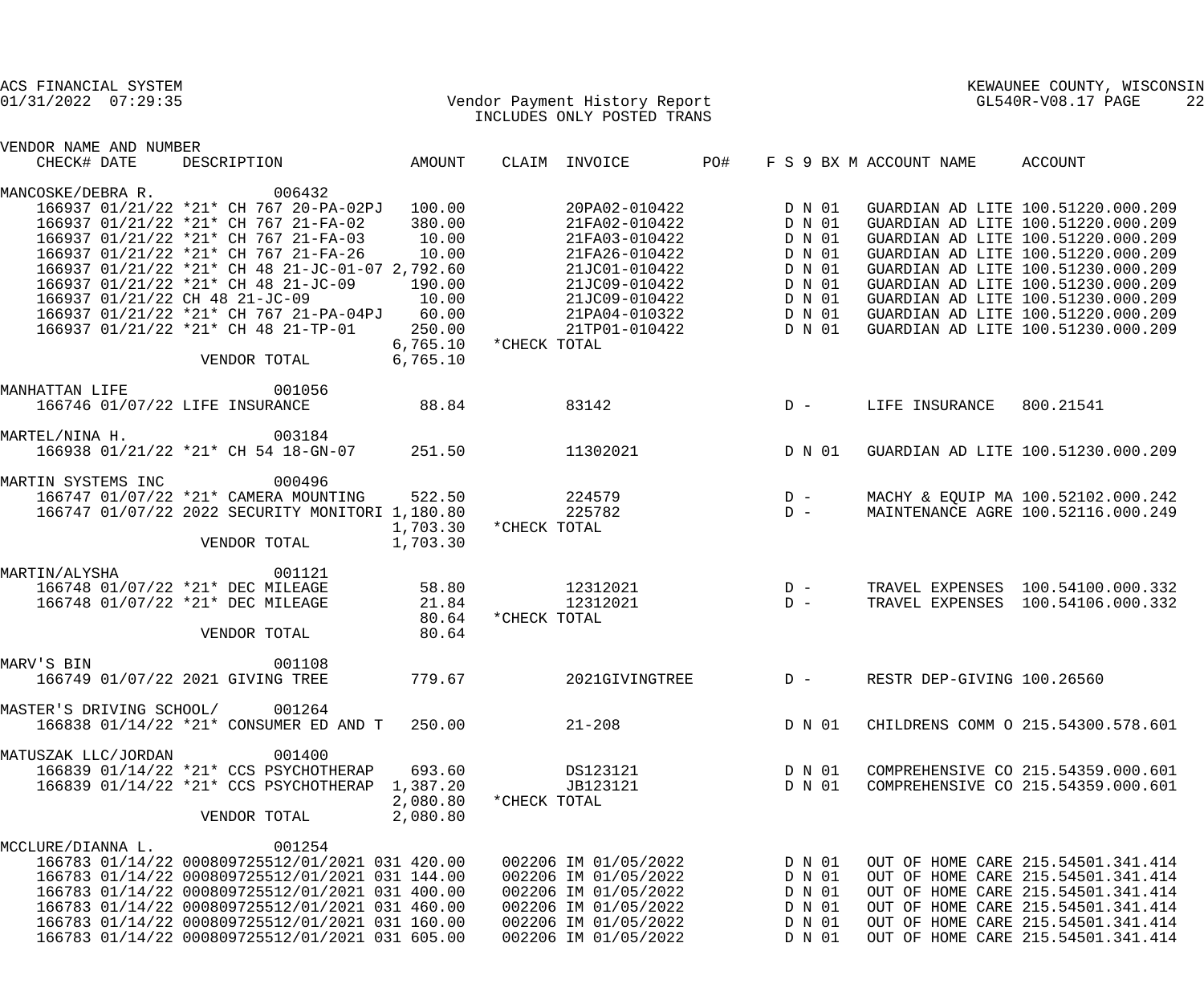| ACS FINANCIAL SYSTEM<br>$01/31/2022$ $07:29:35$                                                                                                                                                                                                                                                                                                                                                                                   |                                                                                        | Vendor Payment History Report<br>TNGLUDES ONLY POSTED TRANS<br>INCLUDES ONLY POSTED TRANS                                                                             |                                                                                        |                         | KEWAUNEE COUNTY, WISCONSIN<br>GL540R-V08.17 PAGE<br>22                                                                                                                                                                                                                                                                                             |
|-----------------------------------------------------------------------------------------------------------------------------------------------------------------------------------------------------------------------------------------------------------------------------------------------------------------------------------------------------------------------------------------------------------------------------------|----------------------------------------------------------------------------------------|-----------------------------------------------------------------------------------------------------------------------------------------------------------------------|----------------------------------------------------------------------------------------|-------------------------|----------------------------------------------------------------------------------------------------------------------------------------------------------------------------------------------------------------------------------------------------------------------------------------------------------------------------------------------------|
| VENDOR NAME AND NUMBER<br>CHECK# DATE<br>DESCRIPTION                                                                                                                                                                                                                                                                                                                                                                              | AMOUNT                                                                                 | CLAIM INVOICE                                                                                                                                                         | PO#                                                                                    | F S 9 BX M ACCOUNT NAME | ACCOUNT                                                                                                                                                                                                                                                                                                                                            |
| 006432<br>MANCOSKE/DEBRA R.<br>166937 01/21/22 *21* CH 767 20-PA-02PJ 100.00<br>166937 01/21/22 *21* CH 767 21-FA-02<br>166937 01/21/22 *21* CH 767 21-FA-03<br>166937 01/21/22 *21* CH 767 21-FA-26<br>166937 01/21/22 *21* CH 48 21-JC-01-07 2,792.60<br>166937 01/21/22 *21* CH 48 21-JC-09<br>166937 01/21/22 CH 48 21-JC-09<br>166937 01/21/22 *21* CH 767 21-PA-04PJ<br>166937 01/21/22 *21* CH 48 21-TP-01<br>VENDOR TOTAL | 380.00<br>10.00<br>10.00<br>190.00<br>10.00<br>60.00<br>250.00<br>6,765.10<br>6,765.10 | 20PA02-010422<br>21FA02-010422<br>21FA03-010422<br>21FA26-010422<br>21JC01-010422<br>21JC09-010422<br>21JC09-010422<br>21PA04-010322<br>21TP01-010422<br>*CHECK TOTAL | D N 01<br>D N 01<br>D N 01<br>D N 01<br>D N 01<br>D N 01<br>D N 01<br>D N 01<br>D N 01 |                         | GUARDIAN AD LITE 100.51220.000.209<br>GUARDIAN AD LITE 100.51220.000.209<br>GUARDIAN AD LITE 100.51220.000.209<br>GUARDIAN AD LITE 100.51220.000.209<br>GUARDIAN AD LITE 100.51230.000.209<br>GUARDIAN AD LITE 100.51230.000.209<br>GUARDIAN AD LITE 100.51230.000.209<br>GUARDIAN AD LITE 100.51220.000.209<br>GUARDIAN AD LITE 100.51230.000.209 |
| 001056<br>MANHATTAN LIFE<br>166746 01/07/22 LIFE INSURANCE                                                                                                                                                                                                                                                                                                                                                                        | 88.84                                                                                  | 83142                                                                                                                                                                 | $D -$                                                                                  | LIFE INSURANCE          | 800.21541                                                                                                                                                                                                                                                                                                                                          |
| MARTEL/NINA H.<br>003184<br>166938 01/21/22 *21* CH 54 18-GN-07                                                                                                                                                                                                                                                                                                                                                                   | 251.50                                                                                 | 11302021                                                                                                                                                              | D N 01                                                                                 |                         | GUARDIAN AD LITE 100.51230.000.209                                                                                                                                                                                                                                                                                                                 |
| MARTIN SYSTEMS INC<br>000496<br>166747 01/07/22 *21* CAMERA MOUNTING<br>166747 01/07/22 2022 SECURITY MONITORI 1,180.80<br>VENDOR TOTAL                                                                                                                                                                                                                                                                                           | 522.50<br>1,703.30<br>1,703.30                                                         | 224579<br>225782<br>*CHECK TOTAL                                                                                                                                      | $\begin{array}{cc} D & - \\ D & - \end{array}$                                         |                         | MACHY & EQUIP MA 100.52102.000.242<br>MAINTENANCE AGRE 100.52116.000.249                                                                                                                                                                                                                                                                           |
| 001121<br>MARTIN/ALYSHA<br>166748 01/07/22 *21* DEC MILEAGE<br>166748 01/07/22 *21* DEC MILEAGE<br>VENDOR TOTAL                                                                                                                                                                                                                                                                                                                   | 58.80<br>21.84<br>80.64<br>80.64                                                       | 12312021<br>12312021<br>*CHECK TOTAL                                                                                                                                  | $\begin{array}{c}\nD \\ D\n\end{array}$<br>$D -$                                       |                         | TRAVEL EXPENSES 100.54100.000.332<br>TRAVEL EXPENSES 100.54106.000.332                                                                                                                                                                                                                                                                             |
| 001108<br>MARV'S BIN<br>166749 01/07/22 2021 GIVING TREE                                                                                                                                                                                                                                                                                                                                                                          |                                                                                        | 779.67                                                                                                                                                                | 2021GIVINGTREE  D - RESTR DEP-GIVING 100.26560                                         |                         |                                                                                                                                                                                                                                                                                                                                                    |
| MASTER'S DRIVING SCHOOL/ 001264<br>166838 01/14/22 *21* CONSUMER ED AND T 250.00                                                                                                                                                                                                                                                                                                                                                  |                                                                                        | $21 - 208$                                                                                                                                                            | D N 01                                                                                 |                         | CHILDRENS COMM O 215.54300.578.601                                                                                                                                                                                                                                                                                                                 |
| 001400<br>MATUSZAK LLC/JORDAN<br>166839 01/14/22 *21* CCS PSYCHOTHERAP<br>166839 01/14/22 *21* CCS PSYCHOTHERAP 1,387.20<br>VENDOR TOTAL                                                                                                                                                                                                                                                                                          | 693.60<br>2,080.80<br>2,080.80                                                         | DS123121<br>JB123121<br>*CHECK TOTAL                                                                                                                                  | D N 01<br>D N 01                                                                       |                         | COMPREHENSIVE CO 215.54359.000.601<br>COMPREHENSIVE CO 215.54359.000.601                                                                                                                                                                                                                                                                           |
| 001254<br>MCCLURE/DIANNA L.<br>166783 01/14/22 000809725512/01/2021 031 420.00<br>166783 01/14/22 000809725512/01/2021 031 144.00<br>166783 01/14/22 000809725512/01/2021 031 400.00<br>166783 01/14/22 000809725512/01/2021 031 460.00<br>166783 01/14/22 000809725512/01/2021 031 160.00<br>166783 01/14/22 000809725512/01/2021 031 605.00                                                                                     |                                                                                        | 002206 IM 01/05/2022<br>002206 IM 01/05/2022<br>002206 IM 01/05/2022<br>002206 IM 01/05/2022<br>002206 IM 01/05/2022<br>002206 IM 01/05/2022                          | D N 01<br>D N 01<br>D N 01<br>D N 01<br>D N 01<br>D N 01                               |                         | OUT OF HOME CARE 215.54501.341.414<br>OUT OF HOME CARE 215.54501.341.414<br>OUT OF HOME CARE 215.54501.341.414<br>OUT OF HOME CARE 215.54501.341.414<br>OUT OF HOME CARE 215.54501.341.414<br>OUT OF HOME CARE 215.54501.341.414                                                                                                                   |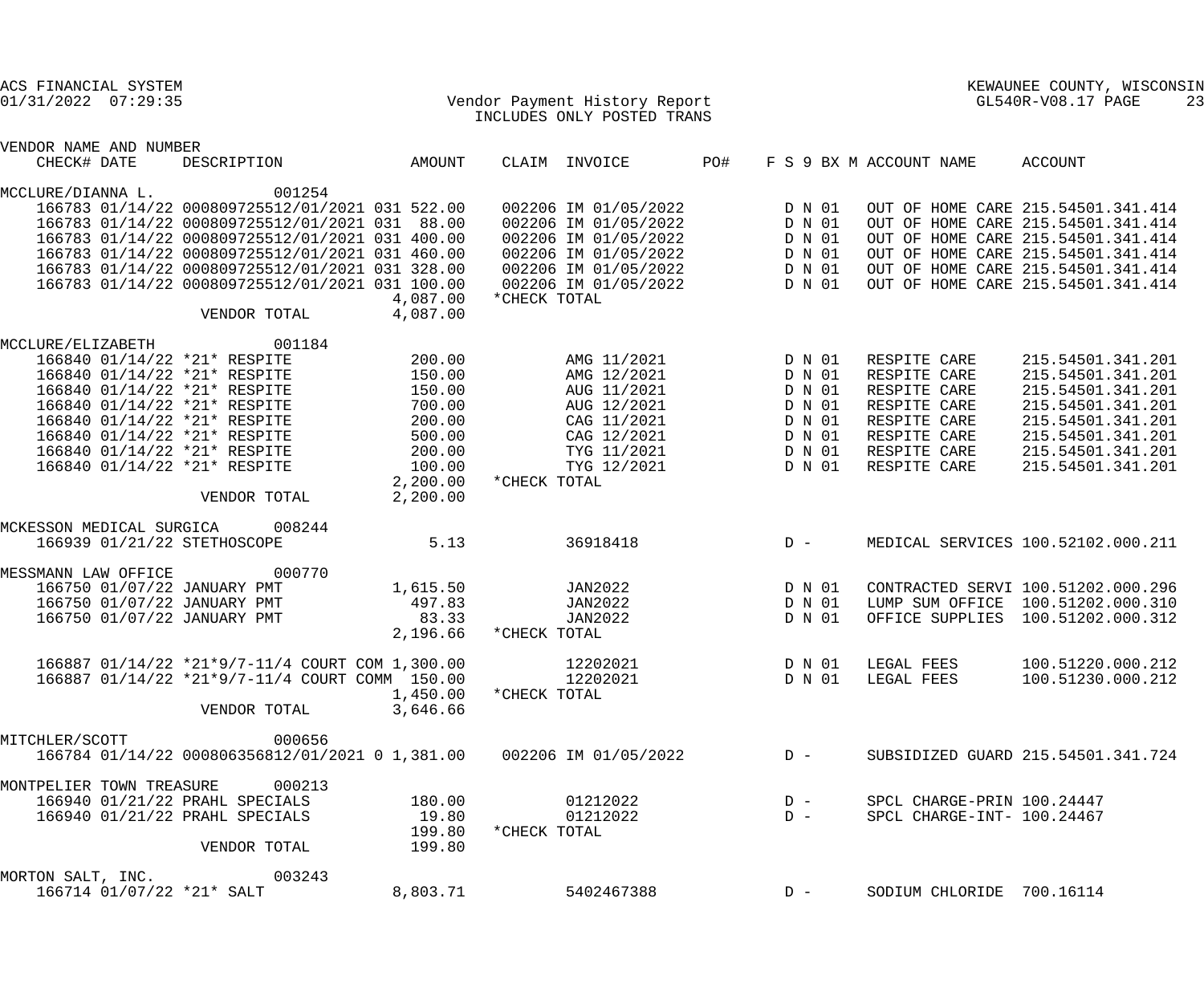| ACS FINANCIAL SYSTEM<br>01/31/2022 07:29:35                                                                                                                                                                                                                                       |                                                                                                                                                                                                                                                                                                                                         |                                                                                                      | Vendor Payment History Report<br>INCLUDES ONLY POSTED TRANS |                                                                                                                                              |     |                                                                              |                                                                                                                              |  | KEWAUNEE COUNTY, WISCONSIN<br>GL540R-V08.17 PAGE<br>23                                                                                                                                                                           |  |  |
|-----------------------------------------------------------------------------------------------------------------------------------------------------------------------------------------------------------------------------------------------------------------------------------|-----------------------------------------------------------------------------------------------------------------------------------------------------------------------------------------------------------------------------------------------------------------------------------------------------------------------------------------|------------------------------------------------------------------------------------------------------|-------------------------------------------------------------|----------------------------------------------------------------------------------------------------------------------------------------------|-----|------------------------------------------------------------------------------|------------------------------------------------------------------------------------------------------------------------------|--|----------------------------------------------------------------------------------------------------------------------------------------------------------------------------------------------------------------------------------|--|--|
|                                                                                                                                                                                                                                                                                   |                                                                                                                                                                                                                                                                                                                                         |                                                                                                      |                                                             |                                                                                                                                              |     |                                                                              |                                                                                                                              |  |                                                                                                                                                                                                                                  |  |  |
| VENDOR NAME AND NUMBER<br>CHECK# DATE                                                                                                                                                                                                                                             | DESCRIPTION                                                                                                                                                                                                                                                                                                                             | AMOUNT                                                                                               |                                                             | CLAIM INVOICE                                                                                                                                | PO# |                                                                              | F S 9 BX M ACCOUNT NAME                                                                                                      |  | ACCOUNT                                                                                                                                                                                                                          |  |  |
| MCCLURE/DIANNA L.                                                                                                                                                                                                                                                                 | 001254<br>166783 01/14/22 000809725512/01/2021 031 522.00<br>166783 01/14/22 000809725512/01/2021 031 88.00<br>166783 01/14/22 000809725512/01/2021 031 400.00<br>166783 01/14/22 000809725512/01/2021 031 460.00<br>166783 01/14/22 000809725512/01/2021 031 328.00<br>166783 01/14/22 000809725512/01/2021 031 100.00<br>VENDOR TOTAL | 4,087.00<br>4,087.00                                                                                 | *CHECK TOTAL                                                | 002206 IM 01/05/2022<br>002206 IM 01/05/2022<br>002206 IM 01/05/2022<br>002206 IM 01/05/2022<br>002206 IM 01/05/2022<br>002206 IM 01/05/2022 |     | D N 01<br>D N 01<br>D N 01<br>D N 01<br>D N 01<br>D N 01                     |                                                                                                                              |  | OUT OF HOME CARE 215.54501.341.414<br>OUT OF HOME CARE 215.54501.341.414<br>OUT OF HOME CARE 215.54501.341.414<br>OUT OF HOME CARE 215.54501.341.414<br>OUT OF HOME CARE 215.54501.341.414<br>OUT OF HOME CARE 215.54501.341.414 |  |  |
| MCCLURE/ELIZABETH<br>166840 01/14/22 *21* RESPITE<br>166840 01/14/22 *21* RESPITE<br>166840 01/14/22 *21* RESPITE<br>166840 01/14/22 *21* RESPITE<br>166840 01/14/22 *21* RESPITE<br>166840 01/14/22 *21* RESPITE<br>166840 01/14/22 *21* RESPITE<br>166840 01/14/22 *21* RESPITE | 001184<br>VENDOR TOTAL                                                                                                                                                                                                                                                                                                                  | 200.00<br>150.00<br>150.00<br>700.00<br>200.00<br>500.00<br>200.00<br>100.00<br>2,200.00<br>2,200.00 | *CHECK TOTAL                                                | AMG 11/2021<br>AMG 12/2021<br>AUG 11/2021<br>AUG 12/2021<br>CAG 11/2021<br>CAG 12/2021<br>TYG 11/2021<br>TYG 12/2021                         |     | D N 01<br>D N 01<br>D N 01<br>D N 01<br>D N 01<br>D N 01<br>D N 01<br>D N 01 | RESPITE CARE<br>RESPITE CARE<br>RESPITE CARE<br>RESPITE CARE<br>RESPITE CARE<br>RESPITE CARE<br>RESPITE CARE<br>RESPITE CARE |  | 215.54501.341.201<br>215.54501.341.201<br>215.54501.341.201<br>215.54501.341.201<br>215.54501.341.201<br>215.54501.341.201<br>215.54501.341.201<br>215.54501.341.201                                                             |  |  |
| MCKESSON MEDICAL SURGICA<br>166939 01/21/22 STETHOSCOPE                                                                                                                                                                                                                           | 008244                                                                                                                                                                                                                                                                                                                                  | 5.13                                                                                                 |                                                             | 36918418                                                                                                                                     |     | $D -$                                                                        |                                                                                                                              |  | MEDICAL SERVICES 100.52102.000.211                                                                                                                                                                                               |  |  |
| MESSMANN LAW OFFICE<br>166750 01/07/22 JANUARY PMT<br>166750 01/07/22 JANUARY PMT<br>166750 01/07/22 JANUARY PMT                                                                                                                                                                  | 000770                                                                                                                                                                                                                                                                                                                                  | 1,615.50<br>497.83<br>83.33<br>2,196.66                                                              | *CHECK TOTAL                                                | JAN2022<br>JAN2022<br>JAN2022                                                                                                                |     | D N 01<br>D N 01<br>D N 01                                                   | LUMP SUM OFFICE                                                                                                              |  | CONTRACTED SERVI 100.51202.000.296<br>100.51202.000.310<br>OFFICE SUPPLIES 100.51202.000.312                                                                                                                                     |  |  |
|                                                                                                                                                                                                                                                                                   | 166887 01/14/22 *21*9/7-11/4 COURT COM 1,300.00<br>166887 01/14/22 *21*9/7-11/4 COURT COMM 150.00<br>VENDOR TOTAL                                                                                                                                                                                                                       | 1,450.00<br>3,646.66                                                                                 | 12202021<br>12202021<br>*CHECK TOTAL                        |                                                                                                                                              |     | D N 01<br>D N 01                                                             | LEGAL FEES<br>LEGAL FEES                                                                                                     |  | 100.51220.000.212<br>100.51230.000.212                                                                                                                                                                                           |  |  |
| MITCHLER/SCOTT                                                                                                                                                                                                                                                                    | 000656<br>166784 01/14/22 000806356812/01/2021 0 1,381.00                                                                                                                                                                                                                                                                               |                                                                                                      |                                                             | 002206 IM 01/05/2022                                                                                                                         |     | $D -$                                                                        |                                                                                                                              |  | SUBSIDIZED GUARD 215.54501.341.724                                                                                                                                                                                               |  |  |
| MONTPELIER TOWN TREASURE<br>166940 01/21/22 PRAHL SPECIALS<br>166940 01/21/22 PRAHL SPECIALS                                                                                                                                                                                      | 000213<br>VENDOR TOTAL                                                                                                                                                                                                                                                                                                                  | 180.00<br>19.80<br>199.80<br>199.80                                                                  | *CHECK TOTAL                                                | 01212022<br>01212022                                                                                                                         |     | $D -$<br>$D -$                                                               | SPCL CHARGE-PRIN 100.24447<br>SPCL CHARGE-INT- 100.24467                                                                     |  |                                                                                                                                                                                                                                  |  |  |
| MORTON SALT, INC.<br>166714 01/07/22 *21* SALT                                                                                                                                                                                                                                    | 003243                                                                                                                                                                                                                                                                                                                                  | 8,803.71                                                                                             |                                                             | 5402467388                                                                                                                                   |     | $D -$                                                                        | SODIUM CHLORIDE 700.16114                                                                                                    |  |                                                                                                                                                                                                                                  |  |  |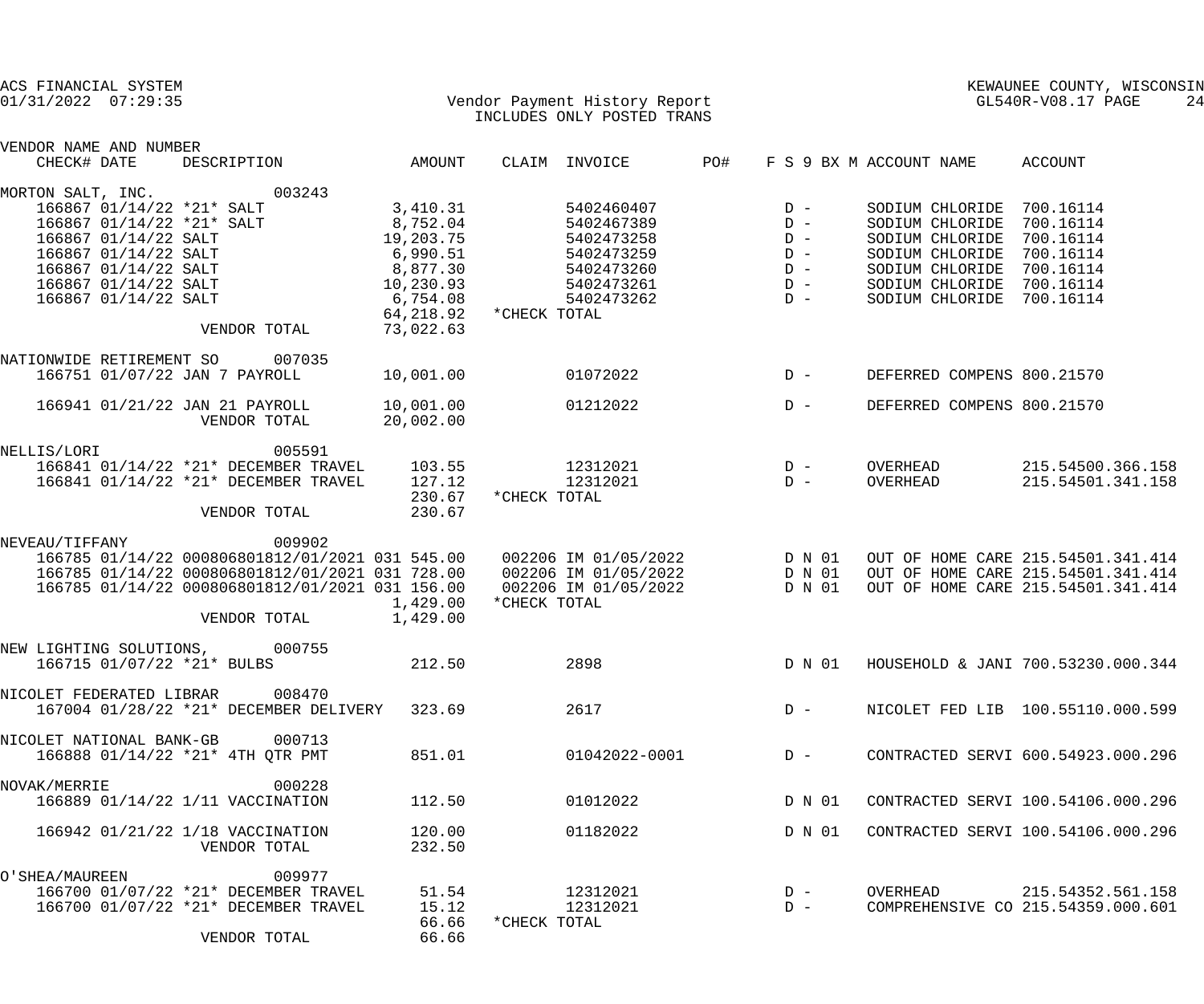| ACS FINANCIAL SYSTEM<br>$01/31/2022$ $07:29:35$                                                                                                                                                     |                                                                                                                                                                                                                                             |                                                                                                   |              | Vendor Payment History Report<br>INCLUDES ONLY POSTED TRANS                                    |                         | KEWAUNEE COUNTY, WISCONSIN<br>GL540R-V08.17 PAGE<br>24 |                                                                                                                                                       |                                                                                                                |
|-----------------------------------------------------------------------------------------------------------------------------------------------------------------------------------------------------|---------------------------------------------------------------------------------------------------------------------------------------------------------------------------------------------------------------------------------------------|---------------------------------------------------------------------------------------------------|--------------|------------------------------------------------------------------------------------------------|-------------------------|--------------------------------------------------------|-------------------------------------------------------------------------------------------------------------------------------------------------------|----------------------------------------------------------------------------------------------------------------|
| VENDOR NAME AND NUMBER                                                                                                                                                                              |                                                                                                                                                                                                                                             |                                                                                                   |              |                                                                                                |                         |                                                        |                                                                                                                                                       |                                                                                                                |
| CHECK# DATE                                                                                                                                                                                         | DESCRIPTION                                                                                                                                                                                                                                 | AMOUNT                                                                                            |              | CLAIM INVOICE                                                                                  | PO#                     |                                                        | F S 9 BX M ACCOUNT NAME                                                                                                                               | ACCOUNT                                                                                                        |
| MORTON SALT, INC.<br>166867 01/14/22 *21* SALT<br>166867 01/14/22 *21* SALT<br>166867 01/14/22 SALT<br>166867 01/14/22 SALT<br>166867 01/14/22 SALT<br>166867 01/14/22 SALT<br>166867 01/14/22 SALT | 003243<br>8,877.30<br>10, 230.93<br>VENDOR TOTAL                                                                                                                                                                                            | 3,410.31<br>8,752.04<br>19,203.75<br>6,990.51<br>6,754.08<br>64,218.92 * CHECK TOTAL<br>73,022.63 |              | 5402460407<br>5402467389<br>5402473258<br>5402473259<br>5402473260<br>5402473261<br>5402473262 | $D -$<br>$D -$<br>$D -$ | $D -$<br>$D -$<br>$D -$<br>$D -$                       | SODIUM CHLORIDE 700.16114<br>SODIUM CHLORIDE<br>SODIUM CHLORIDE<br>SODIUM CHLORIDE<br>SODIUM CHLORIDE<br>SODIUM CHLORIDE<br>SODIUM CHLORIDE 700.16114 | 700.16114<br>700.16114<br>700.16114<br>700.16114<br>700.16114                                                  |
| NATIONWIDE RETIREMENT SO                                                                                                                                                                            | 007035<br>166751 01/07/22 JAN 7 PAYROLL                                                                                                                                                                                                     | 10,001.00                                                                                         |              | 01072022                                                                                       |                         | $D -$                                                  | DEFERRED COMPENS 800.21570                                                                                                                            |                                                                                                                |
|                                                                                                                                                                                                     | 166941 01/21/22 JAN 21 PAYROLL<br>VENDOR TOTAL                                                                                                                                                                                              | 10,001.00<br>20,002.00                                                                            |              | 01212022                                                                                       |                         | $D -$                                                  | DEFERRED COMPENS 800.21570                                                                                                                            |                                                                                                                |
| NELLIS/LORI                                                                                                                                                                                         | 005591<br>166841 01/14/22 *21* DECEMBER TRAVEL<br>166841 01/14/22 *21* DECEMBER TRAVEL<br>VENDOR TOTAL                                                                                                                                      | 103.55<br>127.12<br>230.67<br>230.67                                                              | *CHECK TOTAL | $12312021$ D -<br>12312021                                                                     |                         | $D -$                                                  | OVERHEAD<br>OVERHEAD                                                                                                                                  | 215.54500.366.158<br>215.54501.341.158                                                                         |
| NEVEAU/TIFFANY                                                                                                                                                                                      | 009902<br>166785 01/14/22 000806801812/01/2021 031 545.00  002206 IM 01/05/2022  D N 01<br>166785 01/14/22 000806801812/01/2021 031 728.00  002206 IM 01/05/2022  D N 01<br>166785 01/14/22 000806801812/01/2021 031 156.00<br>VENDOR TOTAL | 1,429.00<br>1,429.00                                                                              | *CHECK TOTAL | 002206 IM 01/05/2022                                                                           |                         | D N 01                                                 |                                                                                                                                                       | OUT OF HOME CARE 215.54501.341.414<br>OUT OF HOME CARE 215.54501.341.414<br>OUT OF HOME CARE 215.54501.341.414 |
| NEW LIGHTING SOLUTIONS,<br>166715 01/07/22 *21* BULBS                                                                                                                                               | 000755                                                                                                                                                                                                                                      | 212.50                                                                                            |              | 2898                                                                                           |                         | D N 01                                                 |                                                                                                                                                       | HOUSEHOLD & JANI 700.53230.000.344                                                                             |
| NICOLET FEDERATED LIBRAR                                                                                                                                                                            | 008470<br>167004 01/28/22 *21* DECEMBER DELIVERY                                                                                                                                                                                            | 323.69                                                                                            |              | 2617                                                                                           |                         | $D -$                                                  |                                                                                                                                                       | NICOLET FED LIB 100.55110.000.599                                                                              |
| NICOLET NATIONAL BANK-GB                                                                                                                                                                            | 000713<br>166888 01/14/22 *21* 4TH QTR PMT                                                                                                                                                                                                  | 851.01                                                                                            |              | 01042022-0001                                                                                  |                         | $D -$                                                  |                                                                                                                                                       | CONTRACTED SERVI 600.54923.000.296                                                                             |
| NOVAK/MERRIE                                                                                                                                                                                        | 000228<br>166889 01/14/22 1/11 VACCINATION                                                                                                                                                                                                  | 112.50                                                                                            |              | 01012022                                                                                       |                         | D N 01                                                 |                                                                                                                                                       | CONTRACTED SERVI 100.54106.000.296                                                                             |
|                                                                                                                                                                                                     | 166942 01/21/22 1/18 VACCINATION<br>VENDOR TOTAL                                                                                                                                                                                            | 120.00<br>232.50                                                                                  |              | 01182022                                                                                       |                         | D N 01                                                 |                                                                                                                                                       | CONTRACTED SERVI 100.54106.000.296                                                                             |
| O'SHEA/MAUREEN                                                                                                                                                                                      | 009977<br>166700 01/07/22 *21* DECEMBER TRAVEL<br>166700 01/07/22 *21* DECEMBER TRAVEL<br>VENDOR TOTAL                                                                                                                                      | 51.54<br>15.12<br>66.66<br>66.66                                                                  | *CHECK TOTAL | 12312021<br>12312021                                                                           |                         | $D -$<br>$D -$                                         | OVERHEAD                                                                                                                                              | 215.54352.561.158<br>COMPREHENSIVE CO 215.54359.000.601                                                        |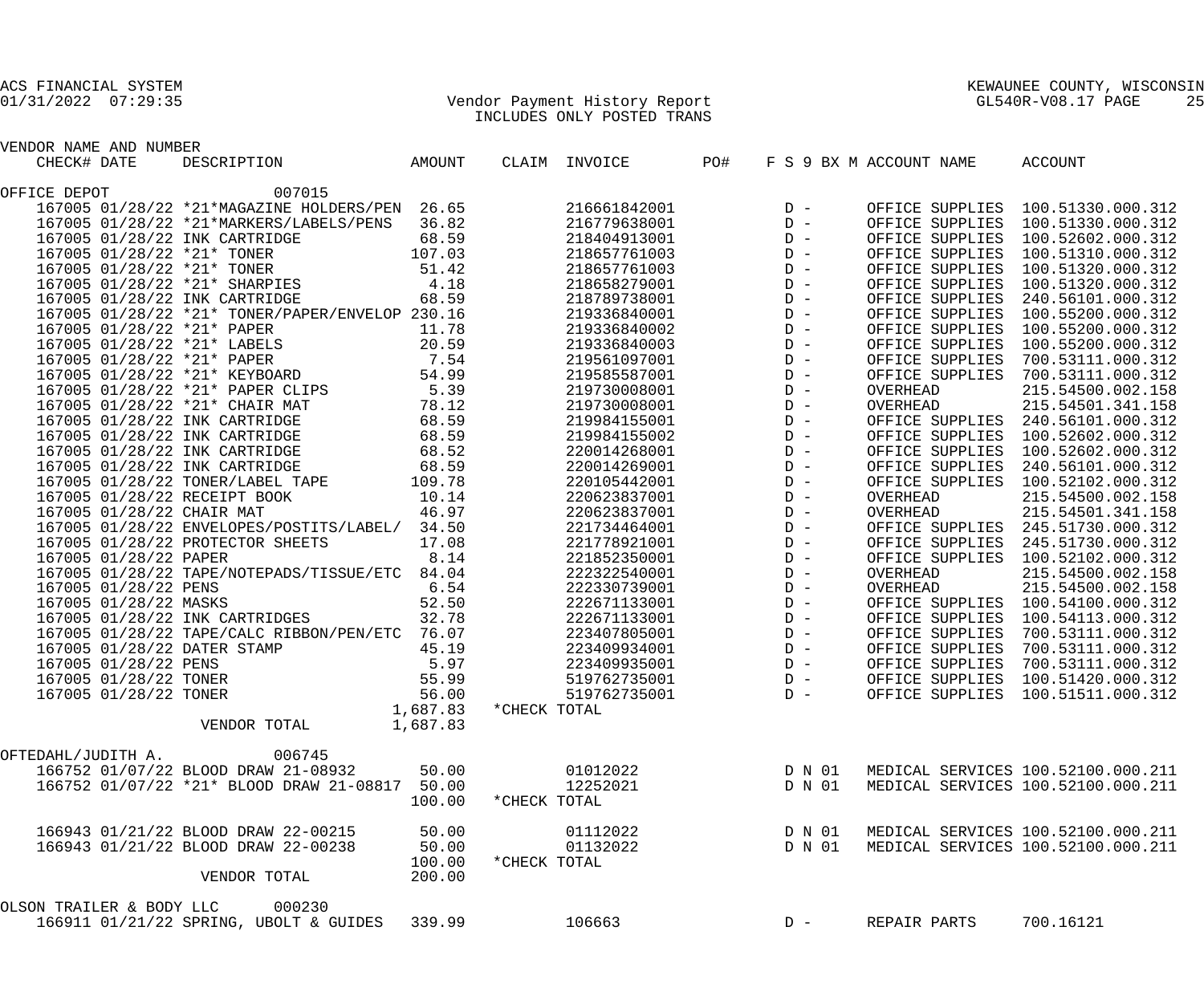### 01/31/2022 07:29:35 Vendor Payment History Report GL540R-V08.17 PAGE 25 INCLUDES ONLY POSTED TRANS

| VENDOR NAME AND NUMBER                          |          |              |               |     |       |                         |                                           |
|-------------------------------------------------|----------|--------------|---------------|-----|-------|-------------------------|-------------------------------------------|
| CHECK# DATE<br>DESCRIPTION                      | AMOUNT   |              | CLAIM INVOICE | PO# |       | F S 9 BX M ACCOUNT NAME | ACCOUNT                                   |
| 007015<br>OFFICE DEPOT                          |          |              |               |     |       |                         |                                           |
| 167005 01/28/22 *21*MAGAZINE HOLDERS/PEN 26.65  |          |              | 216661842001  |     | $D -$ |                         | OFFICE SUPPLIES 100.51330.000.312         |
| 167005 01/28/22 *21*MARKERS/LABELS/PENS         | 36.82    |              | 216779638001  |     | $D -$ |                         | OFFICE SUPPLIES 100.51330.000.312         |
| 167005 01/28/22 INK CARTRIDGE                   | 68.59    |              | 218404913001  |     | $D -$ | OFFICE SUPPLIES         | 100.52602.000.312                         |
| 167005 01/28/22 *21* TONER                      | 107.03   |              | 218657761003  |     | $D -$ | OFFICE SUPPLIES         | 100.51310.000.312                         |
| 167005 01/28/22 *21* TONER                      | 51.42    |              | 218657761003  |     | $D -$ | OFFICE SUPPLIES         | 100.51320.000.312                         |
| 167005 01/28/22 *21* SHARPIES                   | 4.18     |              | 218658279001  |     | $D -$ | OFFICE SUPPLIES         | 100.51320.000.312                         |
| 167005 01/28/22 INK CARTRIDGE                   | 68.59    |              | 218789738001  |     | $D -$ | OFFICE SUPPLIES         | 240.56101.000.312                         |
| 167005 01/28/22 *21* TONER/PAPER/ENVELOP 230.16 |          |              | 219336840001  |     | $D -$ | OFFICE SUPPLIES         | 100.55200.000.312                         |
| 167005 01/28/22 *21* PAPER                      | 11.78    |              | 219336840002  |     | $D -$ | OFFICE SUPPLIES         | 100.55200.000.312                         |
| 167005 01/28/22 *21* LABELS                     | 20.59    |              | 219336840003  |     | $D -$ | OFFICE SUPPLIES         | 100.55200.000.312                         |
| 167005 01/28/22 *21* PAPER                      | 7.54     |              | 219561097001  |     | $D -$ | OFFICE SUPPLIES         | 700.53111.000.312                         |
| 167005 01/28/22 *21* KEYBOARD                   | 54.99    |              | 219585587001  |     | $D -$ | OFFICE SUPPLIES         | 700.53111.000.312                         |
| 167005 01/28/22 *21* PAPER CLIPS                | 5.39     |              | 219730008001  |     | $D -$ | OVERHEAD                | 215.54500.002.158                         |
| 167005 01/28/22 *21* CHAIR MAT                  | 78.12    |              | 219730008001  |     | $D -$ | OVERHEAD                | 215.54501.341.158                         |
| 167005 01/28/22 INK CARTRIDGE                   | 68.59    |              | 219984155001  |     | $D -$ |                         | OFFICE SUPPLIES 240.56101.000.312         |
| 167005 01/28/22 INK CARTRIDGE                   | 68.59    |              | 219984155002  |     | $D -$ | OFFICE SUPPLIES         | 100.52602.000.312                         |
| 167005 01/28/22 INK CARTRIDGE                   | 68.52    |              | 220014268001  |     | $D -$ | OFFICE SUPPLIES         | 100.52602.000.312                         |
| 167005 01/28/22 INK CARTRIDGE                   | 68.59    |              | 220014269001  |     | $D -$ | OFFICE SUPPLIES         | 240.56101.000.312                         |
| 167005 01/28/22 TONER/LABEL TAPE                | 109.78   |              | 220105442001  |     | $D -$ |                         | OFFICE SUPPLIES 100.52102.000.312         |
| 167005 01/28/22 RECEIPT BOOK                    | 10.14    |              | 220623837001  |     | $D -$ | OVERHEAD                | 215.54500.002.158                         |
| 167005 01/28/22 CHAIR MAT                       | 46.97    |              | 220623837001  |     | $D -$ | OVERHEAD                | 215.54501.341.158                         |
| 167005 01/28/22 ENVELOPES/POSTITS/LABEL/ 34.50  |          |              | 221734464001  |     | $D -$ |                         | OFFICE SUPPLIES 245.51730.000.312         |
| 167005 01/28/22 PROTECTOR SHEETS                | 17.08    |              | 221778921001  |     | $D -$ | OFFICE SUPPLIES         | 245.51730.000.312                         |
| 167005 01/28/22 PAPER                           | 8.14     |              | 221852350001  |     | $D -$ | OFFICE SUPPLIES         | 100.52102.000.312                         |
| 167005 01/28/22 TAPE/NOTEPADS/TISSUE/ETC 84.04  |          |              | 222322540001  |     | $D -$ | OVERHEAD                | 215.54500.002.158                         |
| 167005 01/28/22 PENS                            | 6.54     |              | 222330739001  |     | $D -$ | OVERHEAD                | 215.54500.002.158                         |
| 167005 01/28/22 MASKS                           | 52.50    |              | 222671133001  |     | $D -$ | OFFICE SUPPLIES         | 100.54100.000.312                         |
| 167005 01/28/22 INK CARTRIDGES                  | 32.78    |              | 222671133001  |     | $D -$ | OFFICE SUPPLIES         | 100.54113.000.312                         |
| 167005 01/28/22 TAPE/CALC RIBBON/PEN/ETC 76.07  |          |              | 223407805001  |     | $D -$ | OFFICE SUPPLIES         | 700.53111.000.312                         |
| 167005 01/28/22 DATER STAMP                     | 45.19    |              | 223409934001  |     | $D -$ | OFFICE SUPPLIES         | 700.53111.000.312                         |
| 167005 01/28/22 PENS                            | 5.97     |              | 223409935001  |     | $D -$ | OFFICE SUPPLIES         | 700.53111.000.312                         |
| 167005 01/28/22 TONER                           | 55.99    |              | 519762735001  |     | $D -$ | OFFICE SUPPLIES         | 100.51420.000.312                         |
| 167005 01/28/22 TONER                           | 56.00    |              | 519762735001  |     | $D -$ | OFFICE SUPPLIES         | 100.51511.000.312                         |
|                                                 | 1,687.83 | *CHECK TOTAL |               |     |       |                         |                                           |
| VENDOR TOTAL                                    | 1,687.83 |              |               |     |       |                         |                                           |
|                                                 |          |              |               |     |       |                         |                                           |
| OFTEDAHL/JUDITH A.<br>006745                    |          |              |               |     |       |                         |                                           |
| 166752 01/07/22 BLOOD DRAW 21-08932             | 50.00    |              | 01012022      |     |       |                         | D N 01 MEDICAL SERVICES 100.52100.000.211 |
| 166752 01/07/22 *21* BLOOD DRAW 21-08817 50.00  |          |              | 12252021      |     |       |                         | D N 01 MEDICAL SERVICES 100.52100.000.211 |
|                                                 | 100.00   | *CHECK TOTAL |               |     |       |                         |                                           |
| 166943 01/21/22 BLOOD DRAW 22-00215             | 50.00    |              | 01112022      |     |       |                         | D N 01 MEDICAL SERVICES 100.52100.000.211 |
| 166943 01/21/22 BLOOD DRAW 22-00238             | 50.00    |              | 01132022      |     |       |                         | D N 01 MEDICAL SERVICES 100.52100.000.211 |
|                                                 | 100.00   | *CHECK TOTAL |               |     |       |                         |                                           |
| VENDOR TOTAL                                    | 200.00   |              |               |     |       |                         |                                           |
| OLSON TRAILER & BODY LLC<br>000230              |          |              |               |     |       |                         |                                           |
| 166911 01/21/22 SPRING, UBOLT & GUIDES 339.99   |          |              | 106663        |     | $D -$ | REPAIR PARTS            | 700.16121                                 |
|                                                 |          |              |               |     |       |                         |                                           |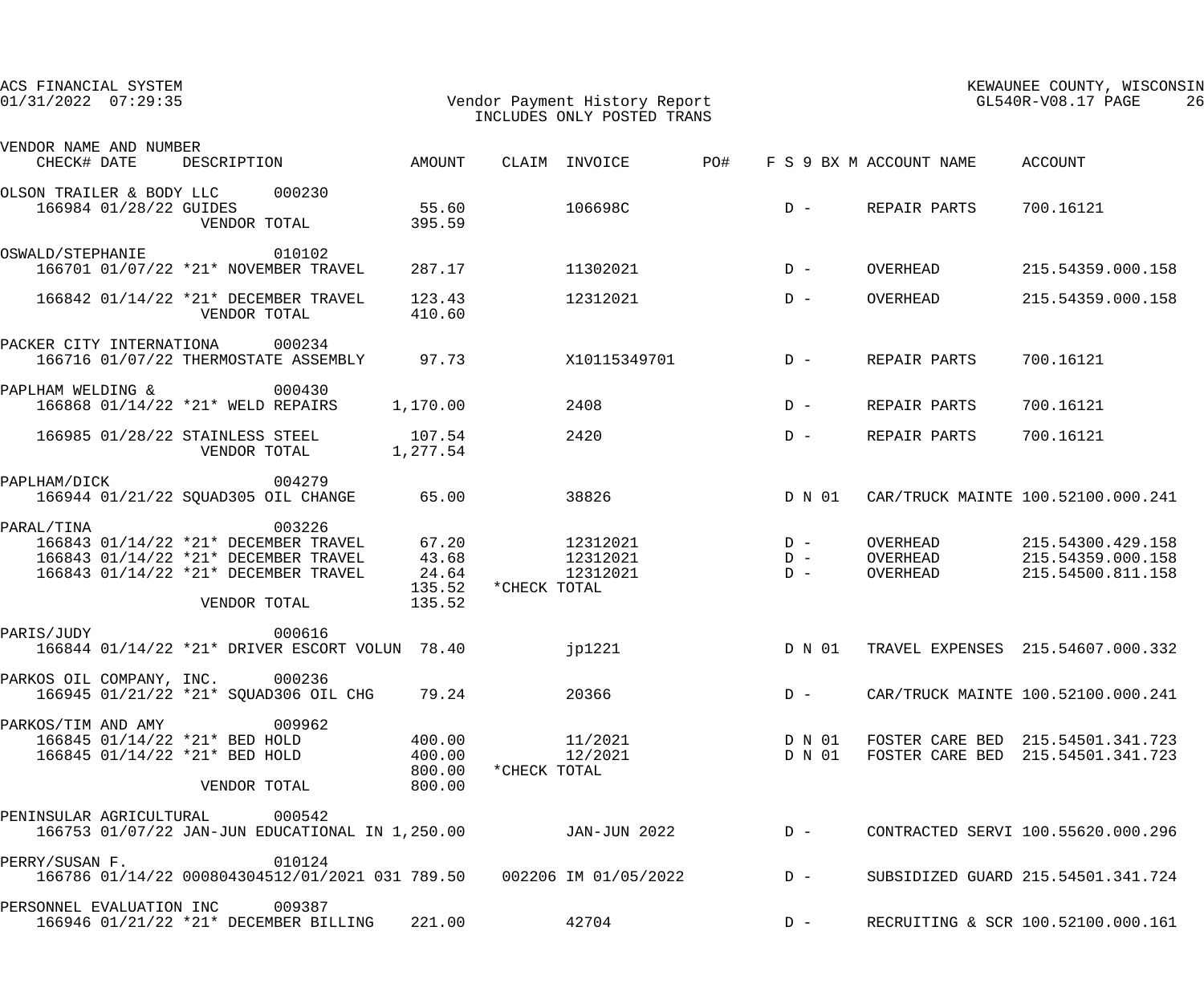| ACS FINANCIAL SYSTEM<br>$01/31/2022$ $07:29:35$                                      |                                                                                                                                                      |                                      | Vendor Payment History Report<br>INCLUDES ONLY POSTED TRANS |                 | KEWAUNEE COUNTY, WISCONSIN<br>GL540R-V08.17 PAGE<br>26 |                                                                        |  |
|--------------------------------------------------------------------------------------|------------------------------------------------------------------------------------------------------------------------------------------------------|--------------------------------------|-------------------------------------------------------------|-----------------|--------------------------------------------------------|------------------------------------------------------------------------|--|
| VENDOR NAME AND NUMBER<br>CHECK# DATE                                                | DESCRIPTION                                                                                                                                          | AMOUNT                               | CLAIM INVOICE                                               | PO#             | F S 9 BX M ACCOUNT NAME ACCOUNT                        |                                                                        |  |
| OLSON TRAILER & BODY LLC 000230<br>166984 01/28/22 GUIDES                            | VENDOR TOTAL                                                                                                                                         | 55.60<br>395.59                      | 106698C                                                     |                 | $D -$<br>REPAIR PARTS                                  | 700.16121                                                              |  |
| OSWALD/STEPHANIE                                                                     | 010102<br>166701 01/07/22 *21* NOVEMBER TRAVEL                                                                                                       | 287.17                               | 11302021                                                    |                 | OVERHEAD<br>$D -$                                      | 215.54359.000.158                                                      |  |
|                                                                                      | 166842 01/14/22 *21* DECEMBER TRAVEL<br>VENDOR TOTAL                                                                                                 | 123.43<br>410.60                     | 12312021                                                    |                 | OVERHEAD<br>$D -$                                      | 215.54359.000.158                                                      |  |
| PACKER CITY INTERNATIONA 000234                                                      | 166716 01/07/22 THERMOSTATE ASSEMBLY 97.73                                                                                                           |                                      |                                                             | X10115349701 D- | REPAIR PARTS                                           | 700.16121                                                              |  |
| PAPLHAM WELDING & 000430                                                             | 166868 01/14/22 *21* WELD REPAIRS                                                                                                                    | 1,170.00                             | 2408                                                        |                 | $D -$<br>REPAIR PARTS                                  | 700.16121                                                              |  |
|                                                                                      | 166985 01/28/22 STAINLESS STEEL<br>VENDOR TOTAL                                                                                                      | 107.54<br>1,277.54                   | 2420                                                        |                 | $D -$<br>REPAIR PARTS                                  | 700.16121                                                              |  |
| PAPLHAM/DICK                                                                         | 004279<br>166944 01/21/22 SQUAD305 OIL CHANGE                                                                                                        | 65.00                                | 38826                                                       |                 | D N 01                                                 | CAR/TRUCK MAINTE 100.52100.000.241                                     |  |
| PARAL/TINA                                                                           | 003226<br>166843 01/14/22 *21* DECEMBER TRAVEL 67.20<br>166843 01/14/22 *21* DECEMBER TRAVEL<br>166843 01/14/22 *21* DECEMBER TRAVEL<br>VENDOR TOTAL | 43.68<br>24.64<br>135.52<br>135.52   | 12312021<br>12312021<br>12312021<br>*CHECK TOTAL            | $D -$<br>$D -$  | OVERHEAD<br>$D -$<br>OVERHEAD<br>OVERHEAD              | 215.54300.429.158<br>215.54359.000.158<br>215.54500.811.158            |  |
| PARIS/JUDY                                                                           | 000616<br>166844 01/14/22 *21* DRIVER ESCORT VOLUN 78.40                                                                                             |                                      | jp1221                                                      |                 | D N 01                                                 | TRAVEL EXPENSES 215.54607.000.332                                      |  |
| PARKOS OIL COMPANY, INC. 000236                                                      | 166945 01/21/22 *21* SQUAD306 OIL CHG                                                                                                                | 79.24                                | 20366                                                       |                 | $D -$                                                  | CAR/TRUCK MAINTE 100.52100.000.241                                     |  |
| PARKOS/TIM AND AMY<br>166845 01/14/22 *21* BED HOLD<br>166845 01/14/22 *21* BED HOLD | 009962<br>VENDOR TOTAL                                                                                                                               | 400.00<br>400.00<br>800.00<br>800.00 | 11/2021<br>12/2021<br>*CHECK TOTAL                          |                 | D N 01<br>D N 01                                       | FOSTER CARE BED 215.54501.341.723<br>FOSTER CARE BED 215.54501.341.723 |  |
| PENINSULAR AGRICULTURAL                                                              | 000542<br>166753 01/07/22 JAN-JUN EDUCATIONAL IN 1,250.00                                                                                            |                                      | JAN-JUN 2022                                                |                 | $D -$                                                  | CONTRACTED SERVI 100.55620.000.296                                     |  |
| PERRY/SUSAN F.                                                                       | 010124<br>166786 01/14/22 000804304512/01/2021 031 789.50                               002206 IM 01/05/2022                                         |                                      |                                                             | $D -$           |                                                        | SUBSIDIZED GUARD 215.54501.341.724                                     |  |
| PERSONNEL EVALUATION INC                                                             | 009387<br>166946 01/21/22 *21* DECEMBER BILLING                                                                                                      | 221.00                               | 42704                                                       |                 | $D -$                                                  | RECRUITING & SCR 100.52100.000.161                                     |  |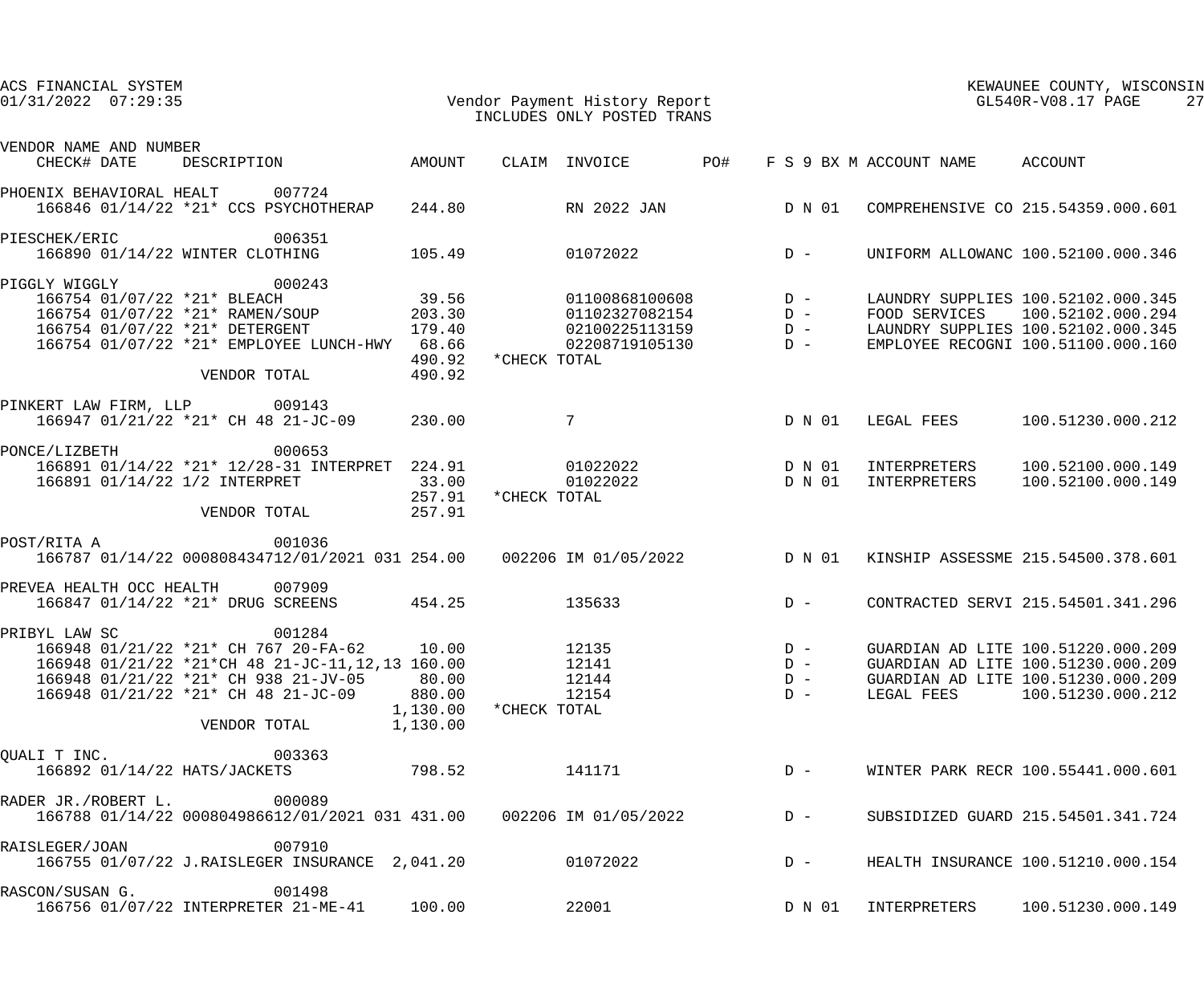| ACS FINANCIAL SYSTEM<br>$01/31/2022$ $07:29:35$                                                                                                                                                                   |                                                  | Vendor Payment History Report<br>INCLUDES ONLY POSTED TRANS                          |                                                  | KEWAUNEE COUNTY, WISCONSIN<br>GL540R-V08.17 PAGE<br>27                                                                                            |  |  |
|-------------------------------------------------------------------------------------------------------------------------------------------------------------------------------------------------------------------|--------------------------------------------------|--------------------------------------------------------------------------------------|--------------------------------------------------|---------------------------------------------------------------------------------------------------------------------------------------------------|--|--|
| VENDOR NAME AND NUMBER<br>CHECK# DATE<br>DESCRIPTION                                                                                                                                                              | AMOUNT                                           | CLAIM INVOICE                                                                        | PO#<br>F S 9 BX M ACCOUNT NAME                   | ACCOUNT                                                                                                                                           |  |  |
| 007724<br>PHOENIX BEHAVIORAL HEALT<br>166846 01/14/22 *21* CCS PSYCHOTHERAP                                                                                                                                       | 244.80                                           | RN 2022 JAN                                                                          | D N 01                                           | COMPREHENSIVE CO 215.54359.000.601                                                                                                                |  |  |
| 006351<br>PIESCHEK/ERIC<br>166890 01/14/22 WINTER CLOTHING                                                                                                                                                        | 105.49                                           | 01072022                                                                             | $D -$                                            | UNIFORM ALLOWANC 100.52100.000.346                                                                                                                |  |  |
| PIGGLY WIGGLY<br>000243<br>166754 01/07/22 *21* BLEACH<br>166754 01/07/22 *21* RAMEN/SOUP<br>166754 01/07/22 *21* DETERGENT<br>166754 01/07/22 *21* EMPLOYEE LUNCH-HWY 68.66<br>VENDOR TOTAL                      | 39.56<br>203.30<br>179.40<br>490.92<br>490.92    | 01100868100608<br>01102327082154<br>02100225113159<br>02208719105130<br>*CHECK TOTAL | $D -$<br>$D -$<br>$D -$<br>$D -$                 | LAUNDRY SUPPLIES 100.52102.000.345<br>FOOD SERVICES 100.52102.000.294<br>LAUNDRY SUPPLIES 100.52102.000.345<br>EMPLOYEE RECOGNI 100.51100.000.160 |  |  |
| PINKERT LAW FIRM, LLP 009143<br>166947 01/21/22 *21* CH 48 21-JC-09                                                                                                                                               | 230.00                                           | $7\phantom{.0}$                                                                      | D N 01<br>LEGAL FEES                             | 100.51230.000.212                                                                                                                                 |  |  |
| PONCE/LIZBETH<br>000653<br>166891 01/14/22 *21* 12/28-31 INTERPRET 224.91<br>166891 01/14/22 1/2 INTERPRET<br>VENDOR TOTAL                                                                                        | 33.00<br>257.91<br>257.91                        | 01022022<br>01022022<br>*CHECK TOTAL                                                 | D N 01<br>INTERPRETERS<br>D N 01<br>INTERPRETERS | 100.52100.000.149<br>100.52100.000.149                                                                                                            |  |  |
| POST/RITA A<br>001036<br>166787 01/14/22 000808434712/01/2021 031 254.00 002206 IM 01/05/2022                                                                                                                     |                                                  |                                                                                      | D N 01                                           | KINSHIP ASSESSME 215.54500.378.601                                                                                                                |  |  |
| PREVEA HEALTH OCC HEALTH<br>007909<br>166847 01/14/22 *21* DRUG SCREENS                                                                                                                                           | 454.25                                           | 135633                                                                               | $D -$                                            | CONTRACTED SERVI 215.54501.341.296                                                                                                                |  |  |
| PRIBYL LAW SC<br>001284<br>166948 01/21/22 *21* CH 767 20-FA-62<br>166948 01/21/22 *21*CH 48 21-JC-11,12,13 160.00<br>166948 01/21/22 *21* CH 938 21-JV-05<br>166948 01/21/22 *21* CH 48 21-JC-09<br>VENDOR TOTAL | 10.00<br>80.00<br>880.00<br>1,130.00<br>1,130.00 | 12135<br>12141<br>12144<br>12154<br>*CHECK TOTAL                                     | $D -$<br>$D -$<br>$D -$<br>$D -$                 | GUARDIAN AD LITE 100.51220.000.209<br>GUARDIAN AD LITE 100.51230.000.209<br>GUARDIAN AD LITE 100.51230.000.209<br>LEGAL FEES 100.51230.000.212    |  |  |
| 003363<br>OUALI T INC.<br>166892 01/14/22 HATS/JACKETS                                                                                                                                                            | 798.52                                           | 141171                                                                               | $D -$                                            | WINTER PARK RECR 100.55441.000.601                                                                                                                |  |  |
| 000089<br>RADER JR./ROBERT L.<br>166788 01/14/22 000804986612/01/2021 031 431.00 002206 IM 01/05/2022                                                                                                             |                                                  |                                                                                      | $D -$                                            | SUBSIDIZED GUARD 215.54501.341.724                                                                                                                |  |  |
| 007910<br>RAISLEGER/JOAN<br>166755 01/07/22 J.RAISLEGER INSURANCE 2,041.20                                                                                                                                        |                                                  | 01072022                                                                             | $D -$                                            | HEALTH INSURANCE 100.51210.000.154                                                                                                                |  |  |
| 001498<br>RASCON/SUSAN G.<br>166756 01/07/22 INTERPRETER 21-ME-41                                                                                                                                                 | 100.00                                           | 22001                                                                                | D N 01<br>INTERPRETERS                           | 100.51230.000.149                                                                                                                                 |  |  |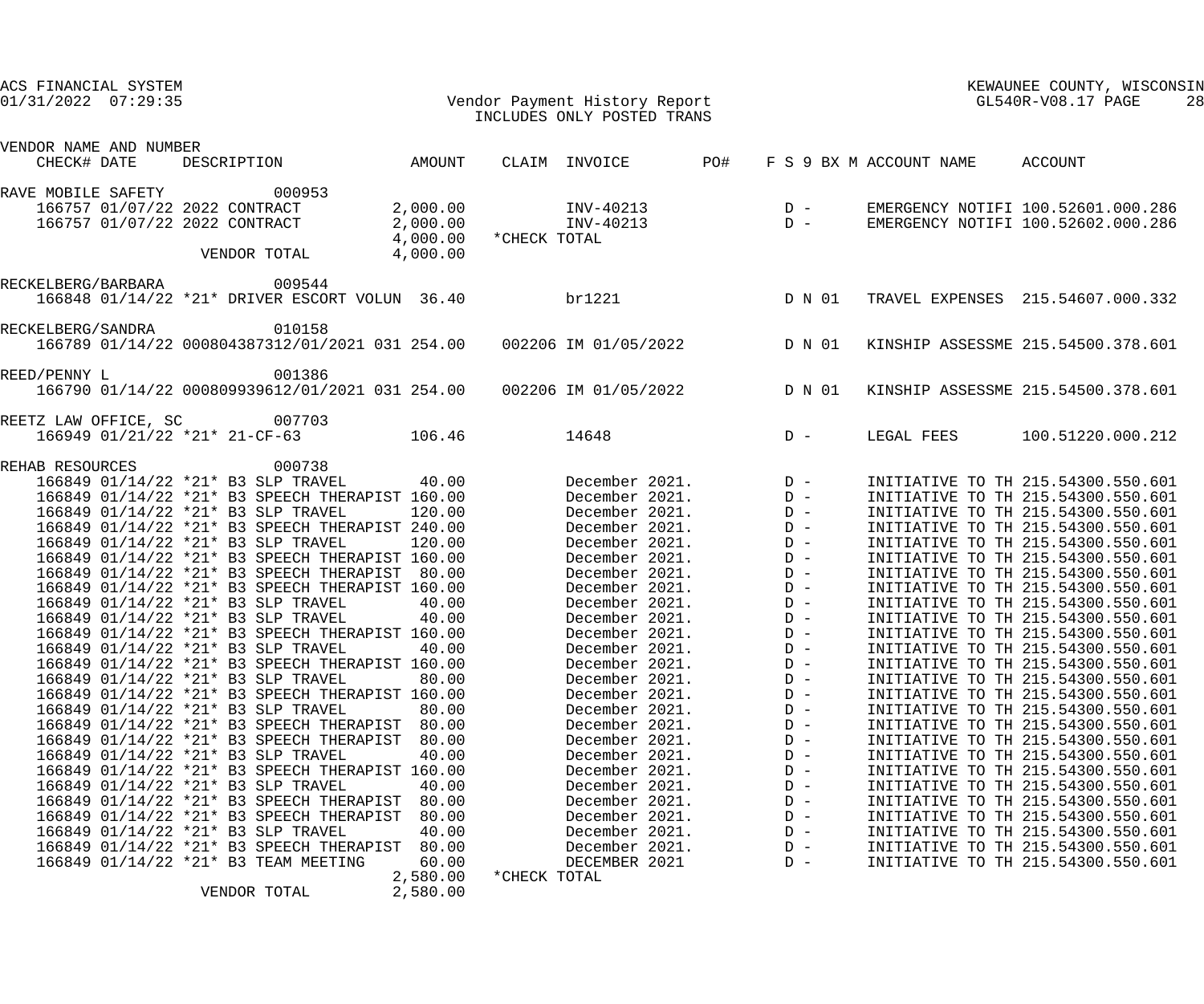| ACS FINANCIAL SYSTEM<br>$01/31/2022$ $07:29:35$     | Vendor Payment History Report<br>INCLUDES ONLY POSTED TRANS                             |                                  |              |                                                                |                                                    |                |                         | KEWAUNEE COUNTY, WISCONSIN<br>GL540R-V08.17 PAGE<br>28                   |
|-----------------------------------------------------|-----------------------------------------------------------------------------------------|----------------------------------|--------------|----------------------------------------------------------------|----------------------------------------------------|----------------|-------------------------|--------------------------------------------------------------------------|
| VENDOR NAME AND NUMBER<br>CHECK# DATE               | DESCRIPTION AMOUNT                                                                      |                                  |              | CLAIM INVOICE                                                  | PO#                                                |                | F S 9 BX M ACCOUNT NAME | ACCOUNT                                                                  |
| RAVE MOBILE SAFETY<br>166757 01/07/22 2022 CONTRACT | 000953                                                                                  | 2,000.00                         |              | INV-40213                                                      | $\begin{array}{cc}\nD & - \\ D & - \\ \end{array}$ |                |                         | EMERGENCY NOTIFI 100.52601.000.286                                       |
| 166757 01/07/22 2022 CONTRACT                       | VENDOR TOTAL                                                                            | 2,000.00<br>4,000.00<br>4,000.00 | *CHECK TOTAL | INV-40213                                                      |                                                    |                |                         | EMERGENCY NOTIFI 100.52602.000.286                                       |
| RECKELBERG/BARBARA                                  | 009544<br>166848 01/14/22 *21* DRIVER ESCORT VOLUN 36.40                                |                                  | br1221       |                                                                |                                                    | D N 01         |                         | TRAVEL EXPENSES 215.54607.000.332                                        |
| RECKELBERG/SANDRA                                   | 010158<br>166789 01/14/22 000804387312/01/2021 031 254.00   002206 IM 01/05/2022        |                                  |              |                                                                |                                                    | D N 01         |                         | KINSHIP ASSESSME 215.54500.378.601                                       |
| REED/PENNY L                                        | 001386<br>166790 01/14/22 000809939612/01/2021 031 254.00  002206 IM 01/05/2022  D N 01 |                                  |              |                                                                |                                                    |                |                         | KINSHIP ASSESSME 215.54500.378.601                                       |
| REETZ LAW OFFICE, SC                                | 007703<br>166949 01/21/22 *21* 21-CF-63                                                 | 106.46                           |              | 14648                                                          |                                                    | $D -$          | LEGAL FEES              | 100.51220.000.212                                                        |
| REHAB RESOURCES                                     | 000738                                                                                  |                                  |              |                                                                |                                                    |                |                         |                                                                          |
|                                                     | 166849 01/14/22 *21* B3 SLP TRAVEL                                                      | 40.00                            |              | December 2021. D -<br>December 2021. D -<br>December 2021. D - |                                                    |                |                         | INITIATIVE TO TH 215.54300.550.601                                       |
|                                                     | 166849 01/14/22 *21* B3 SPEECH THERAPIST 160.00                                         |                                  |              |                                                                |                                                    |                |                         | INITIATIVE TO TH 215.54300.550.601                                       |
|                                                     | 166849 01/14/22 *21* B3 SLP TRAVEL                                                      | 120.00                           |              |                                                                |                                                    |                |                         | INITIATIVE TO TH 215.54300.550.601                                       |
|                                                     | 166849 01/14/22 *21* B3 SPEECH THERAPIST 240.00                                         |                                  |              | December 2021.                                                 |                                                    | $D -$          |                         | INITIATIVE TO TH 215.54300.550.601                                       |
|                                                     | 166849 01/14/22 *21* B3 SLP TRAVEL                                                      | 120.00                           |              | December 2021.                                                 |                                                    | $D -$          |                         | INITIATIVE TO TH 215.54300.550.601                                       |
|                                                     | 166849 01/14/22 *21* B3 SPEECH THERAPIST 160.00                                         |                                  |              | December 2021.                                                 |                                                    | $D -$          |                         | INITIATIVE TO TH 215.54300.550.601                                       |
|                                                     | 166849 01/14/22 *21* B3 SPEECH THERAPIST 80.00                                          |                                  |              | December 2021.                                                 |                                                    | $D -$          |                         | INITIATIVE TO TH 215.54300.550.601                                       |
|                                                     | 166849 01/14/22 *21* B3 SPEECH THERAPIST 160.00<br>166849 01/14/22 *21* B3 SLP TRAVEL   | 40.00                            |              | December 2021.                                                 |                                                    | $D -$          |                         | INITIATIVE TO TH 215.54300.550.601<br>INITIATIVE TO TH 215.54300.550.601 |
|                                                     | 166849 01/14/22 *21* B3 SLP TRAVEL                                                      | 40.00                            |              | December 2021.<br>December 2021.                               |                                                    | $D -$<br>$D -$ |                         | INITIATIVE TO TH 215.54300.550.601                                       |
|                                                     | 166849 01/14/22 *21* B3 SPEECH THERAPIST 160.00                                         |                                  |              | December 2021.                                                 |                                                    | $D -$          |                         | INITIATIVE TO TH 215.54300.550.601                                       |
|                                                     | 166849 01/14/22 *21* B3 SLP TRAVEL                                                      | 40.00                            |              | December 2021.                                                 |                                                    | $D -$          |                         | INITIATIVE TO TH 215.54300.550.601                                       |
|                                                     | 166849 01/14/22 *21* B3 SPEECH THERAPIST 160.00                                         |                                  |              | December 2021.                                                 |                                                    | $D -$          |                         | INITIATIVE TO TH 215.54300.550.601                                       |
|                                                     | 166849 01/14/22 *21* B3 SLP TRAVEL                                                      | 80.00                            |              | December 2021.                                                 |                                                    | $D -$          |                         | INITIATIVE TO TH 215.54300.550.601                                       |
|                                                     | 166849 01/14/22 *21* B3 SPEECH THERAPIST 160.00                                         |                                  |              | December 2021.                                                 |                                                    | $D -$          |                         | INITIATIVE TO TH 215.54300.550.601                                       |
|                                                     | 166849 01/14/22 *21* B3 SLP TRAVEL                                                      | 80.00                            |              | December 2021.                                                 |                                                    | $D -$          |                         | INITIATIVE TO TH 215.54300.550.601                                       |
|                                                     | 166849 01/14/22 *21* B3 SPEECH THERAPIST                                                | 80.00                            |              | December 2021.                                                 |                                                    | $D -$          |                         | INITIATIVE TO TH 215.54300.550.601                                       |
|                                                     | 166849 01/14/22 *21* B3 SPEECH THERAPIST                                                | 80.00                            |              | December 2021.                                                 |                                                    | $D -$          |                         | INITIATIVE TO TH 215.54300.550.601                                       |
|                                                     | 166849 01/14/22 *21* B3 SLP TRAVEL                                                      | 40.00                            |              | December 2021.                                                 |                                                    | $D -$          |                         | INITIATIVE TO TH 215.54300.550.601                                       |
|                                                     | 166849 01/14/22 *21* B3 SPEECH THERAPIST 160.00                                         |                                  |              | December 2021.                                                 |                                                    | $D -$          |                         | INITIATIVE TO TH 215.54300.550.601                                       |
|                                                     | 166849 01/14/22 *21* B3 SLP TRAVEL<br>166849 01/14/22 *21* B3 SPEECH THERAPIST          | 40.00                            |              | December 2021.                                                 |                                                    | $D -$          |                         | INITIATIVE TO TH 215.54300.550.601                                       |
|                                                     | 166849 01/14/22 *21* B3 SPEECH THERAPIST                                                | 80.00<br>80.00                   |              | December 2021.<br>December 2021.                               |                                                    | $D -$<br>$D -$ |                         | INITIATIVE TO TH 215.54300.550.601<br>INITIATIVE TO TH 215.54300.550.601 |
|                                                     | 166849 01/14/22 *21* B3 SLP TRAVEL                                                      | 40.00                            |              | December 2021.                                                 |                                                    | $D -$          |                         | INITIATIVE TO TH 215.54300.550.601                                       |
|                                                     | 166849 01/14/22 *21* B3 SPEECH THERAPIST                                                | 80.00                            |              | December 2021.                                                 |                                                    | $D -$          |                         | INITIATIVE TO TH 215.54300.550.601                                       |
|                                                     | 166849 01/14/22 *21* B3 TEAM MEETING                                                    | 60.00                            |              | DECEMBER 2021                                                  |                                                    | $D -$          |                         | INITIATIVE TO TH 215.54300.550.601                                       |
|                                                     |                                                                                         | 2,580.00                         | *CHECK TOTAL |                                                                |                                                    |                |                         |                                                                          |
|                                                     | VENDOR TOTAL                                                                            | 2,580.00                         |              |                                                                |                                                    |                |                         |                                                                          |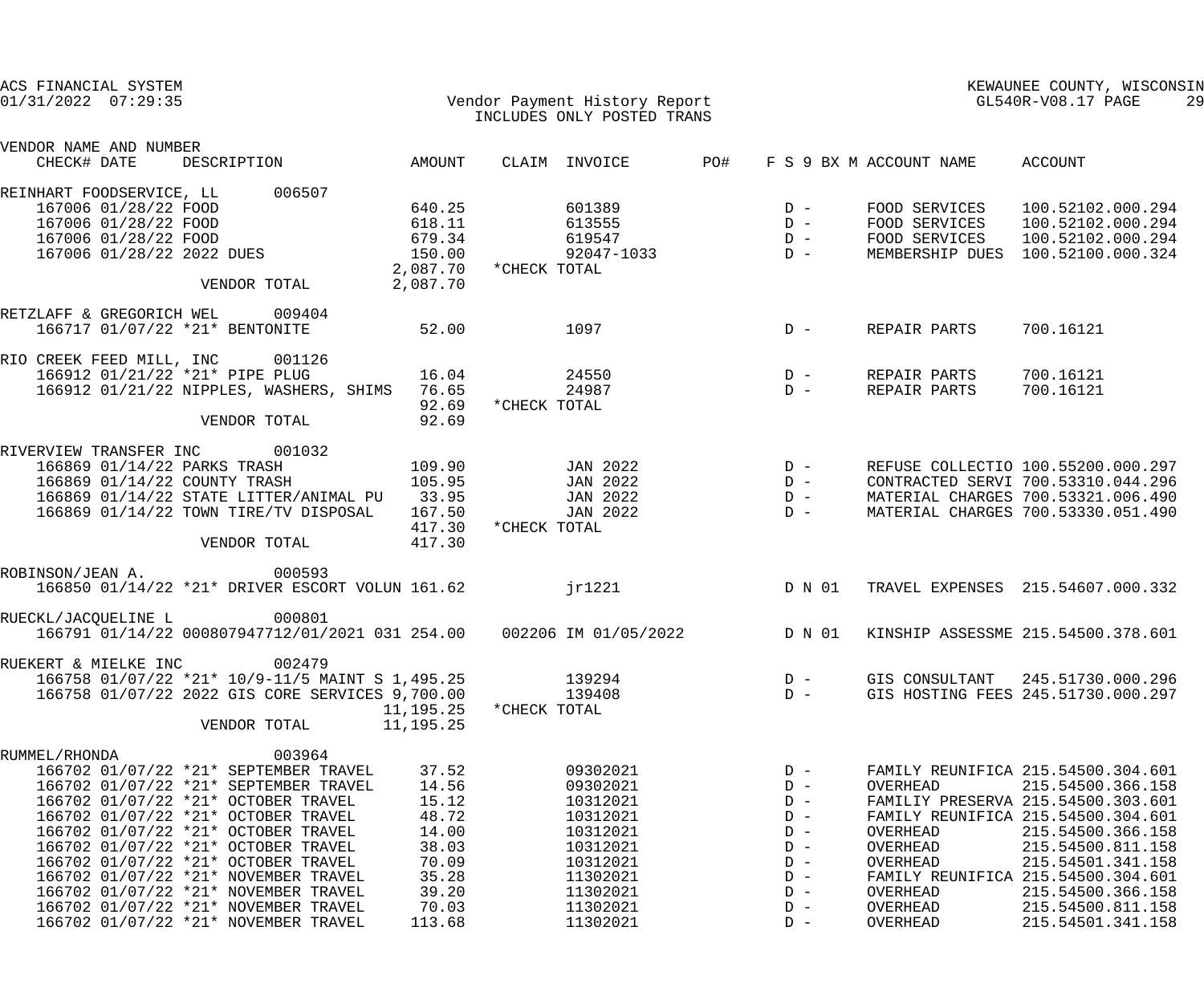| ACS FINANCIAL SYSTEM<br>$01/31/2022$ $07:29:35$ |                                |             |                                                                              |                        |              | Vendor Payment History Report<br>INCLUDES ONLY POSTED TRANS |     | KEWAUNEE COUNTY, WISCONSIN<br>GL540R-V08.17 PAGE<br>29                                                        |                         |                                        |  |
|-------------------------------------------------|--------------------------------|-------------|------------------------------------------------------------------------------|------------------------|--------------|-------------------------------------------------------------|-----|---------------------------------------------------------------------------------------------------------------|-------------------------|----------------------------------------|--|
| VENDOR NAME AND NUMBER<br>CHECK# DATE           |                                | DESCRIPTION |                                                                              | AMOUNT                 |              | CLAIM INVOICE                                               | PO# |                                                                                                               | F S 9 BX M ACCOUNT NAME | ACCOUNT                                |  |
|                                                 |                                |             |                                                                              |                        |              |                                                             |     |                                                                                                               |                         |                                        |  |
| REINHART FOODSERVICE, LL                        | 167006 01/28/22 FOOD           |             | 006507                                                                       | 640.25                 |              | 601389                                                      |     | $D -$                                                                                                         | FOOD SERVICES           | 100.52102.000.294                      |  |
|                                                 | 167006 01/28/22 FOOD           |             |                                                                              | 618.11                 |              | 613555                                                      |     |                                                                                                               | FOOD SERVICES           | 100.52102.000.294                      |  |
|                                                 | 167006 01/28/22 FOOD           |             |                                                                              | 679.34                 |              |                                                             |     | $D -$                                                                                                         | FOOD SERVICES           | 100.52102.000.294                      |  |
|                                                 | 167006 01/28/22 2022 DUES      |             |                                                                              | 150.00                 |              |                                                             |     |                                                                                                               |                         | MEMBERSHIP DUES 100.52100.000.324      |  |
|                                                 |                                |             |                                                                              | 2,087.70 * CHECK TOTAL |              |                                                             |     |                                                                                                               |                         |                                        |  |
|                                                 |                                |             | VENDOR TOTAL                                                                 | 2,087.70               |              |                                                             |     |                                                                                                               |                         |                                        |  |
| RETZLAFF & GREGORICH WEL 009404                 |                                |             |                                                                              |                        |              |                                                             |     |                                                                                                               |                         |                                        |  |
|                                                 | 166717 01/07/22 *21* BENTONITE |             |                                                                              | 52.00                  |              | 1097                                                        |     | $D -$                                                                                                         | REPAIR PARTS            | 700.16121                              |  |
| RIO CREEK FEED MILL, INC 001126                 |                                |             |                                                                              |                        |              |                                                             |     |                                                                                                               |                         |                                        |  |
|                                                 | 166912 01/21/22 *21* PIPE PLUG |             |                                                                              | 16.04                  |              | 24550                                                       |     | $\begin{array}{c} \mathbf{D} & - \\ \mathbf{D} & - \end{array}$                                               | REPAIR PARTS            | 700.16121                              |  |
|                                                 |                                |             | 166912 01/21/22 NIPPLES, WASHERS, SHIMS                                      | 76.65<br>92.69         | *CHECK TOTAL | 24987                                                       |     |                                                                                                               | REPAIR PARTS            | 700.16121                              |  |
|                                                 |                                |             | VENDOR TOTAL                                                                 | 92.69                  |              |                                                             |     |                                                                                                               |                         |                                        |  |
| RIVERVIEW TRANSFER INC                          |                                |             | 001032                                                                       |                        |              |                                                             |     |                                                                                                               |                         |                                        |  |
|                                                 |                                |             | 166869 01/14/22 PARKS TRASH                                                  | 109.90                 |              | JAN 2022                                                    |     |                                                                                                               |                         | REFUSE COLLECTIO 100.55200.000.297     |  |
|                                                 | 166869 01/14/22 COUNTY TRASH   |             |                                                                              | 105.95                 |              | JAN 2022                                                    |     |                                                                                                               |                         | CONTRACTED SERVI 700.53310.044.296     |  |
|                                                 |                                |             | 166869 01/14/22 STATE LITTER/ANIMAL PU 33.95                                 |                        |              | JAN 2022                                                    |     |                                                                                                               |                         | MATERIAL CHARGES 700.53321.006.490     |  |
|                                                 |                                |             | 166869 01/14/22 TOWN TIRE/TV DISPOSAL 167.50                                 |                        |              | JAN 2022                                                    |     | $\begin{array}{ccc} \text{D} & - \\ \text{D} & - \\ \text{D} & - \\ \text{D} & - \\ \text{D} & - \end{array}$ |                         | MATERIAL CHARGES 700.53330.051.490     |  |
|                                                 |                                |             |                                                                              | 417.30                 | *CHECK TOTAL |                                                             |     |                                                                                                               |                         |                                        |  |
|                                                 |                                |             | VENDOR TOTAL                                                                 | 417.30                 |              |                                                             |     |                                                                                                               |                         |                                        |  |
| ROBINSON/JEAN A.                                |                                |             | 000593                                                                       |                        |              |                                                             |     |                                                                                                               |                         |                                        |  |
|                                                 |                                |             | 166850 01/14/22 *21* DRIVER ESCORT VOLUN 161.62                              |                        |              | jr1221                                                      |     | D N 01                                                                                                        |                         | TRAVEL EXPENSES 215.54607.000.332      |  |
| RUECKL/JACQUELINE L                             |                                |             | 000801                                                                       |                        |              |                                                             |     |                                                                                                               |                         |                                        |  |
|                                                 |                                |             | 166791 01/14/22 000807947712/01/2021 031 254.00                              |                        |              | 002206 IM 01/05/2022                                        |     | D N 01                                                                                                        |                         | KINSHIP ASSESSME 215.54500.378.601     |  |
| RUEKERT & MIELKE INC                            |                                |             | 002479                                                                       |                        |              |                                                             |     |                                                                                                               |                         |                                        |  |
|                                                 |                                |             | 166758 01/07/22 *21* 10/9-11/5 MAINT S 1,495.25                              |                        |              | 139294                                                      |     | $D -$                                                                                                         |                         | GIS CONSULTANT 245.51730.000.296       |  |
|                                                 |                                |             | 166758 01/07/22 2022 GIS CORE SERVICES 9,700.00                              |                        |              | 139408                                                      |     | $D -$                                                                                                         |                         | GIS HOSTING FEES 245.51730.000.297     |  |
|                                                 |                                |             | VENDOR TOTAL                                                                 | 11,195.25<br>11,195.25 | *CHECK TOTAL |                                                             |     |                                                                                                               |                         |                                        |  |
|                                                 |                                |             |                                                                              |                        |              |                                                             |     |                                                                                                               |                         |                                        |  |
| RUMMEL/RHONDA                                   |                                |             | 003964                                                                       |                        |              |                                                             |     |                                                                                                               |                         |                                        |  |
|                                                 |                                |             | 166702 01/07/22 *21* SEPTEMBER TRAVEL                                        | 37.52                  |              | 09302021                                                    |     | $D -$                                                                                                         |                         | FAMILY REUNIFICA 215.54500.304.601     |  |
|                                                 |                                |             | 166702 01/07/22 *21* SEPTEMBER TRAVEL                                        | 14.56                  |              | 09302021                                                    |     | $D -$                                                                                                         | OVERHEAD                | 215.54500.366.158                      |  |
|                                                 |                                |             | 166702 01/07/22 *21* OCTOBER TRAVEL                                          | 15.12                  |              | 10312021                                                    |     | $D -$                                                                                                         |                         | FAMILIY PRESERVA 215.54500.303.601     |  |
|                                                 |                                |             | 166702 01/07/22 *21* OCTOBER TRAVEL                                          | 48.72                  |              | 10312021                                                    |     | $D -$                                                                                                         |                         | FAMILY REUNIFICA 215.54500.304.601     |  |
|                                                 |                                |             | 166702 01/07/22 *21* OCTOBER TRAVEL                                          | 14.00                  |              | 10312021                                                    |     | $D -$                                                                                                         | OVERHEAD                | 215.54500.366.158                      |  |
|                                                 |                                |             | 166702 01/07/22 *21* OCTOBER TRAVEL                                          | 38.03                  |              | 10312021                                                    |     | $D -$                                                                                                         | OVERHEAD                | 215.54500.811.158                      |  |
|                                                 |                                |             | 166702 01/07/22 *21* OCTOBER TRAVEL                                          | 70.09                  |              | 10312021                                                    |     | $D -$                                                                                                         | OVERHEAD                | 215.54501.341.158                      |  |
|                                                 |                                |             | 166702 01/07/22 *21* NOVEMBER TRAVEL                                         | 35.28                  |              | 11302021                                                    |     | $D -$                                                                                                         |                         | FAMILY REUNIFICA 215.54500.304.601     |  |
|                                                 |                                |             | 166702 01/07/22 *21* NOVEMBER TRAVEL                                         | 39.20                  |              | 11302021                                                    |     | $D -$                                                                                                         | OVERHEAD                | 215.54500.366.158                      |  |
|                                                 |                                |             | 166702 01/07/22 *21* NOVEMBER TRAVEL<br>166702 01/07/22 *21* NOVEMBER TRAVEL | 70.03<br>113.68        |              | 11302021<br>11302021                                        |     | $D -$<br>$D -$                                                                                                | OVERHEAD<br>OVERHEAD    | 215.54500.811.158<br>215.54501.341.158 |  |
|                                                 |                                |             |                                                                              |                        |              |                                                             |     |                                                                                                               |                         |                                        |  |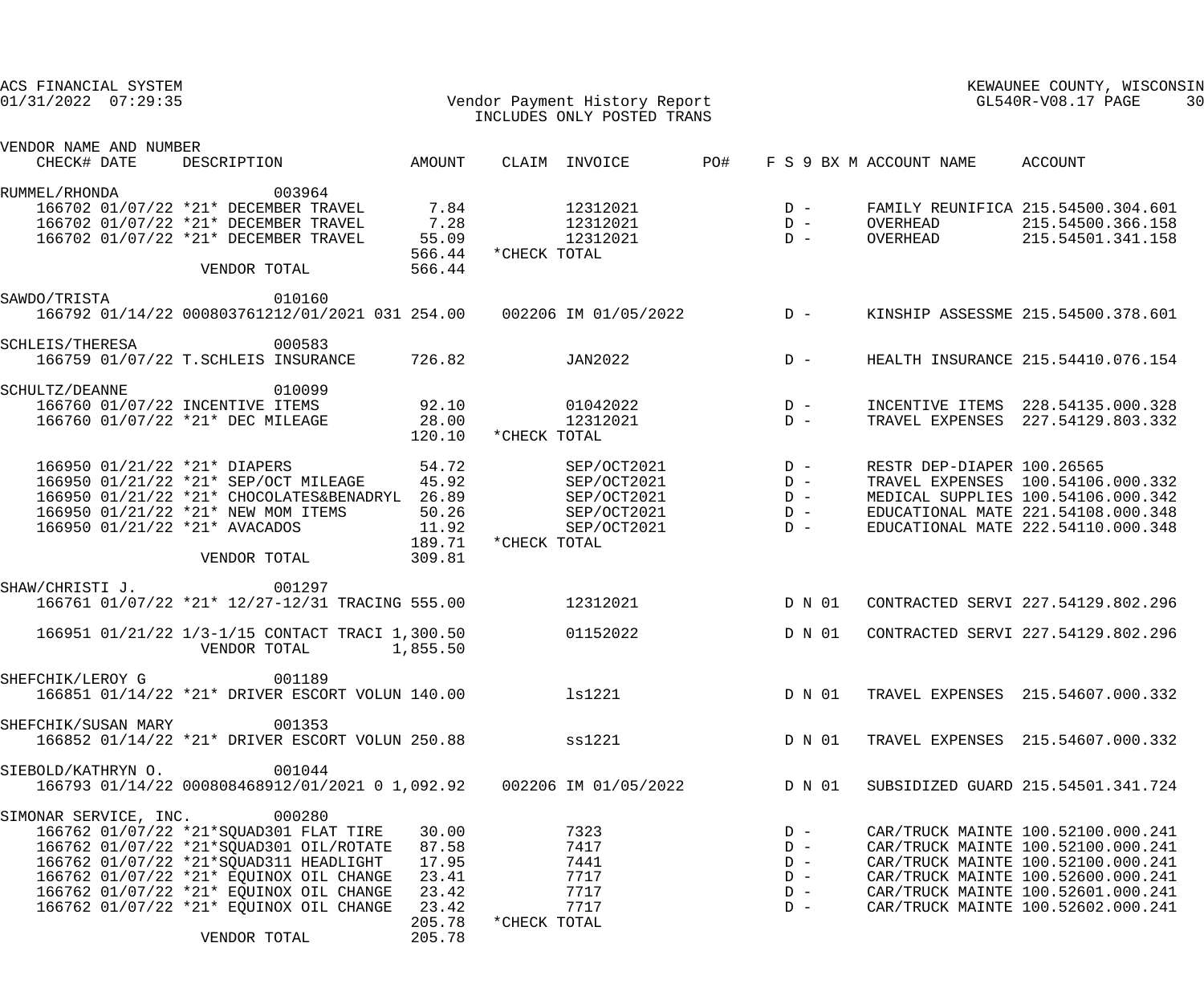| ACS FINANCIAL SYSTEM<br>$01/31/2022$ $07:29:35$ |                                                                                                                                                                                                                                                                                                              |                                                                        | Vendor Payment History Report<br>INCLUDES ONLY POSTED TRANS                             |     |                                                    | KEWAUNEE COUNTY, WISCONSIN<br>GL540R-V08.17 PAGE |                                                                                                                                                                                                                                  |  |
|-------------------------------------------------|--------------------------------------------------------------------------------------------------------------------------------------------------------------------------------------------------------------------------------------------------------------------------------------------------------------|------------------------------------------------------------------------|-----------------------------------------------------------------------------------------|-----|----------------------------------------------------|--------------------------------------------------|----------------------------------------------------------------------------------------------------------------------------------------------------------------------------------------------------------------------------------|--|
| VENDOR NAME AND NUMBER                          |                                                                                                                                                                                                                                                                                                              |                                                                        |                                                                                         |     |                                                    |                                                  |                                                                                                                                                                                                                                  |  |
| CHECK# DATE                                     | DESCRIPTION                                                                                                                                                                                                                                                                                                  | AMOUNT                                                                 | CLAIM INVOICE                                                                           | PO# |                                                    | F S 9 BX M ACCOUNT NAME                          | ACCOUNT                                                                                                                                                                                                                          |  |
| RUMMEL/RHONDA                                   | 003964<br>166702 01/07/22 *21* DECEMBER TRAVEL<br>166702 01/07/22 *21* DECEMBER TRAVEL<br>166702 01/07/22 *21* DECEMBER TRAVEL                                                                                                                                                                               | $7.84$<br>$7.28$<br>55.09                                              | 12312021<br>12312021<br>12312021                                                        |     | $D -$<br>$D -$<br>$D -$                            | OVERHEAD<br>OVERHEAD                             | FAMILY REUNIFICA 215.54500.304.601<br>215.54500.366.158<br>215.54501.341.158                                                                                                                                                     |  |
|                                                 | VENDOR TOTAL                                                                                                                                                                                                                                                                                                 | 566.44<br>566.44                                                       | *CHECK TOTAL                                                                            |     |                                                    |                                                  |                                                                                                                                                                                                                                  |  |
| SAWDO/TRISTA                                    | 010160<br>166792 01/14/22 000803761212/01/2021 031 254.00  002206 IM 01/05/2022  D -                                                                                                                                                                                                                         |                                                                        |                                                                                         |     |                                                    |                                                  | KINSHIP ASSESSME 215.54500.378.601                                                                                                                                                                                               |  |
| SCHLEIS/THERESA                                 | 000583<br>166759 01/07/22 T.SCHLEIS INSURANCE                                                                                                                                                                                                                                                                | 726.82                                                                 | JAN2022                                                                                 |     | $D -$                                              |                                                  | HEALTH INSURANCE 215.54410.076.154                                                                                                                                                                                               |  |
| SCHULTZ/DEANNE                                  | 010099<br>166760 01/07/22 INCENTIVE ITEMS<br>166760 01/07/22 *21* DEC MILEAGE                                                                                                                                                                                                                                | 92.10<br>28.00<br>120.10                                               | 01042022<br>12312021<br>*CHECK TOTAL                                                    |     | $D -$<br>$D -$                                     |                                                  | INCENTIVE ITEMS 228.54135.000.328<br>TRAVEL EXPENSES 227.54129.803.332                                                                                                                                                           |  |
|                                                 | 166950 01/21/22 *21* DIAPERS<br>166950 01/21/22 *21* SEP/OCT MILEAGE<br>166950 01/21/22 *21* CHOCOLATES&BENADRYL 26.89<br>166950 01/21/22 *21* NEW MOM ITEMS<br>166950 01/21/22 *21* AVACADOS<br>VENDOR TOTAL                                                                                                | 54.72<br>45.92<br>50.26<br>11.92<br>189.71<br>309.81                   | SEP/OCT2021<br>SEP/OCT2021<br>SEP/OCT2021<br>SEP/OCT2021<br>SEP/OCT2021<br>*CHECK TOTAL |     | $D -$<br>$D -$<br>$D -$<br>$D -$<br>$D -$          | RESTR DEP-DIAPER 100.26565                       | TRAVEL EXPENSES 100.54106.000.332<br>MEDICAL SUPPLIES 100.54106.000.342<br>EDUCATIONAL MATE 221.54108.000.348<br>EDUCATIONAL MATE 222.54110.000.348                                                                              |  |
| SHAW/CHRISTI J.                                 | 001297<br>166761 01/07/22 *21* 12/27-12/31 TRACING 555.00                                                                                                                                                                                                                                                    |                                                                        | 12312021                                                                                |     | D N 01                                             |                                                  | CONTRACTED SERVI 227.54129.802.296                                                                                                                                                                                               |  |
|                                                 | 166951 01/21/22 1/3-1/15 CONTACT TRACI 1,300.50<br>VENDOR TOTAL 1,855.50                                                                                                                                                                                                                                     |                                                                        | 01152022                                                                                |     | D N 01                                             |                                                  | CONTRACTED SERVI 227.54129.802.296                                                                                                                                                                                               |  |
| SHEFCHIK/LEROY G                                | 001189<br>166851 01/14/22 *21* DRIVER ESCORT VOLUN 140.00 ls1221                                                                                                                                                                                                                                             |                                                                        |                                                                                         |     |                                                    |                                                  | D N 01 TRAVEL EXPENSES 215.54607.000.332                                                                                                                                                                                         |  |
| SHEFCHIK/SUSAN MARY                             | 001353<br>166852 01/14/22 *21* DRIVER ESCORT VOLUN 250.88 SS1221                                                                                                                                                                                                                                             |                                                                        |                                                                                         |     | D N 01                                             |                                                  | TRAVEL EXPENSES 215.54607.000.332                                                                                                                                                                                                |  |
| SIEBOLD/KATHRYN O.                              | 001044<br>166793 01/14/22 000808468912/01/2021 0 1,092.92   002206 IM 01/05/2022                                                                                                                                                                                                                             |                                                                        |                                                                                         |     | D N 01                                             |                                                  | SUBSIDIZED GUARD 215.54501.341.724                                                                                                                                                                                               |  |
|                                                 | SIMONAR SERVICE, INC. 000280<br>166762 01/07/22 *21*SQUAD301 FLAT TIRE<br>166762 01/07/22 *21*SQUAD301 OIL/ROTATE<br>166762 01/07/22 *21*SQUAD311 HEADLIGHT<br>166762 01/07/22 *21* EQUINOX OIL CHANGE<br>166762 01/07/22 *21* EQUINOX OIL CHANGE<br>166762 01/07/22 *21* EQUINOX OIL CHANGE<br>VENDOR TOTAL | 30.00<br>87.58<br>17.95<br>23.41<br>23.42<br>23.42<br>205.78<br>205.78 | 7323<br>7417<br>7441<br>7717<br>7717<br>7717<br>*CHECK TOTAL                            |     | $D -$<br>$D -$<br>$D -$<br>$D -$<br>$D -$<br>$D -$ |                                                  | CAR/TRUCK MAINTE 100.52100.000.241<br>CAR/TRUCK MAINTE 100.52100.000.241<br>CAR/TRUCK MAINTE 100.52100.000.241<br>CAR/TRUCK MAINTE 100.52600.000.241<br>CAR/TRUCK MAINTE 100.52601.000.241<br>CAR/TRUCK MAINTE 100.52602.000.241 |  |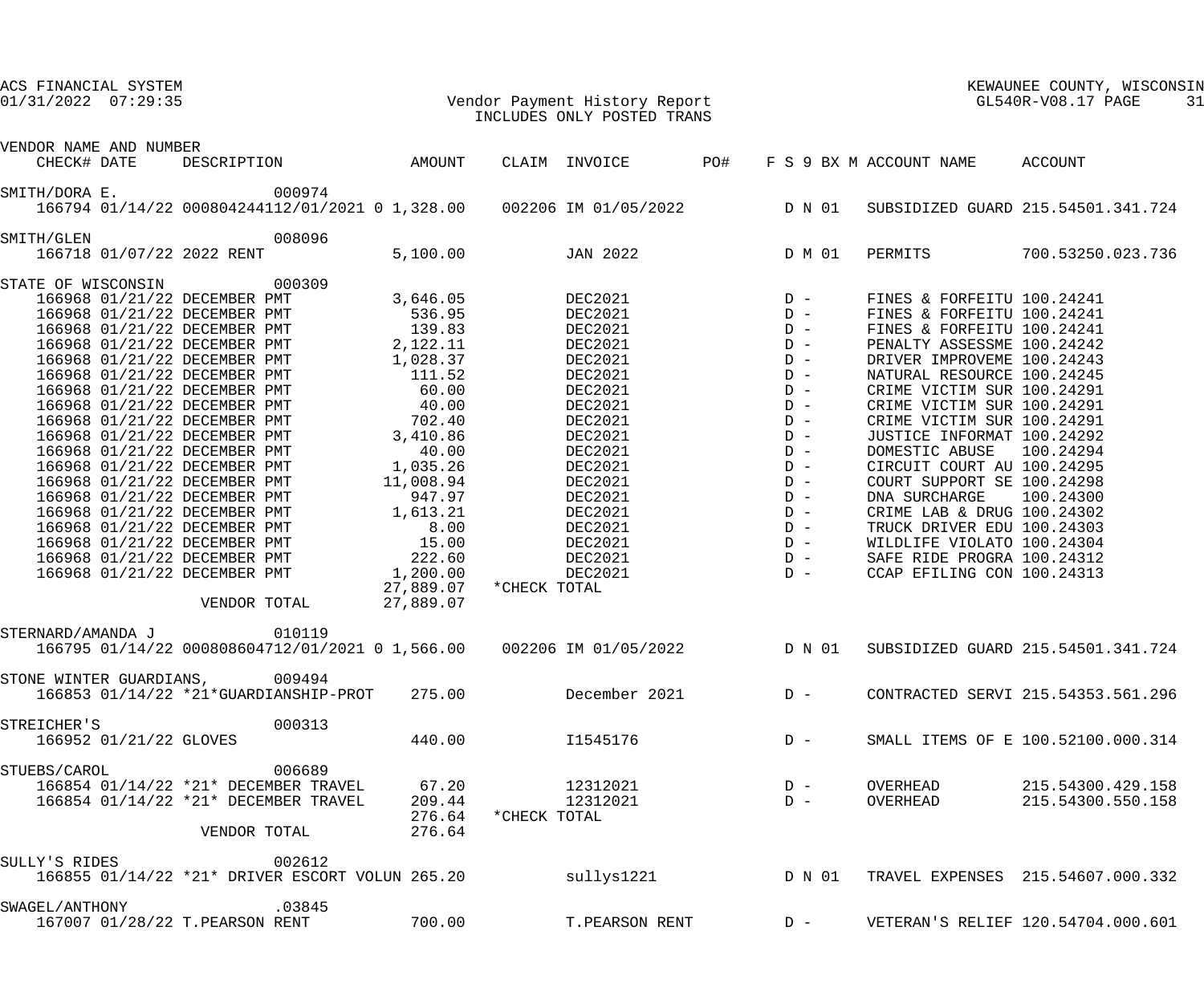| ACS FINANCIAL SYSTEM<br>$01/31/2022$ 07:29:35 |                        |                                                                                                                                                                                                                                                  |        | Vendor Payment History Report<br>INCLUDES ONLY POSTED TRANS |              |                                                                                                   |  |        | KEWAUNEE COUNTY, WIS<br>GL540R-V08.17 PAGE<br>KEWAUNEE COUNTY, WISCONSIN<br>31 |                            |                                    |  |
|-----------------------------------------------|------------------------|--------------------------------------------------------------------------------------------------------------------------------------------------------------------------------------------------------------------------------------------------|--------|-------------------------------------------------------------|--------------|---------------------------------------------------------------------------------------------------|--|--------|--------------------------------------------------------------------------------|----------------------------|------------------------------------|--|
| VENDOR NAME AND NUMBER                        |                        |                                                                                                                                                                                                                                                  |        |                                                             |              |                                                                                                   |  |        |                                                                                |                            |                                    |  |
| CHECK# DATE                                   |                        | DESCRIPTION                                                                                                                                                                                                                                      | AMOUNT |                                                             |              | CLAIM INVOICE PO#                                                                                 |  |        |                                                                                | F S 9 BX M ACCOUNT NAME    | ACCOUNT                            |  |
| SMITH/DORA E.                                 |                        | 000974                                                                                                                                                                                                                                           |        |                                                             |              | 166794 01/14/22 000804244112/01/2021 0 1,328.00  002206 IM 01/05/2022  D N 01                     |  |        |                                                                                |                            | SUBSIDIZED GUARD 215.54501.341.724 |  |
| SMITH/GLEN                                    |                        | 008096<br>166718 01/07/22 2022 RENT                                                                                                                                                                                                              |        | 5,100.00                                                    |              | <b>JAN 2022</b>                                                                                   |  |        |                                                                                | D M 01 PERMITS             | 700.53250.023.736                  |  |
|                                               |                        | STATE OF WISCONSIN 000309                                                                                                                                                                                                                        |        |                                                             |              |                                                                                                   |  |        |                                                                                |                            |                                    |  |
|                                               |                        | 166968 01/21/22 DECEMBER PMT                                                                                                                                                                                                                     |        | 3,646.05                                                    |              | DEC2021                                                                                           |  |        |                                                                                | FINES & FORFEITU 100.24241 |                                    |  |
|                                               |                        |                                                                                                                                                                                                                                                  |        |                                                             |              | DEC2021                                                                                           |  |        |                                                                                | FINES & FORFEITU 100.24241 |                                    |  |
|                                               |                        |                                                                                                                                                                                                                                                  |        |                                                             |              | DEC2021                                                                                           |  |        |                                                                                | FINES & FORFEITU 100.24241 |                                    |  |
|                                               |                        |                                                                                                                                                                                                                                                  |        |                                                             |              | DEC2021                                                                                           |  |        |                                                                                | PENALTY ASSESSME 100.24242 |                                    |  |
|                                               |                        | 166968 01/21/22 DECEMBER PMT 536.95<br>166968 01/21/22 DECEMBER PMT 139.83<br>166968 01/21/22 DECEMBER PMT 2,122.11<br>166968 01/21/22 DECEMBER PMT 1,028.37<br>166969 01/21/22 DECEMBER PMT 1,028.37                                            |        |                                                             |              | DEC2021                                                                                           |  |        |                                                                                | DRIVER IMPROVEME 100.24243 |                                    |  |
|                                               |                        | 166968 01/21/22 DECEMBER PMT                                                                                                                                                                                                                     |        | 111.52                                                      |              | DEC2021                                                                                           |  |        |                                                                                | NATURAL RESOURCE 100.24245 |                                    |  |
|                                               |                        | 166968 01/21/22 DECEMBER PMT                                                                                                                                                                                                                     |        | 60.00                                                       |              | DEC2021                                                                                           |  |        |                                                                                | CRIME VICTIM SUR 100.24291 |                                    |  |
|                                               |                        | 166968 01/21/22 DECEMBER PMT 40.00<br>166968 01/21/22 DECEMBER PMT 702.40<br>166968 01/21/22 DECEMBER PMT 702.40<br>166968 01/21/22 DECEMBER PMT 40.00<br>166968 01/21/22 DECEMBER PMT 1,035.26<br>166968 01/21/22 DECEMBER PMT 11,008.94<br>166 |        |                                                             |              | DEC2021                                                                                           |  |        |                                                                                | CRIME VICTIM SUR 100.24291 |                                    |  |
|                                               |                        |                                                                                                                                                                                                                                                  |        |                                                             |              | DEC2021                                                                                           |  |        |                                                                                | CRIME VICTIM SUR 100.24291 |                                    |  |
|                                               |                        |                                                                                                                                                                                                                                                  |        |                                                             |              | DEC2021                                                                                           |  |        |                                                                                | JUSTICE INFORMAT 100.24292 |                                    |  |
|                                               |                        |                                                                                                                                                                                                                                                  |        |                                                             |              | DEC2021                                                                                           |  |        |                                                                                | DOMESTIC ABUSE 100.24294   |                                    |  |
|                                               |                        |                                                                                                                                                                                                                                                  |        |                                                             |              | DEC2021                                                                                           |  |        |                                                                                | CIRCUIT COURT AU 100.24295 |                                    |  |
|                                               |                        |                                                                                                                                                                                                                                                  |        |                                                             |              | DEC2021                                                                                           |  |        |                                                                                | COURT SUPPORT SE 100.24298 |                                    |  |
|                                               |                        |                                                                                                                                                                                                                                                  |        |                                                             |              | DEC2021                                                                                           |  |        |                                                                                | DNA SURCHARGE              | 100.24300                          |  |
|                                               |                        |                                                                                                                                                                                                                                                  |        |                                                             |              | DEC2021                                                                                           |  |        |                                                                                | CRIME LAB & DRUG 100.24302 |                                    |  |
|                                               |                        |                                                                                                                                                                                                                                                  |        |                                                             |              | DEC2021                                                                                           |  |        |                                                                                | TRUCK DRIVER EDU 100.24303 |                                    |  |
|                                               |                        | 166968 01/21/22 DECEMBER PMT                                                                                                                                                                                                                     |        | 15.00                                                       |              | DEC2021                                                                                           |  |        |                                                                                | WILDLIFE VIOLATO 100.24304 |                                    |  |
|                                               |                        | 166968 01/21/22 DECEMBER PMT                                                                                                                                                                                                                     |        | 222.60                                                      |              | DEC2021                                                                                           |  |        |                                                                                | SAFE RIDE PROGRA 100.24312 |                                    |  |
|                                               |                        | 166968 01/21/22 DECEMBER PMT                                                                                                                                                                                                                     |        | 1,200.00                                                    |              | DEC2021                                                                                           |  |        |                                                                                | CCAP EFILING CON 100.24313 |                                    |  |
|                                               |                        | VENDOR TOTAL                                                                                                                                                                                                                                     |        | 27,889.07<br>27,889.07                                      | *CHECK TOTAL |                                                                                                   |  |        |                                                                                |                            |                                    |  |
|                                               |                        |                                                                                                                                                                                                                                                  |        |                                                             |              |                                                                                                   |  |        |                                                                                |                            |                                    |  |
| STERNARD/AMANDA J                             |                        |                                                                                                                                                                                                                                                  | 010119 |                                                             |              | 166795 01/14/22 000808604712/01/2021 0 1,566.00                              002206 IM 01/05/2022 |  |        | D N 01                                                                         |                            | SUBSIDIZED GUARD 215.54501.341.724 |  |
|                                               |                        | STONE WINTER GUARDIANS, 009494                                                                                                                                                                                                                   |        | 275.00                                                      |              | December 2021                                                                                     |  |        |                                                                                |                            | CONTRACTED SERVI 215.54353.561.296 |  |
|                                               |                        | 166853 01/14/22 *21*GUARDIANSHIP-PROT                                                                                                                                                                                                            |        |                                                             |              |                                                                                                   |  | $D -$  |                                                                                |                            |                                    |  |
| STREICHER'S                                   |                        |                                                                                                                                                                                                                                                  | 000313 |                                                             |              |                                                                                                   |  |        |                                                                                |                            |                                    |  |
|                                               | 166952 01/21/22 GLOVES |                                                                                                                                                                                                                                                  |        | 440.00                                                      |              | I1545176                                                                                          |  | $D -$  |                                                                                |                            | SMALL ITEMS OF E 100.52100.000.314 |  |
| STUEBS/CAROL                                  |                        |                                                                                                                                                                                                                                                  | 006689 |                                                             |              |                                                                                                   |  |        |                                                                                |                            |                                    |  |
|                                               |                        | 166854 01/14/22 *21* DECEMBER TRAVEL                                                                                                                                                                                                             |        | 67.20                                                       |              | 12312021                                                                                          |  | $D -$  |                                                                                | OVERHEAD                   | 215.54300.429.158                  |  |
|                                               |                        | 166854 01/14/22 *21* DECEMBER TRAVEL                                                                                                                                                                                                             |        | 209.44                                                      |              | 12312021                                                                                          |  | $D -$  |                                                                                | OVERHEAD                   | 215.54300.550.158                  |  |
|                                               |                        |                                                                                                                                                                                                                                                  |        | 276.64                                                      | *CHECK TOTAL |                                                                                                   |  |        |                                                                                |                            |                                    |  |
|                                               |                        | VENDOR TOTAL                                                                                                                                                                                                                                     |        | 276.64                                                      |              |                                                                                                   |  |        |                                                                                |                            |                                    |  |
| SULLY'S RIDES                                 |                        |                                                                                                                                                                                                                                                  | 002612 |                                                             |              |                                                                                                   |  |        |                                                                                |                            |                                    |  |
|                                               |                        | 166855 01/14/22 *21* DRIVER ESCORT VOLUN 265.20                                                                                                                                                                                                  |        |                                                             |              | sullys1221                                                                                        |  | D N 01 |                                                                                |                            | TRAVEL EXPENSES 215.54607.000.332  |  |
| SWAGEL/ANTHONY                                |                        |                                                                                                                                                                                                                                                  | .03845 |                                                             |              |                                                                                                   |  |        |                                                                                |                            |                                    |  |
|                                               |                        | 167007 01/28/22 T.PEARSON RENT                                                                                                                                                                                                                   |        | 700.00                                                      |              | T.PEARSON RENT                                                                                    |  | $D -$  |                                                                                |                            | VETERAN'S RELIEF 120.54704.000.601 |  |
|                                               |                        |                                                                                                                                                                                                                                                  |        |                                                             |              |                                                                                                   |  |        |                                                                                |                            |                                    |  |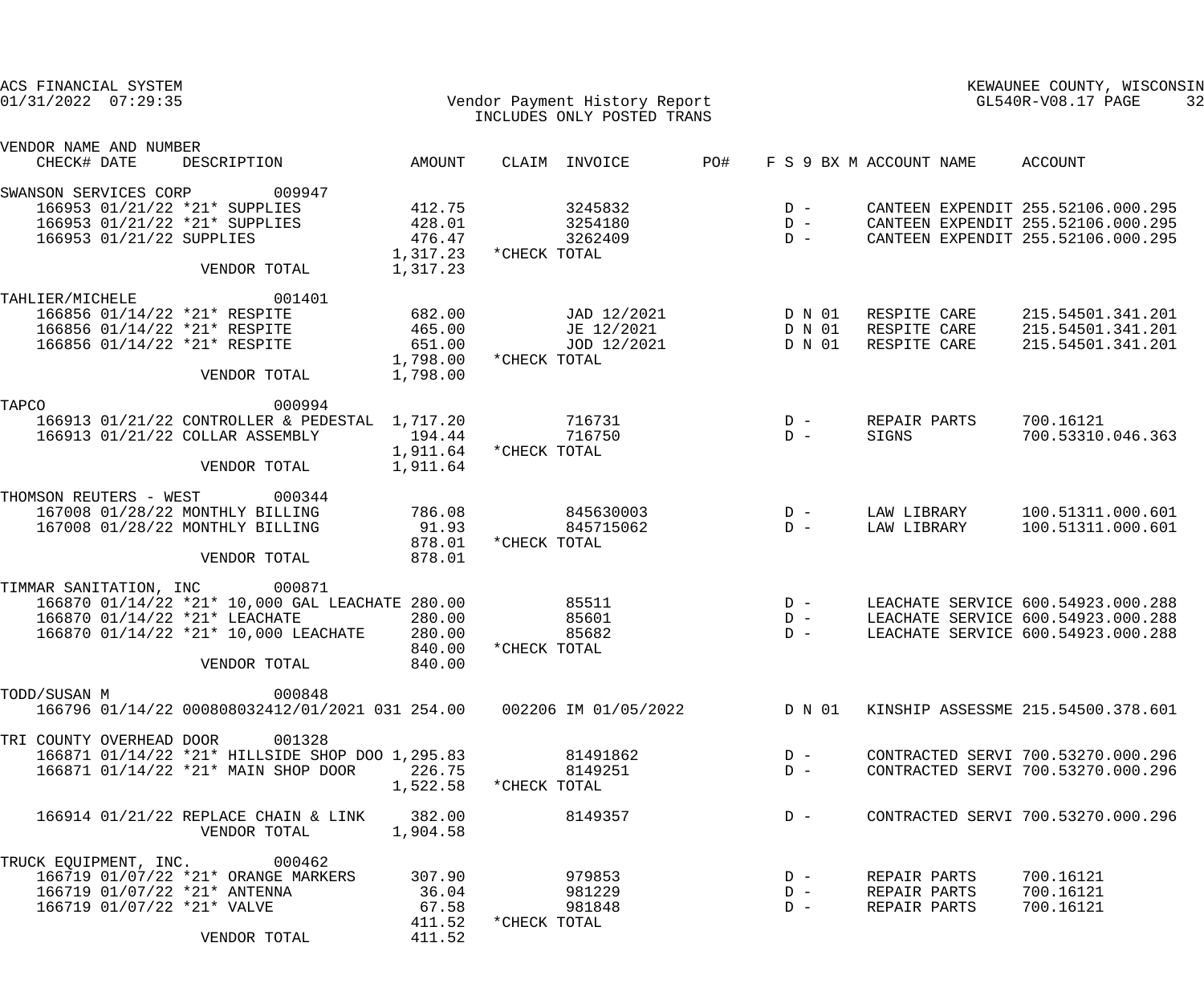| ACS FINANCIAL SYSTEM<br>$01/31/2022$ $07:29:35$                                                                                             |                                              | Vendor Payment History Report<br>INCLUDES ONLY POSTED TRANS |                                                                 | KEWAUNEE COUNTY, WISCONSIN<br>GL540R-V08.17 PAGE<br>32 |                                                                          |  |
|---------------------------------------------------------------------------------------------------------------------------------------------|----------------------------------------------|-------------------------------------------------------------|-----------------------------------------------------------------|--------------------------------------------------------|--------------------------------------------------------------------------|--|
| VENDOR NAME AND NUMBER<br>CHECK# DATE<br>DESCRIPTION                                                                                        | AMOUNT                                       | CLAIM INVOICE                                               | PO#                                                             | F S 9 BX M ACCOUNT NAME                                | ACCOUNT                                                                  |  |
| SWANSON SERVICES CORP<br>009947<br>166953 01/21/22 *21* SUPPLIES                                                                            | 412.75                                       | 3245832                                                     | $D -$                                                           |                                                        | CANTEEN EXPENDIT 255.52106.000.295                                       |  |
| 166953 01/21/22 *21* SUPPLIES<br>166953 01/21/22 SUPPLIES                                                                                   | $428.01$<br>$476.47$<br>476.47<br>1,317.23   | 3254180<br>3262409<br>*CHECK TOTAL                          | $\begin{array}{c} \mathbf{D} & - \\ \mathbf{D} & - \end{array}$ |                                                        | CANTEEN EXPENDIT 255.52106.000.295<br>CANTEEN EXPENDIT 255.52106.000.295 |  |
| VENDOR TOTAL                                                                                                                                | 1,317.23                                     |                                                             |                                                                 |                                                        |                                                                          |  |
| 001401<br>TAHLIER/MICHELE<br>166856 01/14/22 *21* RESPITE<br>166856 01/14/22 *21* RESPITE                                                   | 682.00                                       | JAD 12/2021<br>JE 12/2021                                   | D N 01<br>D N 01                                                | RESPITE CARE<br>RESPITE CARE                           | 215.54501.341.201<br>215.54501.341.201                                   |  |
| 166856 01/14/22 *21* RESPITE<br>VENDOR TOTAL                                                                                                | $465.00$<br>$651.00$<br>1,798.00<br>1,798.00 | JOD 12/2021<br>*CHECK TOTAL                                 | D N 01                                                          | RESPITE CARE                                           | 215.54501.341.201                                                        |  |
| TAPCO<br>000994                                                                                                                             |                                              |                                                             |                                                                 |                                                        |                                                                          |  |
| 166913 01/21/22 CONTROLLER & PEDESTAL 1,717.20<br>166913 01/21/22 COLLAR ASSEMBLY                                                           | 194.44<br>1,911.64                           | 716731<br>716750<br>*CHECK TOTAL                            | $D -$<br>$D -$                                                  | REPAIR PARTS<br>SIGNS                                  | 700.16121<br>700.53310.046.363                                           |  |
| VENDOR TOTAL                                                                                                                                | 1,911.64                                     |                                                             |                                                                 |                                                        |                                                                          |  |
| THOMSON REUTERS - WEST 000344                                                                                                               |                                              |                                                             |                                                                 |                                                        |                                                                          |  |
| 167008 01/28/22 MONTHLY BILLING<br>167008 01/28/22 MONTHLY BILLING                                                                          | 786.08<br>91.93<br>878.01                    | 845630003<br>845715062<br>*CHECK TOTAL                      | $D -$<br>$D -$                                                  | LAW LIBRARY<br>LAW LIBRARY                             | 100.51311.000.601<br>100.51311.000.601                                   |  |
| VENDOR TOTAL                                                                                                                                | 878.01                                       |                                                             |                                                                 |                                                        |                                                                          |  |
| TIMMAR SANITATION, INC 000871<br>166870 01/14/22 *21* 10,000 GAL LEACHATE 280.00                                                            |                                              | 85511                                                       | $D -$                                                           |                                                        | LEACHATE SERVICE 600.54923.000.288                                       |  |
| 166870 01/14/22 *21* LEACHATE<br>166870 01/14/22 *21* 10,000 LEACHATE                                                                       | 280.00<br>280.00                             | 85601<br>85682                                              | $D -$<br>$D -$                                                  |                                                        | LEACHATE SERVICE 600.54923.000.288<br>LEACHATE SERVICE 600.54923.000.288 |  |
| VENDOR TOTAL                                                                                                                                | 840.00<br>840.00                             | *CHECK TOTAL                                                |                                                                 |                                                        |                                                                          |  |
| 000848<br>TODD/SUSAN M<br>166796 01/14/22 000808032412/01/2021 031 254.00  002206 IM 01/05/2022  D N 01  KINSHIP ASSESSME 215.54500.378.601 |                                              |                                                             |                                                                 |                                                        |                                                                          |  |
| TRI COUNTY OVERHEAD DOOR<br>001328                                                                                                          |                                              |                                                             |                                                                 |                                                        |                                                                          |  |
| 166871 01/14/22 *21* HILLSIDE SHOP DOO 1,295.83<br>166871 01/14/22 *21* MAIN SHOP DOOR                                                      | 226.75                                       | 81491862<br>8149251<br>1,522.58 *CHECK TOTAL                | $D -$<br>$D -$                                                  |                                                        | CONTRACTED SERVI 700.53270.000.296<br>CONTRACTED SERVI 700.53270.000.296 |  |
| 166914 01/21/22 REPLACE CHAIN & LINK<br>VENDOR TOTAL                                                                                        | 382.00<br>1,904.58                           | 8149357                                                     | $D -$                                                           |                                                        | CONTRACTED SERVI 700.53270.000.296                                       |  |
| TRUCK EQUIPMENT, INC. 000462<br>166719 01/07/22 *21* ORANGE MARKERS<br>166719 01/07/22 *21* ANTENNA<br>166719 01/07/22 *21* VALVE           | 307.90<br>36.04<br>67.58<br>411.52           | 979853<br>981229<br>981848<br>*CHECK TOTAL                  | $D -$<br>$D -$<br>$D -$                                         | REPAIR PARTS<br>REPAIR PARTS<br>REPAIR PARTS           | 700.16121<br>700.16121<br>700.16121                                      |  |
| VENDOR TOTAL                                                                                                                                | 411.52                                       |                                                             |                                                                 |                                                        |                                                                          |  |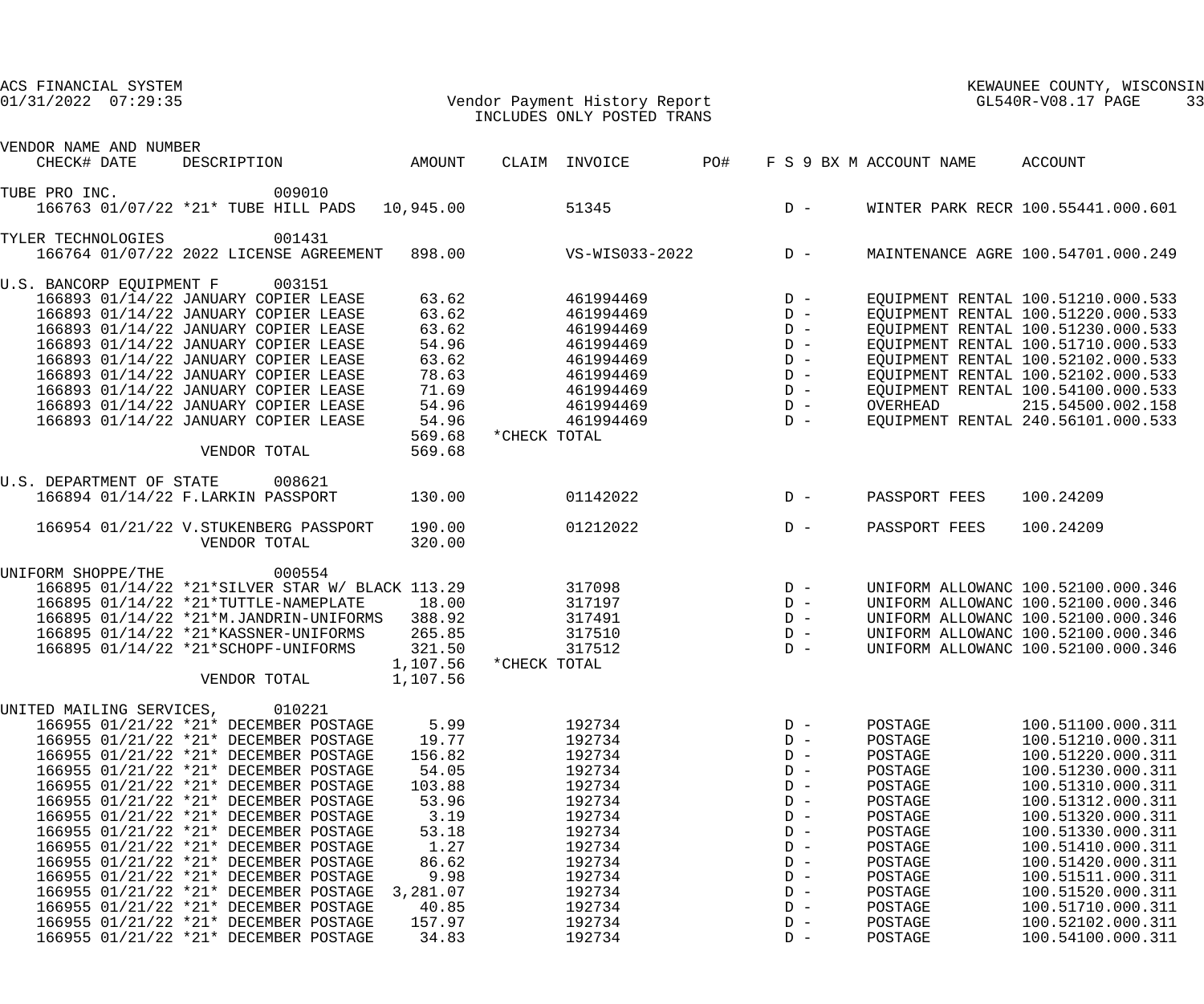### 01/31/2022 07:29:35 Vendor Payment History Report GL540R-V08.17 PAGE 33 INCLUDES ONLY POSTED TRANS

|                    | VENDOR NAME AND NUMBER   |                                                                                                    |           |              |                                           |                                                 |                                                                 |               |                                              |
|--------------------|--------------------------|----------------------------------------------------------------------------------------------------|-----------|--------------|-------------------------------------------|-------------------------------------------------|-----------------------------------------------------------------|---------------|----------------------------------------------|
|                    | CHECK# DATE              | DESCRIPTION AMOUNT                                                                                 |           |              | CLAIM INVOICE PO# F S 9 BX M ACCOUNT NAME |                                                 |                                                                 |               | ACCOUNT                                      |
| TUBE PRO INC.      |                          | 009010                                                                                             |           |              |                                           |                                                 |                                                                 |               |                                              |
|                    |                          | 166763 01/07/22 *21* TUBE HILL PADS                                                                | 10,945.00 |              |                                           |                                                 |                                                                 |               | 51345 D - WINTER PARK RECR 100.55441.000.601 |
| TYLER TECHNOLOGIES |                          | 001431                                                                                             |           |              |                                           |                                                 |                                                                 |               |                                              |
|                    |                          | 166764 01/07/22 2022 LICENSE AGREEMENT 898.00 VS-WIS033-2022 D- MAINTENANCE AGRE 100.54701.000.249 |           |              |                                           |                                                 |                                                                 |               |                                              |
|                    |                          | U.S. BANCORP EQUIPMENT F 003151                                                                    |           |              |                                           |                                                 |                                                                 |               |                                              |
|                    |                          | 166893 01/14/22 JANUARY COPIER LEASE                                                               | 63.62     |              | 461994469                                 |                                                 |                                                                 |               | EQUIPMENT RENTAL 100.51210.000.533           |
|                    |                          | 166893 01/14/22 JANUARY COPIER LEASE                                                               | 63.62     |              | 461994469                                 | $\begin{array}{c}\nD & - \\ D & -\n\end{array}$ |                                                                 |               | EQUIPMENT RENTAL 100.51220.000.533           |
|                    |                          | 166893 01/14/22 JANUARY COPIER LEASE                                                               | 63.62     |              | 461994469                                 |                                                 | $D -$                                                           |               | EQUIPMENT RENTAL 100.51230.000.533           |
|                    |                          | 166893 01/14/22 JANUARY COPIER LEASE                                                               | 54.96     |              | 461994469                                 |                                                 | $D -$                                                           |               | EQUIPMENT RENTAL 100.51710.000.533           |
|                    |                          | 166893 01/14/22 JANUARY COPIER LEASE                                                               | 63.62     |              | 461994469                                 |                                                 | $D -$                                                           |               | EQUIPMENT RENTAL 100.52102.000.533           |
|                    |                          | 166893 01/14/22 JANUARY COPIER LEASE                                                               | 78.63     |              | 461994469                                 |                                                 | $D -$                                                           |               | EQUIPMENT RENTAL 100.52102.000.533           |
|                    |                          | 166893 01/14/22 JANUARY COPIER LEASE                                                               | 71.69     |              | 461994469                                 |                                                 | $D -$                                                           |               | EQUIPMENT RENTAL 100.54100.000.533           |
|                    |                          | 166893 01/14/22 JANUARY COPIER LEASE                                                               | 54.96     |              | 461994469                                 |                                                 | $D -$                                                           | OVERHEAD      | 215.54500.002.158                            |
|                    |                          | 166893 01/14/22 JANUARY COPIER LEASE                                                               | 54.96     |              | 461994469                                 |                                                 | $D -$                                                           |               | EQUIPMENT RENTAL 240.56101.000.533           |
|                    |                          |                                                                                                    | 569.68    | *CHECK TOTAL |                                           |                                                 |                                                                 |               |                                              |
|                    |                          | VENDOR TOTAL                                                                                       | 569.68    |              |                                           |                                                 |                                                                 |               |                                              |
|                    |                          | U.S. DEPARTMENT OF STATE 008621                                                                    |           |              |                                           |                                                 |                                                                 |               |                                              |
|                    |                          | 166894 01/14/22 F.LARKIN PASSPORT                                                                  | 130.00    |              | 01142022                                  |                                                 | $D -$                                                           | PASSPORT FEES | 100.24209                                    |
|                    |                          | 166954 01/21/22 V.STUKENBERG PASSPORT                                                              | 190.00    |              | 01212022                                  |                                                 | $D -$                                                           | PASSPORT FEES | 100.24209                                    |
|                    |                          | VENDOR TOTAL                                                                                       | 320.00    |              |                                           |                                                 |                                                                 |               |                                              |
|                    |                          |                                                                                                    |           |              |                                           |                                                 |                                                                 |               |                                              |
|                    | UNIFORM SHOPPE/THE       | 000554                                                                                             |           |              |                                           |                                                 |                                                                 |               |                                              |
|                    |                          | 166895 01/14/22 *21*SILVER STAR W/ BLACK 113.29                                                    |           |              | 317098                                    | $\begin{array}{c}\nD & - \\ D & -\n\end{array}$ |                                                                 |               | UNIFORM ALLOWANC 100.52100.000.346           |
|                    |                          | 166895 01/14/22 *21*TUTTLE-NAMEPLATE                                                               | 18.00     |              | 317197                                    |                                                 |                                                                 |               | UNIFORM ALLOWANC 100.52100.000.346           |
|                    |                          | 166895 01/14/22 *21*M.JANDRIN-UNIFORMS                                                             | 388.92    |              | 317491                                    | $D -$                                           |                                                                 |               | UNIFORM ALLOWANC 100.52100.000.346           |
|                    |                          | 166895 01/14/22 *21*KASSNER-UNIFORMS                                                               | 265.85    |              | 317510                                    |                                                 | $\begin{array}{c} \mathbf{D} & - \\ \mathbf{D} & - \end{array}$ |               | UNIFORM ALLOWANC 100.52100.000.346           |
|                    |                          | 166895 01/14/22 *21*SCHOPF-UNIFORMS                                                                | 321.50    |              | 317512                                    |                                                 |                                                                 |               | UNIFORM ALLOWANC 100.52100.000.346           |
|                    |                          |                                                                                                    | 1,107.56  | *CHECK TOTAL |                                           |                                                 |                                                                 |               |                                              |
|                    |                          | VENDOR TOTAL 1,107.56                                                                              |           |              |                                           |                                                 |                                                                 |               |                                              |
|                    | UNITED MAILING SERVICES, | 010221                                                                                             |           |              |                                           |                                                 |                                                                 |               |                                              |
|                    |                          | 166955 01/21/22 *21* DECEMBER POSTAGE                                                              | 5.99      |              | 192734                                    |                                                 | $D -$                                                           | POSTAGE       | 100.51100.000.311                            |
|                    |                          | 166955 01/21/22 *21* DECEMBER POSTAGE                                                              | 19.77     |              | 192734                                    |                                                 | $D -$                                                           | POSTAGE       | 100.51210.000.311                            |
|                    |                          | 166955 01/21/22 *21* DECEMBER POSTAGE                                                              | 156.82    |              | 192734                                    |                                                 | $D -$                                                           | POSTAGE       | 100.51220.000.311                            |
|                    |                          | 166955 01/21/22 *21* DECEMBER POSTAGE                                                              | 54.05     |              | 192734                                    |                                                 | $D -$                                                           | POSTAGE       | 100.51230.000.311                            |
|                    |                          | 166955 01/21/22 *21* DECEMBER POSTAGE                                                              | 103.88    |              | 192734                                    |                                                 | $D -$                                                           | POSTAGE       | 100.51310.000.311                            |
|                    |                          | 166955 01/21/22 *21* DECEMBER POSTAGE                                                              | 53.96     |              | 192734                                    |                                                 | $D -$                                                           | POSTAGE       | 100.51312.000.311                            |
|                    |                          | 166955 01/21/22 *21* DECEMBER POSTAGE                                                              | 3.19      |              | 192734                                    |                                                 | $D -$                                                           | POSTAGE       | 100.51320.000.311                            |
|                    |                          | 166955 01/21/22 *21* DECEMBER POSTAGE                                                              | 53.18     |              | 192734                                    |                                                 | $D -$                                                           | POSTAGE       | 100.51330.000.311                            |
|                    |                          | 166955 01/21/22 *21* DECEMBER POSTAGE                                                              | 1.27      |              | 192734                                    |                                                 | $D -$                                                           | POSTAGE       | 100.51410.000.311                            |
|                    |                          | 166955 01/21/22 *21* DECEMBER POSTAGE                                                              | 86.62     |              | 192734                                    |                                                 | $D -$                                                           | POSTAGE       | 100.51420.000.311                            |
|                    |                          | 166955 01/21/22 *21* DECEMBER POSTAGE                                                              | 9.98      |              | 192734                                    |                                                 | $D -$                                                           | POSTAGE       | 100.51511.000.311                            |
|                    |                          | 166955 01/21/22 *21* DECEMBER POSTAGE                                                              | 3,281.07  |              | 192734                                    |                                                 | $D -$                                                           | POSTAGE       | 100.51520.000.311                            |
|                    |                          | 166955 01/21/22 *21* DECEMBER POSTAGE                                                              | 40.85     |              | 192734                                    |                                                 | $D -$                                                           | POSTAGE       | 100.51710.000.311                            |
|                    |                          | 166955 01/21/22 *21* DECEMBER POSTAGE                                                              | 157.97    |              | 192734                                    |                                                 | $D -$                                                           | POSTAGE       | 100.52102.000.311                            |
|                    |                          | 166955 01/21/22 *21* DECEMBER POSTAGE                                                              | 34.83     |              | 192734                                    |                                                 | $D -$                                                           | POSTAGE       | 100.54100.000.311                            |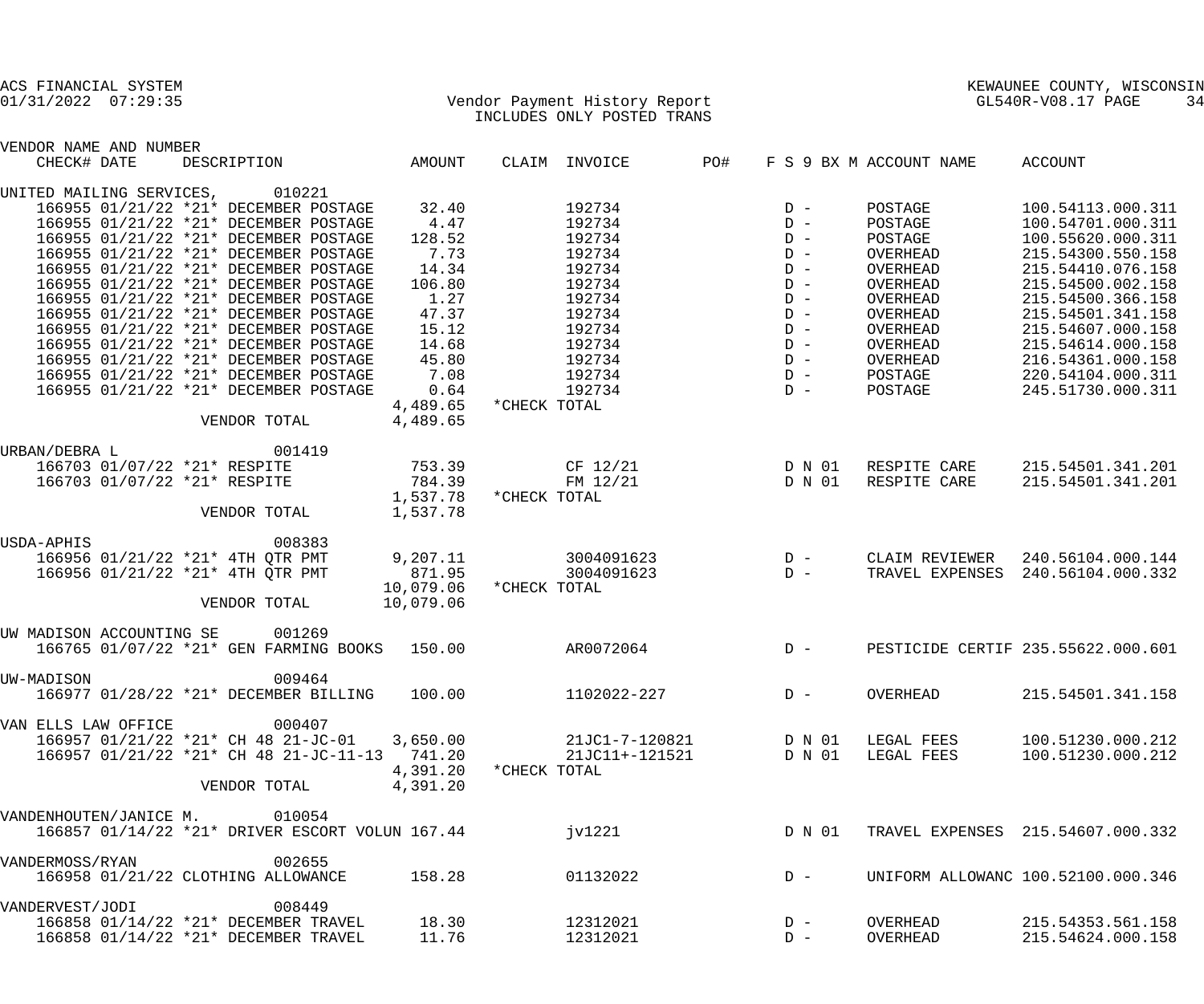|                 | ACS FINANCIAL SYSTEM         |                                                                                                   |               |              |                                                             |       |                  |                          | KEWAUNEE COUNTY, WISCONSIN         |    |
|-----------------|------------------------------|---------------------------------------------------------------------------------------------------|---------------|--------------|-------------------------------------------------------------|-------|------------------|--------------------------|------------------------------------|----|
|                 | $01/31/2022$ $07:29:35$      |                                                                                                   |               |              | Vendor Payment History Report<br>INCLUDES ONLY POSTED TRANS |       |                  |                          | GL540R-V08.17 PAGE                 | 34 |
|                 | VENDOR NAME AND NUMBER       |                                                                                                   |               |              |                                                             |       |                  |                          |                                    |    |
| CHECK# DATE     |                              | DESCRIPTION                                                                                       | <b>AMOUNT</b> |              | CLAIM INVOICE                                               | PO#   |                  | F S 9 BX M ACCOUNT NAME  | ACCOUNT                            |    |
|                 | UNITED MAILING SERVICES,     | 010221                                                                                            |               |              |                                                             |       |                  |                          |                                    |    |
|                 |                              | 166955 01/21/22 *21* DECEMBER POSTAGE                                                             | 32.40         |              | 192734                                                      |       | $D -$            | POSTAGE                  | 100.54113.000.311                  |    |
|                 |                              | 166955 01/21/22 *21* DECEMBER POSTAGE                                                             | 4.47          |              | 192734                                                      |       | $D -$            | POSTAGE                  | 100.54701.000.311                  |    |
|                 |                              | 166955 01/21/22 *21* DECEMBER POSTAGE                                                             | 128.52        |              | 192734                                                      |       | $D -$            | POSTAGE                  | 100.55620.000.311                  |    |
|                 |                              | 166955 01/21/22 *21* DECEMBER POSTAGE                                                             | 7.73          |              | 192734                                                      |       | $D -$            | OVERHEAD                 | 215.54300.550.158                  |    |
|                 |                              | 166955 01/21/22 *21* DECEMBER POSTAGE                                                             | 14.34         |              | 192734                                                      |       | $D -$            | OVERHEAD                 | 215.54410.076.158                  |    |
|                 |                              | 166955 01/21/22 *21* DECEMBER POSTAGE                                                             | 106.80        |              | 192734                                                      |       | $D -$            | OVERHEAD                 | 215.54500.002.158                  |    |
|                 |                              | 166955 01/21/22 *21* DECEMBER POSTAGE                                                             | 1.27          |              | 192734                                                      |       | $D -$            | OVERHEAD                 | 215.54500.366.158                  |    |
|                 |                              | 166955 01/21/22 *21* DECEMBER POSTAGE                                                             | 47.37         |              | 192734                                                      |       | $D -$            | OVERHEAD                 | 215.54501.341.158                  |    |
|                 |                              | 166955 01/21/22 *21* DECEMBER POSTAGE                                                             | 15.12         |              | 192734                                                      |       | $D -$            | OVERHEAD                 | 215.54607.000.158                  |    |
|                 |                              | 166955 01/21/22 *21* DECEMBER POSTAGE                                                             | 14.68         |              | 192734                                                      |       | $D -$            | OVERHEAD                 | 215.54614.000.158                  |    |
|                 |                              | 166955 01/21/22 *21* DECEMBER POSTAGE                                                             | 45.80         |              | 192734                                                      |       | $D -$            | OVERHEAD                 | 216.54361.000.158                  |    |
|                 |                              | 166955 01/21/22 *21* DECEMBER POSTAGE                                                             | 7.08          |              | 192734                                                      |       | $D -$            | POSTAGE                  | 220.54104.000.311                  |    |
|                 |                              | 166955 01/21/22 *21* DECEMBER POSTAGE                                                             | 0.64          |              | 192734                                                      |       | $D -$            | POSTAGE                  | 245.51730.000.311                  |    |
|                 |                              |                                                                                                   | 4,489.65      | *CHECK TOTAL |                                                             |       |                  |                          |                                    |    |
|                 |                              | VENDOR TOTAL                                                                                      | 4,489.65      |              |                                                             |       |                  |                          |                                    |    |
| URBAN/DEBRA L   |                              | 001419                                                                                            |               |              |                                                             |       |                  |                          |                                    |    |
|                 | 166703 01/07/22 *21* RESPITE |                                                                                                   | 753.39        |              | $CF$ 12/21                                                  |       | D N 01           | RESPITE CARE             | 215.54501.341.201                  |    |
|                 | 166703 01/07/22 *21* RESPITE |                                                                                                   | 784.39        |              | FM 12/21                                                    |       | D N 01           | RESPITE CARE             | 215.54501.341.201                  |    |
|                 |                              |                                                                                                   | 1,537.78      | *CHECK TOTAL |                                                             |       |                  |                          |                                    |    |
|                 |                              | VENDOR TOTAL                                                                                      | 1,537.78      |              |                                                             |       |                  |                          |                                    |    |
| USDA-APHIS      |                              | 008383                                                                                            |               |              |                                                             |       |                  |                          |                                    |    |
|                 |                              | 166956 01/21/22 *21* 4TH QTR PMT                                                                  | 9,207.11      |              | 3004091623                                                  | $D -$ |                  | CLAIM REVIEWER           | 240.56104.000.144                  |    |
|                 |                              | 166956 01/21/22 *21* 4TH OTR PMT                                                                  | 871.95        |              | 3004091623                                                  | $D -$ |                  | TRAVEL EXPENSES          | 240.56104.000.332                  |    |
|                 |                              |                                                                                                   | 10,079.06     | *CHECK TOTAL |                                                             |       |                  |                          |                                    |    |
|                 |                              | VENDOR TOTAL                                                                                      | 10,079.06     |              |                                                             |       |                  |                          |                                    |    |
|                 |                              |                                                                                                   |               |              |                                                             |       |                  |                          |                                    |    |
|                 | UW MADISON ACCOUNTING SE     | 001269                                                                                            |               |              |                                                             |       |                  |                          |                                    |    |
|                 |                              | 166765 01/07/22 *21* GEN FARMING BOOKS 150.00                                                     |               |              | AR0072064                                                   |       | $D -$            |                          | PESTICIDE CERTIF 235.55622.000.601 |    |
| UW-MADISON      |                              | 009464                                                                                            |               |              |                                                             |       |                  |                          |                                    |    |
|                 |                              | 166977 01/28/22 *21* DECEMBER BILLING                                                             | 100.00        |              | 1102022-227                                                 |       | $D -$            | OVERHEAD                 | 215.54501.341.158                  |    |
|                 |                              |                                                                                                   |               |              |                                                             |       |                  |                          |                                    |    |
|                 | VAN ELLS LAW OFFICE          | 000407                                                                                            |               |              |                                                             |       |                  |                          |                                    |    |
|                 |                              | $166957$ 01/21/22 *21* CH 48 21-JC-01 3,650.00<br>$166957$ 01/21/22 *21* CH 48 21-JC-11-13 741.20 |               |              | 21JC1-7-120821                                              |       | D N 01<br>D N 01 | LEGAL FEES<br>LEGAL FEES | 100.51230.000.212                  |    |
|                 |                              |                                                                                                   | 4,391.20      | *CHECK TOTAL | 21JC11+-121521                                              |       |                  |                          | 100.51230.000.212                  |    |
|                 |                              | VENDOR TOTAL                                                                                      | 4,391.20      |              |                                                             |       |                  |                          |                                    |    |
|                 |                              |                                                                                                   |               |              |                                                             |       |                  |                          |                                    |    |
|                 |                              | VANDENHOUTEN/JANICE M. 010054                                                                     |               |              |                                                             |       |                  |                          |                                    |    |
|                 |                              | 166857 01/14/22 *21* DRIVER ESCORT VOLUN 167.44                                                   |               |              | jv1221                                                      |       | D N 01           |                          | TRAVEL EXPENSES 215.54607.000.332  |    |
| VANDERMOSS/RYAN |                              | 002655                                                                                            |               |              |                                                             |       |                  |                          |                                    |    |
|                 |                              | 166958 01/21/22 CLOTHING ALLOWANCE                                                                | 158.28        |              | 01132022                                                    |       | $D -$            |                          | UNIFORM ALLOWANC 100.52100.000.346 |    |
| VANDERVEST/JODI |                              | 008449                                                                                            |               |              |                                                             |       |                  |                          |                                    |    |
|                 |                              | 166858 01/14/22 *21* DECEMBER TRAVEL                                                              | 18.30         |              | 12312021                                                    |       | $D -$            | OVERHEAD                 | 215.54353.561.158                  |    |
|                 |                              | 166858 01/14/22 *21* DECEMBER TRAVEL                                                              | 11.76         |              | 12312021                                                    |       | $D -$            | OVERHEAD                 | 215.54624.000.158                  |    |
|                 |                              |                                                                                                   |               |              |                                                             |       |                  |                          |                                    |    |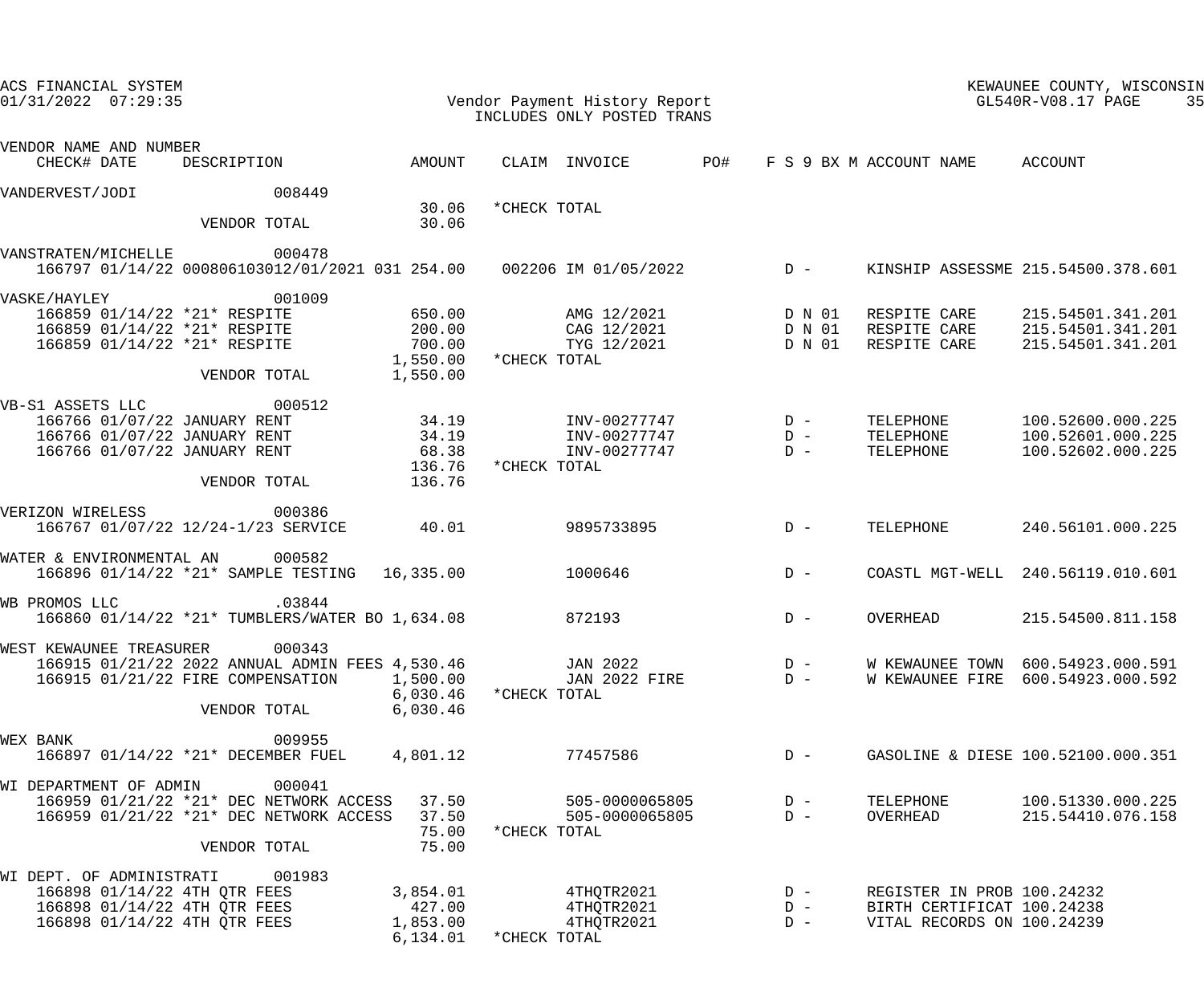| ACS FINANCIAL SYSTEM<br>$01/31/2022$ 07:29:35                                                          |                      | Vendor Payment History Report<br>INCLUDES ONLY POSTED TRANS |                    |                            | KEWAUNEE COUNTY, WISCONSIN<br>$GL540R-\mathrm{V08.17}$ PAGE | 35 |
|--------------------------------------------------------------------------------------------------------|----------------------|-------------------------------------------------------------|--------------------|----------------------------|-------------------------------------------------------------|----|
| VENDOR NAME AND NUMBER<br>DESCRIPTION AMOUNT<br>CHECK# DATE                                            |                      | CLAIM INVOICE PO# F S 9 BX M ACCOUNT NAME ACCOUNT           |                    |                            |                                                             |    |
|                                                                                                        |                      |                                                             |                    |                            |                                                             |    |
| 008449<br>VANDERVEST/JODI                                                                              |                      |                                                             |                    |                            |                                                             |    |
| VENDOR TOTAL                                                                                           | 30.06<br>30.06       | *CHECK TOTAL                                                |                    |                            |                                                             |    |
| 000478<br>VANSTRATEN/MICHELLE<br>166797 01/14/22 000806103012/01/2021 031 254.00  002206 IM 01/05/2022 |                      |                                                             | $D -$              |                            | KINSHIP ASSESSME 215.54500.378.601                          |    |
| 001009<br>VASKE/HAYLEY                                                                                 |                      |                                                             |                    |                            |                                                             |    |
|                                                                                                        |                      | AMG 12/2021 D N 01                                          |                    |                            | RESPITE CARE 215.54501.341.201                              |    |
| 166859 01/14/22 *21* RESPITE 650.00<br>166859 01/14/22 *21* RESPITE 200.00                             |                      | CAG 12/2021 D N 01                                          |                    | RESPITE CARE               | 215.54501.341.201                                           |    |
| 166859 01/14/22 *21* RESPITE                                                                           | 700.00               |                                                             | TYG 12/2021 D N 01 | RESPITE CARE               | 215.54501.341.201                                           |    |
| VENDOR TOTAL                                                                                           | 1,550.00<br>1,550.00 | *CHECK TOTAL                                                |                    |                            |                                                             |    |
| 000512<br>VB-S1 ASSETS LLC                                                                             |                      |                                                             |                    |                            |                                                             |    |
|                                                                                                        |                      | $INV-00277747$ $D -$                                        |                    | TELEPHONE                  | 100.52600.000.225                                           |    |
| 166766 01/07/22 JANUARY RENT 34.19<br>166766 01/07/22 JANUARY RENT 34.19                               |                      | $INV-00277747$ $D -$                                        |                    | TELEPHONE                  | 100.52601.000.225                                           |    |
| 166766 01/07/22 JANUARY RENT                                                                           | 68.38                | INV-00277747                                                | $D -$              | TELEPHONE                  | 100.52602.000.225                                           |    |
| VENDOR TOTAL                                                                                           | 136.76<br>136.76     | *CHECK TOTAL                                                |                    |                            |                                                             |    |
| VERIZON WIRELESS<br>000386                                                                             |                      |                                                             |                    |                            |                                                             |    |
| 166767 01/07/22 12/24-1/23 SERVICE                                                                     | 40.01                | 9895733895                                                  | $D -$              | TELEPHONE                  | 240.56101.000.225                                           |    |
| WATER & ENVIRONMENTAL AN<br>000582                                                                     |                      |                                                             |                    |                            |                                                             |    |
| 166896 01/14/22 *21* SAMPLE TESTING 16,335.00                                                          |                      | 1000646                                                     | $D -$              |                            | COASTL MGT-WELL 240.56119.010.601                           |    |
| WB PROMOS LLC<br>.03844                                                                                |                      |                                                             |                    |                            |                                                             |    |
| 166860 01/14/22 *21* TUMBLERS/WATER BO 1,634.08                                                        |                      | 872193                                                      | $D -$              | OVERHEAD                   | 215.54500.811.158                                           |    |
| WEST KEWAUNEE TREASURER 000343                                                                         |                      |                                                             |                    |                            |                                                             |    |
| 166915 01/21/22 2022 ANNUAL ADMIN FEES 4,530.46                                                        |                      | JAN 2022                                                    | $D -$              | W KEWAUNEE TOWN            | 600.54923.000.591                                           |    |
| 166915 01/21/22 FIRE COMPENSATION                                                                      | 1,500.00             | <b>JAN 2022 FIRE</b>                                        | $D -$              | W KEWAUNEE FIRE            | 600.54923.000.592                                           |    |
| VENDOR TOTAL                                                                                           | 6,030.46<br>6,030.46 | *CHECK TOTAL                                                |                    |                            |                                                             |    |
|                                                                                                        |                      |                                                             |                    |                            |                                                             |    |
| 009955<br>WEX BANK                                                                                     |                      |                                                             |                    |                            |                                                             |    |
| 166897 01/14/22 *21* DECEMBER FUEL                                                                     | 4,801.12             | 77457586                                                    | $D -$              |                            | GASOLINE & DIESE 100.52100.000.351                          |    |
| 000041<br>WI DEPARTMENT OF ADMIN                                                                       |                      |                                                             |                    |                            |                                                             |    |
| 166959 01/21/22 *21* DEC NETWORK ACCESS                                                                | 37.50                | 505-0000065805                                              | $D -$              | TELEPHONE                  | 100.51330.000.225                                           |    |
| 166959 01/21/22 *21* DEC NETWORK ACCESS                                                                | 37.50                | 505-0000065805                                              | $D -$              | OVERHEAD                   | 215.54410.076.158                                           |    |
| VENDOR TOTAL                                                                                           | 75.00<br>75.00       | *CHECK TOTAL                                                |                    |                            |                                                             |    |
| 001983<br>WI DEPT. OF ADMINISTRATI                                                                     |                      |                                                             |                    |                            |                                                             |    |
| 166898 01/14/22 4TH QTR FEES                                                                           | 3,854.01             | 4THQTR2021                                                  | $D -$              | REGISTER IN PROB 100.24232 |                                                             |    |
| 166898 01/14/22 4TH QTR FEES                                                                           | 427.00               | 4THQTR2021                                                  | $D -$              | BIRTH CERTIFICAT 100.24238 |                                                             |    |
| 166898 01/14/22 4TH QTR FEES                                                                           | 1,853.00             | 4THQTR2021                                                  | $D -$              | VITAL RECORDS ON 100.24239 |                                                             |    |
|                                                                                                        | 6, 134.01            | *CHECK TOTAL                                                |                    |                            |                                                             |    |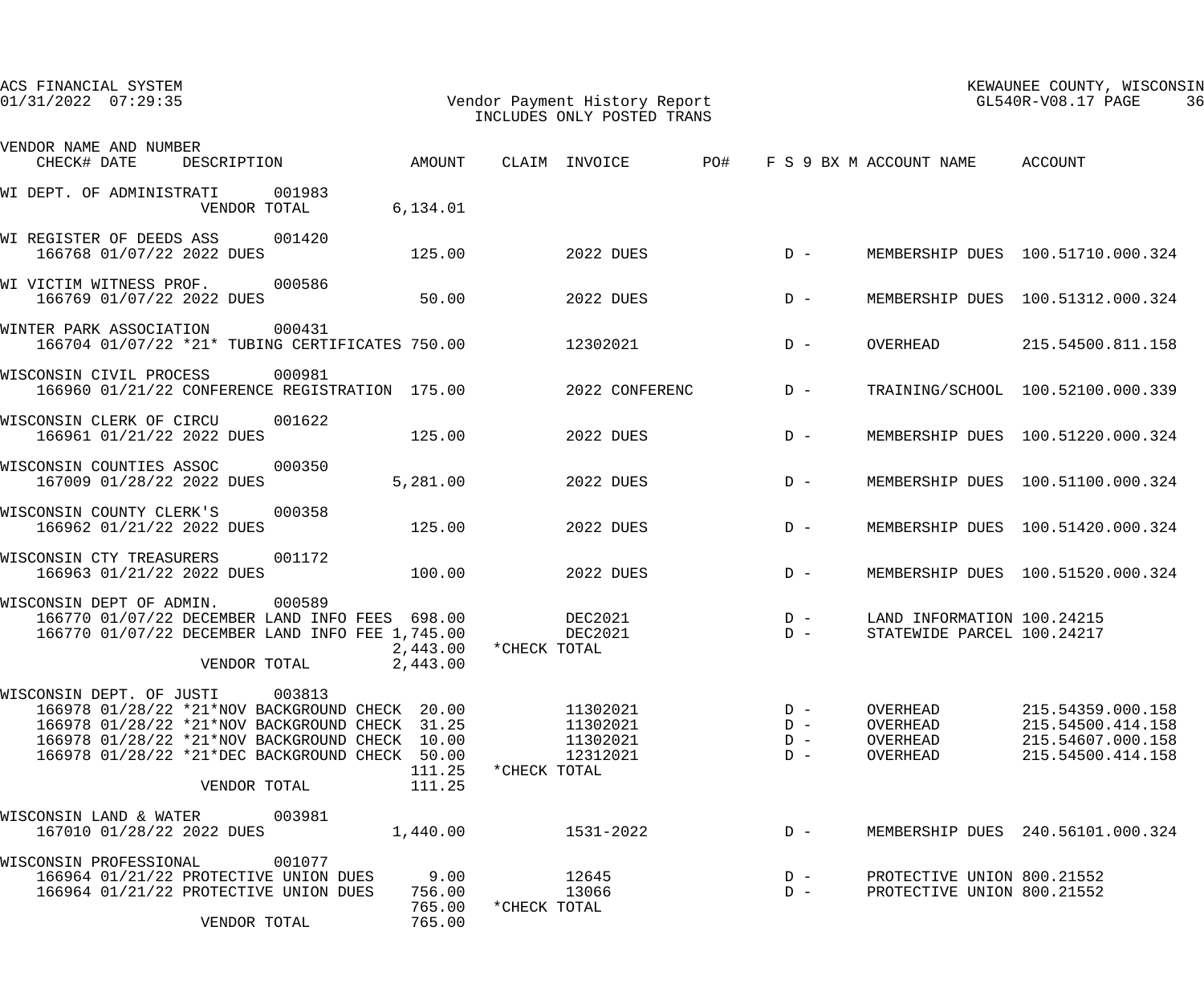| ACS FINANCIAL SYSTEM<br>Vendor Payment History Report<br>$01/31/2022$ $07:29:35$                                                                                                                                                                                               |              | INCLUDES ONLY POSTED TRANS                   |                                  |                                                          | KEWAUNEE COUNTY, WISCONSIN<br>GL540R-V08.17 PAGE<br>36                           |
|--------------------------------------------------------------------------------------------------------------------------------------------------------------------------------------------------------------------------------------------------------------------------------|--------------|----------------------------------------------|----------------------------------|----------------------------------------------------------|----------------------------------------------------------------------------------|
| VENDOR NAME AND NUMBER                                                                                                                                                                                                                                                         |              |                                              |                                  |                                                          |                                                                                  |
| AMOUNT<br>DESCRIPTION<br>CHECK# DATE                                                                                                                                                                                                                                           |              | CLAIM INVOICE                                | <b>PO#</b>                       | F S 9 BX M ACCOUNT NAME ACCOUNT                          |                                                                                  |
| WI DEPT. OF ADMINISTRATI 001983<br>VENDOR TOTAL<br>6, 134.01                                                                                                                                                                                                                   |              |                                              |                                  |                                                          |                                                                                  |
| WI REGISTER OF DEEDS ASS 001420<br>125.00<br>166768 01/07/22 2022 DUES                                                                                                                                                                                                         |              | 2022 DUES                                    | $D -$                            |                                                          | MEMBERSHIP DUES 100.51710.000.324                                                |
| WI VICTIM WITNESS PROF. 000586<br>50.00<br>166769 01/07/22 2022 DUES                                                                                                                                                                                                           |              | 2022 DUES                                    | $D -$                            |                                                          | MEMBERSHIP DUES 100.51312.000.324                                                |
| 000431<br>WINTER PARK ASSOCIATION<br>166704 01/07/22 *21* TUBING CERTIFICATES 750.00                                                                                                                                                                                           |              | 12302021                                     | $D -$                            | OVERHEAD                                                 | 215.54500.811.158                                                                |
| WISCONSIN CIVIL PROCESS<br>000981<br>166960 01/21/22 CONFERENCE REGISTRATION 175.00                                                                                                                                                                                            |              | 2022 CONFERENC                               | $D -$                            |                                                          | TRAINING/SCHOOL 100.52100.000.339                                                |
| WISCONSIN CLERK OF CIRCU<br>001622<br>125.00<br>166961 01/21/22 2022 DUES                                                                                                                                                                                                      |              | 2022 DUES                                    | $D -$                            |                                                          | MEMBERSHIP DUES 100.51220.000.324                                                |
| WISCONSIN COUNTIES ASSOC 000350<br>167009 01/28/22 2022 DUES<br>5,281.00                                                                                                                                                                                                       |              | 2022 DUES                                    | $D -$                            |                                                          | MEMBERSHIP DUES 100.51100.000.324                                                |
| 000358<br>WISCONSIN COUNTY CLERK'S<br>166962 01/21/22 2022 DUES<br>125.00                                                                                                                                                                                                      |              | 2022 DUES                                    | $D -$                            |                                                          | MEMBERSHIP DUES 100.51420.000.324                                                |
| 001172<br>WISCONSIN CTY TREASURERS<br>100.00<br>166963 01/21/22 2022 DUES                                                                                                                                                                                                      |              | 2022 DUES                                    | $D -$                            |                                                          | MEMBERSHIP DUES 100.51520.000.324                                                |
| 000589<br>WISCONSIN DEPT OF ADMIN.<br>166770 01/07/22 DECEMBER LAND INFO FEES 698.00<br>166770 01/07/22 DECEMBER LAND INFO FEE 1,745.00<br>2,443.00<br>2,443.00<br>VENDOR TOTAL                                                                                                | *CHECK TOTAL | DEC2021<br>DEC2021                           | $D -$<br>$D -$                   | LAND INFORMATION 100.24215<br>STATEWIDE PARCEL 100.24217 |                                                                                  |
| 003813<br>WISCONSIN DEPT. OF JUSTI<br>166978 01/28/22 *21*NOV BACKGROUND CHECK 20.00<br>166978 01/28/22 *21*NOV BACKGROUND CHECK 31.25<br>166978 01/28/22 *21*NOV BACKGROUND CHECK 10.00<br>166978 01/28/22 *21*DEC BACKGROUND CHECK 50.00<br>111.25<br>111.25<br>VENDOR TOTAL | *CHECK TOTAL | 11302021<br>11302021<br>11302021<br>12312021 | $D -$<br>$D -$<br>$D -$<br>$D -$ | OVERHEAD<br>OVERHEAD<br>OVERHEAD<br>OVERHEAD             | 215.54359.000.158<br>215.54500.414.158<br>215.54607.000.158<br>215.54500.414.158 |
| 003981<br>WISCONSIN LAND & WATER<br>167010 01/28/22 2022 DUES<br>1,440.00                                                                                                                                                                                                      |              | 1531-2022                                    | $D -$                            |                                                          | MEMBERSHIP DUES 240.56101.000.324                                                |
| WISCONSIN PROFESSIONAL<br>001077<br>166964 01/21/22 PROTECTIVE UNION DUES<br>9.00<br>166964 01/21/22 PROTECTIVE UNION DUES<br>756.00<br>765.00<br>VENDOR TOTAL<br>765.00                                                                                                       | *CHECK TOTAL | 12645<br>13066                               | $D -$<br>$D -$                   | PROTECTIVE UNION 800.21552<br>PROTECTIVE UNION 800.21552 |                                                                                  |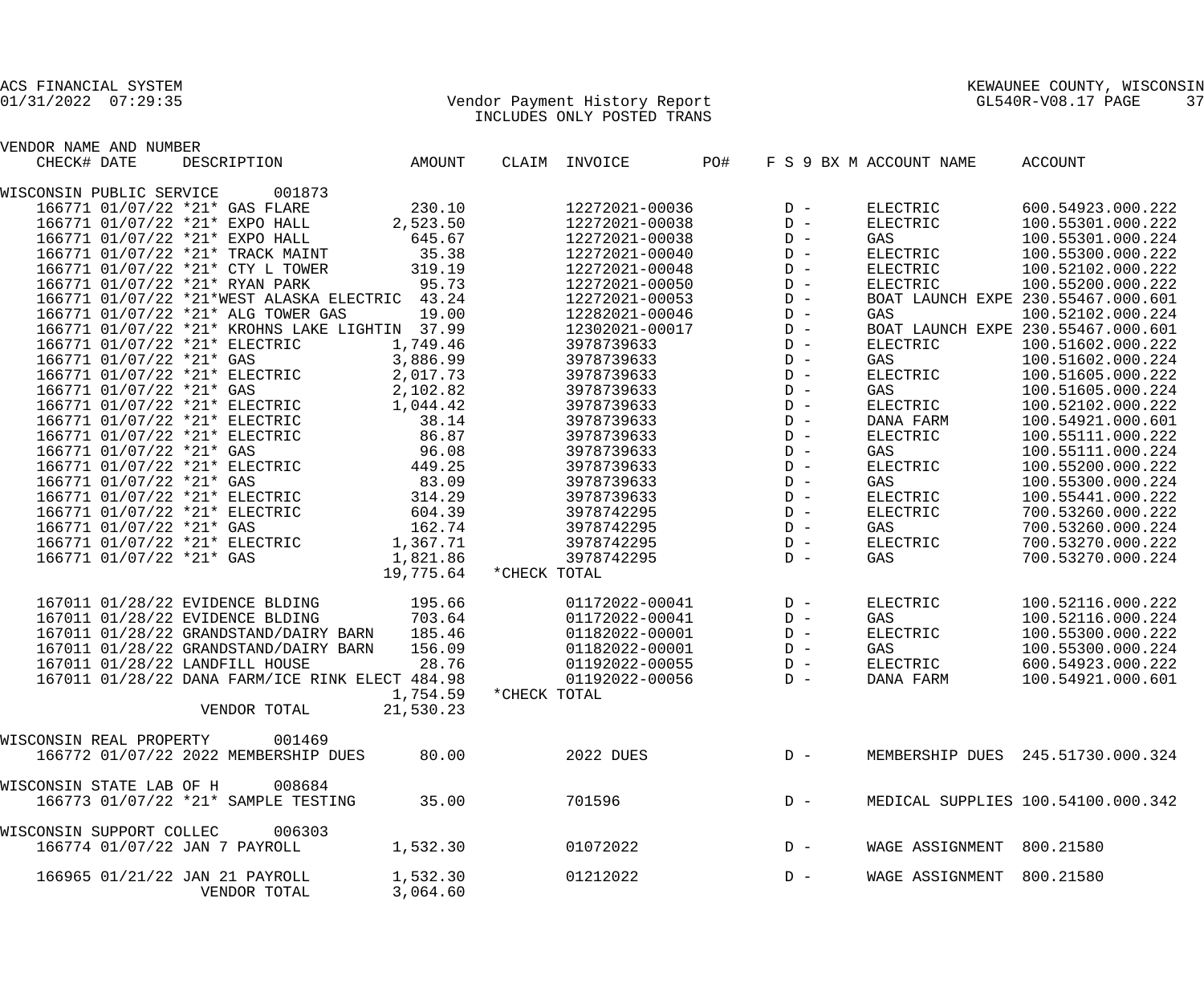### 01/31/2022 07:29:35 Vendor Payment History Report GL540R-V08.17 PAGE 37 INCLUDES ONLY POSTED TRANS

| VENDOR NAME AND NUMBER   |                                                                                                                |                        |                                                                                                                                                                                                                                                                                                                     |       |       |                             |                                    |
|--------------------------|----------------------------------------------------------------------------------------------------------------|------------------------|---------------------------------------------------------------------------------------------------------------------------------------------------------------------------------------------------------------------------------------------------------------------------------------------------------------------|-------|-------|-----------------------------|------------------------------------|
| CHECK# DATE              | DESCRIPTION AMOUNT                                                                                             |                        | CLAIM INVOICE PO#                                                                                                                                                                                                                                                                                                   |       |       | F S 9 BX M ACCOUNT NAME     | ACCOUNT                            |
|                          | WISCONSIN PUBLIC SERVICE 001873                                                                                |                        |                                                                                                                                                                                                                                                                                                                     |       |       |                             |                                    |
|                          | 166771 01/07/22 *21* GAS FLARE                                                                                 | 230.10                 |                                                                                                                                                                                                                                                                                                                     |       |       | 12272021-00036 D - ELECTRIC | 600.54923.000.222                  |
|                          | 166771 01/07/22 *21* EXPO HALL 2,523.50                                                                        |                        | 12272021-00038                                                                                                                                                                                                                                                                                                      |       | $D -$ | ELECTRIC                    | 100.55301.000.222                  |
|                          | 166771 01/07/22 *21* EXPO HALL 645.67                                                                          |                        | 12272021-00038                                                                                                                                                                                                                                                                                                      |       | $D -$ | GAS                         | 100.55301.000.224                  |
|                          | 166771 01/07/22 *21* TRACK MAINT                                                                               | 35.38                  | 12272021-00040                                                                                                                                                                                                                                                                                                      |       | $D -$ | ELECTRIC                    | 100.55300.000.222                  |
|                          | 166771 01/07/22 *21* CTY L TOWER                                                                               | 319.19                 | 12272021-00048                                                                                                                                                                                                                                                                                                      |       | $D -$ | ELECTRIC                    | 100.52102.000.222                  |
|                          | 166771 01/07/22 *21* RYAN PARK                                                                                 | 95.73                  | 12272021-00050                                                                                                                                                                                                                                                                                                      |       | $D -$ | ELECTRIC                    | 100.55200.000.222                  |
|                          | 166771 01/07/22 *21*WEST ALASKA ELECTRIC 43.24                                                                 |                        | 12272021-00053                                                                                                                                                                                                                                                                                                      |       | $D -$ |                             | BOAT LAUNCH EXPE 230.55467.000.601 |
|                          | 166771 01/07/22 *21* ALG TOWER GAS                                                                             | 19.00                  | 12282021-00046                                                                                                                                                                                                                                                                                                      |       | $D -$ | GAS                         | 100.52102.000.224                  |
|                          | 166771 01/07/22 *21* KROHNS LAKE LIGHTIN 37.99                                                                 |                        | 12302021-00017                                                                                                                                                                                                                                                                                                      |       | $D -$ |                             | BOAT LAUNCH EXPE 230.55467.000.601 |
|                          | 166771 01/07/22 *21* ELECTRIC                                                                                  | 1,749.46               |                                                                                                                                                                                                                                                                                                                     |       |       | ELECTRIC                    | 100.51602.000.222                  |
|                          | 166771 01/07/22 *21* GAS                                                                                       | 3,886.99               |                                                                                                                                                                                                                                                                                                                     |       |       | GAS                         | 100.51602.000.224                  |
|                          |                                                                                                                |                        |                                                                                                                                                                                                                                                                                                                     |       |       | ELECTRIC                    | 100.51605.000.222                  |
|                          | 166771 01/07/22 *21* ELECTRIC 2,017.73<br>166771 01/07/22 *21* GAS 2,102.82                                    |                        | $\begin{array}{ccc}\n 3978739633 & D - \\  3978739633 & D - \\  3978739633 & D - \\  3978739633 & D - \\  3978739633 & D - \\  3079739633 & D - \\ \end{array}$                                                                                                                                                     |       |       | GAS                         | 100.51605.000.224                  |
|                          | 166771 01/07/22 *21* ELECTRIC 1,044.42                                                                         |                        |                                                                                                                                                                                                                                                                                                                     |       |       | ELECTRIC                    | 100.52102.000.222                  |
|                          | 166771 01/07/22 *21* ELECTRIC 38.14                                                                            |                        |                                                                                                                                                                                                                                                                                                                     |       |       | DANA FARM                   | 100.54921.000.601                  |
|                          | 166771 01/07/22 *21* ELECTRIC                                                                                  |                        |                                                                                                                                                                                                                                                                                                                     |       |       | ELECTRIC                    | 100.55111.000.222                  |
|                          | 166771 01/07/22 *21* GAS                                                                                       | RIC 86.87<br>96.08     |                                                                                                                                                                                                                                                                                                                     |       |       | GAS                         | 100.55111.000.224                  |
|                          |                                                                                                                |                        | $\begin{array}{lllllllllllllll} & & & & & & \ \ 3978739633 & & & & \ \ 2978739633 & & & \ \ 3978739633 & & & \ \ 3978739633 & & & \ \ 3978739633 & & & \ \ 2978739633 & & & \ \ 2978739633 & & & \ \ 2978739633 & & & \ \ 2978739633 & & & \ \ 2978739633 & & & \ \ 2978742295 & & & \ \ 2978742295 & & & \ \ 2978$ |       |       | ELECTRIC                    | 100.55200.000.222                  |
|                          | 166771 01/07/22 *21* ELECTRIC 449.25<br>166771 01/07/22 *21* GAS 83.09<br>166771 01/07/22 *21* ELECTRIC 314.29 |                        |                                                                                                                                                                                                                                                                                                                     |       |       | GAS                         | 100.55300.000.224                  |
|                          |                                                                                                                |                        |                                                                                                                                                                                                                                                                                                                     |       |       | ELECTRIC                    | 100.55441.000.222                  |
|                          | 166771 01/07/22 *21* ELECTRIC                                                                                  |                        |                                                                                                                                                                                                                                                                                                                     |       |       | ELECTRIC                    | 700.53260.000.222                  |
|                          |                                                                                                                | 604.39                 |                                                                                                                                                                                                                                                                                                                     |       |       |                             |                                    |
|                          | 166771 01/07/22 *21* GAS                                                                                       | 162.74                 |                                                                                                                                                                                                                                                                                                                     |       |       | GAS                         | 700.53260.000.224                  |
|                          | 166771 01/07/22 *21* ELECTRIC 1,367.71                                                                         |                        |                                                                                                                                                                                                                                                                                                                     |       |       | ELECTRIC                    | 700.53270.000.222                  |
|                          | 166771 01/07/22 *21* GAS                                                                                       | 1,821.86               | 3978742295                                                                                                                                                                                                                                                                                                          |       | $D -$ | GAS                         | 700.53270.000.224                  |
|                          |                                                                                                                | 19,775.64 *CHECK TOTAL |                                                                                                                                                                                                                                                                                                                     |       |       |                             |                                    |
|                          | 167011 01/28/22 EVIDENCE BLDING 195.66                                                                         |                        | 01172022-00041 D-                                                                                                                                                                                                                                                                                                   |       |       | ELECTRIC                    | 100.52116.000.222                  |
|                          | 167011 01/28/22 EVIDENCE BLDING                                                                                | 703.64                 | 01172022-00041                                                                                                                                                                                                                                                                                                      | $D -$ |       | GAS                         | 100.52116.000.224                  |
|                          | 167011 01/28/22 GRANDSTAND/DAIRY BARN 185.46                                                                   |                        | 01182022-00001                                                                                                                                                                                                                                                                                                      |       | $D -$ | ELECTRIC                    | 100.55300.000.222                  |
|                          | 167011 01/28/22 GRANDSTAND/DAIRY BARN                                                                          | 156.09                 | 01182022-00001                                                                                                                                                                                                                                                                                                      | $D -$ |       | GAS                         | 100.55300.000.224                  |
|                          | 167011 01/28/22 LANDFILL HOUSE                                                                                 | 28.76                  | 01192022-00055 D-                                                                                                                                                                                                                                                                                                   |       |       | ELECTRIC                    | 600.54923.000.222                  |
|                          | 167011 01/28/22 DANA FARM/ICE RINK ELECT 484.98                                                                |                        | 01192022-00056                                                                                                                                                                                                                                                                                                      |       | $D -$ | DANA FARM                   | 100.54921.000.601                  |
|                          |                                                                                                                | 1,754.59 *CHECK TOTAL  |                                                                                                                                                                                                                                                                                                                     |       |       |                             |                                    |
|                          | VENDOR TOTAL                                                                                                   | 21,530.23              |                                                                                                                                                                                                                                                                                                                     |       |       |                             |                                    |
| WISCONSIN REAL PROPERTY  | 001469                                                                                                         |                        |                                                                                                                                                                                                                                                                                                                     |       |       |                             |                                    |
|                          | 166772 01/07/22 2022 MEMBERSHIP DUES                                                                           | 80.00                  | 2022 DUES                                                                                                                                                                                                                                                                                                           |       | $D -$ |                             | MEMBERSHIP DUES 245.51730.000.324  |
|                          |                                                                                                                |                        |                                                                                                                                                                                                                                                                                                                     |       |       |                             |                                    |
| WISCONSIN STATE LAB OF H | 008684                                                                                                         |                        |                                                                                                                                                                                                                                                                                                                     |       |       |                             |                                    |
|                          | 166773 01/07/22 *21* SAMPLE TESTING                                                                            | 35.00                  | 701596                                                                                                                                                                                                                                                                                                              |       | $D -$ |                             | MEDICAL SUPPLIES 100.54100.000.342 |
| WISCONSIN SUPPORT COLLEC | 006303                                                                                                         |                        |                                                                                                                                                                                                                                                                                                                     |       |       |                             |                                    |
|                          | 166774 01/07/22 JAN 7 PAYROLL                                                                                  | 1,532.30               | 01072022                                                                                                                                                                                                                                                                                                            |       | $D -$ | WAGE ASSIGNMENT             | 800.21580                          |
|                          |                                                                                                                |                        |                                                                                                                                                                                                                                                                                                                     |       |       |                             |                                    |
|                          | 166965 01/21/22 JAN 21 PAYROLL<br>VENDOR TOTAL                                                                 | 1,532.30<br>3,064.60   | 01212022                                                                                                                                                                                                                                                                                                            |       | $D -$ | WAGE ASSIGNMENT             | 800.21580                          |
|                          |                                                                                                                |                        |                                                                                                                                                                                                                                                                                                                     |       |       |                             |                                    |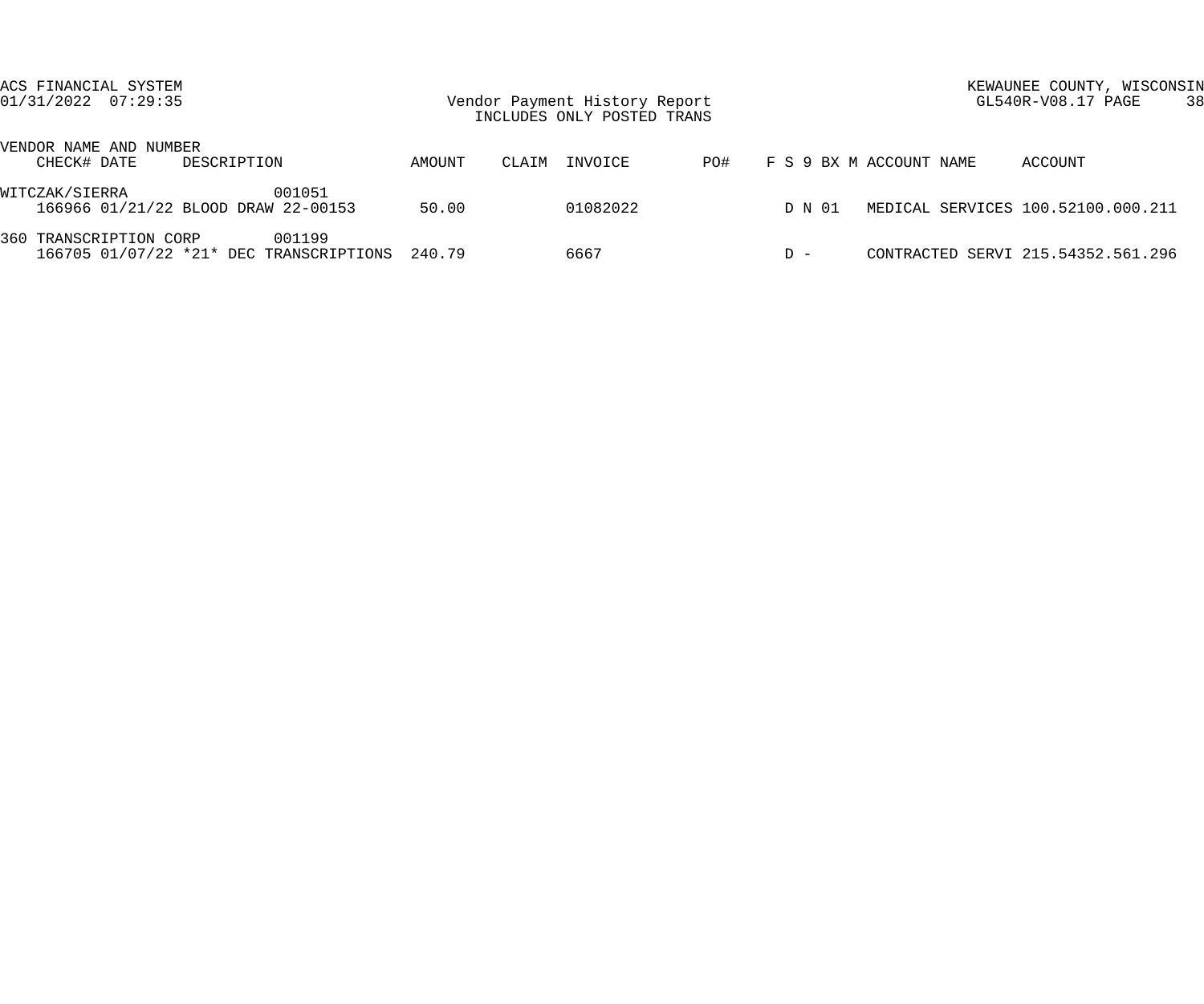| ACS FINANCIAL SYSTEM<br>$01/31/2022$ $07:29:35$                          |                 | Vendor Payment History Report<br>INCLUDES ONLY POSTED TRANS |                                | KEWAUNEE COUNTY, WISCONSIN<br>GL540R-V08.17 PAGE | -38 |
|--------------------------------------------------------------------------|-----------------|-------------------------------------------------------------|--------------------------------|--------------------------------------------------|-----|
| VENDOR NAME AND NUMBER<br>CHECK# DATE<br>DESCRIPTION                     | AMOUNT          | INVOICE<br>CLAIM                                            | F S 9 BX M ACCOUNT NAME<br>PO# | ACCOUNT                                          |     |
| WITCZAK/SIERRA<br>166966 01/21/22 BLOOD DRAW 22-00153                    | 001051<br>50.00 | 01082022                                                    | D N 01                         | MEDICAL SERVICES 100.52100.000.211               |     |
| 360 TRANSCRIPTION CORP<br>166705 01/07/22 *21* DEC TRANSCRIPTIONS 240.79 | 001199          | 6667                                                        | $D -$                          | CONTRACTED SERVI 215.54352.561.296               |     |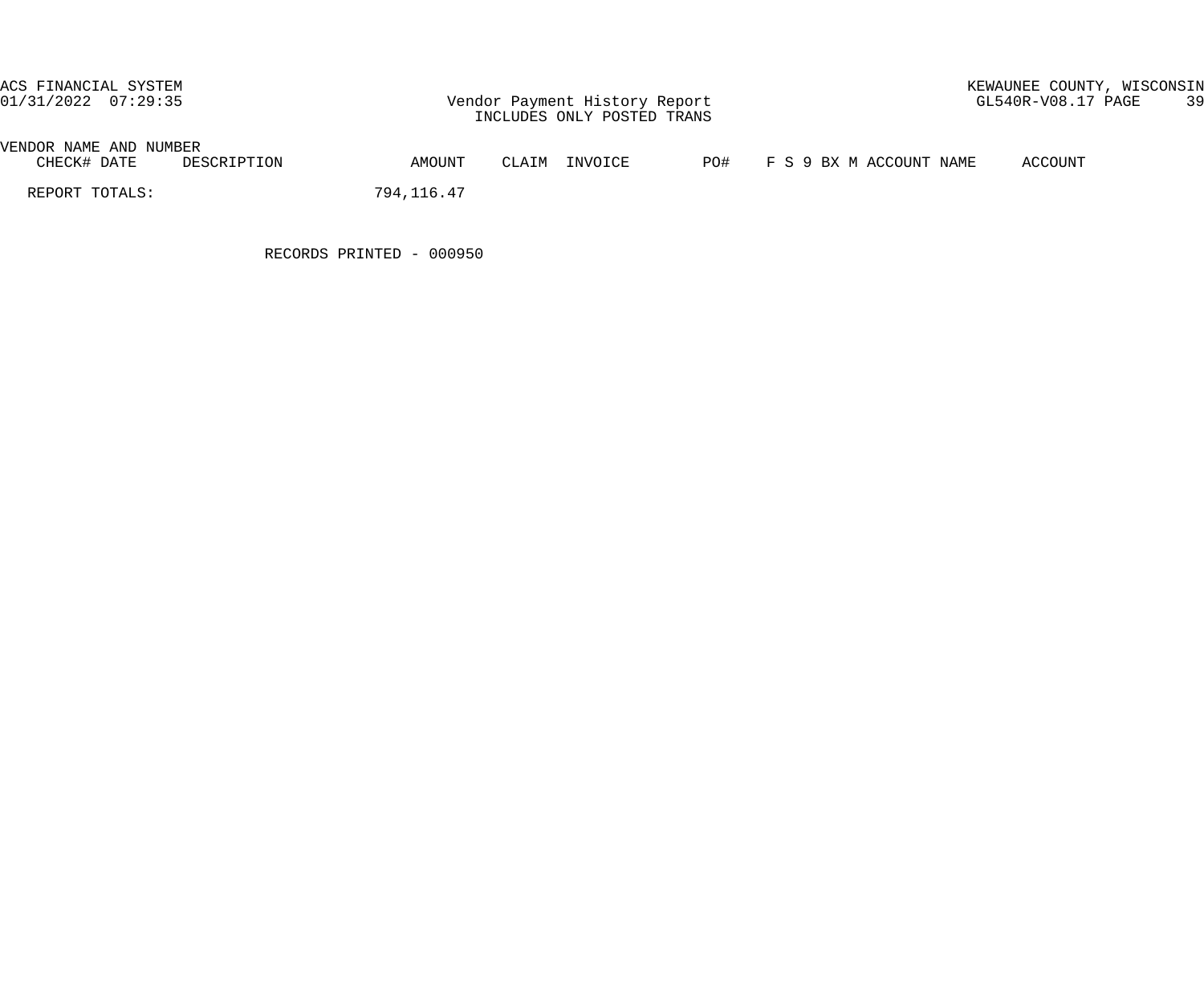# ACS FINANCIAL SYSTEM<br>01/31/2022 07:29:35 Vendor Payment History Report GL540R-V08.17 PAGE 39

## VENDOR NAME AND NUMBER<br>CHECK# DATE DESCRIPTION

AMOUNT CLAIM INVOICE PO# F S 9 BX M ACCOUNT NAME ACCOUNT

REPORT TOTALS: 794,116.47

RECORDS PRINTED - 000950